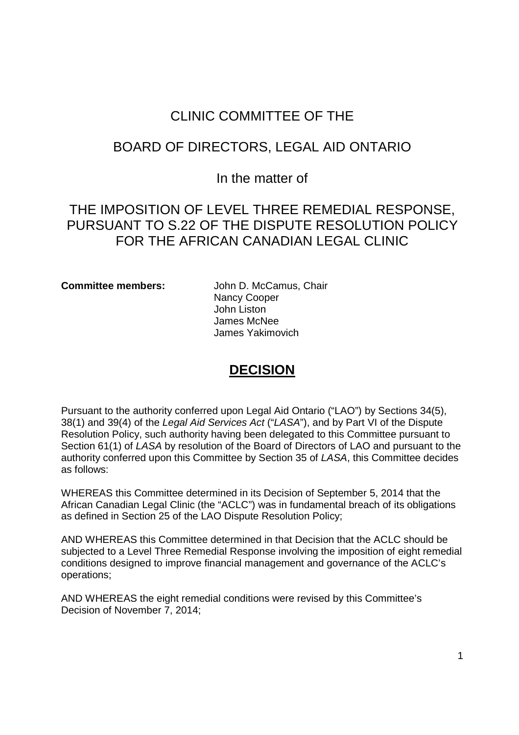## CLINIC COMMITTEE OF THE CLINIC COMMITTEE OF THE

## BOARD OF DIRECTORS, LEGAL AID ONTARIO BOARD OF DIRECTORS, LEGAL AID ONTARIO

## In the matter of In the matter of

## THE IMPOSITION OF LEVEL THREE REMEDIAL RESPONSE, THE IMPOSITION OF LEVEL THREE REMEDIAL RESPONSE, PURSUANT TO S.22 OF THE DISPUTE RESOLUTION POLICY PURSUANT TO S.22 OF THE DISPUTE RESOLUTION POLICY FOR THE AFRICAN CANADIAN LEGAL CLINIC FOR THE AFRICAN CANADIAN LEGAL CLINIC

**Committee members:** John D. McCamus, Chair Committee members: John D. McCamus, Chair Nancy Cooper Nancy Cooper John Liston John Liston James McNee James McNee James Yakimovich James Yakimovich

## **DECISION**  DECISION

Pursuant to the authority conferred upon Legal Aid Ontario ("LAO") by Sections 34(5), Pursuant to the authority conferred upon Legal Aid Ontario ("LAO") by Sections 34(5), 38(1) and 39(4) of the Legal Aid Services Act ("LASA"), and by Part VI of the Dispute Resolution Policy, such authority having been delegated to this Committee pursuant to Resolution Policy, such authority having been delegated to this Committee pursuant to Section 61(1) of LASA by resolution of the Board of Directors of LAO and pursuant to the Section 61(1) of LASA by resolution of the Board of Directors of LAO and pursuant to the authority conferred upon this Committee by Section 35 of LASA, this Committee decides authority conferred upon this Committee by Section 35 of LASA, this Committee decides as follows: as follows:

WHEREAS this Committee determined in its Decision of September 5, 2014 that the WHEREAS this Committee determined in its Decision of September 5, 2014 that the African Canadian Legal Clinic (the "ACLC") was in fundamental breach of its obligations African Canadian Legal Clinic (the "ACLC") was in fundamental breach of its obligations as defined in Section 25 of the LAO Dispute Resolution Policy; as defined in Section 25 of the LAO Dispute Resolution Policy;

AND WHEREAS this Committee determined in that Decision that the ACLC should be AND WHEREAS this Committee determined in that Decision that the ACLC should be subjected to a Level Three Remedial Response involving the imposition of eight remedial subjected to a Level Three Remedial Response involving the imposition of eight remedial conditions designed to improve financial management and governance of the ACLC's conditions designed to improve financial management and governance of the ACLC's operations; operations;

AND WHEREAS the eight remedial conditions were revised by this Committee's AND WHEREAS the eight remedial conditions were revised by this Committee's Decision of November 7, 2014; Decision of November 7, 2014;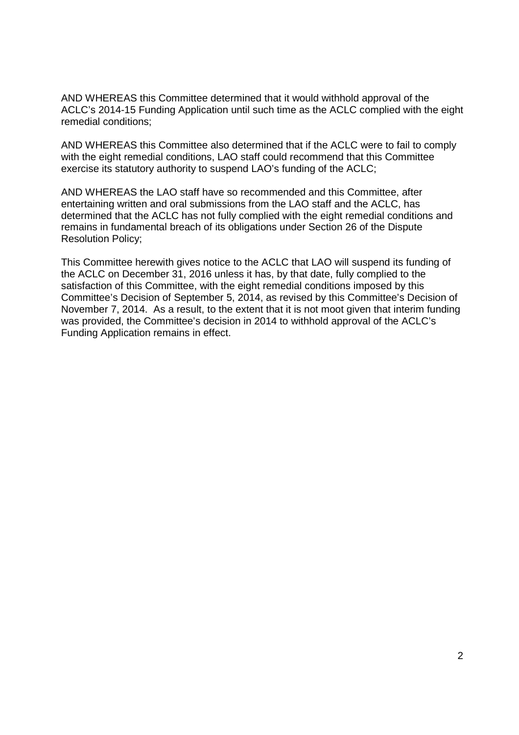AND WHEREAS this Committee determined that it would withhold approval of the AND WHEREAS this Committee determined that it would withhold approval of the ACLC's 2014-15 Funding Application until such time as the ACLC complied with the eight ACLC's 2014-15 Funding Application until such time as the ACLC complied with the eight remedial conditions; remedial conditions;

AND WHEREAS this Committee also determined that if the ACLC were to fail to comply AND WHEREAS this Committee also determined that if the ACLC were to fail to comply with the eight remedial conditions, LAO staff could recommend that this Committee with the eight remedial conditions, LAO staff could recommend that this Committee exercise its statutory authority to suspend LAO's funding of the ACLC;

AND WHEREAS the LAO staff have so recommended and this Committee, after AND WHEREAS the LAO staff have so recommended and this Committee, after entertaining written and oral submissions from the LAO staff and the ACLC, has entertaining written and oral submissions from the LAO staff and the ACLC, has determined that the ACLC has not fully complied with the eight remedial conditions and determined that the ACLC has not fully complied with the eight remedial conditions and remains in fundamental breach of its obligations under Section 26 of the Dispute remains in fundamental breach of its obligations under Section 26 of the Dispute Resolution Policy; Resolution Policy;

This Committee herewith gives notice to the ACLC that LAO will suspend its funding of This Committee herewith gives notice to the ACLC that LAO will suspend its funding of the ACLC on December 31, 2016 unless it has, by that date, fully complied to the the ACLC on December 31, 2016 unless it has, by that date, fully complied to the satisfaction of this Committee, with the eight remedial conditions imposed by this satisfaction of this Committee, with the eight remedial conditions imposed by this Committee's Decision of September 5, 2014, as revised by this Committee's Decision of Committee's Decision of September 5, 2014, as revised by this Committee's Decision of November 7, 2014. As a result, to the extent that it is not moot given that interim funding November 7, 2014. As a result, to the extent that it is not moot given that interim funding was provided, the Committee's decision in 2014 to withhold approval of the ACLC's was provided, the Committee's decision in 2014 to withhold approval of the ACLC's Funding Application remains in effect. Funding Application remains in effect.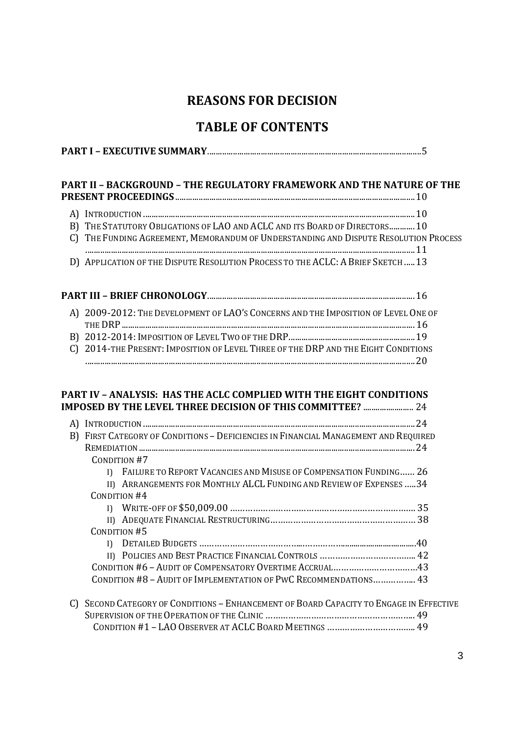## **REASONS FOR DECISION**  REASONS FOR DECISION

## **TABLE OF CONTENTS**  TABLE OF CONTENTS

|--|

# **PART II – BACKGROUND – THE REGULATORY FRAMEWORK AND THE NATURE OF THE**  PART <sup>I</sup> — EXECUTIVE SUMMARY....................................................................................................5PART II — BACKGROUND — THE REGULATORY FRAMEWORK AND THE NATURE OF THE

| B) THE STATUTORY OBLIGATIONS OF LAO AND ACLC AND ITS BOARD OF DIRECTORS 10           |  |
|--------------------------------------------------------------------------------------|--|
| C) THE FUNDING AGREEMENT, MEMORANDUM OF UNDERSTANDING AND DISPUTE RESOLUTION PROCESS |  |
|                                                                                      |  |
| D) APPLICATION OF THE DISPUTE RESOLUTION PROCESS TO THE ACLC: A BRIEF SKETCH  13     |  |

| A) 2009-2012: THE DEVELOPMENT OF LAO'S CONCERNS AND THE IMPOSITION OF LEVEL ONE OF |  |
|------------------------------------------------------------------------------------|--|
|                                                                                    |  |
|                                                                                    |  |
| C) 2014-THE PRESENT: IMPOSITION OF LEVEL THREE OF THE DRP AND THE EIGHT CONDITIONS |  |
|                                                                                    |  |

#### **PART IV – ANALYSIS: HAS THE ACLC COMPLIED WITH THE EIGHT CONDITIONS**  PART IV — ANALYSIS: HAS THE ACLC COMPLIED WITH THE EIGHT CONDITIONS **IMPOSED BY THE LEVEL THREE DECISION OF THIS COMMITTEE?** ........................ 24 IMPOSED BY THE LEVEL THREE DECISION OF THIS COMMITTEE? ........................ 24

|              | B) FIRST CATEGORY OF CONDITIONS - DEFICIENCIES IN FINANCIAL MANAGEMENT AND REQUIRED |                                                                      |  |  |  |
|--------------|-------------------------------------------------------------------------------------|----------------------------------------------------------------------|--|--|--|
|              |                                                                                     |                                                                      |  |  |  |
|              | CONDITION #7                                                                        |                                                                      |  |  |  |
|              |                                                                                     | I) FAILURE TO REPORT VACANCIES AND MISUSE OF COMPENSATION FUNDING 26 |  |  |  |
|              |                                                                                     | II) ARRANGEMENTS FOR MONTHLY ALCL FUNDING AND REVIEW OF EXPENSES  34 |  |  |  |
| CONDITION #4 |                                                                                     |                                                                      |  |  |  |
|              |                                                                                     |                                                                      |  |  |  |
|              |                                                                                     |                                                                      |  |  |  |
| CONDITION #5 |                                                                                     |                                                                      |  |  |  |
|              |                                                                                     |                                                                      |  |  |  |
|              |                                                                                     |                                                                      |  |  |  |
|              |                                                                                     | CONDITION #6 - AUDIT OF COMPENSATORY OVERTIME ACCRUAL43              |  |  |  |
|              |                                                                                     | CONDITION #8 - AUDIT OF IMPLEMENTATION OF PWC RECOMMENDATIONS 43     |  |  |  |
|              |                                                                                     |                                                                      |  |  |  |

C) SECOND CATEGORY OF CONDITIONS – ENHANCEMENT OF BOARD CAPACITY TO ENGAGE IN EFFECTIVE C) SECOND CATEGORY OF CONDITIONS — ENHANCEMENT OF BOARD CAPACITY TO ENGAGE IN EFFECTIVE SUPERVISION OF THE OPERATION OF THE CLINIC ………………………………………………….. 49 SUPERVISION OF THE OPERATION OF THE CLINIC ........................................................... 49 CONDITION #1 – LAO OBSERVER AT ACLC BOARD MEETINGS …………………………….. 49 CONDITION #1 — LAO OBSERVER AT ACLCBOARD MEETINGS ...................................49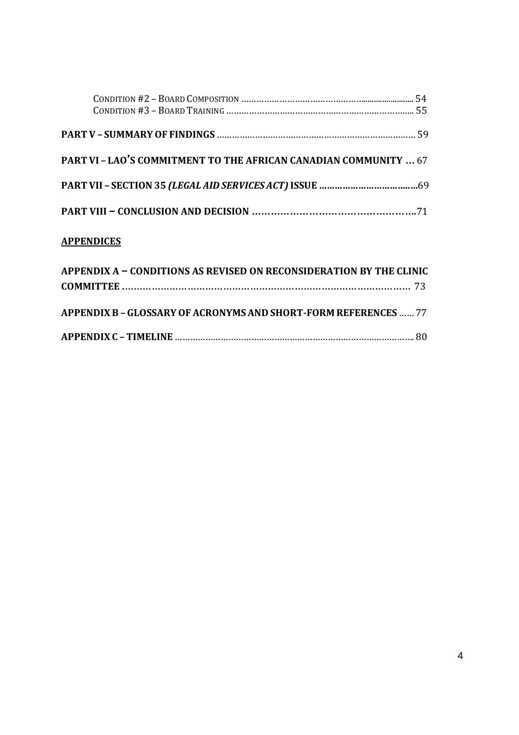| <b>PART VI - LAO'S COMMITMENT TO THE AFRICAN CANADIAN COMMUNITY  67</b> |  |
|-------------------------------------------------------------------------|--|
|                                                                         |  |
|                                                                         |  |

#### **APPENDICES** APPENDICES

| APPENDIX A - CONDITIONS AS REVISED ON RECONSIDERATION BY THE CLINIC |  |
|---------------------------------------------------------------------|--|
|                                                                     |  |
| APPENDIX B - GLOSSARY OF ACRONYMS AND SHORT-FORM REFERENCES  77     |  |
|                                                                     |  |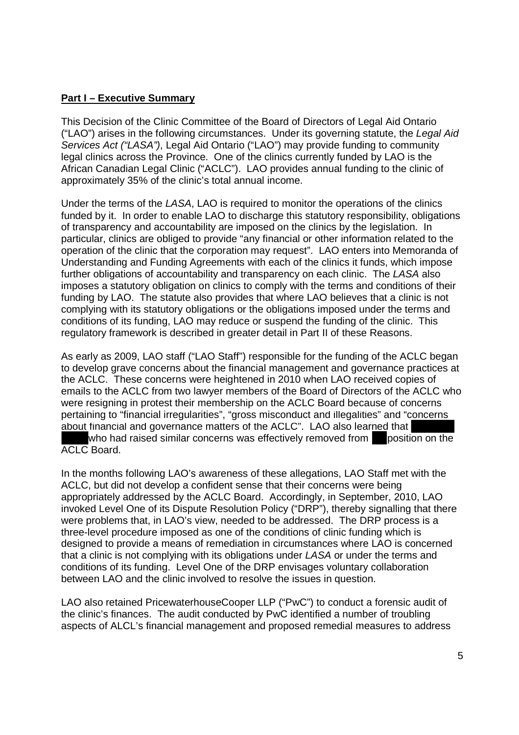#### **Part I – Executive Summary**  Part <sup>I</sup> — Executive Summary

This Decision of the Clinic Committee of the Board of Directors of Legal Aid Ontario This Decision of the Clinic Committee of the Board of Directors of Legal Aid Ontario ("LAO") arises in the following circumstances. Under its governing statute, the Legal Aid ("LAO") arises in the following circumstances. Under its governing statute, the Legal Aid Services Act ("LASA"), Legal Aid Ontario ("LAO") may provide funding to community legal clinics across the Province. One of the clinics currently funded by LAO is the legal clinics across the Province. One of the clinics currently funded by LAO is the African Canadian Legal Clinic ("ACLC"). LAO provides annual funding to the clinic of African Canadian Legal Clinic ("ACLC"). LAO provides annual funding to the clinic of approximately 35% of the clinic's total annual income.

Under the terms of the LASA, LAO is required to monitor the operations of the clinics Under the terms of the LASA, LAO is required to monitor the operations of the clinics funded by it. In order to enable LAO to discharge this statutory responsibility, obligations funded by it. In order to enable LAO to discharge this statutory responsibility, obligations of transparency and accountability are imposed on the clinics by the legislation. In of transparency and accountability are imposed on the clinics by the legislation. In particular, clinics are obliged to provide "any financial or other information related to the particular, clinics are obliged to provide "any financial or other information related to the operation of the clinic that the corporation may request". LAO enters into Memoranda of Understanding and Funding Agreements with each of the clinics it funds, which impose Understanding and Funding Agreements with each of the clinics it funds, which impose further obligations of accountability and transparency on each clinic. The LASA also further obligations of accountability and transparency on each clinic. The LASA also imposes a statutory obligation on clinics to comply with the terms and conditions of their imposes a statutory obligation on clinics to comply with the terms and conditions of their funding by LAO. The statute also provides that where LAO believes that a clinic is not funding by LAO. The statute also provides that where LAO believes that a clinic is not complying with its statutory obligations or the obligations imposed under the terms and complying with its statutory obligations or the obligations imposed under the terms and conditions of its funding, LAO may reduce or suspend the funding of the clinic. This conditions of its funding, LAO may reduce or suspend the funding of the clinic. This regulatory framework is described in greater detail in Part II of these Reasons. regulatory framework is described in greater detail in Part II of these Reasons.

As early as 2009, LAO staff ("LAO Staff") responsible for the funding of the ACLC began As early as 2009, LAO staff ("LAO Staff') responsible for the funding of the ACLC began to develop grave concerns about the financial management and governance practices at to develop grave concerns about the financial management and governance practices at the ACLC. These concerns were heightened in 2010 when LAO received copies of the ACLC. These concerns were heightened in 2010 when LAO received copies of emails to the ACLC from two lawyer members of the Board of Directors of the ACLC who emails to the ACLC from two lawyer members of the Board of Directors of the ACLC who were resigning in protest their membership on the ACLC Board because of concerns were resigning in protest their membership on the ACLC Board because of concerns pertaining to "financial irregularities", "gross misconduct and illegalities" and "concerns about financial and governance matters of the ACLC". LAO also learned that

who had raised similar concerns was effectively removed from position on the ACLC Board. ACLC Board.

In the months following LAO's awareness of these allegations, LAO Staff met with the In the months following LAO's awareness of these allegations, LAO Staff met with the ACLC, but did not develop a confident sense that their concerns were being ACLC, but did not develop a confident sense that their concerns were being appropriately addressed by the ACLC Board. Accordingly, in September, 2010, LAO appropriately addressed by the ACLC Board. Accordingly, in September, 2010, LAO invoked Level One of its Dispute Resolution Policy ("DRP"), thereby signalling that there invoked Level One of its Dispute Resolution Policy ("DRP"), thereby signalling that there were problems that, in LAO's view, needed to be addressed. The DRP process is a were problems that, in LAO's view, needed to be addressed. The DRP process is a three-level procedure imposed as one of the conditions of clinic funding which is designed to provide a means of remediation in circumstances where LAO is concerned designed to provide a means of remediation in circumstances where LAO is concerned that a clinic is not complying with its obligations under LASA or under the terms and that a clinic is not complying with its obligations under LASA or under the terms and conditions of its funding. Level One of the DRP envisages voluntary collaboration conditions of its funding. Level One of the DRP envisages voluntary collaboration between LAO and the clinic involved to resolve the issues in question. between LAO and the clinic involved to resolve the issues in question.

LAO also retained PricewaterhouseCooper LLP ("PwC") to conduct a forensic audit of LAO also retained PricewaterhouseCooper LLP ("PwC") to conduct a forensic audit of the clinic's finances. The audit conducted by PwC identified a number of troubling aspects of ALCL's financial management and proposed remedial measures to address aspects of ALCL's financial management and proposed remedial measures to address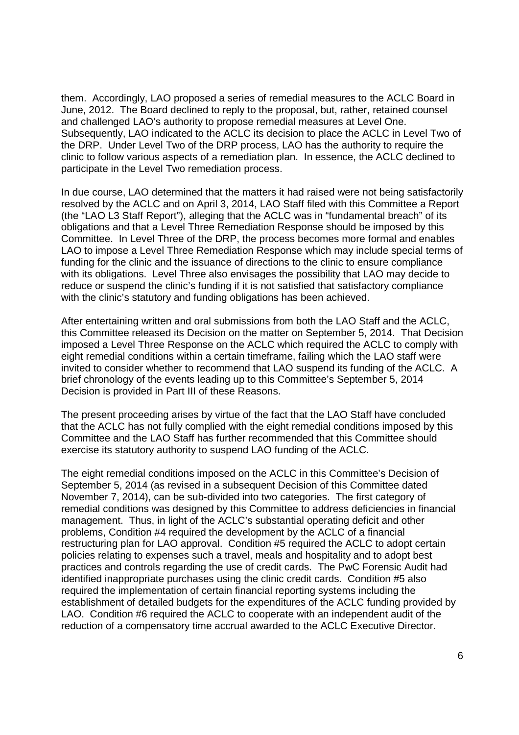them. Accordingly, LAO proposed a series of remedial measures to the ACLC Board in them. Accordingly, LAO proposed a series of remedial measures to the ACLC Board in June, 2012. The Board declined to reply to the proposal, but, rather, retained counsel June, 2012. The Board declined to reply to the proposal, but, rather, retained counsel and challenged LAO's authority to propose remedial measures at Level One. and challenged LAO's authority to propose remedial measures at Level One. Subsequently, LAO indicated to the ACLC its decision to place the ACLC in Level Two of Subsequently, LAO indicated to the ACLC its decision to place the ACLC in Level Two of the DRP. Under Level Two of the DRP process, LAO has the authority to require the the DRP. Under Level Two of the DRP process, LAO has the authority to require the clinic to follow various aspects of a remediation plan. In essence, the ACLC declined to clinic to follow various aspects of a remediation plan. In essence, the ACLC declined to participate in the Level Two remediation process. participate in the Level Two remediation process.

In due course, LAO determined that the matters it had raised were not being satisfactorily In due course, LAO determined that the matters it had raised were not being satisfactorily resolved by the ACLC and on April 3, 2014, LAO Staff filed with this Committee a Report resolved by the ACLC and on April 3, 2014, LAO Staff filed with this Committee a Report (the "LAO L3 Staff Report"), alleging that the ACLC was in "fundamental breach" of its (the "LAO L3 Staff Report"), alleging that the ACLC was in "fundamental breach" of its obligations and that a Level Three Remediation Response should be imposed by this obligations and that a Level Three Remediation Response should be imposed by this Committee. In Level Three of the DRP, the process becomes more formal and enables Committee. In Level Three of the DRP, the process becomes more formal and enables LAO to impose a Level Three Remediation Response which may include special terms of LAO to impose a Level Three Remediation Response which may include special terms of funding for the clinic and the issuance of directions to the clinic to ensure compliance funding for the clinic and the issuance of directions to the clinic to ensure compliance with its obligations. Level Three also envisages the possibility that LAO may decide to with its obligations. Level Three also envisages the possibility that LAO may decide to reduce or suspend the clinic's funding if it is not satisfied that satisfactory compliance with the clinic's statutory and funding obligations has been achieved.

After entertaining written and oral submissions from both the LAO Staff and the ACLC, After entertaining written and oral submissions from both the LAO Staff and the ACLC, this Committee released its Decision on the matter on September 5, 2014. That Decision this Committee released its Decision on the matter on September 5, 2014. That Decision imposed a Level Three Response on the ACLC which required the ACLC to comply with imposed a Level Three Response on the ACLC which required the ACLC to comply with eight remedial conditions within a certain timeframe, failing which the LAO staff were eight remedial conditions within a certain timeframe, failing which the LAO staff were invited to consider whether to recommend that LAO suspend its funding of the ACLC. A invited to consider whether to recommend that LAO suspend its funding of the ACLC. A brief chronology of the events leading up to this Committee's September 5, 2014 brief chronology of the events leading up to this Committee's September 5, 2014 Decision is provided in Part III of these Reasons. Decision is provided in Part III of these Reasons.

The present proceeding arises by virtue of the fact that the LAO Staff have concluded The present proceeding arises by virtue of the fact that the LAO Staff have concluded that the ACLC has not fully complied with the eight remedial conditions imposed by this that the ACLC has not fully complied with the eight remedial conditions imposed by this Committee and the LAO Staff has further recommended that this Committee should Committee and the LAO Staff has further recommended that this Committee should exercise its statutory authority to suspend LAO funding of the ACLC. exercise its statutory authority to suspend LAO funding of the ACLC.

The eight remedial conditions imposed on the ACLC in this Committee's Decision of The eight remedial conditions imposed on the ACLC in this Committee's Decision of September 5, 2014 (as revised in a subsequent Decision of this Committee dated September 5, 2014 (as revised in a subsequent Decision of this Committee dated November 7, 2014), can be sub-divided into two categories. The first category of remedial conditions was designed by this Committee to address deficiencies in financial remedial conditions was designed by this Committee to address deficiencies in financial management. Thus, in light of the ACLC's substantial operating deficit and other management. Thus, in light of the ACLC's substantial operating deficit and other problems, Condition #4 required the development by the ACLC of a financial problems, Condition #4 required the development by the ACLC of a financial restructuring plan for LAO approval. Condition #5 required the ACLC to adopt certain restructuring plan for LAO approval. Condition #5 required the ACLC to adopt certain policies relating to expenses such a travel, meals and hospitality and to adopt best policies relating to expenses such a travel, meals and hospitality and to adopt best practices and controls regarding the use of credit cards. The PwC Forensic Audit had practices and controls regarding the use of credit cards. The PwC Forensic Audit had identified inappropriate purchases using the clinic credit cards. Condition #5 also identified inappropriate purchases using the clinic credit cards. Condition #5 also required the implementation of certain financial reporting systems including the required the implementation of certain financial reporting systems including the establishment of detailed budgets for the expenditures of the ACLC funding provided by establishment of detailed budgets for the expenditures of the ACLC funding provided by LAO. Condition #6 required the ACLC to cooperate with an independent audit of the LAO. Condition #6 required the ACLC to cooperate with an independent audit of the reduction of a compensatory time accrual awarded to the ACLC Executive Director. reduction of a compensatory time accrual awarded to the ACLC Executive Director.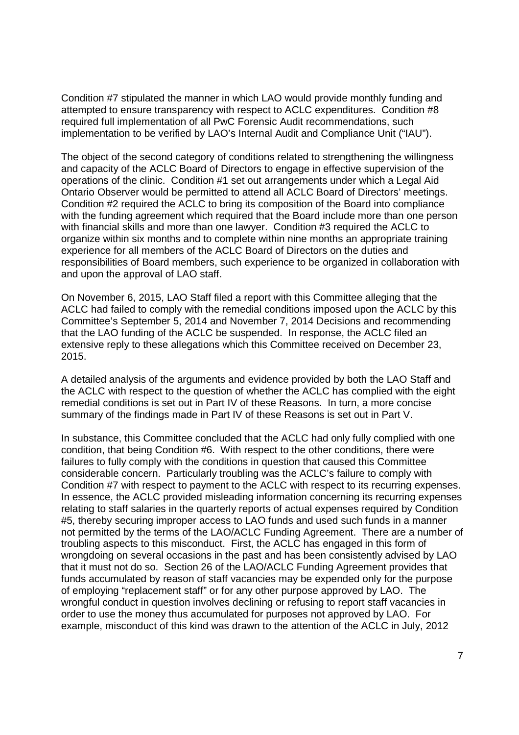Condition #7 stipulated the manner in which LAO would provide monthly funding and Condition #7 stipulated the manner in which LAO would provide monthly funding and attempted to ensure transparency with respect to ACLC expenditures. Condition #8 attempted to ensure transparency with respect to ACLC expenditures. Condition #8 required full implementation of all PwC Forensic Audit recommendations, such required full implementation of all PwC Forensic Audit recommendations, such implementation to be verified by LAO's Internal Audit and Compliance Unit ("IAU"). implementation to be verified by LAO's Internal Audit and Compliance Unit ("|AU").

The object of the second category of conditions related to strengthening the willingness The object of the second category of conditions related to strengthening the willingness and capacity of the ACLC Board of Directors to engage in effective supervision of the and capacity of the ACLC Board of Directors to engage in effective supervision of the operations of the clinic. Condition #1 set out arrangements under which a Legal Aid operations of the clinic. Condition #1 set out arrangements under which a Legal Aid Ontario Observer would be permitted to attend all ACLC Board of Directors' meetings. Ontario Observer would be permitted to attend all ACLC Board of Directors' meetings. Condition #2 required the ACLC to bring its composition of the Board into compliance Condition #2 required the ACLC to bring its composition of the Board into compliance with the funding agreement which required that the Board include more than one person with the funding agreement which required that the Board include more than one person with financial skills and more than one lawyer. Condition #3 required the ACLC to with financial skills and more than one lawyer. Condition #3 required the ACLC to organize within six months and to complete within nine months an appropriate training organize within six months and to complete within nine months an appropriate training experience for all members of the ACLC Board of Directors on the duties and experience for all members of the ACLC Board of Directors on the duties and responsibilities of Board members, such experience to be organized in collaboration with responsibilities of Board members, such experience to be organized in collaboration with and upon the approval of LAO staff. and upon the approval of LAO staff.

On November 6, 2015, LAO Staff filed a report with this Committee alleging that the On November 6, 2015, LAO Staff filed a report with this Committee alleging that the ACLC had failed to comply with the remedial conditions imposed upon the ACLC by this Committee's September 5, 2014 and November 7, 2014 Decisions and recommending Committee's September 5, 2014 and November 7, 2014 Decisions and recommending that the LAO funding of the ACLC be suspended. In response, the ACLC filed an that the LAO funding of the ACLC be suspended. In response, the ACLC filed an extensive reply to these allegations which this Committee received on December 23, extensive reply to these allegations which this Committee received on December 23, 2015. 2015.

A detailed analysis of the arguments and evidence provided by both the LAO Staff and A detailed analysis of the arguments and evidence provided by both the LAO Staff and the ACLC with respect to the question of whether the ACLC has complied with the eight the ACLC with respect to the question of whether the ACLC has complied with the eight remedial conditions is set out in Part IV of these Reasons. In turn, a more concise remedial conditions is set out in Part IV of these Reasons. In turn, a more concise summary of the findings made in Part IV of these Reasons is set out in Part V. summary of the findings made in Part IV of these Reasons is set out in Part V.

In substance, this Committee concluded that the ACLC had only fully complied with one In substance, this Committee concluded that the ACLC had only fully complied with one condition, that being Condition #6. With respect to the other conditions, there were condition, that being Condition #6. With respect to the other conditions, there were failures to fully comply with the conditions in question that caused this Committee failures to fully comply with the conditions in question that caused this Committee considerable concern. Particularly troubling was the ACLC's failure to comply with considerable concern. Particularly troubling was the ACLC's failure to comply with Condition #7 with respect to payment to the ACLC with respect to its recurring expenses. Condition #7 with respect to payment to the ACLC with respect to its recurring expenses. In essence, the ACLC provided misleading information concerning its recurring expenses In essence, the ACLC provided misleading information concerning its recurring expenses relating to staff salaries in the quarterly reports of actual expenses required by Condition relating to staff salaries in the quarterly reports of actual expenses required by Condition #5, thereby securing improper access to LAO funds and used such funds in a manner #5, thereby securing improper access to LAO funds and used such funds in a manner not permitted by the terms of the LAO/ACLC Funding Agreement. There are a number of not permitted by the terms of the LAO/ACLC Funding Agreement. There are a number of troubling aspects to this misconduct. First, the ACLC has engaged in this form of troubling aspects to this misconduct. First, the ACLC has engaged in this form of wrongdoing on several occasions in the past and has been consistently advised by LAO wrongdoing on several occasions in the past and has been consistently advised by LAO that it must not do so. Section 26 of the LAO/ACLC Funding Agreement provides that that it must not do so. Section 26 of the LAO/ACLC Funding Agreement provides that funds accumulated by reason of staff vacancies may be expended only for the purpose funds accumulated by reason of staff vacancies may be expended only for the purpose of employing "replacement staff" or for any other purpose approved by LAO. The of employing "replacement staff' or for any other purpose approved by LAO. The wrongful conduct in question involves declining or refusing to report staff vacancies in wrongful conduct in question involves declining or refusing to report staff vacancies in order to use the money thus accumulated for purposes not approved by LAO. For example, misconduct of this kind was drawn to the attention of the ACLC in July, 2012 example, misconduct of this kind was drawn to the attention of the ACLC in July, 2012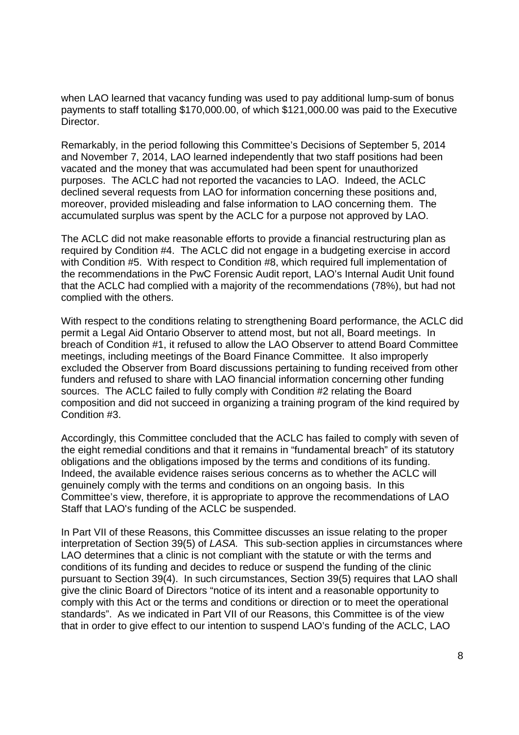when LAO learned that vacancy funding was used to pay additional lump-sum of bonus payments to staff totalling \$170,000.00, of which \$121,000.00 was paid to the Executive payments to staff totalling \$170,000.00, of which \$121,000.00 was paid to the Executive Director. Director.

Remarkably, in the period following this Committee's Decisions of September 5, 2014 Remarkably, in the period following this Committee's Decisions of September 5, 2014 and November 7, 2014, LAO learned independently that two staff positions had been and November 7, 2014, LAO learned independently that two staff positions had been vacated and the money that was accumulated had been spent for unauthorized vacated and the money that was accumulated had been spent for unauthorized purposes. The ACLC had not reported the vacancies to LAO. Indeed, the ACLC purposes. The ACLC had not reported the vacancies to LAO. Indeed, the ACLC declined several requests from LAO for information concerning these positions and, declined several requests from LAO for information concerning these positions and, moreover, provided misleading and false information to LAO concerning them. The moreover, provided misleading and false information to LAO concerning them. The accumulated surplus was spent by the ACLC for a purpose not approved by LAO. accumulated surplus was spent by the ACLC for a purpose not approved by LAO.

The ACLC did not make reasonable efforts to provide a financial restructuring plan as The ACLC did not make reasonable efforts to provide a financial restructuring plan as required by Condition #4. The ACLC did not engage in a budgeting exercise in accord required by Condition #4. The ACLC did not engage in a budgeting exercise in accord with Condition #5. With respect to Condition #8, which required full implementation of with Condition #5. With respect to Condition #8, which required full implementation of the recommendations in the PwC Forensic Audit report, LAO's Internal Audit Unit found the recommendations in the PwC Forensic Audit report, LAO's Internal Audit Unit found that the ACLC had complied with a majority of the recommendations (78%), but had not that the ACLC had complied with a majority of the recommendations (78%), but had not complied with the others. complied with the others.

With respect to the conditions relating to strengthening Board performance, the ACLC did With respect to the conditions relating to strengthening Board performance, the ACLC did permit a Legal Aid Ontario Observer to attend most, but not all, Board meetings. In permit a Legal Aid Ontario Observer to attend most, but not all, Board meetings. In breach of Condition #1, it refused to allow the LAO Observer to attend Board Committee breach of Condition #1, it refused to allow the LAO Observer to attend Board Committee meetings, including meetings of the Board Finance Committee. It also improperly meetings, including meetings of the Board Finance Committee. It also improperly excluded the Observer from Board discussions pertaining to funding received from other excluded the Observer from Board discussions pertaining to funding received from other funders and refused to share with LAO financial information concerning other funding funders and refused to share with LAO financial information concerning other funding sources. The ACLC failed to fully comply with Condition #2 relating the Board sources. The ACLC failed to fully comply with Condition #2 relating the Board composition and did not succeed in organizing a training program of the kind required by composition and did not succeed in organizing a training program of the kind required by Condition #3. Condition #3.

Accordingly, this Committee concluded that the ACLC has failed to comply with seven of Accordingly, this Committee concluded that the ACLC has failed to comply with seven of the eight remedial conditions and that it remains in "fundamental breach" of its statutory the eight remedial conditions and that it remains in "fundamental breach" of its statutory obligations and the obligations imposed by the terms and conditions of its funding. obligations and the obligations imposed by the terms and conditions of its funding. Indeed, the available evidence raises serious concerns as to whether the ACLC will Indeed, the available evidence raises serious concerns as to whether the ACLC will genuinely comply with the terms and conditions on an ongoing basis. In this genuinely comply with the terms and conditions on an ongoing basis. In this Committee's view, therefore, it is appropriate to approve the recommendations of LAO Committee's view, therefore, it is appropriate to approve the recommendations of LAO Staff that LAO's funding of the ACLC be suspended. Staff that LAO's funding of the ACLC be suspended.

In Part VII of these Reasons, this Committee discusses an issue relating to the proper In Part VII of these Reasons, this Committee discusses an issue relating to the proper interpretation of Section 39(5) of LASA. This sub-section applies in circumstances where LAO determines that a clinic is not compliant with the statute or with the terms and LAO determines that a clinic is not compliant with the statute or with the terms and conditions of its funding and decides to reduce or suspend the funding of the clinic conditions of its funding and decides to reduce or suspend the funding of the clinic pursuant to Section 39(4). In such circumstances, Section 39(5) requires that LAO shall pursuant to Section 39(4). In such circumstances, Section 39(5) requires that LAO shall give the clinic Board of Directors "notice of its intent and a reasonable opportunity to give the clinic Board of Directors "notice of its intent and a reasonable opportunity to comply with this Act or the terms and conditions or direction or to meet the operational comply with this Act or the terms and conditions or direction or to meet the operational standards". As we indicated in Part VII of our Reasons, this Committee is of the view standards". As we indicated in Part VII of our Reasons, this Committee is of the view that in order to give effect to our intention to suspend LAO's funding of the ACLC, LAO that in order to give effect to our intention to suspend LAO's funding of the ACLC, LAO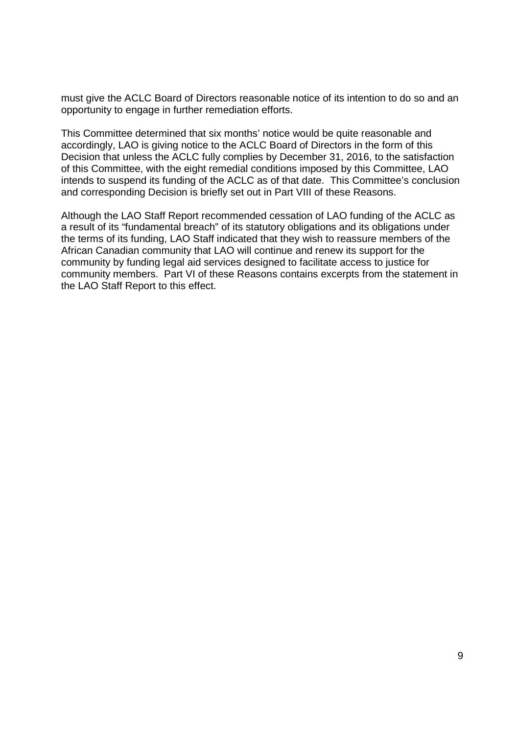must give the ACLC Board of Directors reasonable notice of its intention to do so and an must give the ACLC Board of Directors reasonable notice of its intention to do so and an opportunity to engage in further remediation efforts. opportunity to engage in further remediation efforts.

This Committee determined that six months' notice would be quite reasonable and This Committee determined that six months' notice would be quite reasonable and accordingly, LAO is giving notice to the ACLC Board of Directors in the form of this accordingly, LAO is giving notice to the ACLC Board of Directors in the form of this Decision that unless the ACLC fully complies by December 31, 2016, to the satisfaction Decision that unless the ACLC fully complies by December 31, 2016, to the satisfaction of this Committee, with the eight remedial conditions imposed by this Committee, LAO intends to suspend its funding of the ACLC as of that date. This Committee's conclusion intends to suspend its funding of the ACLC as of that date. This Committee's conclusion and corresponding Decision is briefly set out in Part VIII of these Reasons. and corresponding Decision is briefly set out in Part VIII of these Reasons.

Although the LAO Staff Report recommended cessation of LAO funding of the ACLC as Although the LAO Staff Report recommended cessation of LAO funding of the ACLC as a result of its "fundamental breach" of its statutory obligations and its obligations under a result of its "fundamental breach" of its statutory obligations and its obligations under the terms of its funding, LAO Staff indicated that they wish to reassure members of the African Canadian community that LAO will continue and renew its support for the African Canadian community that LAO will continue and renew its support for the community by funding legal aid services designed to facilitate access to justice for community by funding legal aid services designed to facilitate access to justice for community members. Part VI of these Reasons contains excerpts from the statement in community members. Part VI of these Reasons contains excerpts from the statement in the LAO Staff Report to this effect. the LAO Staff Report to this effect.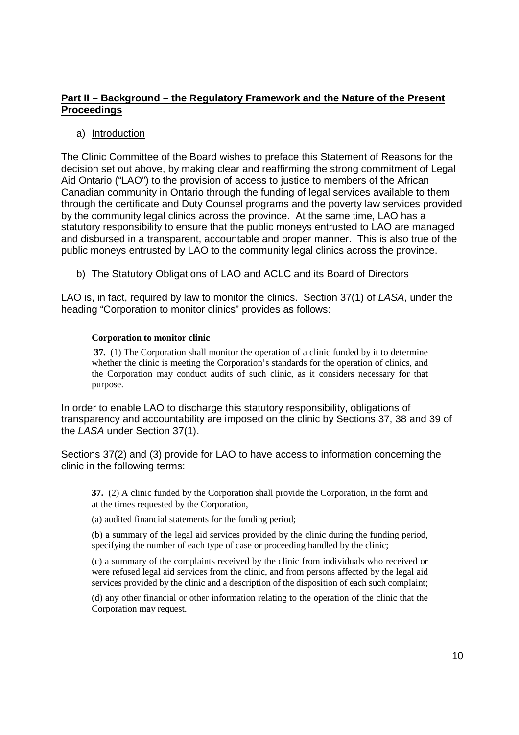#### Part II - Background - the Regulatory Framework and the Nature of the Present **Proceedings**  Proceedings

#### a) Introduction

The Clinic Committee of the Board wishes to preface this Statement of Reasons for the The Clinic Committee of the Board wishes to preface this Statement of Reasons for the decision set out above, by making clear and reaffirming the strong commitment of Legal decision set out above, by making clear and reaffirming the strong commitment of Legal Aid Ontario ("LAO") to the provision of access to justice to members of the African Aid Ontario ("LAO") to the provision of access to justice to members of the African Canadian community in Ontario through the funding of legal services available to them Canadian community in Ontario through the funding of legal services available to them through the certificate and Duty Counsel programs and the poverty law services provided through the certificate and Duty Counsel programs and the poverty law services provided by the community legal clinics across the province. At the same time, LAO has a by the community legal clinics across the province. At the same time, LAO has a statutory responsibility to ensure that the public moneys entrusted to LAO are managed statutory responsibility to ensure that the public moneys entrusted to LAO are managed and disbursed in a transparent, accountable and proper manner. This is also true of the and disbursed in a transparent, accountable and proper manner. This is also true of the public moneys entrusted by LAO to the community legal clinics across the province. public moneys entrusted by LAO to the community legal clinics across the province.

#### b) The Statutory Obligations of LAO and ACLC and its Board of Directors b) The Statutory Obliqations of LAO and ACLC and its Board of Directors

LAO is, in fact, required by law to monitor the clinics. Section 37(1) of LASA, under the LAO is, in fact, required by law to monitor the clinics. Section 37(1) of LASA, under the heading "Corporation to monitor clinics" provides as follows:

#### **Corporation to monitor clinic**  Corporation to monitor clinic

 **37.** (1) The Corporation shall monitor the operation of a clinic funded by it to determine 37. (1) The Corporation shall monitor the operation of <sup>a</sup> clinic funded by it to determine whether the clinic is meeting the Corporation's standards for the operation of clinics, and the Corporation may conduct audits of such clinic, as it considers necessary for that the Corporation may conduct audits of such clinic, as it considers necessary for that purpose.

In order to enable LAO to discharge this statutory responsibility, obligations of In order to enable LAO to discharge this statutory responsibility, obligations of transparency and accountability are imposed on the clinic by Sections 37, 38 and 39 of transparency and accountability are imposed on the clinic by Sections 37, 38 and 39 of the LASA under Section 37(1). the LASA under Section 37(1).

Sections 37(2) and (3) provide for LAO to have access to information concerning the Sections 37(2) and (3) provide for LAO to have access to information concerning the clinic in the following terms: clinic in the following terms:

**37.** (2) A clinic funded by the Corporation shall provide the Corporation, in the form and 37. (2) A clinic funded by the Corporation shall provide the Corporation, in the form and at the times requested by the Corporation, at the times requested by the Corporation,

(a) audited financial statements for the funding period; (a) audited financial statements for the funding period;

(b) a summary of the legal aid services provided by the clinic during the funding period, specifying the number of each type of case or proceeding handled by the clinic; specifying the number of each type of case or proceeding handled by the clinic;

 (c) a summary of the complaints received by the clinic from individuals who received or (c) <sup>a</sup> summary ofthe complaints received by the clinic from individuals who received or were refused legal aid services from the clinic, and from persons affected by the legal aid were refused legal aid services from the clinic, and from persons affected by the legal aid services provided by the clinic and a description of the disposition of each such complaint;

(d) any other financial or other information relating to the operation of the clinic that the Corporation may request. Corporation may request.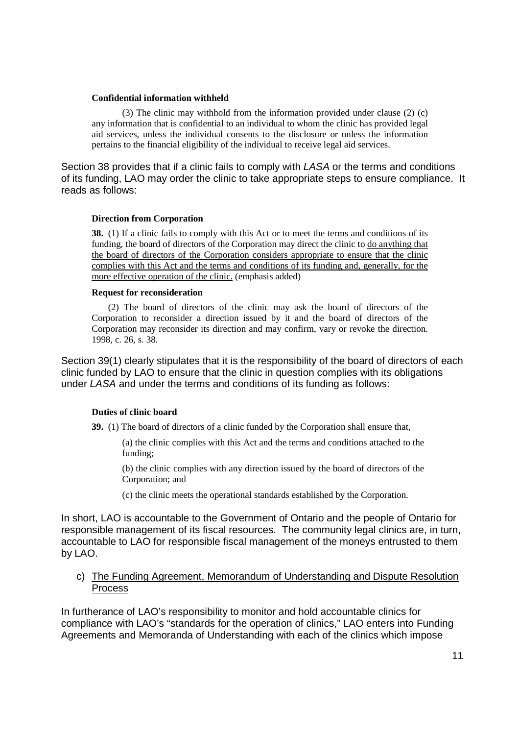#### **Confidential information withheld**  Confidential information withheld

 (3) The clinic may withhold from the information provided under clause (2) (c) (3) The clinic may withhold from the information provided under clause (2) (c) any information that is confidential to an individual to whom the clinic has provided legal any information that is confidential to an individual to whom the clinic has provided legal aid services, unless the individual consents to the disclosure or unless the information aid services, unless the individual consents to the disclosure or unless the information pertains to the financial eligibility of the individual to receive legal aid services.

Section 38 provides that if a clinic fails to comply with LASA or the terms and conditions Section 38 provides that if a clinic fails to comply with LASA or the terms and conditions of its funding, LAO may order the clinic to take appropriate steps to ensure compliance. It reads as follows: reads as follows:

#### **Direction from Corporation**  Direction from Corporation

**38.** (1) If a clinic fails to comply with this Act or to meet the terms and conditions of its funding, the board of directors of the Corporation may direct the clinic to do anything that the board of directors of the Corporation considers appropriate to ensure that the clinic complies with this Act and the terms and conditions of its funding and, generally, for the more effective operation of the clinic. (emphasis added)

#### **Request for reconsideration**  Request for reconsideration

 (2) The board of directors of the clinic may ask the board of directors of the (2) The board of directors of the clinic may ask the board of directors of the Corporation to reconsider a direction issued by it and the board of directors of the Corporation to reconsider <sup>a</sup> direction issued by it and the board of directors of the Corporation may reconsider its direction and may confirm, vary or revoke the direction. Corporation may reconsider its direction and may confirm, vary or revoke the direction. 1998, c. 26, s. 38. 1998, c. 26, s. 38.

Section 39(1) clearly stipulates that it is the responsibility of the board of directors of each Section 39(1) clearly stipulates that it is the responsibility of the board of directors of each clinic funded by LAO to ensure that the clinic in question complies with its obligations clinic funded by LAO to ensure that the clinic in question complies with its obligations under LASA and under the terms and conditions of its funding as follows: under LASA and under the terms and conditions of its funding as follows:

#### **Duties of clinic board**  Duties of clinic board

**39.** (1) The board of directors of a clinic funded by the Corporation shall ensure that, 39. (1) The board of directors of <sup>a</sup> clinic fimded by the Corporation shall ensure that,

 (a) the clinic complies with this Act and the terms and conditions attached to the (a) the clinic complies with this Act and the terms and conditions attached to the funding; funding;

 (b) the clinic complies with any direction issued by the board of directors of the (b) the clinic complies with any direction issued by the board of directors ofthe Corporation; and Corporation; and

(c) the clinic meets the operational standards established by the Corporation. (c) the clinic meets the operational standards established by the Corporation.

In short, LAO is accountable to the Government of Ontario and the people of Ontario for In short, LAO is accountable to the Government of Ontario and the people of Ontario for responsible management of its fiscal resources. The community legal clinics are, in turn, responsible management of its fiscal resources. The community legal clinics are, in turn, accountable to LAO for responsible fiscal management of the moneys entrusted to them accountable to LAO for responsible fiscal management of the moneys entrusted to them by LAO. by LAO.

#### c) The Funding Agreement, Memorandum of Understanding and Dispute Resolution Process Process

In furtherance of LAO's responsibility to monitor and hold accountable clinics for In furtherance of LAO's responsibility to monitor and hold accountable clinics for compliance with LAO's "standards for the operation of clinics," LAO enters into Funding compliance with LAO's "standards for the operation of clinics,'' LAO enters into Funding Agreements and Memoranda of Understanding with each of the clinics which impose Agreements and Memoranda of Understanding with each of the clinics which impose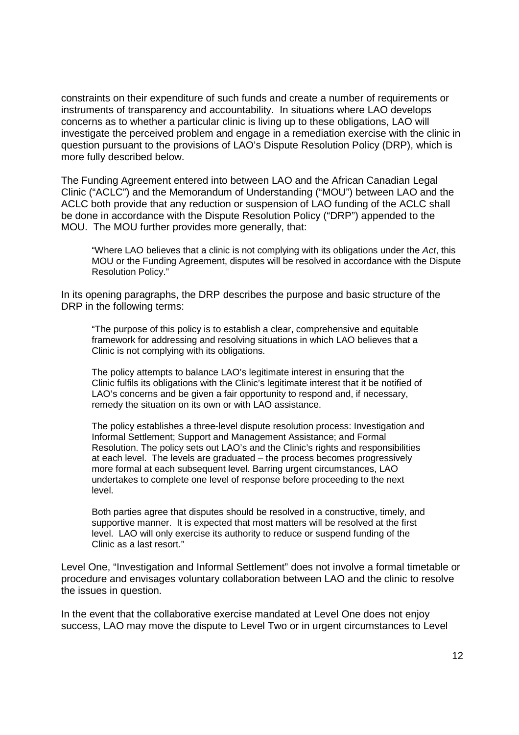constraints on their expenditure of such funds and create a number of requirements or constraints on their expenditure of such funds and create a number of requirements or instruments of transparency and accountability. In situations where LAO develops instruments of transparency and accountability. In situations where LAO develops concerns as to whether a particular clinic is living up to these obligations, LAO will concerns as to whether a particular clinic is living up to these obligations, LAO will investigate the perceived problem and engage in a remediation exercise with the clinic in investigate the perceived problem and engage in a remediation exercise with the clinic in question pursuant to the provisions of LAO's Dispute Resolution Policy (DRP), which is question pursuant to the provisions of LAO's Dispute Resolution Policy (DRP), which is more fully described below. more fully described below.

The Funding Agreement entered into between LAO and the African Canadian Legal The Funding Agreement entered into between LAO and the African Canadian Legal Clinic ("ACLC") and the Memorandum of Understanding ("MOU") between LAO and the Clinic ("ACLC") and the Memorandum of Understanding ("MOU") between LAO and the ACLC both provide that any reduction or suspension of LAO funding of the ACLC shall ACLC both provide that any reduction or suspension of LAO funding of the ACLC shall be done in accordance with the Dispute Resolution Policy ("DRP") appended to the be done in accordance with the Dispute Resolution Policy ("DRP") appended to the MOU. The MOU further provides more generally, that: MOU. The MOU further provides more generally, that:

"Where LAO believes that a clinic is not complying with its obligations under the Act, this "Where LAO believes that a clinic is not complying with its obligations under the Act, this MOU or the Funding Agreement, disputes will be resolved in accordance with the Dispute MOU or the Funding Agreement, disputes will be resolved in accordance with the Dispute Resolution Policy." Resolution Policy."

In its opening paragraphs, the DRP describes the purpose and basic structure of the In its opening paragraphs, the DRP describes the purpose and basic structure of the DRP in the following terms: DRP in the following terms:

"The purpose of this policy is to establish a clear, comprehensive and equitable "The purpose of this policy is to establish a clear, comprehensive and equitable framework for addressing and resolving situations in which LAO believes that a framework for addressing and resolving situations in which LAO believes that a Clinic is not complying with its obligations. Clinic is not complying with its obligations.

The policy attempts to balance LAO's legitimate interest in ensuring that the The policy attempts to balance LAO's legitimate interest in ensuring that the Clinic fulfils its obligations with the Clinic's legitimate interest that it be notified of LAO's concerns and be given a fair opportunity to respond and, if necessary, LAO's concerns and be given a fair opportunity to respond and, if necessary, remedy the situation on its own or with LAO assistance. remedy the situation on its own or with LAO assistance.

The policy establishes a three-level dispute resolution process: Investigation and The policy establishes a three-level dispute resolution process: Investigation and Informal Settlement; Support and Management Assistance; and Formal Informal Settlement; Support and Management Assistance; and Formal Resolution. The policy sets out LAO's and the Clinic's rights and responsibilities at each level. The levels are graduated – the process becomes progressively at each level. The levels are graduated — the process becomes progressively more formal at each subsequent level. Barring urgent circumstances, LAO more formal at each subsequent level. Barring urgent circumstances, LAO undertakes to complete one level of response before proceeding to the next undertakes to complete one level of response before proceeding to the next level. level.

Both parties agree that disputes should be resolved in a constructive, timely, and Both parties agree that disputes should be resolved in a constructive, timely, and supportive manner. It is expected that most matters will be resolved at the first level. LAO will only exercise its authority to reduce or suspend funding of the level. LAO will only exercise its authority to reduce or suspend funding of the Clinic as a last resort." Clinic as a last resort."

Level One, "Investigation and Informal Settlement" does not involve a formal timetable or Level One, "|nvestigation and Informal Settlement" does not involve a formal timetable or procedure and envisages voluntary collaboration between LAO and the clinic to resolve procedure and envisages voluntary collaboration between LAO and the clinic to resolve the issues in question. the issues in question.

In the event that the collaborative exercise mandated at Level One does not enjoy In the event that the collaborative exercise mandated at Level One does not enjoy success, LAO may move the dispute to Level Two or in urgent circumstances to Level success, LAO may move the dispute to Level Two or in urgent circumstances to Level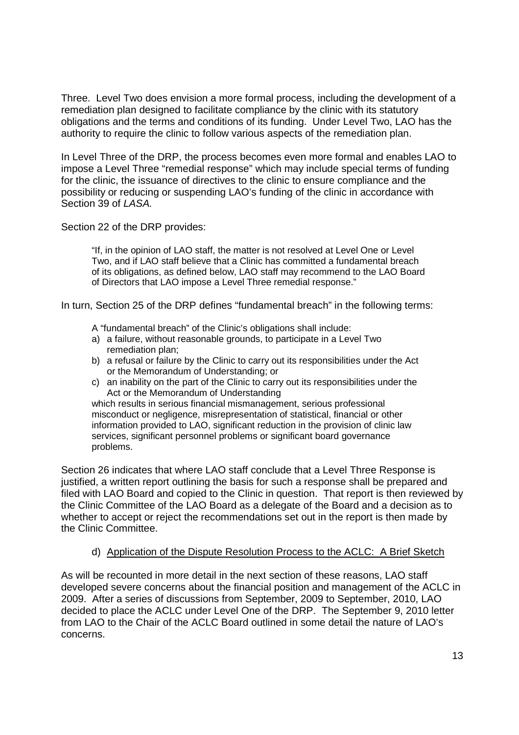Three. Level Two does envision a more formal process, including the development of a Three. Level Two does envision a more formal process, including the development of a remediation plan designed to facilitate compliance by the clinic with its statutory remediation plan designed to facilitate compliance by the clinic with its statutory obligations and the terms and conditions of its funding. Under Level Two, LAO has the authority to require the clinic to follow various aspects of the remediation plan. authority to require the clinic to follow various aspects of the remediation plan.

In Level Three of the DRP, the process becomes even more formal and enables LAO to In Level Three of the DRP, the process becomes even more formal and enables LAO to impose a Level Three "remedial response" which may include special terms of funding impose a Level Three "remedial response" which may include special terms of funding for the clinic, the issuance of directives to the clinic to ensure compliance and the for the clinic, the issuance of directives to the clinic to ensure compliance and the possibility or reducing or suspending LAO's funding of the clinic in accordance with possibility or reducing or suspending LAO's funding of the clinic in accordance with Section 39 of LASA. Section 39 of LASA.

Section 22 of the DRP provides: Section 22 of the DRP provides:

"If, in the opinion of LAO staff, the matter is not resolved at Level One or Level ''If, in the opinion of LAO staff, the matter is not resolved at Level One or Level Two, and if LAO staff believe that a Clinic has committed a fundamental breach Two, and if LAO staff believe that a Clinic has committed a fundamental breach of its obligations, as defined below, LAO staff may recommend to the LAO Board of its obligations, as defined below, LAO staff may recommend to the LAO Board of Directors that LAO impose a Level Three remedial response." of Directors that LAO impose a Level Three remedial response."

In turn, Section 25 of the DRP defines "fundamental breach" in the following terms: In turn, Section 25 of the DRP defines "fundamental breach" in the following terms:

- A "fundamental breach" of the Clinic's obligations shall include:
- a) a failure, without reasonable grounds, to participate in a Level Two a) a failure, without reasonable grounds, to participate in a Level Two remediation plan; remediation plan;
- b) a refusal or failure by the Clinic to carry out its responsibilities under the Act b) a refusal or failure by the Clinic to carry out its responsibilities under the Act or the Memorandum of Understanding; or
- c) an inability on the part of the Clinic to carry out its responsibilities under the c) an inability on the part of the Clinic to carry out its responsibilities under the Act or the Memorandum of Understanding Act or the Memorandum of Understanding

which results in serious financial mismanagement, serious professional which results in serious financial mismanagement, serious professional misconduct or negligence, misrepresentation of statistical, financial or other misconduct or negligence, misrepresentation of statistical, financial or other information provided to LAO, significant reduction in the provision of clinic law information provided to LAO, significant reduction in the provision of clinic law services, significant personnel problems or significant board governance services, significant personnel problems or significant board governance problems. problems.

Section 26 indicates that where LAO staff conclude that a Level Three Response is Section 26 indicates that where LAO staff conclude that a Level Three Response is justified, a written report outlining the basis for such a response shall be prepared and justified, a written report outlining the basis for such a response shall be prepared and filed with LAO Board and copied to the Clinic in question. That report is then reviewed by filed with LAO Board and copied to the Clinic in question. That report is then reviewed by the Clinic Committee of the LAO Board as a delegate of the Board and a decision as to the Clinic Committee of the LAO Board as a delegate of the Board and a decision as to whether to accept or reject the recommendations set out in the report is then made by whether to accept or reject the recommendations set out in the report is then made by the Clinic Committee. the Clinic Committee.

#### d) Application of the Dispute Resolution Process to the ACLC: A Brief Sketch d) Application of the Dispute Resolution Process to the ACLC: A Brief Sketch

As will be recounted in more detail in the next section of these reasons, LAO staff As will be recounted in more detail in the next section of these reasons, LAO staff developed severe concerns about the financial position and management of the ACLC in developed severe concerns about the financial position and management of the ACLC in 2009. After a series of discussions from September, 2009 to September, 2010, LAO 2009. After a series of discussions from September, 2009 to September, 2010, LAO decided to place the ACLC under Level One of the DRP. The September 9, 2010 letter decided to place the ACLC under Level One of the DRP. The September 9, 2010 letter from LAO to the Chair of the ACLC Board outlined in some detail the nature of LAO's from LAO to the Chair of the ACLC Board outlined in some detail the nature of LAO's concerns. concerns.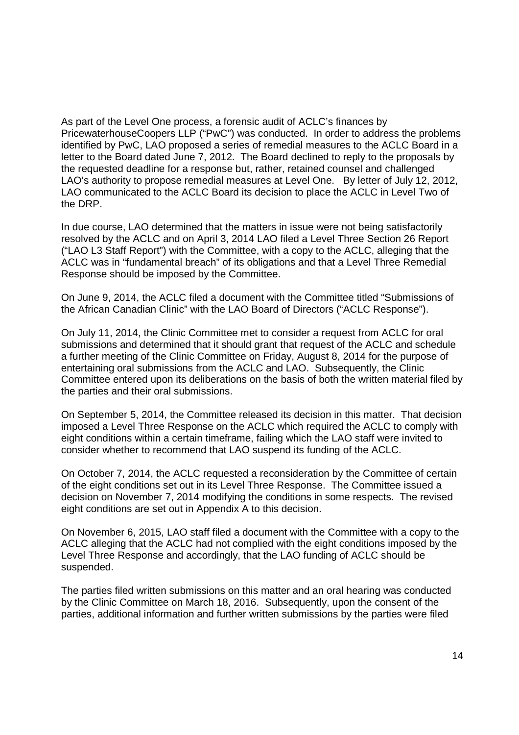As part of the Level One process, a forensic audit of ACLC's finances by As part of the Level One process, a forensic audit of ACLC's finances by PricewaterhouseCoopers LLP ("PwC") was conducted. In order to address the problems PricewaterhouseCoopers LLP ("PwC") was conducted. In order to address the problems identified by PwC, LAO proposed a series of remedial measures to the ACLC Board in a identified by PwC, LAO proposed a series of remedial measures to the ACLC Board in a letter to the Board dated June 7, 2012. The Board declined to reply to the proposals by letter to the Board dated June 7, 2012. The Board declined to reply to the proposals by the requested deadline for a response but, rather, retained counsel and challenged the requested deadline for a response but, rather, retained counsel and challenged LAO's authority to propose remedial measures at Level One. By letter of July 12, 2012, LAO's authority to propose remedial measures at Level One. By letter of July 12, 2012, LAO communicated to the ACLC Board its decision to place the ACLC in Level Two of LAO communicated to the ACLC Board its decision to place the ACLC in Level Two of the DRP. the DRP.

In due course, LAO determined that the matters in issue were not being satisfactorily In due course, LAO determined that the matters in issue were not being satisfactorily resolved by the ACLC and on April 3, 2014 LAO filed a Level Three Section 26 Report resolved by the ACLC and on April 3, 2014 LAO filed a Level Three Section 26 Report ("LAO L3 Staff Report") with the Committee, with a copy to the ACLC, alleging that the ("LAO L3 Staff Report") with the Committee, with a copy to the ACLC, alleging that the ACLC was in "fundamental breach" of its obligations and that a Level Three Remedial ACLC was in "fundamental breach" of its obligations and that a Level Three Remedial Response should be imposed by the Committee. Response should be imposed by the Committee.

On June 9, 2014, the ACLC filed a document with the Committee titled "Submissions of On June 9, 2014, the ACLC filed a document with the Committee titled "Submissions of the African Canadian Clinic" with the LAO Board of Directors ("ACLC Response"). the African Canadian Clinic" with the LAO Board of Directors ("ACLC Response").

On July 11, 2014, the Clinic Committee met to consider a request from ACLC for oral On July 11, 2014, the Clinic Committee met to consider a request from ACLC for oral submissions and determined that it should grant that request of the ACLC and schedule a further meeting of the Clinic Committee on Friday, August 8, 2014 for the purpose of a further meeting of the Clinic Committee on Friday, August 8, 2014 for the purpose of entertaining oral submissions from the ACLC and LAO. Subsequently, the Clinic entertaining oral submissions from the ACLC and LAO. Subsequently, the Clinic Committee entered upon its deliberations on the basis of both the written material filed by Committee entered upon its deliberations on the basis of both the written material filed by the parties and their oral submissions. the parties and their oral submissions.

On September 5, 2014, the Committee released its decision in this matter. That decision On September 5, 2014, the Committee released its decision in this matter. That decision imposed a Level Three Response on the ACLC which required the ACLC to comply with imposed a Level Three Response on the ACLC which required the ACLC to comply with eight conditions within a certain timeframe, failing which the LAO staff were invited to eight conditions within a certain timeframe, failing which the LAO staff were invited to consider whether to recommend that LAO suspend its funding of the ACLC. consider whether to recommend that LAO suspend its funding of the ACLC.

On October 7, 2014, the ACLC requested a reconsideration by the Committee of certain On October 7, 2014, the ACLC requested a reconsideration by the Committee of certain of the eight conditions set out in its Level Three Response. The Committee issued a decision on November 7, 2014 modifying the conditions in some respects. The revised decision on November 7, 2014 modifying the conditions in some respects. The revised eight conditions are set out in Appendix A to this decision. eight conditions are set out in Appendix A to this decision.

On November 6, 2015, LAO staff filed a document with the Committee with a copy to the On November 6, 2015, LAO staff filed a document with the Committee with a copy to the ACLC alleging that the ACLC had not complied with the eight conditions imposed by the ACLC alleging that the ACLC had not complied with the eight conditions imposed by the Level Three Response and accordingly, that the LAO funding of ACLC should be Level Three Response and accordingly, that the LAO funding of ACLC should be suspended. suspended.

The parties filed written submissions on this matter and an oral hearing was conducted The parties filed written submissions on this matter and an oral hearing was conducted by the Clinic Committee on March 18, 2016. Subsequently, upon the consent of the by the Clinic Committee on March 18, 2016. Subsequently, upon the consent of the parties, additional information and further written submissions by the parties were filed parties, additional information and further written submissions by the parties were filed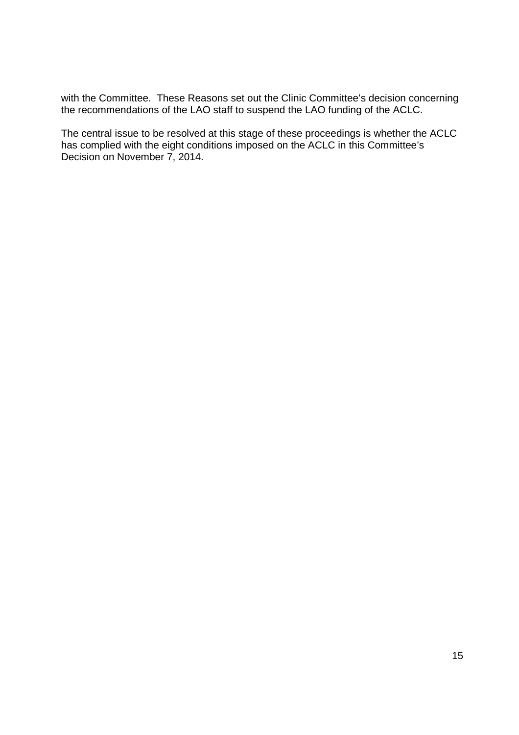with the Committee. These Reasons set out the Clinic Committee's decision concerning with the Committee. These Reasons set out the Clinic Committee's decision concerning the recommendations of the LAO staff to suspend the LAO funding of the ACLC. the recommendations of the LAO staff to suspend the LAO funding of the ACLC.

The central issue to be resolved at this stage of these proceedings is whether the ACLC The central issue to be resolved at this stage of these proceedings is whether the ACLC has complied with the eight conditions imposed on the ACLC in this Committee's has complied with the eight conditions imposed on the ACLC in this Committee's Decision on November 7, 2014. Decision on November 7, 2014.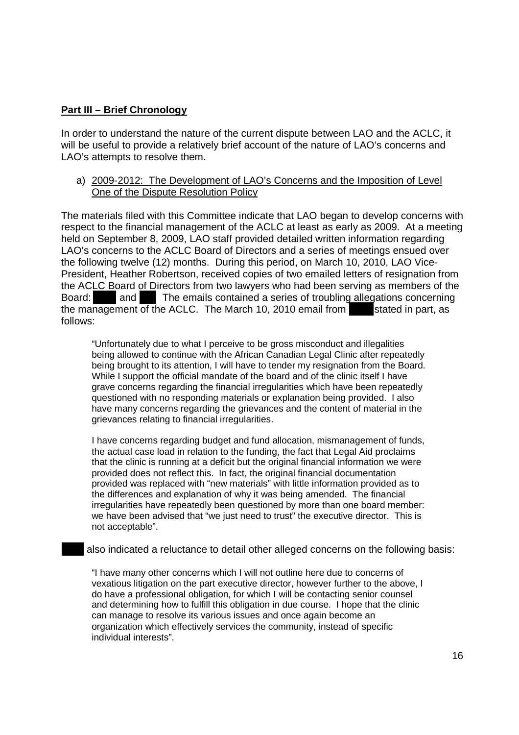### **Part III – Brief Chronology**  Part III — Brief Chronoloqv

In order to understand the nature of the current dispute between LAO and the ACLC, it In order to understand the nature of the current dispute between LAO and the ACLC, it will be useful to provide a relatively brief account of the nature of LAO's concerns and will be useful to provide a relatively brief account of the nature of LAO's concerns and LAO's attempts to resolve them. LAO's attempts to resolve them.

#### a) 2009-2012: The Development of LAO's Concerns and the Imposition of Level a) 2009-2012: The Development of LAO's Concerns and the Imposition of Level One of the Dispute Resolution Policy One of the Dispute Resolution Policy

The materials filed with this Committee indicate that LAO began to develop concerns with The materials filed with this Committee indicate that LAO began to develop concerns with respect to the financial management of the ACLC at least as early as 2009. At a meeting respect to the financial management of the ACLC at least as early as 2009. At a meeting held on September 8, 2009, LAO staff provided detailed written information regarding held on September 8, 2009, LAO staff provided detailed written information regarding LAO's concerns to the ACLC Board of Directors and a series of meetings ensued over LAO's concerns to the ACLC Board of Directors and a series of meetings ensued over the following twelve (12) months. During this period, on March 10, 2010, LAO Vice-the following twelve (12) months. During this period, on March 10, 2010, LAO Vice-President, Heather Robertson, received copies of two emailed letters of resignation from President, Heather Robertson, received copies of two emailed letters of resignation from the ACLC Board of Directors from two lawyers who had been serving as members of the Board: and The emails contained a series of troubling allegations concerning the management of the ACLC. The March 10, 2010 email from stated in part, as follows: follows:

"Unfortunately due to what I perceive to be gross misconduct and illegalities "Unfortunately due to what <sup>I</sup> perceive to be gross misconduct and illegalities being allowed to continue with the African Canadian Legal Clinic after repeatedly being allowed to continue with the African Canadian Legal Clinic after repeatedly being brought to its attention, I will have to tender my resignation from the Board. being brought to its attention, <sup>I</sup> will have to tender my resignation from the Board. While I support the official mandate of the board and of the clinic itself I have While <sup>I</sup> support the official mandate of the board and of the clinic itself <sup>I</sup> have grave concerns regarding the financial irregularities which have been repeatedly grave concerns regarding the financial irregularities which have been repeatedly questioned with no responding materials or explanation being provided. I also questioned with no responding materials or explanation being provided. <sup>I</sup> also have many concerns regarding the grievances and the content of material in the have many concerns regarding the grievances and the content of material in the grievances relating to financial irregularities. grievances relating to financial irregularities.

 I have concerns regarding budget and fund allocation, mismanagement of funds, <sup>I</sup> have concerns regarding budget and fund allocation, mismanagement of funds, the actual case load in relation to the funding, the fact that Legal Aid proclaims the actual case load in relation to the funding, the fact that Legal Aid proclaims that the clinic is running at a deficit but the original financial information we were that the clinic is running at a deficit but the original financial information we were provided does not reflect this. In fact, the original financial documentation provided does not reflect this. In fact, the original financial documentation provided was replaced with "new materials" with little information provided as to provided was replaced with "new materials" with little information provided as to the differences and explanation of why it was being amended. The financial the differences and explanation of why it was being amended. The financial irregularities have repeatedly been questioned by more than one board member: irregularities have repeatedly been questioned by more than one board member: we have been advised that "we just need to trust" the executive director. This is we have been advised that "we just need to trust" the executive director. This is not acceptable". not acceptable".

also indicated a reluctance to detail other alleged concerns on the following basis: also indicated a reluctance to detail other alleged concerns on the following basis:

"I have many other concerns which I will not outline here due to concerns of "I have many other concerns which <sup>I</sup> will not outline here due to concerns of vexatious litigation on the part executive director, however further to the above, I vexatious litigation on the part executive director, however further to the above, <sup>I</sup> do have a professional obligation, for which I will be contacting senior counsel do have a professional obligation, for which <sup>I</sup> will be contacting senior counsel and determining how to fulfill this obligation in due course. I hope that the clinic and determining how to fulfill this obligation in due course. <sup>I</sup> hope that the clinic can manage to resolve its various issues and once again become an organization which effectively services the community, instead of specific organization which effectively services the community, instead of specific individual interests". individual interests".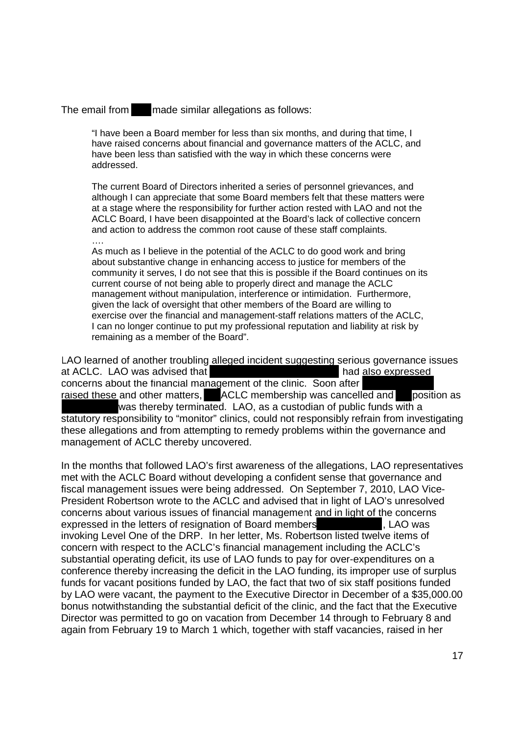The email from made similar allegations as follows: The email from made similar allegations as follows:

"I have been a Board member for less than six months, and during that time, I ''I have been a Board member for less than six months, and during that time, <sup>I</sup> have raised concerns about financial and governance matters of the ACLC, and have raised concerns about financial and governance matters of the ACLC, and have been less than satisfied with the way in which these concerns were have been less than satisfied with the way in which these concerns were addressed. addressed.

The current Board of Directors inherited a series of personnel grievances, and The current Board of Directors inherited a series of personnel grievances, and although I can appreciate that some Board members felt that these matters were although <sup>I</sup> can appreciate that some Board members felt that these matters were at a stage where the responsibility for further action rested with LAO and not the at a stage where the responsibility for further action rested with LAO and not the ACLC Board, I have been disappointed at the Board's lack of collective concern ACLC Board, <sup>I</sup> have been disappointed at the Board's lack of collective concern and action to address the common root cause of these staff complaints. and action to address the common root cause of these staff complaints.

….

As much as I believe in the potential of the ACLC to do good work and bring As much as <sup>I</sup> believe in the potential of the ACLC to do good work and bring about substantive change in enhancing access to justice for members of the about substantive change in enhancing access to justice for members of the community it serves, I do not see that this is possible if the Board continues on its community it serves, <sup>I</sup> do not see that this is possible if the Board continues on its current course of not being able to properly direct and manage the ACLC current course of not being able to properly direct and manage the ACLC management without manipulation, interference or intimidation. Furthermore, management without manipulation, interference or intimidation. Furthermore, given the lack of oversight that other members of the Board are willing to given the lack of oversight that other members of the Board are willing to exercise over the financial and management-staff relations matters of the ACLC, exercise over the financial and management-staff relations matters of the ACLC, I can no longer continue to put my professional reputation and liability at risk by <sup>I</sup> can no longer continue to put my professional reputation and liability at risk by remaining as a member of the Board". remaining as a member of the Board".

LAO learned of another troubling alleged incident suggesting serious governance issues LAO learned of another troubling alleged incident suggesting serious governance issues at ACLC. LAO was advised that **had also expressed** had also expressed concerns about the financial management of the clinic. Soon after raised these and other matters, ACLC membership was cancelled and position as was thereby terminated. LAO, as a custodian of public funds with a was thereby terminated. LAO, as a custodian of public funds with a statutory responsibility to "monitor" clinics, could not responsibly refrain from investigating statutory responsibility to "monitor" clinics, could not responsibly refrain from investigating these allegations and from attempting to remedy problems within the governance and these allegations and from attempting to remedy problems within the governance and management of ACLC thereby uncovered. management of ACLC thereby uncovered.

In the months that followed LAO's first awareness of the allegations, LAO representatives In the months that followed LAO's first awareness of the allegations, LAO representatives met with the ACLC Board without developing a confident sense that governance and met with the ACLC Board without developing a confident sense that governance and fiscal management issues were being addressed. On September 7, 2010, LAO Vice-fiscal management issues were being addressed. On September 7, 2010, LAO Vice-President Robertson wrote to the ACLC and advised that in light of LAO's unresolved President Robertson wrote to the ACLC and advised that in light of LAO's unresolved concerns about various issues of financial management and in light of the concerns expressed in the letters of resignation of Board members , LAO was expressed in the letters of resignation of Board members, LAO was invoking Level One of the DRP. In her letter, Ms. Robertson listed twelve items of invoking Level One of the DRP. In her letter, Ms. Robertson listed twelve items of concern with respect to the ACLC's financial management including the ACLC's concern with respect to the ACLC's financial management including the ACLC's substantial operating deficit, its use of LAO funds to pay for over-expenditures on a conference thereby increasing the deficit in the LAO funding, its improper use of surplus conference thereby increasing the deficit in the LAO funding, its improper use of surplus funds for vacant positions funded by LAO, the fact that two of six staff positions funded funds for vacant positions funded by LAO, the fact that two of six staff positions funded by LAO were vacant, the payment to the Executive Director in December of a \$35,000.00 by LAO were vacant, the payment to the Executive Director in December of a \$35,000.00 bonus notwithstanding the substantial deficit of the clinic, and the fact that the Executive bonus notwithstanding the substantial deficit of the clinic, and the fact that the Executive Director was permitted to go on vacation from December 14 through to February 8 and Director was permitted to go on vacation from December 14 through to February 8 and again from February 19 to March 1 which, together with staff vacancies, raised in her again from February 19 to March <sup>1</sup> which, together with staff vacancies, raised in her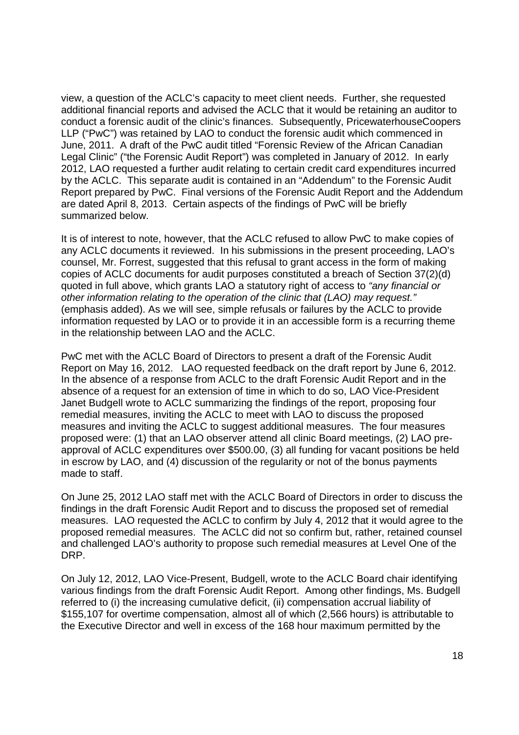view, a question of the ACLC's capacity to meet client needs. Further, she requested view, a question of the ACLC's capacity to meet client needs. Further, she requested additional financial reports and advised the ACLC that it would be retaining an auditor to additional financial reports and advised the ACLC that it would be retaining an auditor to conduct a forensic audit of the clinic's finances. Subsequently, PricewaterhouseCoopers LLP ("PwC") was retained by LAO to conduct the forensic audit which commenced in LLP ("PwC") was retained by LAO to conduct the forensic audit which commenced in June, 2011. A draft of the PwC audit titled "Forensic Review of the African Canadian June, 2011. A draft of the PwC audit titled "Forensic Review of the African Canadian Legal Clinic" ("the Forensic Audit Report") was completed in January of 2012. In early Legal Clinic" ("the Forensic Audit Report") was completed in January of 2012. In early 2012, LAO requested a further audit relating to certain credit card expenditures incurred 2012, LAO requested a further audit relating to certain credit card expenditures incurred by the ACLC. This separate audit is contained in an "Addendum" to the Forensic Audit by the ACLC. This separate audit is contained in an "Addendum" to the Forensic Audit Report prepared by PwC. Final versions of the Forensic Audit Report and the Addendum Report prepared by PwC. Final versions of the Forensic Audit Report and the Addendum are dated April 8, 2013. Certain aspects of the findings of PwC will be briefly are dated April 8, 2013. Certain aspects of the findings of PwC will be briefly summarized below. summarized below.

It is of interest to note, however, that the ACLC refused to allow PwC to make copies of It is of interest to note, however, that the ACLC refused to allow PwC to make copies of any ACLC documents it reviewed. In his submissions in the present proceeding, LAO's any ACLC documents it reviewed. In his submissions in the present proceeding, LAO's counsel, Mr. Forrest, suggested that this refusal to grant access in the form of making counsel, Mr. Forrest, suggested that this refusal to grant access in the form of making copies of ACLC documents for audit purposes constituted a breach of Section 37(2)(d) copies of ACLC documents for audit purposes constituted a breach of Section 37(2)(d) quoted in full above, which grants LAO a statutory right of access to "any financial or other information relating to the operation of the clinic that (LAO) may request." (emphasis added). As we will see, simple refusals or failures by the ACLC to provide (emphasis added). As we will see, simple refusals or failures by the ACLC to provide information requested by LAO or to provide it in an accessible form is a recurring theme information requested by LAO or to provide it in an accessible form is a recurring theme in the relationship between LAO and the ACLC. in the relationship between LAO and the ACLC.

PwC met with the ACLC Board of Directors to present a draft of the Forensic Audit PwC met with the ACLC Board of Directors to present a draft of the Forensic Audit Report on May 16, 2012. LAO requested feedback on the draft report by June 6, 2012. Report on May 16, 2012. LAO requested feedback on the draft report by June 6, 2012. In the absence of a response from ACLC to the draft Forensic Audit Report and in the In the absence of a response from ACLC to the draft Forensic Audit Report and in the absence of a request for an extension of time in which to do so, LAO Vice-President absence of a request for an extension of time in which to do so, LAO Vice—President Janet Budgell wrote to ACLC summarizing the findings of the report, proposing four Janet Budgell wrote to ACLC summarizing the findings of the report, proposing four remedial measures, inviting the ACLC to meet with LAO to discuss the proposed measures and inviting the ACLC to suggest additional measures. The four measures measures and inviting the ACLC to suggest additional measures. The four measures proposed were: (1) that an LAO observer attend all clinic Board meetings, (2) LAO pre-proposed were: (1) that an LAO observer attend all clinic Board meetings, (2) LAO preapproval of ACLC expenditures over \$500.00, (3) all funding for vacant positions be held approval of ACLC expenditures over \$500.00, (3) all funding for vacant positions be held in escrow by LAO, and (4) discussion of the regularity or not of the bonus payments in escrow by LAO, and (4) discussion of the regularity or not of the bonus payments made to staff. made to staff.

On June 25, 2012 LAO staff met with the ACLC Board of Directors in order to discuss the On June 25, 2012 LAO staff met with the ACLC Board of Directors in order to discuss the findings in the draft Forensic Audit Report and to discuss the proposed set of remedial findings in the draft Forensic Audit Report and to discuss the proposed set of remedial measures. LAO requested the ACLC to confirm by July 4, 2012 that it would agree to the measures. LAO requested the ACLC to confirm by July 4, 2012 that it would agree to the proposed remedial measures. The ACLC did not so confirm but, rather, retained counsel proposed remedial measures. The ACLC did not so confirm but, rather, retained counsel and challenged LAO's authority to propose such remedial measures at Level One of the and challenged LAO's authority to propose such remedial measures at Level One of the DRP. DRP.

On July 12, 2012, LAO Vice-Present, Budgell, wrote to the ACLC Board chair identifying On July 12, 2012, LAO Vice—Present, Budgell, wrote to the ACLC Board chair identifying various findings from the draft Forensic Audit Report. Among other findings, Ms. Budgell various findings from the draft Forensic Audit Report. Among other findings, Ms. Budgell referred to (i) the increasing cumulative deficit, (ii) compensation accrual liability of referred to (i) the increasing cumulative deficit, (ii) compensation accrual liability of \$155,107 for overtime compensation, almost all of which (2,566 hours) is attributable to \$155,107 for overtime compensation, almost all of which (2,566 hours) is attributable to the Executive Director and well in excess of the 168 hour maximum permitted by the the Executive Director and well in excess of the 168 hour maximum permitted by the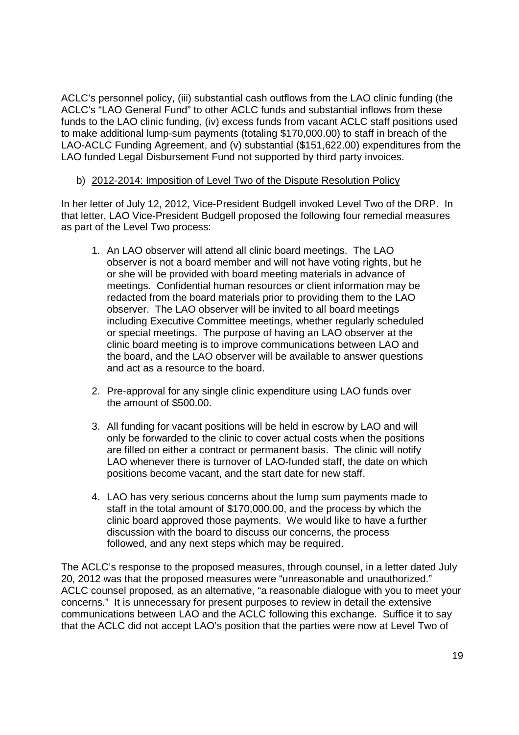ACLC's personnel policy, (iii) substantial cash outflows from the LAO clinic funding (the ACLC's personnel policy, (iii) substantial cash outflows from the LAO clinic funding (the ACLC's "LAO General Fund" to other ACLC funds and substantial inflows from these ACLC's "LAO General Fund" to other ACLC funds and substantial inflows from these funds to the LAO clinic funding, (iv) excess funds from vacant ACLC staff positions used funds to the LAO clinic funding, (iv) excess funds from vacant ACLC staff positions used to make additional lump-sum payments (totaling \$170,000.00) to staff in breach of the LAO-ACLC Funding Agreement, and (v) substantial (\$151,622.00) expenditures from the LAO funded Legal Disbursement Fund not supported by third party invoices. LAO funded Legal Disbursement Fund not supported by third party invoices.

#### b) 2012-2014: Imposition of Level Two of the Dispute Resolution Policy b) 2012-2014: Imposition of Level Two of the Dispute Resolution Policy

In her letter of July 12, 2012, Vice-President Budgell invoked Level Two of the DRP. In In her letter of July 12, 2012, Vice—President Budgell invoked Level Two of the DRP. In that letter, LAO Vice-President Budgell proposed the following four remedial measures as part of the Level Two process: as part of the Level Two process:

- 1. An LAO observer will attend all clinic board meetings. The LAO 1. An LAO observer will attend all clinic board meetings. The LAO observer is not a board member and will not have voting rights, but he observer is not a board member and will not have voting rights, but he or she will be provided with board meeting materials in advance of or she will be provided with board meeting materials in advance of meetings. Confidential human resources or client information may be meetings. Confidential human resources or client information may be redacted from the board materials prior to providing them to the LAO redacted from the board materials prior to providing them to the LAO observer. The LAO observer will be invited to all board meetings observer. The LAO observer will be invited to all board meetings including Executive Committee meetings, whether regularly scheduled including Executive Committee meetings, whether regularly scheduled or special meetings. The purpose of having an LAO observer at the or special meetings. The purpose of having an LAO observer at the clinic board meeting is to improve communications between LAO and clinic board meeting is to improve communications between LAO and the board, and the LAO observer will be available to answer questions the board, and the LAO observer will be available to answer questions and act as a resource to the board. and act as a resource to the board.
- 2. Pre-approval for any single clinic expenditure using LAO funds over the amount of \$500.00. the amount of \$500.00.
- 3. All funding for vacant positions will be held in escrow by LAO and will 3. All funding for vacant positions will be held in escrow by LAO and will only be forwarded to the clinic to cover actual costs when the positions only be forwarded to the clinic to cover actual costs when the positions are filled on either a contract or permanent basis. The clinic will notify are filled on either a contract or permanent basis. The clinic will notify LAO whenever there is turnover of LAO-funded staff, the date on which LAO whenever there is turnover of LAO—funded staff, the date on which positions become vacant, and the start date for new staff. positions become vacant, and the start date for new staff.
- 4. LAO has very serious concerns about the lump sum payments made to 4. LAO has very serious concerns about the lump sum payments made to staff in the total amount of \$170,000.00, and the process by which the staff in the total amount of \$170,000.00, and the process by which the clinic board approved those payments. We would like to have a further clinic board approved those payments. We would like to have a further discussion with the board to discuss our concerns, the process discussion with the board to discuss our concerns, the process followed, and any next steps which may be required. followed, and any next steps which may be required.

The ACLC's response to the proposed measures, through counsel, in a letter dated July The ACLC's response to the proposed measures, through counsel, in a letter dated July 20, 2012 was that the proposed measures were "unreasonable and unauthorized." 20, 2012 was that the proposed measures were "unreasonable and unauthorized." ACLC counsel proposed, as an alternative, "a reasonable dialogue with you to meet your ACLC counsel proposed, as an alternative, "a reasonable dialogue with you to meet your concerns." It is unnecessary for present purposes to review in detail the extensive concerns." It is unnecessary for present purposes to review in detail the extensive communications between LAO and the ACLC following this exchange. Suffice it to say communications between LAO and the ACLC following this exchange. Suffice it to say that the ACLC did not accept LAO's position that the parties were now at Level Two of that the ACLC did not accept LAO's position that the parties were now at Level Two of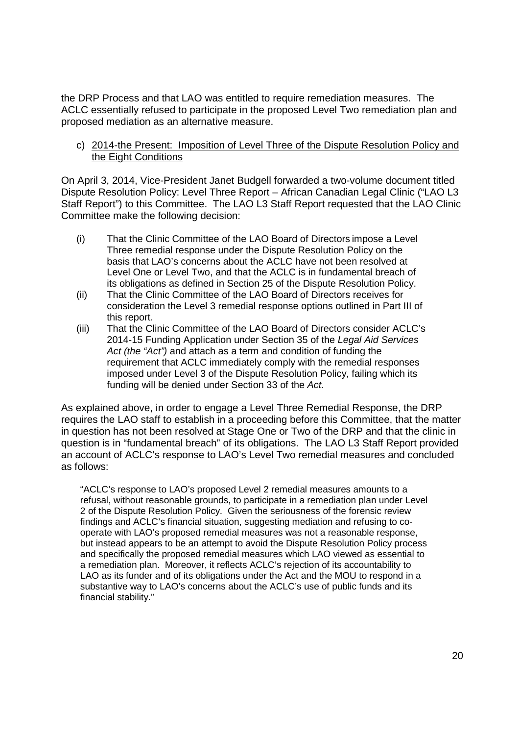the DRP Process and that LAO was entitled to require remediation measures. The the DRP Process and that LAO was entitled to require remediation measures. The ACLC essentially refused to participate in the proposed Level Two remediation plan and ACLC essentially refused to participate in the proposed Level Two remediation plan and proposed mediation as an alternative measure. proposed mediation as an alternative measure.

c) 2014-the Present: Imposition of Level Three of the Dispute Resolution Policy and the Eight Conditions

On April 3, 2014, Vice-President Janet Budgell forwarded a two-volume document titled Dispute Resolution Policy: Level Three Report – African Canadian Legal Clinic ("LAO L3 Dispute Resolution Policy: Level Three Report — African Canadian Legal Clinic ("LAO L3 Staff Report") to this Committee. The LAO L3 Staff Report requested that the LAO Clinic Staff Report") to this Committee. The LAO L3 Staff Report requested that the LAO Clinic Committee make the following decision: Committee make the following decision:

- (i) That the Clinic Committee of the LAO Board of Directors impose a Level (i) That the Clinic Committee of the LAO Board of Directors impose a Level Three remedial response under the Dispute Resolution Policy on the Three remedial response under the Dispute Resolution Policy on the basis that LAO's concerns about the ACLC have not been resolved at basis that LAO's concerns about the ACLC have not been resolved at Level One or Level Two, and that the ACLC is in fundamental breach of Level One or Level Two, and that the ACLC is in fundamental breach of its obligations as defined in Section 25 of the Dispute Resolution Policy. its obligations as defined in Section 25 of the Dispute Resolution Policy.
- (ii) That the Clinic Committee of the LAO Board of Directors receives for (ii) That the Clinic Committee of the LAO Board of Directors receives for consideration the Level 3 remedial response options outlined in Part III of consideration the Level 3 remedial response options outlined in Part III of this report. this report.
- (iii) That the Clinic Committee of the LAO Board of Directors consider ACLC's (iii) That the Clinic Committee of the LAO Board of Directors consider ACLC's 2014-15 Funding Application under Section 35 of the Legal Aid Services Act (the "Act") and attach as a term and condition of funding the requirement that ACLC immediately comply with the remedial responses requirement that ACLC immediately comply with the remedial responses imposed under Level 3 of the Dispute Resolution Policy, failing which its imposed under Level 3 of the Dispute Resolution Policy, failing which its funding will be denied under Section 33 of the Act.

As explained above, in order to engage a Level Three Remedial Response, the DRP As explained above, in order to engage a Level Three Remedial Response, the DRP requires the LAO staff to establish in a proceeding before this Committee, that the matter requires the LAO staff to establish in a proceeding before this Committee, that the matter in question has not been resolved at Stage One or Two of the DRP and that the clinic in in question has not been resolved at Stage One or Two of the DRP and that the clinic in question is in "fundamental breach" of its obligations. The LAO L3 Staff Report provided question is in "fundamental breach" of its obligations. The LAO L3 Staff Report provided an account of ACLC's response to LAO's Level Two remedial measures and concluded an account of ACLC's response to LAO's Level Two remedial measures and concluded as follows: as follows:

"ACLC's response to LAO's proposed Level 2 remedial measures amounts to a "ACLC's response to LAO's proposed Level 2 remedial measures amounts to a refusal, without reasonable grounds, to participate in a remediation plan under Level refusal, without reasonable grounds, to participate in a remediation plan under Level 2 of the Dispute Resolution Policy. Given the seriousness of the forensic review 2 of the Dispute Resolution Policy. Given the seriousness of the forensic review findings and ACLC's financial situation, suggesting mediation and refusing to co-findings and ACLC's financial situation, suggesting mediation and refusing to cooperate with LAO's proposed remedial measures was not a reasonable response, operate with LAO's proposed remedial measures was not a reasonable response, but instead appears to be an attempt to avoid the Dispute Resolution Policy process but instead appears to be an attempt to avoid the Dispute Resolution Policy process and specifically the proposed remedial measures which LAO viewed as essential to and specifically the proposed remedial measures which LAO viewed as essential to a remediation plan. Moreover, it reflects ACLC's rejection of its accountability to a remediation plan. Moreover, it reflects ACLC's rejection of its accountability to LAO as its funder and of its obligations under the Act and the MOU to respond in a LAO as its funder and of its obligations under the Act and the MOU to respond in a substantive way to LAO's concerns about the ACLC's use of public funds and its substantive way to LAO's concerns about the ACLC's use of public funds and its financial stability." financial stability."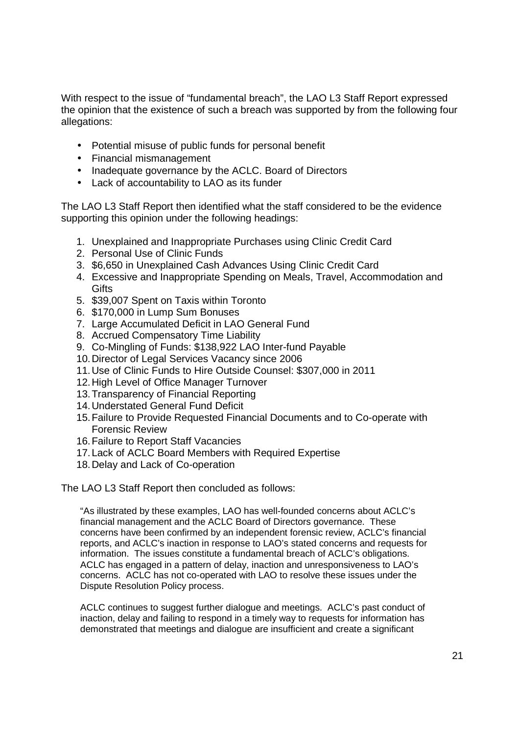With respect to the issue of "fundamental breach", the LAO L3 Staff Report expressed With respect to the issue of "fundamental breach", the LAO L3 Staff Report expressed the opinion that the existence of such a breach was supported by from the following four the opinion that the existence of such a breach was supported by from the following four allegations: allegations:

- Potential misuse of public funds for personal benefit Potential misuse of public funds for personal benefit
- Financial mismanagement Financial mismanagement
- Inadequate governance by the ACLC. Board of Directors Inadequate governance by the ACLC. Board of Directors
- Lack of accountability to LAO as its funder Lack of accountability to LAO as its funder

The LAO L3 Staff Report then identified what the staff considered to be the evidence The LAO L3 Staff Report then identified what the staff considered to be the evidence supporting this opinion under the following headings: supporting this opinion under the following headings:

- 1. Unexplained and Inappropriate Purchases using Clinic Credit Card Unexplained and Inappropriate Purchases using Clinic Credit Card
- 2. Personal Use of Clinic Funds Personal Use of Clinic Funds
- 3. \$6,650 in Unexplained Cash Advances Using Clinic Credit Card \$6,650 in Unexplained Cash Advances Using Clinic Credit Card
- 4. Excessive and Inappropriate Spending on Meals, Travel, Accommodation and Gifts Gifts
- 5. \$39,007 Spent on Taxis within Toronto \$39,007 Spent on Taxis within Toronto
- 6. \$170,000 in Lump Sum Bonuses \$170,000 in Lump Sum Bonuses
- 7. Large Accumulated Deficit in LAO General Fund Large Accumulated Deficit in LAO General Fund
- 8. Accrued Compensatory Time Liability Accrued Compensatory Time Liability
- 9. Co-Mingling of Funds: \$138,922 LAO Inter-fund Payable
- 10. Director of Legal Services Vacancy since 2006 10. Director of Legal Services Vacancy since 2006
- 11. Use of Clinic Funds to Hire Outside Counsel: \$307,000 in 2011 11.Use of Clinic Funds to Hire Outside Counsel: \$307,000 in 2011
- 12. High Level of Office Manager Turnover 12. High Level of Office Manager Turnover
- 13. Transparency of Financial Reporting 13. Transparency of Financial Reporting
- 14. Understated General Fund Deficit 14. Understated General Fund Deficit
- 15. Failure to Provide Requested Financial Documents and to Co-operate with 15. Failure to Provide Requested Financial Documents and to Co—operate with Forensic Review Forensic Review
- 16. Failure to Report Staff Vacancies 16. Failure to Report Staff Vacancies
- 17. Lack of ACLC Board Members with Required Expertise 17. Lack of ACLC Board Members with Required Expertise
- 18. Delay and Lack of Co-operation 18. Delay and Lack of Co—operation

The LAO L3 Staff Report then concluded as follows: The LAO L3 Staff Report then concluded as follows:

"As illustrated by these examples, LAO has well-founded concerns about ACLC's "As illustrated by these examples, LAO has well-founded concerns about ACLC's financial management and the ACLC Board of Directors governance. These financial management and the ACLC Board of Directors governance. These concerns have been confirmed by an independent forensic review, ACLC's financial concerns have been confirmed by an independent forensic review, ACLC's financial reports, and ACLC's inaction in response to LAO's stated concerns and requests for reports, and ACLC's inaction in response to LAO's stated concerns and requests for information. The issues constitute a fundamental breach of ACLC's obligations. information. The issues constitute a fundamental breach of ACLC's obligations. ACLC has engaged in a pattern of delay, inaction and unresponsiveness to LAO's ACLC has engaged in a pattern of delay, inaction and unresponsiveness to LAO's concerns. ACLC has not co-operated with LAO to resolve these issues under the concerns. ACLC has not co-operated with LAO to resolve these issues under the Dispute Resolution Policy process. Dispute Resolution Policy process.

ACLC continues to suggest further dialogue and meetings. ACLC's past conduct of ACLC continues to suggest further dialogue and meetings. ACLC's past conduct of inaction, delay and failing to respond in a timely way to requests for information has inaction, delay and failing to respond in a timely way to requests for information has demonstrated that meetings and dialogue are insufficient and create a significant demonstrated that meetings and dialogue are insufficient and create a significant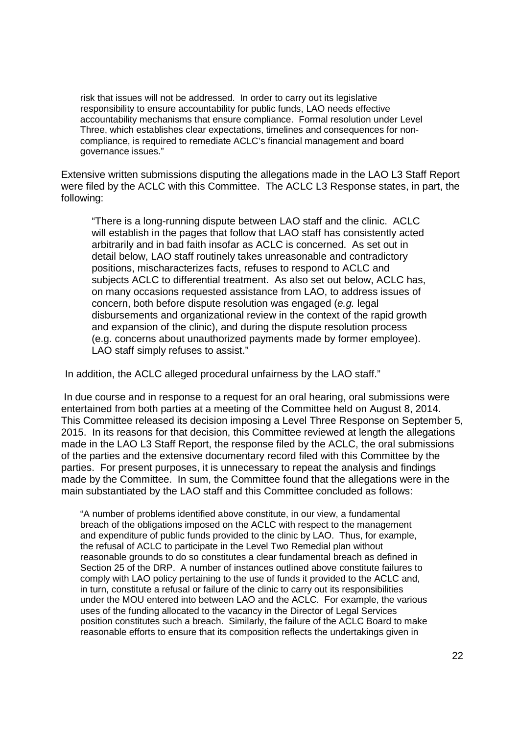risk that issues will not be addressed. In order to carry out its legislative risk that issues will not be addressed. In order to carry out its legislative responsibility to ensure accountability for public funds, LAO needs effective responsibility to ensure accountability for public funds, LAO needs effective accountability mechanisms that ensure compliance. Formal resolution under Level accountability mechanisms that ensure compliance. Formal resolution under Level Three, which establishes clear expectations, timelines and consequences for non-Three, which establishes clear expectations, timelines and consequences for noncompliance, is required to remediate ACLC's financial management and board compliance, is required to remediate ACLC's financial management and board governance issues." governance issues."

Extensive written submissions disputing the allegations made in the LAO L3 Staff Report Extensive written submissions disputing the allegations made in the LAO L3 Staff Report were filed by the ACLC with this Committee. The ACLC L3 Response states, in part, the were filed by the ACLC with this Committee. The ACLC L3 Response states, in part, the following: following:

"There is a long-running dispute between LAO staff and the clinic. ACLC will establish in the pages that follow that LAO staff has consistently acted will establish in the pages that follow that LAO staff has consistently acted arbitrarily and in bad faith insofar as ACLC is concerned. As set out in arbitrarily and in bad faith insofar as ACLC is concerned. As set out in detail below, LAO staff routinely takes unreasonable and contradictory detail below, LAO staff routinely takes unreasonable and contradictory positions, mischaracterizes facts, refuses to respond to ACLC and positions, mischaracterizes facts, refuses to respond to ACLC and subjects ACLC to differential treatment. As also set out below, ACLC has, subjects ACLC to differential treatment. As also set out below, ACLC has, on many occasions requested assistance from LAO, to address issues of concern, both before dispute resolution was engaged (e.g. legal disbursements and organizational review in the context of the rapid growth disbursements and organizational review in the context of the rapid growth and expansion of the clinic), and during the dispute resolution process and expansion of the clinic), and during the dispute resolution process (e.g. concerns about unauthorized payments made by former employee). (e.g. concerns about unauthorized payments made by former employee). LAO staff simply refuses to assist." LAO staff simply refuses to assist."

In addition, the ACLC alleged procedural unfairness by the LAO staff." In addition, the ACLC alleged procedural unfairness by the LAO staff."

 In due course and in response to a request for an oral hearing, oral submissions were In due course and in response to a request for an oral hearing, oral submissions were entertained from both parties at a meeting of the Committee held on August 8, 2014. entertained from both parties at a meeting of the Committee held on August 8, 2014. This Committee released its decision imposing a Level Three Response on September 5, This Committee released its decision imposing a Level Three Response on September 5, 2015. In its reasons for that decision, this Committee reviewed at length the allegations 2015. In its reasons for that decision, this Committee reviewed at length the allegations made in the LAO L3 Staff Report, the response filed by the ACLC, the oral submissions made in the LAO L3 Staff Report, the response filed by the ACLC, the oral submissions of the parties and the extensive documentary record filed with this Committee by the of the parties and the extensive documentary record filed with this Committee by the parties. For present purposes, it is unnecessary to repeat the analysis and findings parties. For present purposes, it is unnecessary to repeat the analysis and findings made by the Committee. In sum, the Committee found that the allegations were in the made by the Committee. In sum, the Committee found that the allegations were in the main substantiated by the LAO staff and this Committee concluded as follows: main substantiated by the LAO staff and this Committee concluded as follows:

"A number of problems identified above constitute, in our view, a fundamental "A number of problems identified above constitute, in our view, a fundamental breach of the obligations imposed on the ACLC with respect to the management breach of the obligations imposed on the ACLC with respect to the management and expenditure of public funds provided to the clinic by LAO. Thus, for example, and expenditure of public funds provided to the clinic by LAO. Thus, for example, the refusal of ACLC to participate in the Level Two Remedial plan without the refusal of ACLC to participate in the Level Two Remedial plan without reasonable grounds to do so constitutes a clear fundamental breach as defined in Section 25 of the DRP. A number of instances outlined above constitute failures to Section 25 of the DRP. A number of instances outlined above constitute failures to comply with LAO policy pertaining to the use of funds it provided to the ACLC and, comply with LAO policy pertaining to the use of funds it provided to the ACLC and, in turn, constitute a refusal or failure of the clinic to carry out its responsibilities in turn, constitute a refusal or failure of the clinic to carry out its responsibilities under the MOU entered into between LAO and the ACLC. For example, the various under the MOU entered into between LAO and the ACLC. For example, the various uses of the funding allocated to the vacancy in the Director of Legal Services uses of the funding allocated to the vacancy in the Director of Legal Services position constitutes such a breach. Similarly, the failure of the ACLC Board to make position constitutes such a breach. Similarly, the failure of the ACLC Board to make reasonable efforts to ensure that its composition reflects the undertakings given in reasonable efforts to ensure that its composition reflects the undertakings given in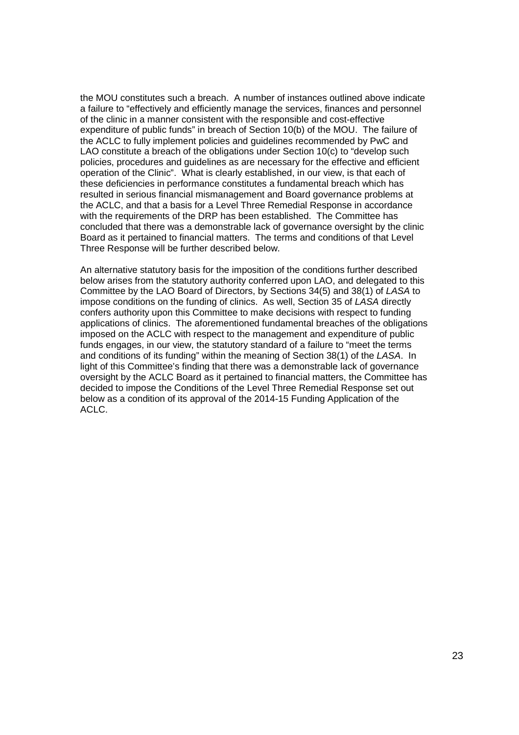the MOU constitutes such a breach. A number of instances outlined above indicate the MOU constitutes such a breach. A number of instances outlined above indicate a failure to "effectively and efficiently manage the services, finances and personnel a failure to "effectively and efficiently manage the services, finances and personnel of the clinic in a manner consistent with the responsible and cost-effective of the clinic in a manner consistent with the responsible and cost-effective expenditure of public funds" in breach of Section 10(b) of the MOU. The failure of expenditure of public funds" in breach of Section 10(b) of the MOU. The failure of the ACLC to fully implement policies and guidelines recommended by PwC and the ACLC to fully implement policies and guidelines recommended by PwC and LAO constitute a breach of the obligations under Section 10(c) to "develop such LAO constitute a breach of the obligations under Section 10(c) to "develop such policies, procedures and guidelines as are necessary for the effective and efficient policies, procedures and guidelines as are necessary for the effective and efficient operation of the Clinic". What is clearly established, in our view, is that each of these deficiencies in performance constitutes a fundamental breach which has these deficiencies in performance constitutes a fundamental breach which has resulted in serious financial mismanagement and Board governance problems at resulted in serious financial mismanagement and Board governance problems at the ACLC, and that a basis for a Level Three Remedial Response in accordance the ACLC, and that a basis for a Level Three Remedial Response in accordance with the requirements of the DRP has been established. The Committee has with the requirements of the DRP has been established. The Committee has concluded that there was a demonstrable lack of governance oversight by the clinic concluded that there was a demonstrable lack of governance oversight by the clinic Board as it pertained to financial matters. The terms and conditions of that Level Board as it pertained to financial matters. The terms and conditions of that Level Three Response will be further described below. Three Response will be further described below.

An alternative statutory basis for the imposition of the conditions further described An alternative statutory basis for the imposition of the conditions further described below arises from the statutory authority conferred upon LAO, and delegated to this below arises from the statutory authority conferred upon LAO, and delegated to this Committee by the LAO Board of Directors, by Sections 34(5) and 38(1) of LASA to Committee by the LAO Board of Directors, by Sections 34(5) and 38(1) of LASA to impose conditions on the funding of clinics. As well, Section 35 of LASA directly impose conditions on the funding of clinics. As well, Section 35 of LASA directly confers authority upon this Committee to make decisions with respect to funding confers authority upon this Committee to make decisions with respect to funding applications of clinics. The aforementioned fundamental breaches of the obligations applications of clinics. The aforementioned fundamental breaches of the obligations imposed on the ACLC with respect to the management and expenditure of public imposed on the ACLC with respect to the management and expenditure of public funds engages, in our view, the statutory standard of a failure to "meet the terms funds engages, in our view, the statutory standard of a failure to "meet the terms and conditions of its funding" within the meaning of Section 38(1) of the LASA. In and conditions of its funding" within the meaning of Section 38(1) of the LASA. In light of this Committee's finding that there was a demonstrable lack of governance light of this Committee's finding that there was a demonstrable lack of governance oversight by the ACLC Board as it pertained to financial matters, the Committee has oversight by the ACLC Board as it pertained to financial matters, the Committee has decided to impose the Conditions of the Level Three Remedial Response set out decided to impose the Conditions of the Level Three Remedial Response set out below as a condition of its approval of the 2014-15 Funding Application of the below as a condition of its approval of the 2014-15 Funding Application of the ACLC. ACLC.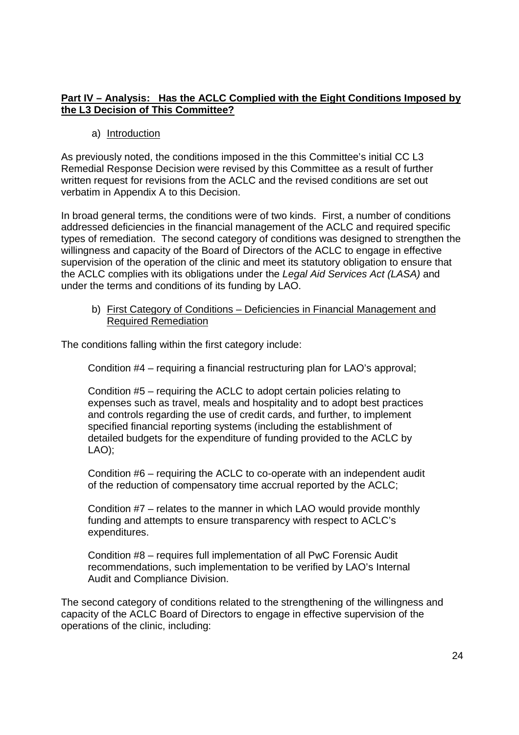#### **Part IV – Analysis: Has the ACLC Complied with the Eight Conditions Imposed by**  Part IV — Analysis: Has the ACLC Complied with the Eiqht Conditions Imposed by **the L3 Decision of This Committee?**  the L3 Decision of This Committee?

#### a) Introduction

As previously noted, the conditions imposed in the this Committee's initial CC L3 As previously noted, the conditions imposed in the this Committee's initial CC L3 Remedial Response Decision were revised by this Committee as a result of further Remedial Response Decision were revised by this Committee as a result of further written request for revisions from the ACLC and the revised conditions are set out written request for revisions from the ACLC and the revised conditions are set out verbatim in Appendix A to this Decision. verbatim in Appendix A to this Decision.

In broad general terms, the conditions were of two kinds. First, a number of conditions In broad general terms, the conditions were of two kinds. First, a number of conditions addressed deficiencies in the financial management of the ACLC and required specific addressed deficiencies in the financial management of the ACLC and required specific types of remediation. The second category of conditions was designed to strengthen the types of remediation. The second category of conditions was designed to strengthen the willingness and capacity of the Board of Directors of the ACLC to engage in effective willingness and capacity of the Board of Directors of the ACLC to engage in effective supervision of the operation of the clinic and meet its statutory obligation to ensure that supervision of the operation of the clinic and meet its statutory obligation to ensure that the ACLC complies with its obligations under the Legal Aid Services Act (LASA) and under the terms and conditions of its funding by LAO. under the terms and conditions of its funding by LAO.

b) First Category of Conditions – Deficiencies in Financial Management and b) First Category of Conditions — Deficiencies in Financial Management and Required Remediation Reguired Remediation

The conditions falling within the first category include: The conditions falling within the first category include:

Condition #4 – requiring a financial restructuring plan for LAO's approval; Condition #4 — requiring a financial restructuring plan for LAO's approval;

Condition #5 – requiring the ACLC to adopt certain policies relating to Condition #5 — requiring the ACLC to adopt certain policies relating to expenses such as travel, meals and hospitality and to adopt best practices expenses such as travel, meals and hospitality and to adopt best practices and controls regarding the use of credit cards, and further, to implement and controls regarding the use of credit cards, and further, to implement specified financial reporting systems (including the establishment of specified financial reporting systems (including the establishment of detailed budgets for the expenditure of funding provided to the ACLC by detailed budgets for the expenditure of funding provided to the ACLC by LAO); LAO);

Condition #6 – requiring the ACLC to co-operate with an independent audit Condition #6 — requiring the ACLC to co—operate with an independent audit of the reduction of compensatory time accrual reported by the ACLC;

Condition #7 – relates to the manner in which LAO would provide monthly Condition #7 — relates to the manner in which LAO would provide monthly funding and attempts to ensure transparency with respect to ACLC's funding and attempts to ensure transparency with respect to ACLC's expenditures. expenditures.

Condition #8 – requires full implementation of all PwC Forensic Audit Condition #8 — requires full implementation of all PwC Forensic Audit recommendations, such implementation to be verified by LAO's Internal recommendations, such implementation to be verified by LAO's Internal Audit and Compliance Division. Audit and Compliance Division.

The second category of conditions related to the strengthening of the willingness and The second category of conditions related to the strengthening of the willingness and capacity of the ACLC Board of Directors to engage in effective supervision of the capacity of the ACLC Board of Directors to engage in effective supervision of the operations of the clinic, including: operations of the clinic, including: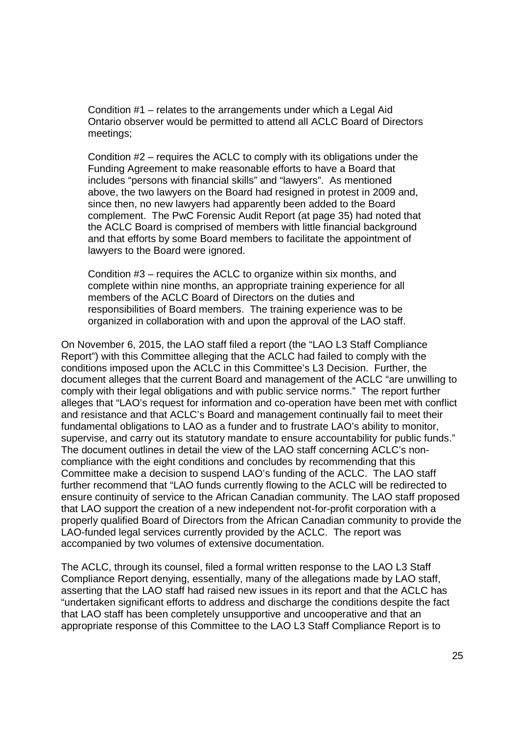Condition #1 – relates to the arrangements under which a Legal Aid Condition #1 — relates to the arrangements under which a Legal Aid Ontario observer would be permitted to attend all ACLC Board of Directors Ontario observer would be permitted to attend all ACLC Board of Directors meetings; meetings;

Condition #2 – requires the ACLC to comply with its obligations under the Condition #2 — requires the ACLC to comply with its obligations under the Funding Agreement to make reasonable efforts to have a Board that Funding Agreement to make reasonable efforts to have a Board that includes "persons with financial skills" and "lawyers". As mentioned includes "persons with financial skills" and "lawyers". As mentioned above, the two lawyers on the Board had resigned in protest in 2009 and, above, the two lawyers on the Board had resigned in protest in 2009 and, since then, no new lawyers had apparently been added to the Board since then, no new lawyers had apparently been added to the Board complement. The PwC Forensic Audit Report (at page 35) had noted that complement. The PwC Forensic Audit Report (at page 35) had noted that the ACLC Board is comprised of members with little financial background the ACLC Board is comprised of members with little financial background and that efforts by some Board members to facilitate the appointment of and that efforts by some Board members to facilitate the appointment of lawyers to the Board were ignored. lawyers to the Board were ignored.

Condition #3 – requires the ACLC to organize within six months, and Condition #3 — requires the ACLC to organize within six months, and complete within nine months, an appropriate training experience for all complete within nine months, an appropriate training experience for all members of the ACLC Board of Directors on the duties and members of the ACLC Board of Directors on the duties and responsibilities of Board members. The training experience was to be responsibilities of Board members. The training experience was to be organized in collaboration with and upon the approval of the LAO staff. organized in collaboration with and upon the approval of the LAO staff.

On November 6, 2015, the LAO staff filed a report (the "LAO L3 Staff Compliance On November 6, 2015, the LAO staff filed a report (the "LAO L3 Staff Compliance Report") with this Committee alleging that the ACLC had failed to comply with the conditions imposed upon the ACLC in this Committee's L3 Decision. Further, the conditions imposed upon the ACLC in this Committee's L3 Decision. Further, the document alleges that the current Board and management of the ACLC "are unwilling to document alleges that the current Board and management of the ACLC "are unwilling to comply with their legal obligations and with public service norms." The report further comply with their legal obligations and with public service norms." The report further alleges that "LAO's request for information and co-operation have been met with conflict alleges that "LAO's request for information and co—operation have been met with conflict and resistance and that ACLC's Board and management continually fail to meet their and resistance and that ACLC's Board and management continually fail to meet their fundamental obligations to LAO as a funder and to frustrate LAO's ability to monitor, fundamental obligations to LAO as a funder and to frustrate LAO's ability to monitor, supervise, and carry out its statutory mandate to ensure accountability for public funds." supervise, and carry out its statutory mandate to ensure accountability for public funds." The document outlines in detail the view of the LAO staff concerning ACLC's non-The document outlines in detail the view of the LAO staff concerning ACLC's noncompliance with the eight conditions and concludes by recommending that this compliance with the eight conditions and concludes by recommending that this Committee make a decision to suspend LAO's funding of the ACLC. The LAO staff Committee make a decision to suspend LAO's funding of the ACLC. The LAO staff further recommend that "LAO funds currently flowing to the ACLC will be redirected to further recommend that "LAO funds currently flowing to the ACLC will be redirected to ensure continuity of service to the African Canadian community. The LAO staff proposed ensure continuity of service to the African Canadian community. The LAO staff proposed that LAO support the creation of a new independent not-for-profit corporation with a properly qualified Board of Directors from the African Canadian community to provide the properly qualified Board of Directors from the African Canadian community to provide the LAO-funded legal services currently provided by the ACLC. The report was accompanied by two volumes of extensive documentation. accompanied by two volumes of extensive documentation.

The ACLC, through its counsel, filed a formal written response to the LAO L3 Staff The ACLC, through its counsel, filed a formal written response to the LAO L3 Staff Compliance Report denying, essentially, many of the allegations made by LAO staff, Compliance Report denying, essentially, many of the allegations made by LAO staff, asserting that the LAO staff had raised new issues in its report and that the ACLC has asserting that the LAO staff had raised new issues in its report and that the ACLC has "undertaken significant efforts to address and discharge the conditions despite the fact "undertaken significant efforts to address and discharge the conditions despite the fact that LAO staff has been completely unsupportive and uncooperative and that an that LAO staff has been completely unsupportive and uncooperative and that an appropriate response of this Committee to the LAO L3 Staff Compliance Report is to appropriate response of this Committee to the LAO L3 Staff Compliance Report is to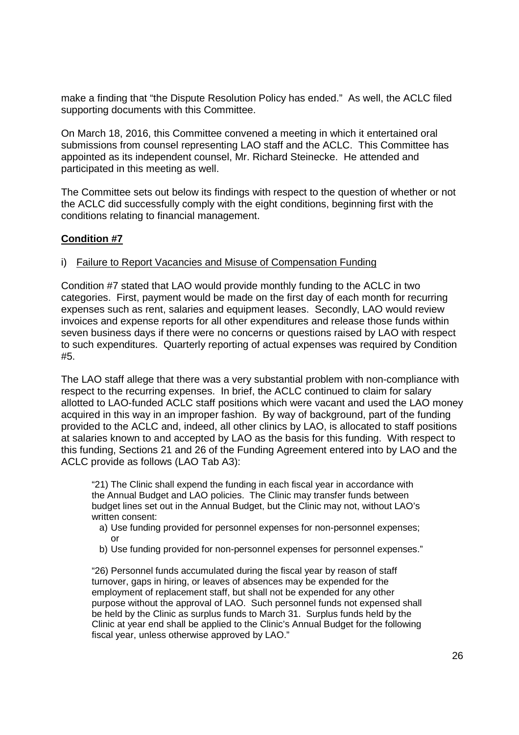make a finding that "the Dispute Resolution Policy has ended." As well, the ACLC filed make a finding that "the Dispute Resolution Policy has ended." As well, the ACLC filed supporting documents with this Committee. supporting documents with this Committee.

On March 18, 2016, this Committee convened a meeting in which it entertained oral On March 18, 2016, this Committee convened a meeting in which it entertained oral submissions from counsel representing LAO staff and the ACLC. This Committee has appointed as its independent counsel, Mr. Richard Steinecke. He attended and appointed as its independent counsel, Mr. Richard Steinecke. He attended and participated in this meeting as well. participated in this meeting as well.

The Committee sets out below its findings with respect to the question of whether or not The Committee sets out below its findings with respect to the question of whether or not the ACLC did successfully comply with the eight conditions, beginning first with the the ACLC did successfully comply with the eight conditions, beginning first with the conditions relating to financial management. conditions relating to financial management.

#### **Condition #7**  Condition #7

#### i) Failure to Report Vacancies and Misuse of Compensation Funding

Condition #7 stated that LAO would provide monthly funding to the ACLC in two Condition #7 stated that LAO would provide monthly funding to the ACLC in two categories. First, payment would be made on the first day of each month for recurring categories. First, payment would be made on the first day of each month for recurring expenses such as rent, salaries and equipment leases. Secondly, LAO would review expenses such as rent, salaries and equipment leases. Secondly, LAO would review invoices and expense reports for all other expenditures and release those funds within invoices and expense reports for all other expenditures and release those funds within seven business days if there were no concerns or questions raised by LAO with respect seven business days if there were no concerns or questions raised by LAO with respect to such expenditures. Quarterly reporting of actual expenses was required by Condition to such expenditures. Quarterly reporting of actual expenses was required by Condition #5. #5.

The LAO staff allege that there was a very substantial problem with non-compliance with respect to the recurring expenses. In brief, the ACLC continued to claim for salary respect to the recurring expenses. In brief, the ACLC continued to claim for salary allotted to LAO-funded ACLC staff positions which were vacant and used the LAO money allotted to LAO—funded ACLC staff positions which were vacant and used the LAO money acquired in this way in an improper fashion. By way of background, part of the funding acquired in this way in an improper fashion. By way of background, part of the funding provided to the ACLC and, indeed, all other clinics by LAO, is allocated to staff positions provided to the ACLC and, indeed, all other clinics by LAO, is allocated to staff positions at salaries known to and accepted by LAO as the basis for this funding. With respect to at salaries known to and accepted by LAO as the basis for this funding. With respect to this funding, Sections 21 and 26 of the Funding Agreement entered into by LAO and the this funding, Sections 21 and 26 of the Funding Agreement entered into by LAO and the ACLC provide as follows (LAO Tab A3): ACLC provide as follows (LAO Tab A3):

"21) The Clinic shall expend the funding in each fiscal year in accordance with "21) The Clinic shall expend the funding in each fiscal year in accordance with the Annual Budget and LAO policies. The Clinic may transfer funds between the Annual Budget and LAO policies. The Clinic may transfer funds between budget lines set out in the Annual Budget, but the Clinic may not, without LAO's budget lines set out in the Annual Budget, but the Clinic may not, without LAO's written consent: written consent:

- a) Use funding provided for personnel expenses for non-personnel expenses; a) Use funding provided for personnel expenses for non-personnel expenses; or or
- b) Use funding provided for non-personnel expenses for personnel expenses." b) Use funding provided for non-personnel expenses for personnel expenses."

"26) Personnel funds accumulated during the fiscal year by reason of staff "26) Personnel funds accumulated during the fiscal year by reason of staff turnover, gaps in hiring, or leaves of absences may be expended for the turnover, gaps in hiring, or leaves of absences may be expended for the employment of replacement staff, but shall not be expended for any other employment of replacement staff, but shall not be expended for any other purpose without the approval of LAO. Such personnel funds not expensed shall purpose without the approval of LAO. Such personnel funds not expensed shall be held by the Clinic as surplus funds to March 31. Surplus funds held by the be held by the Clinic as surplus funds to March 31. Surplus funds held by the Clinic at year end shall be applied to the Clinic's Annual Budget for the following fiscal year, unless otherwise approved by LAO."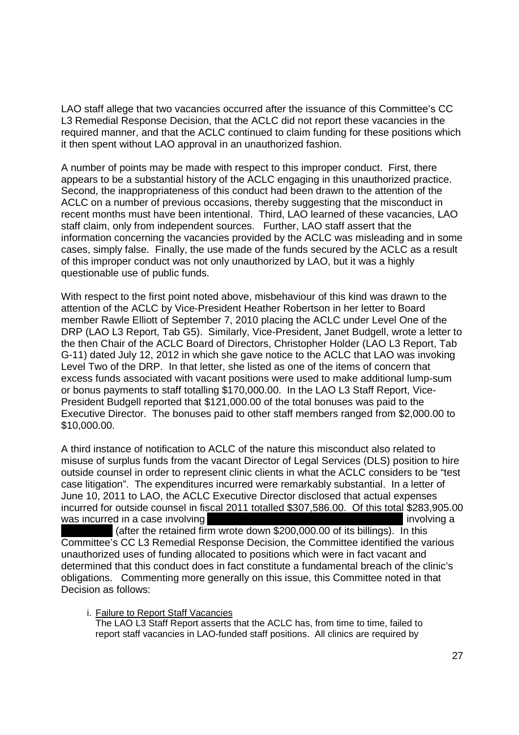LAO staff allege that two vacancies occurred after the issuance of this Committee's CC LAO staff allege that two vacancies occurred after the issuance of this Committee's CC L3 Remedial Response Decision, that the ACLC did not report these vacancies in the L3 Remedial Response Decision, that the ACLC did not report these vacancies in the required manner, and that the ACLC continued to claim funding for these positions which required manner, and that the ACLC continued to claim funding for these positions which it then spent without LAO approval in an unauthorized fashion. it then spent without LAO approval in an unauthorized fashion.

A number of points may be made with respect to this improper conduct. First, there A number of points may be made with respect to this improper conduct. First, there appears to be a substantial history of the ACLC engaging in this unauthorized practice. appears to be a substantial history of the ACLC engaging in this unauthorized practice. Second, the inappropriateness of this conduct had been drawn to the attention of the Second, the inappropriateness of this conduct had been drawn to the attention of the ACLC on a number of previous occasions, thereby suggesting that the misconduct in ACLC on a number of previous occasions, thereby suggesting that the misconduct in recent months must have been intentional. Third, LAO learned of these vacancies, LAO recent months must have been intentional. Third, LAO learned of these vacancies, LAO staff claim, only from independent sources. Further, LAO staff assert that the staff claim, only from independent sources. Further, LAO staff assert that the information concerning the vacancies provided by the ACLC was misleading and in some information concerning the vacancies provided by the ACLC was misleading and in some cases, simply false. Finally, the use made of the funds secured by the ACLC as a result cases, simply false. Finally, the use made of the funds secured by the ACLC as a result of this improper conduct was not only unauthorized by LAO, but it was a highly of this improper conduct was not only unauthorized by LAO, but it was a highly questionable use of public funds. questionable use of public funds.

With respect to the first point noted above, misbehaviour of this kind was drawn to the With respect to the first point noted above, misbehaviour of this kind was drawn to the attention of the ACLC by Vice-President Heather Robertson in her letter to Board attention of the ACLC by Vice—President Heather Robertson in her letter to Board member Rawle Elliott of September 7, 2010 placing the ACLC under Level One of the member Rawle Elliott of September 7, 2010 placing the ACLC under Level One of the DRP (LAO L3 Report, Tab G5). Similarly, Vice-President, Janet Budgell, wrote a letter to DRP (LAO L3 Report, Tab G5). Similarly, Vice—President, Janet Budgell, wrote a letter to the then Chair of the ACLC Board of Directors, Christopher Holder (LAO L3 Report, Tab the then Chair of the ACLC Board of Directors, Christopher Holder (LAO L3 Report, Tab G-11) dated July 12, 2012 in which she gave notice to the ACLC that LAO was invoking Level Two of the DRP. In that letter, she listed as one of the items of concern that Level Two of the DRP. In that letter, she listed as one of the items of concern that excess funds associated with vacant positions were used to make additional lump-sum or bonus payments to staff totalling \$170,000.00. In the LAO L3 Staff Report, Vice-or bonus payments to staff totalling \$170,000.00. In the LAO L3 Staff Report, Vice-President Budgell reported that \$121,000.00 of the total bonuses was paid to the President Budgell reported that \$121,000.00 of the total bonuses was paid to the Executive Director. The bonuses paid to other staff members ranged from \$2,000.00 to Executive Director. The bonuses paid to other staff members ranged from \$2,000.00 to \$10,000.00. \$10,000.00.

A third instance of notification to ACLC of the nature this misconduct also related to A third instance of notification to ACLC of the nature this misconduct also related to misuse of surplus funds from the vacant Director of Legal Services (DLS) position to hire misuse of surplus funds from the vacant Director of Legal Services (DLS) position to hire outside counsel in order to represent clinic clients in what the ACLC considers to be "test case litigation". The expenditures incurred were remarkably substantial. In a letter of case litigation''. The expenditures incurred were remarkably substantial. In a letter of June 10, 2011 to LAO, the ACLC Executive Director disclosed that actual expenses June 10, 2011 to LAO, the ACLC Executive Director disclosed that actual expenses incurred for outside counsel in fiscal 2011 totalled \$307,586.00. Of this total \$283,905.00 incurred for outside counsel in fiscal 2011 totalled \$307,586.00. Of this total \$283,905.00 was incurred in a case involving involving involving a structure of the structure of the structure of the structure of the structure of the structure of the structure of the structure of the structure of the structure of t

 (after the retained firm wrote down \$200,000.00 of its billings). In this (after the retained firm wrote down \$200,000.00 of its billings). In this Committee's CC L3 Remedial Response Decision, the Committee identified the various Committee's CC L3 Remedial Response Decision, the Committee identified the various unauthorized uses of funding allocated to positions which were in fact vacant and unauthorized uses of funding allocated to positions which were in fact vacant and determined that this conduct does in fact constitute a fundamental breach of the clinic's obligations. Commenting more generally on this issue, this Committee noted in that Decision as follows: Decision as follows:

i. Failure to Report Staff Vacancies i. Failure to Report Staff Vacancies The LAO L3 Staff Report asserts that the ACLC has, from time to time, failed to The LAO L3 Staff Report asserts that the ACLC has, from time to time, failed to report staff vacancies in LAO-funded staff positions. All clinics are required by report staff vacancies in LAO-funded staff positions. All clinics are required by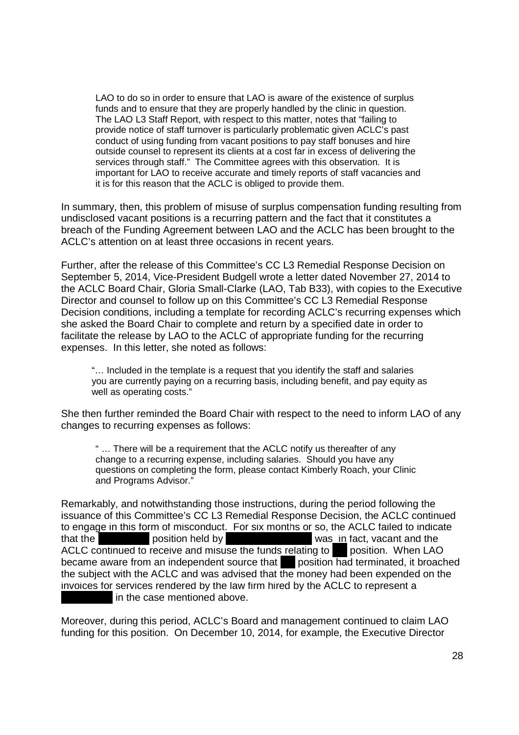LAO to do so in order to ensure that LAO is aware of the existence of surplus LAO to do so in order to ensure that LAO is aware of the existence of surplus funds and to ensure that they are properly handled by the clinic in question. funds and to ensure that they are properly handled by the clinic in question. The LAO L3 Staff Report, with respect to this matter, notes that "failing to The LAO L3 Staff Report, with respect to this matter, notes that ''failing to provide notice of staff turnover is particularly problematic given ACLC's past provide notice of staff turnover is particularly problematic given ACLC's past conduct of using funding from vacant positions to pay staff bonuses and hire conduct of using funding from vacant positions to pay staff bonuses and hire outside counsel to represent its clients at a cost far in excess of delivering the services through staff." The Committee agrees with this observation. It is important for LAO to receive accurate and timely reports of staff vacancies and important for LAO to receive accurate and timely reports of staff vacancies and it is for this reason that the ACLC is obliged to provide them. it is for this reason that the ACLC is obliged to provide them.

In summary, then, this problem of misuse of surplus compensation funding resulting from In summary, then, this problem of misuse of surplus compensation funding resulting from undisclosed vacant positions is a recurring pattern and the fact that it constitutes a undisclosed vacant positions is a recurring pattern and the fact that it constitutes a breach of the Funding Agreement between LAO and the ACLC has been brought to the breach of the Funding Agreement between LAO and the ACLC has been brought to the ACLC's attention on at least three occasions in recent years. ACLC's attention on at least three occasions in recent years.

Further, after the release of this Committee's CC L3 Remedial Response Decision on Further, after the release of this Committee's CC L3 Remedial Response Decision on September 5, 2014, Vice-President Budgell wrote a letter dated November 27, 2014 to September 5, 2014, Vice—President Budgell wrote a letter dated November 27, 2014 to the ACLC Board Chair, Gloria Small-Clarke (LAO, Tab B33), with copies to the Executive Director and counsel to follow up on this Committee's CC L3 Remedial Response Director and counsel to follow up on this Committee's CC L3 Remedial Response Decision conditions, including a template for recording ACLC's recurring expenses which Decision conditions, including a template for recording ACLC's recurring expenses which she asked the Board Chair to complete and return by a specified date in order to she asked the Board Chair to complete and return by a specified date in order to facilitate the release by LAO to the ACLC of appropriate funding for the recurring facilitate the release by LAO to the ACLC of appropriate funding for the recurring expenses. In this letter, she noted as follows: expenses. In this letter, she noted as follows:

"… Included in the template is a request that you identify the staff and salaries you are currently paying on a recurring basis, including benefit, and pay equity as you are currently paying on a recurring basis, including benefit, and pay equity as well as operating costs." well as operating costs."

She then further reminded the Board Chair with respect to the need to inform LAO of any She then further reminded the Board Chair with respect to the need to inform LAO of any changes to recurring expenses as follows: changes to recurring expenses as follows:

" … There will be a requirement that the ACLC notify us thereafter of any " change to a recurring expense, including salaries. Should you have any change to a recurring expense, including salaries. Should you have any questions on completing the form, please contact Kimberly Roach, your Clinic questions on completing the form, please contact Kimberly Roach, your Clinic and Programs Advisor." and Programs Advisor."

Remarkably, and notwithstanding those instructions, during the period following the Remarkably, and notwithstanding those instructions, during the period following the issuance of this Committee's CC L3 Remedial Response Decision, the ACLC continued issuance of this Committee's CC L3 Remedial Response Decision, the ACLC continued to engage in this form of misconduct. For six months or so, the ACLC failed to indicate that the **position held by** was in fact, vacant and the ACLC continued to receive and misuse the funds relating to position. When LAO became aware from an independent source that position had terminated, it broached the subject with the ACLC and was advised that the money had been expended on the the subject with the ACLC and was advised that the money had been expended on the invoices for services rendered by the law firm hired by the ACLC to represent a invoices for services rendered by the law firm hired by the ACLC to represent a in the case mentioned above. in the case mentioned above.

Moreover, during this period, ACLC's Board and management continued to claim LAO Moreover, during this period, ACLC's Board and management continued to claim LAO funding for this position. On December 10, 2014, for example, the Executive Director funding for this position. On December 10, 2014, for example, the Executive Director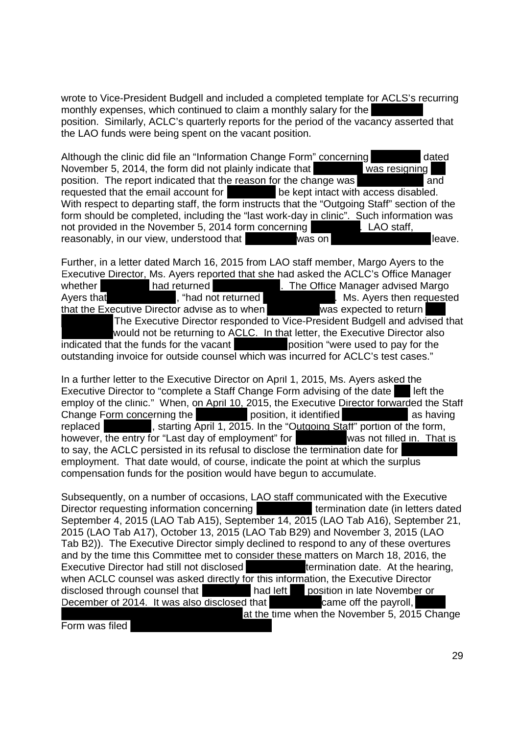wrote to Vice-President Budgell and included a completed template for ACLS's recurring monthly expenses, which continued to claim a monthly salary for the monthly expenses, which continued to claim a monthly salary for the position. Similarly, ACLC's quarterly reports for the period of the vacancy asserted that position. Similarly, ACLC's quarterly reports for the period of the vacancy asserted that the LAO funds were being spent on the vacant position. the LAO funds were being spent on the vacant position.

Although the clinic did file an "Information Change Form" concerning dated November 5, 2014, the form did not plainly indicate that was resigning position. The report indicated that the reason for the change was **and** and requested that the email account for **be kept intact with access disabled.** With respect to departing staff, the form instructs that the "Outgoing Staff" section of the With respect to departing staff, the form instructs that the "Outgoing Staff' section of the form should be completed, including the "last work-day in clinic". Such information was not provided in the November 5, 2014 form concerning **LAO** staff, reasonably, in our view, understood that was on leave.

Further, in a letter dated March 16, 2015 from LAO staff member, Margo Ayers to the Further, in a letter dated March 16, 2015 from LAO staff member, Margo Ayers to the Executive Director, Ms. Ayers reported that she had asked the ACLC's Office Manager Executive Director, Ms. Ayers reported that she had asked the ACLC's Office Manager whether **had returned**  . The Office Manager advised Margo **whether** Ayers that **Audiometer 1.** Thad not returned **Accord Manufally** Ms. Ayers then requested that the Executive Director advise as to when was expected to return The Executive Director responded to Vice-President Budgell and advised that The Executive Director responded to Vice—President Budgell and advised that would not be returning to ACLC. In that letter, the Executive Director also indicated that the funds for the vacant **position** "were used to pay for the outstanding invoice for outside counsel which was incurred for ACLC's test cases."

In a further letter to the Executive Director on April 1, 2015, Ms. Ayers asked the Executive Director to "complete a Staff Change Form advising of the date left the employ of the clinic." When, on April 10, 2015, the Executive Director forwarded the Staff Change Form concerning the position, it identified as having replaced **the starting April 1, 2015.** In the "Outgoing Staff" portion of the form, however, the entry for "Last day of employment" for was not filled in. That is to say, the ACLC persisted in its refusal to disclose the termination date for to say, the ACLC persisted in its refusal to disclose the termination date for employment. That date would, of course, indicate the point at which the surplus employment. That date would, of course, indicate the point at which the surplus compensation funds for the position would have begun to accumulate. compensation funds for the position would have begun to accumulate.

Subsequently, on a number of occasions, LAO staff communicated with the Executive Director requesting information concerning **the example of termination date (in letters dated** September 4, 2015 (LAO Tab A15), September 14, 2015 (LAO Tab A16), September 21, September 4, 2015 (LAO Tab A15), September 14, 2015 (LAO Tab A16), September 21, 2015 (LAO Tab A17), October 13, 2015 (LAO Tab B29) and November 3, 2015 (LAO 2015 (LAO Tab A17), October 13, 2015 (LAO Tab B29) and November 3, 2015 (LAO Tab B2)). The Executive Director simply declined to respond to any of these overtures Tab B2)). The Executive Director simply declined to respond to any of these overtures and by the time this Committee met to consider these matters on March 18, 2016, the Executive Director had still not disclosed **the set all termination date.** At the hearing, when ACLC counsel was asked directly for this information, the Executive Director disclosed through counsel that **had left** position in late November or December of 2014. It was also disclosed that came off the payroll, at the time when the November 5, 2015 Change

Form was filed Form was filed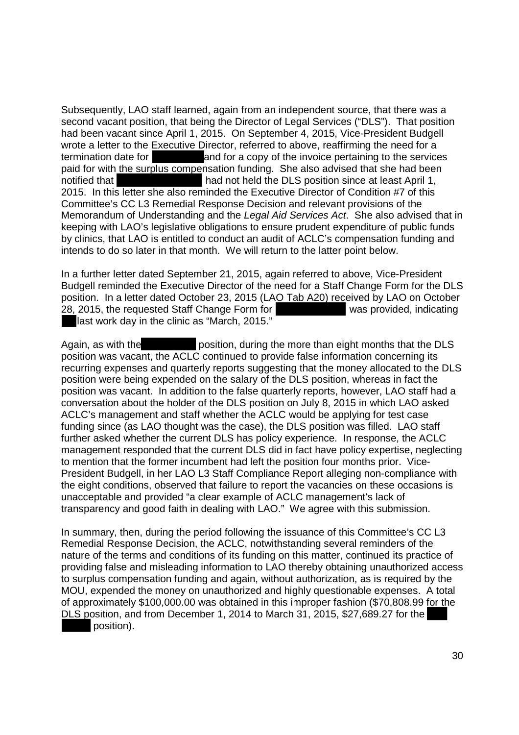Subsequently, LAO staff learned, again from an independent source, that there was a Subsequently, LAO staff learned, again from an independent source, that there was a second vacant position, that being the Director of Legal Services ("DLS"). That position second vacant position, that being the Director of Legal Services ("DLS"). That position had been vacant since April 1, 2015. On September 4, 2015, Vice-President Budgell had been vacant since April 1, 2015. On September 4, 2015, Vice—President Budgell wrote a letter to the Executive Director, referred to above, reaffirming the need for a termination date for **the set and for a copy of the invoice pertaining to the services** paid for with the surplus compensation funding. She also advised that she had been notified that **had not held the DLS position since at least April 1**, 2015. In this letter she also reminded the Executive Director of Condition #7 of this 2015. In this letter she also reminded the Executive Director of Condition #7 of this Committee's CC L3 Remedial Response Decision and relevant provisions of the Committee's CC L3 Remedial Response Decision and relevant provisions of the Memorandum of Understanding and the Legal Aid Services Act. She also advised that in Memorandum of Understanding and the Legal Aid Services Act. She also advised that in keeping with LAO's legislative obligations to ensure prudent expenditure of public funds keeping with LAO's legislative obligations to ensure prudent expenditure of public funds by clinics, that LAO is entitled to conduct an audit of ACLC's compensation funding and by clinics, that LAO is entitled to conduct an audit of ACLC's compensation funding and intends to do so later in that month. We will return to the latter point below. intends to do so later in that month. We will return to the latter point below.

In a further letter dated September 21, 2015, again referred to above, Vice-President In a further letter dated September 21, 2015, again referred to above, Vice—President Budgell reminded the Executive Director of the need for a Staff Change Form for the DLS Budgell reminded the Executive Director of the need for a Staff Change Form for the DLS position. In a letter dated October 23, 2015 (LAO Tab A20) received by LAO on October 28, 2015, the requested Staff Change Form for was provided, indicating last work day in the clinic as "March, 2015." last work day in the clinic as "March, 2015."

Again, as with the **position**, during the more than eight months that the DLS position was vacant, the ACLC continued to provide false information concerning its position was vacant, the ACLC continued to provide false information concerning its recurring expenses and quarterly reports suggesting that the money allocated to the DLS recurring expenses and quarterly reports suggesting that the money allocated to the DLS position were being expended on the salary of the DLS position, whereas in fact the position were being expended on the salary of the DLS position, whereas in fact the position was vacant. In addition to the false quarterly reports, however, LAO staff had a position was vacant. In addition to the false quarterly reports, however, LAO staff had a conversation about the holder of the DLS position on July 8, 2015 in which LAO asked conversation about the holder of the DLS position on July 8, 2015 in which LAO asked ACLC's management and staff whether the ACLC would be applying for test case ACLC's management and staff whether the ACLC would be applying for test case funding since (as LAO thought was the case), the DLS position was filled. LAO staff funding since (as LAO thought was the case), the DLS position was filled. LAO staff further asked whether the current DLS has policy experience. In response, the ACLC further asked whether the current DLS has policy experience. In response, the ACLC management responded that the current DLS did in fact have policy expertise, neglecting management responded that the current DLS did in fact have policy expertise, neglecting to mention that the former incumbent had left the position four months prior. Vice-to mention that the former incumbent had left the position four months prior. Vice-President Budgell, in her LAO L3 Staff Compliance Report alleging non-compliance with President Budgell, in her LAO L3 Staff Compliance Report alleging non-compliance with the eight conditions, observed that failure to report the vacancies on these occasions is the eight conditions, observed that failure to report the vacancies on these occasions is unacceptable and provided "a clear example of ACLC management's lack of unacceptable and provided "a clear example of ACLC management's lack of transparency and good faith in dealing with LAO." We agree with this submission. transparency and good faith in dealing with LAO." We agree with this submission.

In summary, then, during the period following the issuance of this Committee's CC L3 In summary, then, during the period following the issuance of this Committee's CC L3 Remedial Response Decision, the ACLC, notwithstanding several reminders of the Remedial Response Decision, the ACLC, notwithstanding several reminders of the nature of the terms and conditions of its funding on this matter, continued its practice of nature of the terms and conditions of its funding on this matter, continued its practice of providing false and misleading information to LAO thereby obtaining unauthorized access providing false and misleading information to LAO thereby obtaining unauthorized access to surplus compensation funding and again, without authorization, as is required by the to surplus compensation funding and again, without authorization, as is required by the MOU, expended the money on unauthorized and highly questionable expenses. A total MOU, expended the money on unauthorized and highly questionable expenses. A total of approximately \$100,000.00 was obtained in this improper fashion (\$70,808.99 for the DLS position, and from December 1, 2014 to March 31, 2015, \$27,689.27 for the DLS position, and from December 1, 2014 to March 31, 2015, \$27,689.27 for the position). position).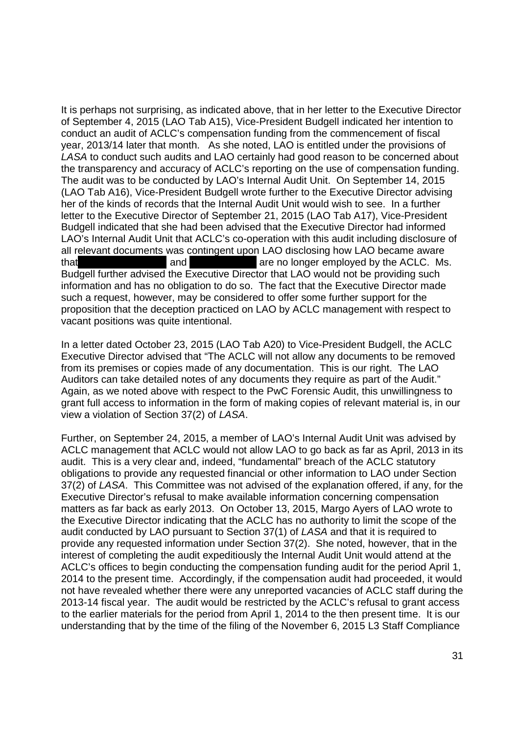It is perhaps not surprising, as indicated above, that in her letter to the Executive Director It is perhaps not surprising, as indicated above, that in her letter to the Executive Director of September 4, 2015 (LAO Tab A15), Vice-President Budgell indicated her intention to of September 4, 2015 (LAO Tab A15), Vice—President Budgell indicated her intention to conduct an audit of ACLC's compensation funding from the commencement of fiscal conduct an audit of ACLC's compensation funding from the commencement of fiscal year, 2013/14 later that month. As she noted, LAO is entitled under the provisions of year, 2013/14 later that month. As she noted, LAO is entitled under the provisions of LASA to conduct such audits and LAO certainly had good reason to be concerned about LASA to conduct such audits and LAO certainly had good reason to be concerned about the transparency and accuracy of ACLC's reporting on the use of compensation funding. the transparency and accuracy of ACLC's reporting on the use of compensation funding. The audit was to be conducted by LAO's Internal Audit Unit. On September 14, 2015 The audit was to be conducted by LAO's Internal Audit Unit. On September 14, 2015 (LAO Tab A16), Vice-President Budgell wrote further to the Executive Director advising (LAO Tab A16), Vice—President Budgell wrote further to the Executive Director advising her of the kinds of records that the Internal Audit Unit would wish to see. In a further her of the kinds of records that the Internal Audit Unit would wish to see. In a further letter to the Executive Director of September 21, 2015 (LAO Tab A17), Vice-President Budgell indicated that she had been advised that the Executive Director had informed Budgell indicated that she had been advised that the Executive Director had informed LAO's Internal Audit Unit that ACLC's co-operation with this audit including disclosure of all relevant documents was contingent upon LAO disclosing how LAO became aware that and and are no longer employed by the ACLC. Ms. Budgell further advised the Executive Director that LAO would not be providing such Budgell further advised the Executive Director that LAO would not be providing such information and has no obligation to do so. The fact that the Executive Director made information and has no obligation to do so. The fact that the Executive Director made such a request, however, may be considered to offer some further support for the such a request, however, may be considered to offer some further support for the proposition that the deception practiced on LAO by ACLC management with respect to proposition that the deception practiced on LAO by ACLC management with respect to vacant positions was quite intentional. vacant positions was quite intentional.

In a letter dated October 23, 2015 (LAO Tab A20) to Vice-President Budgell, the ACLC In a letter dated October 23, 2015 (LAO Tab A20) to Vice—President Budgell, the ACLC Executive Director advised that "The ACLC will not allow any documents to be removed Executive Director advised that "The ACLC will not allow any documents to be removed from its premises or copies made of any documentation. This is our right. The LAO from its premises or copies made of any documentation. This is our right. The LAO Auditors can take detailed notes of any documents they require as part of the Audit." Auditors can take detailed notes of any documents they require as part of the Audit." Again, as we noted above with respect to the PwC Forensic Audit, this unwillingness to Again, as we noted above with respect to the PwC Forensic Audit, this unwillingness to grant full access to information in the form of making copies of relevant material is, in our grant full access to information in the form of making copies of relevant material is, in our view a violation of Section 37(2) of LASA. view a violation of Section 37(2) of LASA.

Further, on September 24, 2015, a member of LAO's Internal Audit Unit was advised by Further, on September 24, 2015, a member of LAO's Internal Audit Unit was advised by ACLC management that ACLC would not allow LAO to go back as far as April, 2013 in its ACLC management that ACLC would not allow LAO to go back as far as April, 2013 in its audit. This is a very clear and, indeed, "fundamental" breach of the ACLC statutory audit. This is a very clear and, indeed, "fundamental" breach of the ACLC statutory obligations to provide any requested financial or other information to LAO under Section obligations to provide any requested financial or other information to LAO under Section 37(2) of LASA. This Committee was not advised of the explanation offered, if any, for the 37(2) of LASA. This Committee was not advised of the explanation offered, if any, for the Executive Director's refusal to make available information concerning compensation Executive Director's refusal to make available information concerning compensation matters as far back as early 2013. On October 13, 2015, Margo Ayers of LAO wrote to matters as far back as early 2013. On October 13, 2015, Margo Ayers of LAO wrote to the Executive Director indicating that the ACLC has no authority to limit the scope of the the Executive Director indicating that the ACLC has no authority to limit the scope of the audit conducted by LAO pursuant to Section 37(1) of LASA and that it is required to provide any requested information under Section 37(2). She noted, however, that in the provide any requested information under Section 37(2). She noted, however, that in the interest of completing the audit expeditiously the Internal Audit Unit would attend at the interest of completing the audit expeditiously the Internal Audit Unit would attend at the ACLC's offices to begin conducting the compensation funding audit for the period April 1, ACLC's offices to begin conducting the compensation funding audit for the period April 1, 2014 to the present time. Accordingly, if the compensation audit had proceeded, it would 2014 to the present time. Accordingly, if the compensation audit had proceeded, it would not have revealed whether there were any unreported vacancies of ACLC staff during the not have revealed whether there were any unreported vacancies of ACLC staff during the 2013-14 fiscal year. The audit would be restricted by the ACLC's refusal to grant access 2013-14 fiscal year. The audit would be restricted by the ACLC's refusal to grant access to the earlier materials for the period from April 1, 2014 to the then present time. It is our to the earlier materials for the period from April 1, 2014 to the then present time. It is our understanding that by the time of the filing of the November 6, 2015 L3 Staff Compliance understanding that by the time of the filing of the November 6, 2015 L3 Staff Compliance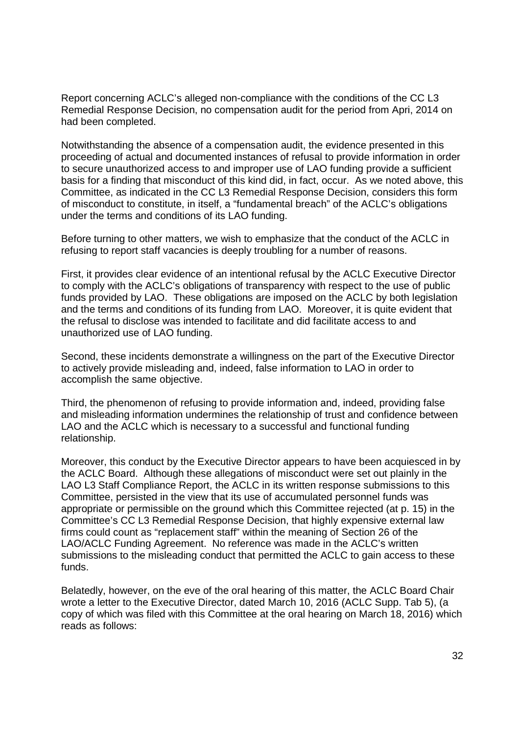Report concerning ACLC's alleged non-compliance with the conditions of the CC L3 Remedial Response Decision, no compensation audit for the period from Apri, 2014 on Remedial Response Decision, no compensation audit for the period from Apri, 2014 on had been completed. had been completed.

Notwithstanding the absence of a compensation audit, the evidence presented in this Notwithstanding the absence of a compensation audit, the evidence presented in this proceeding of actual and documented instances of refusal to provide information in order proceeding of actual and documented instances of refusal to provide information in order to secure unauthorized access to and improper use of LAO funding provide a sufficient to secure unauthorized access to and improper use of LAO funding provide a sufficient basis for a finding that misconduct of this kind did, in fact, occur. As we noted above, this basis for a finding that misconduct of this kind did, in fact, occur. As we noted above, this Committee, as indicated in the CC L3 Remedial Response Decision, considers this form Committee, as indicated in the CC L3 Remedial Response Decision, considers this form of misconduct to constitute, in itself, a "fundamental breach" of the ACLC's obligations of misconduct to constitute, in itself, a "fundamental breach" of the ACLC's obligations under the terms and conditions of its LAO funding. under the terms and conditions of its LAO funding.

Before turning to other matters, we wish to emphasize that the conduct of the ACLC in Before turning to other matters, we wish to emphasize that the conduct of the ACLC in refusing to report staff vacancies is deeply troubling for a number of reasons. refusing to report staff vacancies is deeply troubling for a number of reasons.

First, it provides clear evidence of an intentional refusal by the ACLC Executive Director First, it provides clear evidence of an intentional refusal by the ACLC Executive Director to comply with the ACLC's obligations of transparency with respect to the use of public to comply with the ACLC's obligations of transparency with respect to the use of public funds provided by LAO. These obligations are imposed on the ACLC by both legislation funds provided by LAO. These obligations are imposed on the ACLC by both legislation and the terms and conditions of its funding from LAO. Moreover, it is quite evident that and the terms and conditions of its funding from LAO. Moreover, it is quite evident that the refusal to disclose was intended to facilitate and did facilitate access to and the refusal to disclose was intended to facilitate and did facilitate access to and unauthorized use of LAO funding. unauthorized use of LAO funding.

Second, these incidents demonstrate a willingness on the part of the Executive Director Second, these incidents demonstrate a willingness on the part of the Executive Director to actively provide misleading and, indeed, false information to LAO in order to accomplish the same objective. accomplish the same objective.

Third, the phenomenon of refusing to provide information and, indeed, providing false Third, the phenomenon of refusing to provide information and, indeed, providing false and misleading information undermines the relationship of trust and confidence between and misleading information undermines the relationship of trust and confidence between LAO and the ACLC which is necessary to a successful and functional funding LAO and the ACLC which is necessary to a successful and functional funding relationship. relationship.

Moreover, this conduct by the Executive Director appears to have been acquiesced in by Moreover, this conduct by the Executive Director appears to have been acquiesced in by the ACLC Board. Although these allegations of misconduct were set out plainly in the the ACLC Board. Although these allegations of misconduct were set out plainly in the LAO L3 Staff Compliance Report, the ACLC in its written response submissions to this LAO L3 Staff Compliance Report, the ACLC in its written response submissions to this Committee, persisted in the view that its use of accumulated personnel funds was Committee, persisted in the view that its use of accumulated personnel funds was appropriate or permissible on the ground which this Committee rejected (at p. 15) in the appropriate or permissible on the ground which this Committee rejected (at p. 15) in the Committee's CC L3 Remedial Response Decision, that highly expensive external law Committee's CC L3 Remedial Response Decision, that highly expensive external law firms could count as "replacement staff" within the meaning of Section 26 of the firms could count as "replacement staff' within the meaning of Section 26 of the LAO/ACLC Funding Agreement. No reference was made in the ACLC's written LAO/ACLC Funding Agreement. No reference was made in the ACLC's written submissions to the misleading conduct that permitted the ACLC to gain access to these submissions to the misleading conduct that permitted the ACLC to gain access to these funds. funds.

Belatedly, however, on the eve of the oral hearing of this matter, the ACLC Board Chair Belatedly, however, on the eve of the oral hearing of this matter, the ACLC Board Chair wrote a letter to the Executive Director, dated March 10, 2016 (ACLC Supp. Tab 5), (a wrote a letter to the Executive Director, dated March 10, 2016 (ACLC Supp. Tab 5), (a copy of which was filed with this Committee at the oral hearing on March 18, 2016) which copy of which was filed with this Committee at the oral hearing on March 18, 2016) which reads as follows: reads as follows: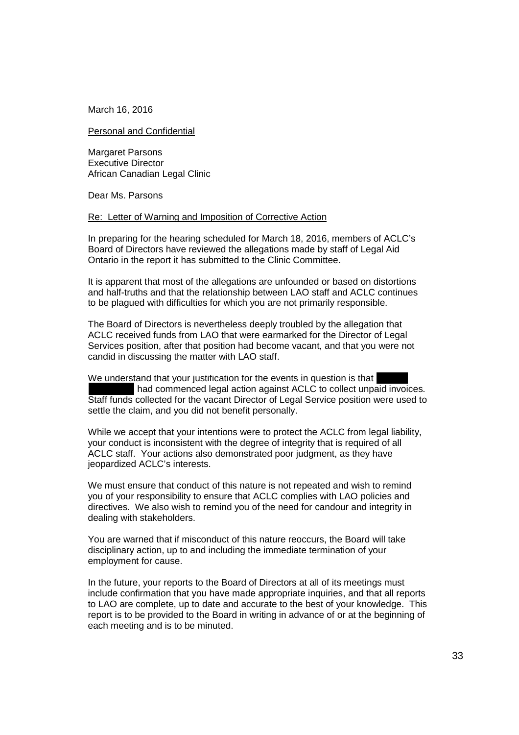March 16, 2016 March 16,2016

Personal and Confidential Personal and Confidential

Margaret Parsons Margaret Parsons Executive Director Executive Director African Canadian Legal Clinic African Canadian Legal Clinic

Dear Ms. Parsons Dear Ms. Parsons

#### Re: Letter of Warning and Imposition of Corrective Action Re: Letter of Warning and Imposition of Corrective Action

In preparing for the hearing scheduled for March 18, 2016, members of ACLC's In preparing for the hearing scheduled for March 18, 2016, members of ACLC's Board of Directors have reviewed the allegations made by staff of Legal Aid Board of Directors have reviewed the allegations made by staff of Legal Aid Ontario in the report it has submitted to the Clinic Committee. Ontario in the report it has submitted to the Clinic Committee.

It is apparent that most of the allegations are unfounded or based on distortions It is apparent that most of the allegations are unfounded or based on distortions and half-truths and that the relationship between LAO staff and ACLC continues and half-truths and that the relationship between LAO staff and ACLC continues to be plagued with difficulties for which you are not primarily responsible. to be plagued with difficulties for which you are not primarily responsible.

The Board of Directors is nevertheless deeply troubled by the allegation that The Board of Directors is nevertheless deeply troubled by the allegation that ACLC received funds from LAO that were earmarked for the Director of Legal ACLC received funds from LAO that were earmarked for the Director of Legal Services position, after that position had become vacant, and that you were not Services position, after that position had become vacant, and that you were not candid in discussing the matter with LAO staff. candid in discussing the matter with LAO staff.

We understand that your justification for the events in question is that We understand that your justification for the events in question is that had commenced legal action against ACLC to collect unpaid invoices. had commenced legal action against ACLC to collect unpaid invoices. Staff funds collected for the vacant Director of Legal Service position were used to Staff funds collected for the vacant Director of Legal Service position were used to settle the claim, and you did not benefit personally. settle the claim, and you did not benefit personally.

While we accept that your intentions were to protect the ACLC from legal liability, While we accept that your intentions were to protect the ACLC from legal liability, your conduct is inconsistent with the degree of integrity that is required of all your conduct is inconsistent with the degree of integrity that is required of all ACLC staff. Your actions also demonstrated poor judgment, as they have ACLC staff. Your actions also demonstrated poor judgment, as they have jeopardized ACLC's interests. jeopardized ACLC's interests.

We must ensure that conduct of this nature is not repeated and wish to remind We must ensure that conduct of this nature is not repeated and wish to remind you of your responsibility to ensure that ACLC complies with LAO policies and you of your responsibility to ensure that ACLC complies with LAO policies and directives. We also wish to remind you of the need for candour and integrity in directives. We also wish to remind you of the need for candour and integrity in dealing with stakeholders. dealing with stakeholders.

You are warned that if misconduct of this nature reoccurs, the Board will take You are warned that if misconduct of this nature reoccurs, the Board will take disciplinary action, up to and including the immediate termination of your disciplinary action, up to and including the immediate termination of your employment for cause. employment for cause.

In the future, your reports to the Board of Directors at all of its meetings must In the future, your reports to the Board of Directors at all of its meetings must include confirmation that you have made appropriate inquiries, and that all reports include confirmation that you have made appropriate inquiries, and that all reports to LAO are complete, up to date and accurate to the best of your knowledge. This to LAO are complete, up to date and accurate to the best of your knowledge. This report is to be provided to the Board in writing in advance of or at the beginning of report is to be provided to the Board in writing in advance of or at the beginning of each meeting and is to be minuted. each meeting and is to be minuted.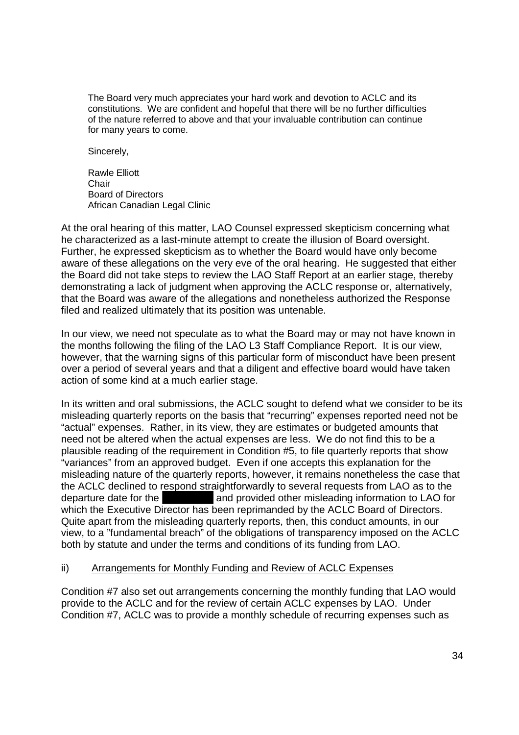The Board very much appreciates your hard work and devotion to ACLC and its The Board very much appreciates your hard work and devotion to ACLC and its constitutions. We are confident and hopeful that there will be no further difficulties constitutions. We are confident and hopeful that there will be no further difficulties of the nature referred to above and that your invaluable contribution can continue of the nature referred to above and that your invaluable contribution can continue for many years to come. for many years to come.

Sincerely, Sincerely,

Rawle Elliott Rawle Elliott Chair Chair Board of Directors Board of Directors African Canadian Legal Clinic African Canadian Legal Clinic

At the oral hearing of this matter, LAO Counsel expressed skepticism concerning what At the oral hearing of this matter, LAO Counsel expressed skepticism concerning what he characterized as a last-minute attempt to create the illusion of Board oversight. Further, he expressed skepticism as to whether the Board would have only become Further, he expressed skepticism as to whether the Board would have only become aware of these allegations on the very eve of the oral hearing. He suggested that either aware of these allegations on the very eve of the oral hearing. He suggested that either the Board did not take steps to review the LAO Staff Report at an earlier stage, thereby the Board did not take steps to review the LAO Staff Report at an earlier stage, thereby demonstrating a lack of judgment when approving the ACLC response or, alternatively, demonstrating a lack of judgment when approving the ACLC response or, alternatively, that the Board was aware of the allegations and nonetheless authorized the Response that the Board was aware of the allegations and nonetheless authorized the Response filed and realized ultimately that its position was untenable. filed and realized ultimately that its position was untenable.

In our view, we need not speculate as to what the Board may or may not have known in In our view, we need not speculate as to what the Board may or may not have known in the months following the filing of the LAO L3 Staff Compliance Report. It is our view, the months following the filing of the LAO L3 Staff Compliance Report. It is our view, however, that the warning signs of this particular form of misconduct have been present however, that the warning signs of this particular form of misconduct have been present over a period of several years and that a diligent and effective board would have taken action of some kind at a much earlier stage. action of some kind at a much earlier stage.

In its written and oral submissions, the ACLC sought to defend what we consider to be its In its written and oral submissions, the ACLC sought to defend what we consider to be its misleading quarterly reports on the basis that "recurring" expenses reported need not be misleading quarterly reports on the basis that "recurring" expenses reported need not be "actual" expenses. Rather, in its view, they are estimates or budgeted amounts that "actual" expenses. Rather, in its view, they are estimates or budgeted amounts that need not be altered when the actual expenses are less. We do not find this to be a plausible reading of the requirement in Condition #5, to file quarterly reports that show plausible reading of the requirement in Condition #5, to file quarterly reports that show "variances" from an approved budget. Even if one accepts this explanation for the "variances" from an approved budget. Even if one accepts this explanation for the misleading nature of the quarterly reports, however, it remains nonetheless the case that misleading nature of the quarterly reports, however, it remains nonetheless the case that the ACLC declined to respond straightforwardly to several requests from LAO as to the departure date for the **and provided other misleading information to LAO for** which the Executive Director has been reprimanded by the ACLC Board of Directors. which the Executive Director has been reprimanded by the ACLC Board of Directors. Quite apart from the misleading quarterly reports, then, this conduct amounts, in our Quite apart from the misleading quarterly reports, then, this conduct amounts, in our view, to a "fundamental breach" of the obligations of transparency imposed on the ACLC view, to a ''fundamental breach" of the obligations of transparency imposed on the ACLC both by statute and under the terms and conditions of its funding from LAO. both by statute and under the terms and conditions of its funding from LAO.

#### ii) Arrangements for Monthly Funding and Review of ACLC Expenses

Condition #7 also set out arrangements concerning the monthly funding that LAO would Condition #7 also set out arrangements concerning the monthly funding that LAO would provide to the ACLC and for the review of certain ACLC expenses by LAO. Under provide to the ACLC and for the review of certain ACLC expenses by LAO. Under Condition #7, ACLC was to provide a monthly schedule of recurring expenses such as Condition #7, ACLC was to provide a monthly schedule of recurring expenses such as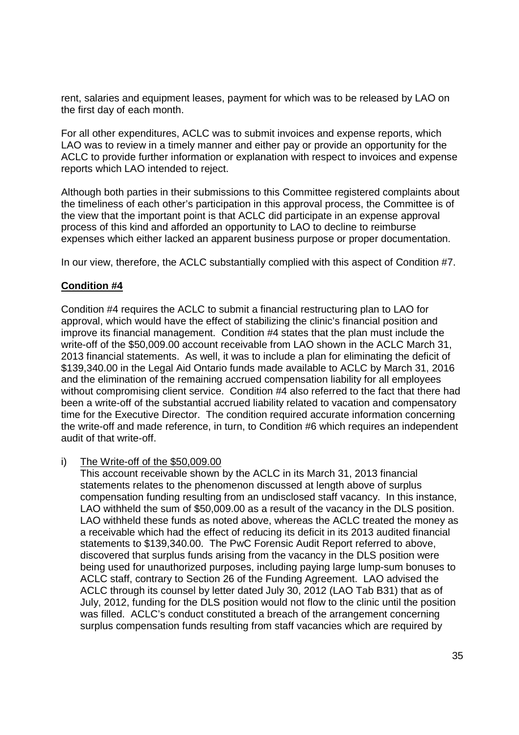rent, salaries and equipment leases, payment for which was to be released by LAO on rent, salaries and equipment leases, payment for which was to be released by LAO on the first day of each month. the first day of each month.

For all other expenditures, ACLC was to submit invoices and expense reports, which For all other expenditures, ACLC was to submit invoices and expense reports, which LAO was to review in a timely manner and either pay or provide an opportunity for the LAO was to review in a timely manner and either pay or provide an opportunity for the ACLC to provide further information or explanation with respect to invoices and expense ACLC to provide further information or explanation with respect to invoices and expense reports which LAO intended to reject. reports which LAO intended to reject.

Although both parties in their submissions to this Committee registered complaints about Although both parties in their submissions to this Committee registered complaints about the timeliness of each other's participation in this approval process, the Committee is of the timeliness of each other's participation in this approval process, the Committee is of the view that the important point is that ACLC did participate in an expense approval the view that the important point is that ACLC did participate in an expense approval process of this kind and afforded an opportunity to LAO to decline to reimburse process of this kind and afforded an opportunity to LAO to decline to reimburse expenses which either lacked an apparent business purpose or proper documentation. expenses which either lacked an apparent business purpose or proper documentation.

In our view, therefore, the ACLC substantially complied with this aspect of Condition #7. In our view, therefore, the ACLC substantially complied with this aspect of Condition #7.

#### **Condition #4** Condition #4

Condition #4 requires the ACLC to submit a financial restructuring plan to LAO for Condition #4 requires the ACLC to submit a financial restructuring plan to LAO for approval, which would have the effect of stabilizing the clinic's financial position and improve its financial management. Condition #4 states that the plan must include the improve its financial management. Condition #4 states that the plan must include the write-off of the \$50,009.00 account receivable from LAO shown in the ACLC March 31, 2013 financial statements. As well, it was to include a plan for eliminating the deficit of 2013 financial statements. As well, it was to include a plan for eliminating the deficit of \$139,340.00 in the Legal Aid Ontario funds made available to ACLC by March 31, 2016 \$139,340.00 in the Legal Aid Ontario funds made available to ACLC by March 31, 2016 and the elimination of the remaining accrued compensation liability for all employees and the elimination of the remaining accrued compensation liability for all employees without compromising client service. Condition #4 also referred to the fact that there had without compromising client service. Condition #4 also referred to the fact that there had been a write-off of the substantial accrued liability related to vacation and compensatory time for the Executive Director. The condition required accurate information concerning time for the Executive Director. The condition required accurate information concerning the write-off and made reference, in turn, to Condition #6 which requires an independent audit of that write-off. audit of that write—off.

#### i) The Write-off of the \$50,009.00 i) The Write-off of the \$50,009.00

This account receivable shown by the ACLC in its March 31, 2013 financial This account receivable shown by the ACLC in its March 31, 2013 financial statements relates to the phenomenon discussed at length above of surplus statements relates to the phenomenon discussed at length above of surplus compensation funding resulting from an undisclosed staff vacancy. In this instance, compensation funding resulting from an undisclosed staff vacancy. In this instance, LAO withheld the sum of \$50,009.00 as a result of the vacancy in the DLS position. LAO withheld the sum of \$50,009.00 as a result of the vacancy in the DLS position. LAO withheld these funds as noted above, whereas the ACLC treated the money as LAO withheld these funds as noted above, whereas the ACLC treated the money as a receivable which had the effect of reducing its deficit in its 2013 audited financial a receivable which had the effect of reducing its deficit in its 2013 audited financial statements to \$139,340.00. The PwC Forensic Audit Report referred to above, statements to \$139,340.00. The PwC Forensic Audit Report referred to above, discovered that surplus funds arising from the vacancy in the DLS position were discovered that surplus funds arising from the vacancy in the DLS position were being used for unauthorized purposes, including paying large lump-sum bonuses to being used for unauthorized purposes, including paying large |ump—sum bonuses to ACLC staff, contrary to Section 26 of the Funding Agreement. LAO advised the ACLC staff, contrary to Section 26 of the Funding Agreement. LAO advised the ACLC through its counsel by letter dated July 30, 2012 (LAO Tab B31) that as of ACLC through its counsel by letter dated July 30, 2012 (LAO Tab B31) that as of July, 2012, funding for the DLS position would not flow to the clinic until the position July, 2012, funding for the DLS position would not flow to the clinic until the position was filled. ACLC's conduct constituted a breach of the arrangement concerning was filled. ACLC's conduct constituted a breach of the arrangement concerning surplus compensation funds resulting from staff vacancies which are required by surplus compensation funds resulting from staff vacancies which are required by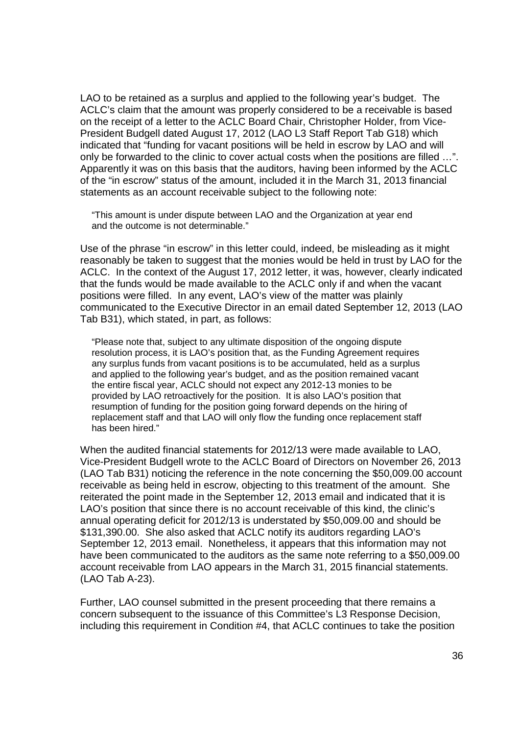LAO to be retained as a surplus and applied to the following year's budget. The LAO to be retained as a surplus and applied to the following year's budget. The ACLC's claim that the amount was properly considered to be a receivable is based ACLC's claim that the amount was properly considered to be a receivable is based on the receipt of a letter to the ACLC Board Chair, Christopher Holder, from Vice-President Budgell dated August 17, 2012 (LAO L3 Staff Report Tab G18) which President Budgell dated August 17, 2012 (LAO L3 Staff Report Tab G18) which indicated that "funding for vacant positions will be held in escrow by LAO and will indicated that "funding for vacant positions will be held in escrow by LAO and will only be forwarded to the clinic to cover actual costs when the positions are filled ...". Apparently it was on this basis that the auditors, having been informed by the ACLC Apparently it was on this basis that the auditors, having been informed by the ACLC of the "in escrow" status of the amount, included it in the March 31, 2013 financial of the "in escrow" status of the amount, included it in the March 31, 2013 financial statements as an account receivable subject to the following note: statements as an account receivable subject to the following note:

"This amount is under dispute between LAO and the Organization at year end "This amount is under dispute between LAO and the Organization at year end and the outcome is not determinable." and the outcome is not determinable."

Use of the phrase "in escrow" in this letter could, indeed, be misleading as it might Use of the phrase "in escrow" in this letter could, indeed, be misleading as it might reasonably be taken to suggest that the monies would be held in trust by LAO for the reasonably be taken to suggest that the monies would be held in trust by LAO for the ACLC. In the context of the August 17, 2012 letter, it was, however, clearly indicated ACLC. In the context of the August 17, 2012 letter, it was, however, clearly indicated that the funds would be made available to the ACLC only if and when the vacant that the funds would be made available to the ACLC only if and when the vacant positions were filled. In any event, LAO's view of the matter was plainly positions were filled. In any event, LAO's view of the matter was plainly communicated to the Executive Director in an email dated September 12, 2013 (LAO communicated to the Executive Director in an email dated September 12, 2013 (LAO Tab B31), which stated, in part, as follows: Tab B31 ), which stated, in part, as follows:

"Please note that, subject to any ultimate disposition of the ongoing dispute "Please note that, subject to any ultimate disposition of the ongoing dispute resolution process, it is LAO's position that, as the Funding Agreement requires resolution process, it is LAO's position that, as the Funding Agreement requires any surplus funds from vacant positions is to be accumulated, held as a surplus any surplus funds from vacant positions is to be accumulated, held as a surplus and applied to the following year's budget, and as the position remained vacant and applied to the following year's budget, and as the position remained vacant the entire fiscal year, ACLC should not expect any 2012-13 monies to be the entire fiscal year, ACLC should not expect any 2012-13 monies to be provided by LAO retroactively for the position. It is also LAO's position that provided by LAO retroactively for the position. It is also LAO's position that resumption of funding for the position going forward depends on the hiring of replacement staff and that LAO will only flow the funding once replacement staff has been hired." has been hired."

When the audited financial statements for 2012/13 were made available to LAO, When the audited financial statements for 2012/13 were made available to LAO, Vice-President Budgell wrote to the ACLC Board of Directors on November 26, 2013 Vice—President Budgell wrote to the ACLC Board of Directors on November 26, 2013 (LAO Tab B31) noticing the reference in the note concerning the \$50,009.00 account (LAO Tab B31) noticing the reference in the note concerning the \$50,009.00 account receivable as being held in escrow, objecting to this treatment of the amount. She receivable as being held in escrow, objecting to this treatment of the amount. She reiterated the point made in the September 12, 2013 email and indicated that it is reiterated the point made in the September 12, 2013 email and indicated that it is LAO's position that since there is no account receivable of this kind, the clinic's annual operating deficit for 2012/13 is understated by \$50,009.00 and should be annual operating deficit for 2012/13 is understated by \$50,009.00 and should be \$131,390.00. She also asked that ACLC notify its auditors regarding LAO's \$131,390.00. She also asked that ACLC notify its auditors regarding LAO's September 12, 2013 email. Nonetheless, it appears that this information may not September 12, 2013 email. Nonetheless, it appears that this information may not have been communicated to the auditors as the same note referring to a \$50,009.00 have been communicated to the auditors as the same note referring to a \$50,009.00 account receivable from LAO appears in the March 31, 2015 financial statements. account receivable from LAO appears in the March 31, 2015 financial statements. (LAO Tab A-23). (LAO Tab A—23).

Further, LAO counsel submitted in the present proceeding that there remains a Further, LAO counsel submitted in the present proceeding that there remains a concern subsequent to the issuance of this Committee's L3 Response Decision, concern subsequent to the issuance of this Committee's L3 Response Decision, including this requirement in Condition #4, that ACLC continues to take the position including this requirement in Condition #4, that ACLC continues to take the position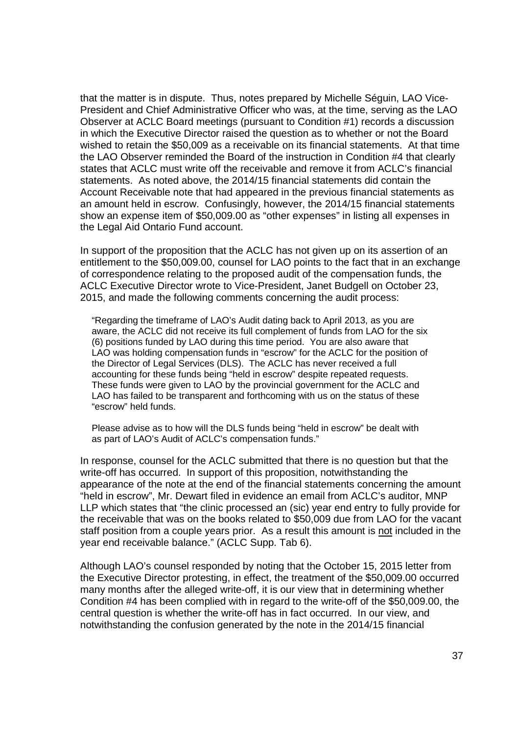that the matter is in dispute. Thus, notes prepared by Michelle Séguin, LAO Vice-that the matter is in dispute. Thus, notes prepared by Michelle Séguin, LAO Vice-President and Chief Administrative Officer who was, at the time, serving as the LAO President and Chief Administrative Officer who was, at the time, serving as the LAO Observer at ACLC Board meetings (pursuant to Condition #1) records a discussion Observer at ACLC Board meetings (pursuant to Condition #1) records a discussion in which the Executive Director raised the question as to whether or not the Board in which the Executive Director raised the question as to whether or not the Board wished to retain the \$50,009 as a receivable on its financial statements. At that time wished to retain the \$50,009 as a receivable on its financial statements. At that time the LAO Observer reminded the Board of the instruction in Condition #4 that clearly the LAO Observer reminded the Board of the instruction in Condition #4 that clearly states that ACLC must write off the receivable and remove it from ACLC's financial states that ACLC must write off the receivable and remove it from ACLC's financial statements. As noted above, the 2014/15 financial statements did contain the statements. As noted above, the 2014/15 financial statements did contain the Account Receivable note that had appeared in the previous financial statements as Account Receivable note that had appeared in the previous financial statements as an amount held in escrow. Confusingly, however, the 2014/15 financial statements an amount held in escrow. Confusingly, however, the 2014/15 financial statements show an expense item of \$50,009.00 as "other expenses" in listing all expenses in show an expense item of \$50,009.00 as "other expenses" in listing all expenses in the Legal Aid Ontario Fund account. the Legal Aid Ontario Fund account.

In support of the proposition that the ACLC has not given up on its assertion of an In support of the proposition that the ACLC has not given up on its assertion of an entitlement to the \$50,009.00, counsel for LAO points to the fact that in an exchange entitlement to the \$50,009.00, counsel for LAO points to the fact that in an exchange of correspondence relating to the proposed audit of the compensation funds, the of correspondence relating to the proposed audit of the compensation funds, the ACLC Executive Director wrote to Vice-President, Janet Budgell on October 23, ACLC Executive Director wrote to Vice—President, Janet Budgell on October 23, 2015, and made the following comments concerning the audit process: 2015, and made the following comments concerning the audit process:

"Regarding the timeframe of LAO's Audit dating back to April 2013, as you are "Regarding the timeframe of LAO's Audit dating back to April 2013, as you are aware, the ACLC did not receive its full complement of funds from LAO for the six aware, the ACLC did not receive its full complement of funds from LAO for the six (6) positions funded by LAO during this time period. You are also aware that (6) positions funded by LAO during this time period. You are also aware that LAO was holding compensation funds in "escrow" for the ACLC for the position of LAO was holding compensation funds in "escrow" for the ACLC for the position of the Director of Legal Services (DLS). The ACLC has never received a full the Director of Legal Services (DLS). The ACLC has never received a full accounting for these funds being "held in escrow" despite repeated requests. accounting for these funds being "held in escrow" despite repeated requests. These funds were given to LAO by the provincial government for the ACLC and These funds were given to LAO by the provincial government for the ACLC and LAO has failed to be transparent and forthcoming with us on the status of these LAO has failed to be transparent and forthcoming with us on the status of these "escrow" held funds. "escrow" held funds.

Please advise as to how will the DLS funds being "held in escrow" be dealt with Please advise as to how will the DLS funds being "held in escrow" be dealt with as part of LAO's Audit of ACLC's compensation funds." as part of LAO's Audit of ACLC's compensation funds."

In response, counsel for the ACLC submitted that there is no question but that the In response, counsel for the ACLC submitted that there is no question but that the write-off has occurred. In support of this proposition, notwithstanding the appearance of the note at the end of the financial statements concerning the amount appearance of the note at the end of the financial statements concerning the amount "held in escrow", Mr. Dewart filed in evidence an email from ACLC's auditor, MNP "held in escrow", Mr. Dewart filed in evidence an email from ACLC's auditor, MNP LLP which states that "the clinic processed an (sic) year end entry to fully provide for LLP which states that "the clinic processed an (sic) year end entry to fully provide for the receivable that was on the books related to \$50,009 due from LAO for the vacant the receivable that was on the books related to \$50,009 due from LAO for the vacant staff position from a couple years prior. As a result this amount is not included in the year end receivable balance." (ACLC Supp. Tab 6). year end receivable balance." (ACLC Supp. Tab 6).

Although LAO's counsel responded by noting that the October 15, 2015 letter from Although LAO's counsel responded by noting that the October 15, 2015 letter from the Executive Director protesting, in effect, the treatment of the \$50,009.00 occurred the Executive Director protesting, in effect, the treatment of the \$50,009.00 occurred many months after the alleged write-off, it is our view that in determining whether Condition #4 has been complied with in regard to the write-off of the \$50,009.00, the Condition #4 has been complied with in regard to the write—off of the \$50,009.00, the central question is whether the write-off has in fact occurred. In our view, and central question is whether the write—off has in fact occurred. In our view, and notwithstanding the confusion generated by the note in the 2014/15 financial notwithstanding the confusion generated by the note in the 2014/15 financial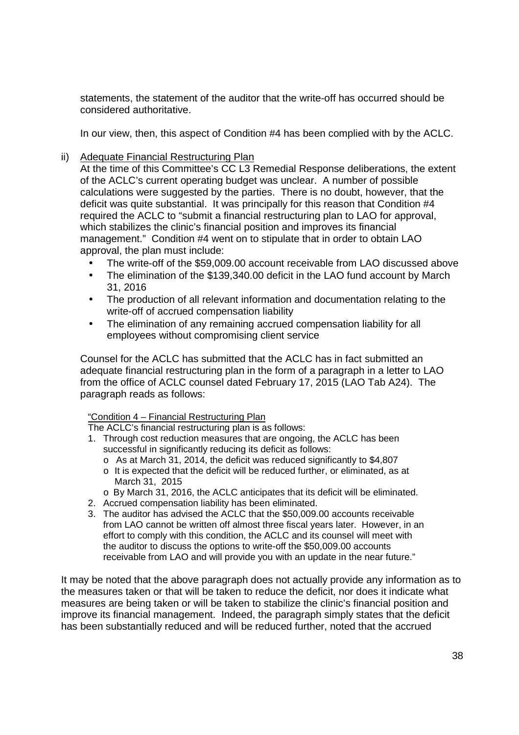statements, the statement of the auditor that the write-off has occurred should be statements, the statement of the auditor that the write—off has occurred should be considered authoritative. considered authoritative.

In our view, then, this aspect of Condition #4 has been complied with by the ACLC. In our view, then, this aspect of Condition #4 has been complied with by the ACLC.

ii) Adequate Financial Restructuring Plan

At the time of this Committee's CC L3 Remedial Response deliberations, the extent At the time of this Committee's CC L3 Remedial Response deliberations, the extent of the ACLC's current operating budget was unclear. A number of possible of the ACLC's current operating budget was unclear. A number of possible calculations were suggested by the parties. There is no doubt, however, that the calculations were suggested by the parties. There is no doubt, however, that the deficit was quite substantial. It was principally for this reason that Condition #4 deficit was quite substantial. It was principally for this reason that Condition #4 required the ACLC to "submit a financial restructuring plan to LAO for approval, required the ACLC to "submit a financial restructuring plan to LAO for approval, which stabilizes the clinic's financial position and improves its financial management." Condition #4 went on to stipulate that in order to obtain LAO management." Condition #4 went on to stipulate that in order to obtain LAO approval, the plan must include: approval, the plan must include:

- The write-off of the \$59,009.00 account receivable from LAO discussed above
- The elimination of the \$139,340.00 deficit in the LAO fund account by March 31, 2016 31, 2016
- The production of all relevant information and documentation relating to the write-off of accrued compensation liability write—off of accrued compensation liability
- The elimination of any remaining accrued compensation liability for all employees without compromising client service employees without compromising client service

Counsel for the ACLC has submitted that the ACLC has in fact submitted an Counsel for the ACLC has submitted that the ACLC has in fact submitted an adequate financial restructuring plan in the form of a paragraph in a letter to LAO adequate financial restructuring plan in the form of a paragraph in a letter to LAO from the office of ACLC counsel dated February 17, 2015 (LAO Tab A24). The from the office of ACLC counsel dated February 17, 2015 (LAO Tab A24). The paragraph reads as follows: paragraph reads as follows:

#### "Condition 4 – Financial Restructuring Plan "Condition 4 — Financial Restructurinq Plan

The ACLC's financial restructuring plan is as follows: The ACLC's financial restructuring plan is as follows:

- 1. Through cost reduction measures that are ongoing, the ACLC has been 1. Through cost reduction measures that are ongoing, the ACLC has been successful in significantly reducing its deficit as follows: successful in significantly reducing its deficit as follows:
	- $\circ$  As at March 31, 2014, the deficit was reduced significantly to \$4,807
	- $\circ$  It is expected that the deficit will be reduced further, or eliminated, as at March 31, 2015 March 31, 2015
	- o By March 31, 2016, the ACLC anticipates that its deficit will be eliminated. o By March 31, 2016, the ACLC anticipates that its deficit will be eliminated.
- 2. Accrued compensation liability has been eliminated. 2. Accrued compensation liability has been eliminated.
- 3. The auditor has advised the ACLC that the \$50,009.00 accounts receivable 3. The auditor has advised the ACLC that the \$50,009.00 accounts receivable from LAO cannot be written off almost three fiscal years later. However, in an from LAO cannot be written off almost three fiscal years later. However, in an effort to comply with this condition, the ACLC and its counsel will meet with effort to comply with this condition, the ACLC and its counsel will meet with the auditor to discuss the options to write-off the \$50,009.00 accounts the auditor to discuss the options to write—off the \$50,009.00 accounts receivable from LAO and will provide you with an update in the near future." receivable from LAO and will provide you with an update in the near future."

It may be noted that the above paragraph does not actually provide any information as to It may be noted that the above paragraph does not actually provide any information as to the measures taken or that will be taken to reduce the deficit, nor does it indicate what the measures taken or that will be taken to reduce the deficit, nor does it indicate what measures are being taken or will be taken to stabilize the clinic's financial position and improve its financial management. Indeed, the paragraph simply states that the deficit improve its financial management. Indeed, the paragraph simply states that the deficit has been substantially reduced and will be reduced further, noted that the accrued has been substantially reduced and will be reduced further, noted that the accrued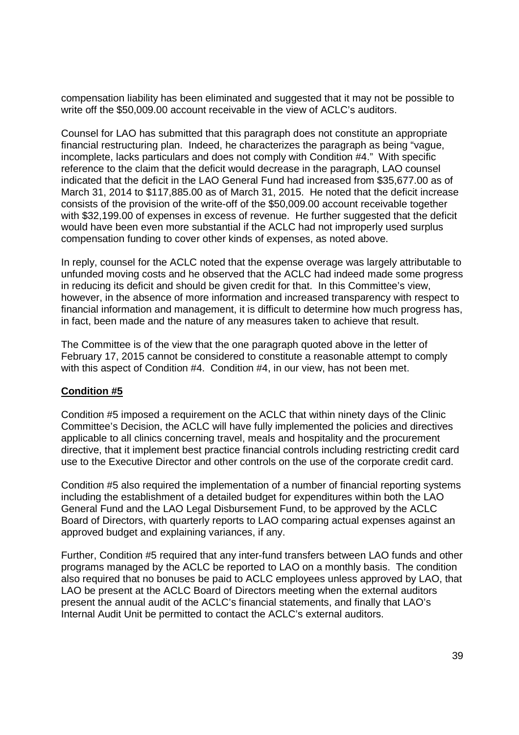compensation liability has been eliminated and suggested that it may not be possible to compensation liability has been eliminated and suggested that it may not be possible to write off the \$50,009.00 account receivable in the view of ACLC's auditors. write off the \$50,009.00 account receivable in the view of ACLC's auditors.

Counsel for LAO has submitted that this paragraph does not constitute an appropriate Counsel for LAO has submitted that this paragraph does not constitute an appropriate financial restructuring plan. Indeed, he characterizes the paragraph as being "vague, financial restructuring plan. Indeed, he characterizes the paragraph as being "vague, incomplete, lacks particulars and does not comply with Condition #4." With specific incomplete, lacks particulars and does not comply with Condition reference to the claim that the deficit would decrease in the paragraph, LAO counsel reference to the claim that the deficit would decrease in the paragraph, LAO counsel indicated that the deficit in the LAO General Fund had increased from \$35,677.00 as of indicated that the deficit in the LAO General Fund had increased from \$35,677.00 as of March 31, 2014 to \$117,885.00 as of March 31, 2015. He noted that the deficit increase March 31, 2014 to \$117,885.00 as of March 31, 2015. He noted that the deficit increase consists of the provision of the write-off of the \$50,009.00 account receivable together consists of the provision of the write—off of the \$50,009.00 account receivable together with \$32,199.00 of expenses in excess of revenue. He further suggested that the deficit with \$32,199.00 of expenses in excess of revenue. He further suggested that the deficit would have been even more substantial if the ACLC had not improperly used surplus would have been even more substantial if the ACLC had not improperly used surplus compensation funding to cover other kinds of expenses, as noted above. compensation funding to cover other kinds of expenses, as noted above.

In reply, counsel for the ACLC noted that the expense overage was largely attributable to In reply, counsel for the ACLC noted that the expense overage was largely attributable to unfunded moving costs and he observed that the ACLC had indeed made some progress unfunded moving costs and he observed that the ACLC had indeed made some progress in reducing its deficit and should be given credit for that. In this Committee's view, in reducing its deficit and should be given credit for that. In this Committee's view, however, in the absence of more information and increased transparency with respect to however, in the absence of more information and increased transparency with respect to financial information and management, it is difficult to determine how much progress has, financial information and management, it is difficult to determine how much progress has, in fact, been made and the nature of any measures taken to achieve that result. in fact, been made and the nature of any measures taken to achieve that result.

The Committee is of the view that the one paragraph quoted above in the letter of The Committee is of the view that the one paragraph quoted above in the letter of February 17, 2015 cannot be considered to constitute a reasonable attempt to comply February 17, 2015 cannot be considered to constitute a reasonable attempt to comply with this aspect of Condition #4. Condition #4, in our view, has not been met. with this aspect of Condition #4. Condition #4, in our view, has not been met.

### **Condition #5**  Condition #5

Condition #5 imposed a requirement on the ACLC that within ninety days of the Clinic Condition #5 imposed a requirement on the ACLC that within ninety days of the Clinic Committee's Decision, the ACLC will have fully implemented the policies and directives Committee's Decision, the ACLC will have fully implemented the policies and directives applicable to all clinics concerning travel, meals and hospitality and the procurement applicable to all clinics concerning travel, meals and hospitality and the procurement directive, that it implement best practice financial controls including restricting credit card directive, that it implement best practice financial controls including restricting credit card use to the Executive Director and other controls on the use of the corporate credit card. use to the Executive Director and other controls on the use of the corporate credit card.

Condition #5 also required the implementation of a number of financial reporting systems Condition #5 also required the implementation of a number of financial reporting systems including the establishment of a detailed budget for expenditures within both the LAO including the establishment of a detailed budget for expenditures within both the LAO General Fund and the LAO Legal Disbursement Fund, to be approved by the ACLC General Fund and the LAO Legal Disbursement Fund, to be approved by the ACLC Board of Directors, with quarterly reports to LAO comparing actual expenses against an Board of Directors, with quarterly reports to LAO comparing actual expenses against an approved budget and explaining variances, if any. approved budget and explaining variances, if any.

Further, Condition #5 required that any inter-fund transfers between LAO funds and other Further, Condition #5 required that any inter—fund transfers between LAO funds and other programs managed by the ACLC be reported to LAO on a monthly basis. The condition programs managed by the ACLC be reported to LAO on a monthly basis. The condition also required that no bonuses be paid to ACLC employees unless approved by LAO, that also required that no bonuses be paid to ACLC employees unless approved by LAO, that LAO be present at the ACLC Board of Directors meeting when the external auditors LAO be present at the ACLC Board of Directors meeting when the external auditors present the annual audit of the ACLC's financial statements, and finally that LAO's present the annual audit of the ACLC's financial statements, and finally that LAO's Internal Audit Unit be permitted to contact the ACLC's external auditors. Internal Audit Unit be permitted to contact the ACLC's external auditors.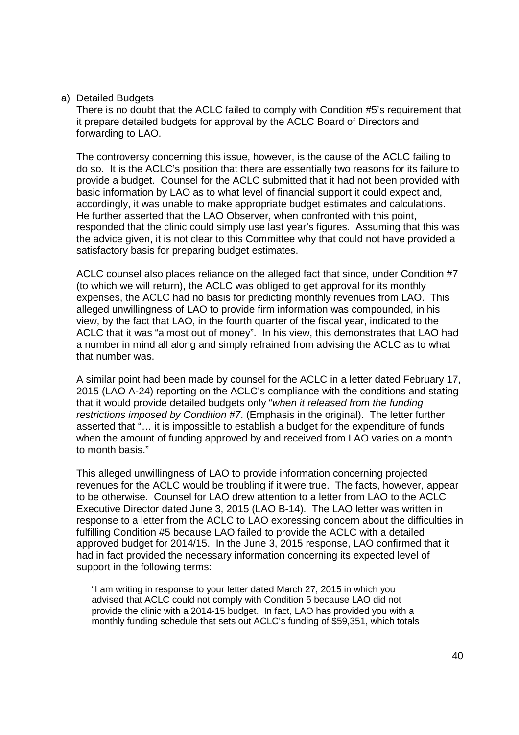#### a) Detailed Budgets

There is no doubt that the ACLC failed to comply with Condition #5's requirement that There is no doubt that the ACLC failed to comply with Condition #5's requirement that it prepare detailed budgets for approval by the ACLC Board of Directors and it prepare detailed budgets for approval by the ACLC Board of Directors and forwarding to LAO.

The controversy concerning this issue, however, is the cause of the ACLC failing to The controversy concerning this issue, however, is the cause of the ACLC failing to do so. It is the ACLC's position that there are essentially two reasons for its failure to do so. It is the ACLC's position that there are essentially two reasons for its failure to provide a budget. Counsel for the ACLC submitted that it had not been provided with provide a budget. Counsel for the ACLC submitted that it had not been provided with basic information by LAO as to what level of financial support it could expect and, basic information by LAO as to what level of financial support it could expect and, accordingly, it was unable to make appropriate budget estimates and calculations. accordingly, it was unable to make appropriate budget estimates and calculations. He further asserted that the LAO Observer, when confronted with this point, He further asserted that the LAO Observer, when confronted with this point, responded that the clinic could simply use last year's figures. Assuming that this was responded that the clinic could simply use last year's figures. Assuming that this was the advice given, it is not clear to this Committee why that could not have provided a the advice given, it is not clear to this Committee why that could not have provided a satisfactory basis for preparing budget estimates. satisfactory basis for preparing budget estimates.

ACLC counsel also places reliance on the alleged fact that since, under Condition #7 ACLC counsel also places reliance on the alleged fact that since, under Condition #7 (to which we will return), the ACLC was obliged to get approval for its monthly (to which we will return), the ACLC was obliged to get approval for its monthly expenses, the ACLC had no basis for predicting monthly revenues from LAO. This expenses, the ACLC had no basis for predicting monthly revenues from LAO. This alleged unwillingness of LAO to provide firm information was compounded, in his alleged unwillingness of LAO to provide firm information was compounded, in his view, by the fact that LAO, in the fourth quarter of the fiscal year, indicated to the view, by the fact that LAO, in the fourth quarter of the fiscal year, indicated to the ACLC that it was "almost out of money". In his view, this demonstrates that LAO had ACLC that it was "almost out of money". In his view, this demonstrates that LAO had a number in mind all along and simply refrained from advising the ACLC as to what a number in mind all along and simply refrained from advising the ACLC as to what that number was. that number was.

A similar point had been made by counsel for the ACLC in a letter dated February 17, A similar point had been made by counsel for the ACLC in a letter dated February 17, 2015 (LAO A-24) reporting on the ACLC's compliance with the conditions and stating 2015 (LAO A—24) reporting on the ACLC's compliance with the conditions and stating that it would provide detailed budgets only "when it released from the funding restrictions imposed by Condition #7. (Emphasis in the original). The letter further restrictions imposed by Condition #7. (Emphasis in the original). The letter further<br>asserted that "... it is impossible to establish a budget for the expenditure of funds when the amount of funding approved by and received from LAO varies on a month when the amount of funding approved by and received from LAO varies on a month to month basis." to month basis."

This alleged unwillingness of LAO to provide information concerning projected This alleged unwillingness of LAO to provide information concerning projected revenues for the ACLC would be troubling if it were true. The facts, however, appear revenues for the ACLC would be troubling if it were true. The facts, however, appear to be otherwise. Counsel for LAO drew attention to a letter from LAO to the ACLC Executive Director dated June 3, 2015 (LAO B-14). The LAO letter was written in Executive Director dated June 3, 2015 (LAO B-14). The LAO letter was written in response to a letter from the ACLC to LAO expressing concern about the difficulties in response to a letter from the ACLC to LAO expressing concern about the difficulties in fulfilling Condition #5 because LAO failed to provide the ACLC with a detailed fulfilling Condition #5 because LAO failed to provide the ACLC with a detailed approved budget for 2014/15. In the June 3, 2015 response, LAO confirmed that it approved budget for 2014/15. In the June 3, 2015 response, LAO confirmed that it had in fact provided the necessary information concerning its expected level of had in fact provided the necessary information concerning its expected level of support in the following terms: support in the following terms:

"I am writing in response to your letter dated March 27, 2015 in which you ''I am writing in response to your letter dated March 27, 2015 in which you advised that ACLC could not comply with Condition 5 because LAO did not advised that ACLC could not comply with Condition 5 because LAO did not provide the clinic with a 2014-15 budget. In fact, LAO has provided you with a provide the clinic with a 2014-15 budget. In fact, LAO has provided you with a monthly funding schedule that sets out ACLC's funding of \$59,351, which totals monthly funding schedule that sets out ACLC's funding of \$59,351, which totals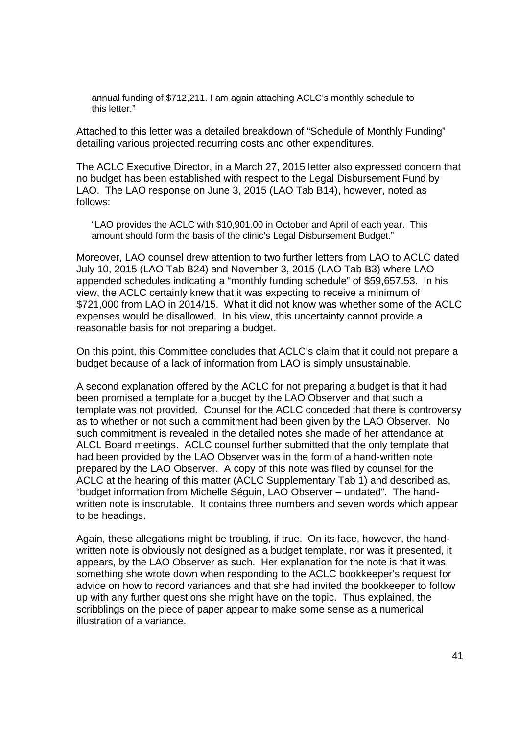annual funding of \$712,211. I am again attaching ACLC's monthly schedule to this letter." this letter."

Attached to this letter was a detailed breakdown of "Schedule of Monthly Funding" Attached to this letter was a detailed breakdown of "Schedule of Monthly Funding" detailing various projected recurring costs and other expenditures. detailing various projected recurring costs and other expenditures.

The ACLC Executive Director, in a March 27, 2015 letter also expressed concern that The ACLC Executive Director, in a March 27, 2015 letter also expressed concern that no budget has been established with respect to the Legal Disbursement Fund by no budget has been established with respect to the Legal Disbursement Fund by LAO. The LAO response on June 3, 2015 (LAO Tab B14), however, noted as LAO. The LAO response on June 3, 2015 (LAO Tab B14), however, noted as follows: follows:

"LAO provides the ACLC with \$10,901.00 in October and April of each year. This "LAO provides the ACLC with \$10,901.00 in October and April of each year. This amount should form the basis of the clinic's Legal Disbursement Budget."

Moreover, LAO counsel drew attention to two further letters from LAO to ACLC dated Moreover, LAO counsel drew attention to two further letters from LAO to ACLC dated July 10, 2015 (LAO Tab B24) and November 3, 2015 (LAO Tab B3) where LAO July 10, 2015 (LAO Tab B24) and November 3, 2015 (LAO Tab B3) where LAO appended schedules indicating a "monthly funding schedule" of \$59,657.53. In his appended schedules indicating a "monthly funding schedule" of \$59,657.53. In his view, the ACLC certainly knew that it was expecting to receive a minimum of view, the ACLC certainly knew that it was expecting to receive a minimum of \$721,000 from LAO in 2014/15. What it did not know was whether some of the ACLC \$721,000 from LAO in 2014/15. What it did not know was whether some of the ACLC expenses would be disallowed. In his view, this uncertainty cannot provide a expenses would be disallowed. In his view, this uncertainty cannot provide a reasonable basis for not preparing a budget. reasonable basis for not preparing a budget.

On this point, this Committee concludes that ACLC's claim that it could not prepare a On this point, this Committee concludes that ACLC's claim that it could not prepare a budget because of a lack of information from LAO is simply unsustainable. budget because of a lack of information from LAO is simply unsustainable.

A second explanation offered by the ACLC for not preparing a budget is that it had A second explanation offered by the ACLC for not preparing a budget is that it had been promised a template for a budget by the LAO Observer and that such a been promised a template for a budget by the LAO Observer and that such a template was not provided. Counsel for the ACLC conceded that there is controversy template was not provided. Counsel for the ACLC conceded that there is controversy as to whether or not such a commitment had been given by the LAO Observer. No as to whether or not such a commitment had been given by the LAO Observer. No such commitment is revealed in the detailed notes she made of her attendance at such commitment is revealed in the detailed notes she made of her attendance at ALCL Board meetings. ACLC counsel further submitted that the only template that ALCL Board meetings. ACLC counsel further submitted that the only template that had been provided by the LAO Observer was in the form of a hand-written note had been provided by the LAO Observer was in the form of a hand—written note prepared by the LAO Observer. A copy of this note was filed by counsel for the prepared by the LAO Observer. A copy of this note was filed by counsel for the ACLC at the hearing of this matter (ACLC Supplementary Tab 1) and described as, ACLC at the hearing of this matter (ACLC Supplementary Tab 1) and described as, "budget information from Michelle Séguin, LAO Observer – undated". The hand-"budget information from Michelle Séguin, LAO Observer — undated". The handwritten note is inscrutable. It contains three numbers and seven words which appear written note is inscrutable. It contains three numbers and seven words which appear to be headings. to be headings.

Again, these allegations might be troubling, if true. On its face, however, the hand-Again, these allegations might be troubling, if true. On its face, however, the handwritten note is obviously not designed as a budget template, nor was it presented, it written note is obviously not designed as a budget template, nor was it presented, it appears, by the LAO Observer as such. Her explanation for the note is that it was appears, by the LAO Observer as such. Her explanation for the note is that it was something she wrote down when responding to the ACLC bookkeeper's request for something she wrote down when responding to the ACLC bookkeeper's request for advice on how to record variances and that she had invited the bookkeeper to follow advice on how to record variances and that she had invited the bookkeeper to follow up with any further questions she might have on the topic. Thus explained, the up with any further questions she might have on the topic. Thus explained, the scribblings on the piece of paper appear to make some sense as a numerical scribblings on the piece of paper appear to make some sense as a numerical illustration of a variance. illustration of a variance.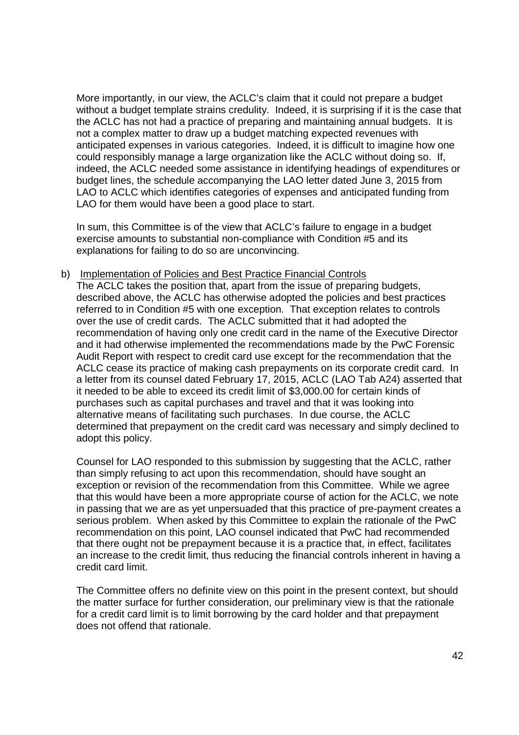More importantly, in our view, the ACLC's claim that it could not prepare a budget More importantly, in our view, the ACLC's claim that it could not prepare a budget without a budget template strains credulity. Indeed, it is surprising if it is the case that without a budget template strains credulity. Indeed, it is surprising if it is the case that the ACLC has not had a practice of preparing and maintaining annual budgets. It is the ACLC has not had a practice of preparing and maintaining annual budgets. It is not a complex matter to draw up a budget matching expected revenues with not a complex matter to draw up a budget matching expected revenues with anticipated expenses in various categories. Indeed, it is difficult to imagine how one anticipated expenses in various categories. Indeed, it is difficult to imagine how one could responsibly manage a large organization like the ACLC without doing so. If, could responsibly manage a large organization like the ACLC without doing so. If, indeed, the ACLC needed some assistance in identifying headings of expenditures or indeed, the ACLC needed some assistance in identifying headings of expenditures or budget lines, the schedule accompanying the LAO letter dated June 3, 2015 from budget lines, the schedule accompanying the LAO letter dated June 3, 2015 from LAO to ACLC which identifies categories of expenses and anticipated funding from LAO to ACLC which identifies categories of expenses and anticipated funding from LAO for them would have been a good place to start. LAO for them would have been a good place to start.

In sum, this Committee is of the view that ACLC's failure to engage in a budget In sum, this Committee is of the view that ACLC's failure to engage in a budget exercise amounts to substantial non-compliance with Condition #5 and its explanations for failing to do so are unconvincing. explanations for failing to do so are unconvincing.

b) Implementation of Policies and Best Practice Financial Controls b) Implementation of Policies and Best Practice Financial Controls

The ACLC takes the position that, apart from the issue of preparing budgets, The ACLC takes the position that, apart from the issue of preparing budgets, described above, the ACLC has otherwise adopted the policies and best practices described above, the ACLC has otherwise adopted the policies and best practices referred to in Condition #5 with one exception. That exception relates to controls referred to in Condition #5 with one exception. That exception relates to controls over the use of credit cards. The ACLC submitted that it had adopted the recommendation of having only one credit card in the name of the Executive Director recommendation of having only one credit card in the name of the Executive Director and it had otherwise implemented the recommendations made by the PwC Forensic Audit Report with respect to credit card use except for the recommendation that the Audit Report with respect to credit card use except for the recommendation that the ACLC cease its practice of making cash prepayments on its corporate credit card. In ACLC cease its practice of making cash prepayments on its corporate credit card. In a letter from its counsel dated February 17, 2015, ACLC (LAO Tab A24) asserted that a letter from its counsel dated February 17, 2015, ACLC (LAO Tab A24) asserted that it needed to be able to exceed its credit limit of \$3,000.00 for certain kinds of it needed to be able to exceed its credit limit of \$3,000.00 for certain kinds of purchases such as capital purchases and travel and that it was looking into purchases such as capital purchases and travel and that it was looking into alternative means of facilitating such purchases. In due course, the ACLC alternative means of facilitating such purchases. In due course, the ACLC determined that prepayment on the credit card was necessary and simply declined to determined that prepayment on the credit card was necessary and simply declined to adopt this policy. adopt this policy.

Counsel for LAO responded to this submission by suggesting that the ACLC, rather Counsel for LAO responded to this submission by suggesting that the ACLC, rather than simply refusing to act upon this recommendation, should have sought an than simply refusing to act upon this recommendation, should have sought an exception or revision of the recommendation from this Committee. While we agree exception or revision of the recommendation from this Committee. While we agree that this would have been a more appropriate course of action for the ACLC, we note that this would have been a more appropriate course of action for the ACLC, we note in passing that we are as yet unpersuaded that this practice of pre-payment creates a in passing that we are as yet unpersuaded that this practice of pre—payment creates a serious problem. When asked by this Committee to explain the rationale of the PwC serious problem. When asked by this Committee to explain the rationale of the PwC recommendation on this point, LAO counsel indicated that PwC had recommended recommendation on this point, LAO counsel indicated that PwC had recommended that there ought not be prepayment because it is a practice that, in effect, facilitates that there ought not be prepayment because it is a practice that, in effect, facilitates an increase to the credit limit, thus reducing the financial controls inherent in having a an increase to the credit limit, thus reducing the financial controls inherent in having a credit card limit. credit card limit.

The Committee offers no definite view on this point in the present context, but should The Committee offers no definite view on this point in the present context, but should the matter surface for further consideration, our preliminary view is that the rationale the matter surface for further consideration, our preliminary view is that the rationale for a credit card limit is to limit borrowing by the card holder and that prepayment for a credit card limit is to limit borrowing by the card holder and that prepayment does not offend that rationale. does not offend that rationale.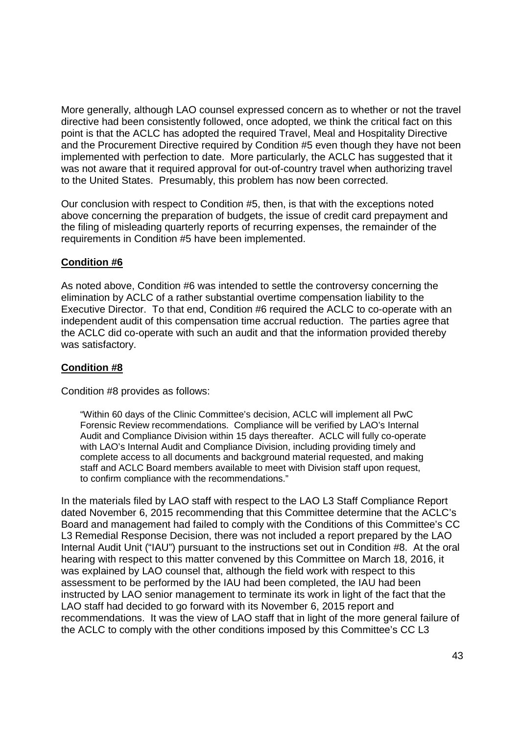More generally, although LAO counsel expressed concern as to whether or not the travel More generally, although LAO counsel expressed concern as to whether or not the travel directive had been consistently followed, once adopted, we think the critical fact on this directive had been consistently followed, once adopted, we think the critical fact on this point is that the ACLC has adopted the required Travel, Meal and Hospitality Directive point is that the ACLC has adopted the required Travel, Meal and Hospitality Directive and the Procurement Directive required by Condition #5 even though they have not been and the Procurement Directive required by Condition #5 even though they have not been implemented with perfection to date. More particularly, the ACLC has suggested that it was not aware that it required approval for out-of-country travel when authorizing travel to the United States. Presumably, this problem has now been corrected. to the United States. Presumably, this problem has now been corrected.

Our conclusion with respect to Condition #5, then, is that with the exceptions noted Our conclusion with respect to Condition #5, then, is that with the exceptions noted above concerning the preparation of budgets, the issue of credit card prepayment and above concerning the preparation of budgets, the issue of credit card prepayment and the filing of misleading quarterly reports of recurring expenses, the remainder of the the filing of misleading quarterly reports of recurring expenses, the remainder of the requirements in Condition #5 have been implemented.

## **Condition #6**  Condition #6

As noted above, Condition #6 was intended to settle the controversy concerning the As noted above, Condition #6 was intended to settle the controversy concerning the elimination by ACLC of a rather substantial overtime compensation liability to the elimination by ACLC of a rather substantial overtime compensation liability to the Executive Director. To that end, Condition #6 required the ACLC to co-operate with an independent audit of this compensation time accrual reduction. The parties agree that independent audit of this compensation time accrual reduction. The parties agree that the ACLC did co-operate with such an audit and that the information provided thereby was satisfactory. was satisfactory.

### **Condition #8**  Condition #8

Condition #8 provides as follows: Condition #8 provides as follows:

"Within 60 days of the Clinic Committee's decision, ACLC will implement all PwC "Within 60 days of the Clinic Committee's decision, ACLC will implement all PwC Forensic Review recommendations. Compliance will be verified by LAO's Internal Forensic Review recommendations. Compliance will be verified by LAO's Internal Audit and Compliance Division within 15 days thereafter. ACLC will fully co-operate with LAO's Internal Audit and Compliance Division, including providing timely and with LAO's Internal Audit and Compliance Division, including providing timely and complete access to all documents and background material requested, and making complete access to all documents and background material requested, and making staff and ACLC Board members available to meet with Division staff upon request, staff and ACLC Board members available to meet with Division staff upon request, to confirm compliance with the recommendations." to confirm compliance with the recommendations."

In the materials filed by LAO staff with respect to the LAO L3 Staff Compliance Report In the materials filed by LAO staff with respect to the LAO L3 Staff Compliance Report dated November 6, 2015 recommending that this Committee determine that the ACLC's dated November 6, 2015 recommending that this Committee determine that the ACLC's Board and management had failed to comply with the Conditions of this Committee's CC Board and management had failed to comply with the Conditions of this Committee's CC L3 Remedial Response Decision, there was not included a report prepared by the LAO L3 Remedial Response Decision, there was not included a report prepared by the LAO Internal Audit Unit ("IAU") pursuant to the instructions set out in Condition #8. At the oral Internal Audit Unit ("|AU") pursuant to the instructions set out in Condition #8. At the oral hearing with respect to this matter convened by this Committee on March 18, 2016, it hearing with respect to this matter convened by this Committee on March 18, 2016, it was explained by LAO counsel that, although the field work with respect to this was explained by LAO counsel that, although the field work with respect to this assessment to be performed by the IAU had been completed, the IAU had been assessment to be performed by the IAU had been completed, the IAU had been instructed by LAO senior management to terminate its work in light of the fact that the instructed by LAO senior management to terminate its work in light of the fact that the LAO staff had decided to go forward with its November 6, 2015 report and LAO staff had decided to go forward with its November 6, 2015 report and recommendations. It was the view of LAO staff that in light of the more general failure of recommendations. It was the view of LAO staff that in light of the more general failure of the ACLC to comply with the other conditions imposed by this Committee's CC L3 the ACLC to comply with the other conditions imposed by this Committee's CC L3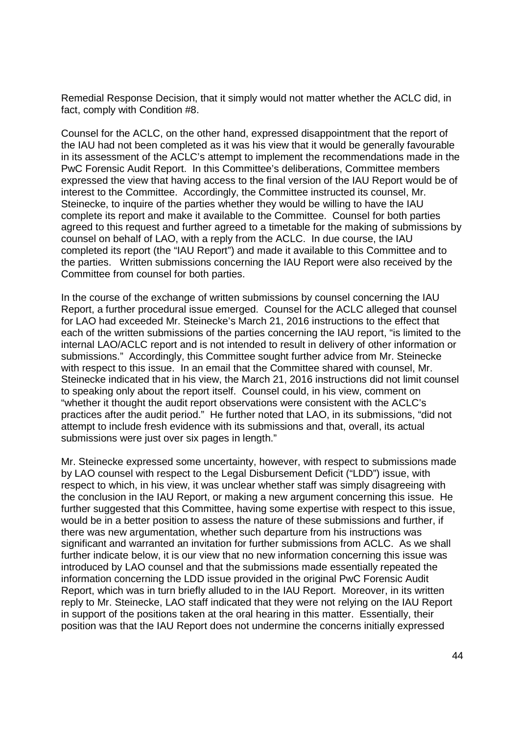Remedial Response Decision, that it simply would not matter whether the ACLC did, in Remedial Response Decision, that it simply would not matter whether the ACLC did, in fact, comply with Condition #8. fact, comply with Condition #8.

Counsel for the ACLC, on the other hand, expressed disappointment that the report of Counsel for the ACLC, on the other hand, expressed disappointment that the report of the IAU had not been completed as it was his view that it would be generally favourable the IAU had not been completed as it was his view that it would be generally favourable in its assessment of the ACLC's attempt to implement the recommendations made in the in its assessment of the ACLC's attempt to implement the recommendations made in the PwC Forensic Audit Report. In this Committee's deliberations, Committee members PwC Forensic Audit Report. In this Committee's deliberations, Committee members expressed the view that having access to the final version of the IAU Report would be of expressed the view that having access to the final version of the IAU Report would be of interest to the Committee. Accordingly, the Committee instructed its counsel, Mr. interest to the Committee. Accordingly, the Committee instructed its counsel, Mr. Steinecke, to inquire of the parties whether they would be willing to have the IAU Steinecke, to inquire of the parties whether they would be willing to have the IAU complete its report and make it available to the Committee. Counsel for both parties complete its report and make it available to the Committee. Counsel for both parties agreed to this request and further agreed to a timetable for the making of submissions by agreed to this request and further agreed to a timetable for the making of submissions by counsel on behalf of LAO, with a reply from the ACLC. In due course, the IAU counsel on behalf of LAO, with a reply from the ACLC. In due course, the IAU completed its report (the "IAU Report") and made it available to this Committee and to completed its report (the "|AU Report") and made it available to this Committee and to the parties. Written submissions concerning the IAU Report were also received by the the parties. Written submissions concerning the IAU Report were also received by the Committee from counsel for both parties. Committee from counsel for both parties.

In the course of the exchange of written submissions by counsel concerning the IAU In the course of the exchange of written submissions by counsel concerning the IAU Report, a further procedural issue emerged. Counsel for the ACLC alleged that counsel Report, a further procedural issue emerged. Counsel for the ACLC alleged that counsel for LAO had exceeded Mr. Steinecke's March 21, 2016 instructions to the effect that for LAO had exceeded Mr. Steinecke's March 21, 2016 instructions to the effect that each of the written submissions of the parties concerning the IAU report, "is limited to the each of the written submissions of the parties concerning the IAU report, "is limited to the internal LAO/ACLC report and is not intended to result in delivery of other information or internal LAO/ACLC report and is not intended to result in delivery of other information or submissions." Accordingly, this Committee sought further advice from Mr. Steinecke submissions." Accordingly, this Committee sought further advice from Mr. Steinecke with respect to this issue. In an email that the Committee shared with counsel, Mr. with respect to this issue. In an email that the Committee shared with counsel, Mr. Steinecke indicated that in his view, the March 21, 2016 instructions did not limit counsel Steinecke indicated that in his view, the March 21, 2016 instructions did not limit counsel to speaking only about the report itself. Counsel could, in his view, comment on to speaking only about the report itself. Counsel could, in his view, comment on "whether it thought the audit report observations were consistent with the ACLC's "whether it thought the audit report observations were consistent with the ACLC's practices after the audit period." He further noted that LAO, in its submissions, "did not practices after the audit period." He further noted that LAO, in its submissions, "did not attempt to include fresh evidence with its submissions and that, overall, its actual attempt to include fresh evidence with its submissions and that, overall, its actual submissions were just over six pages in length." submissions were just over six pages in length.''

Mr. Steinecke expressed some uncertainty, however, with respect to submissions made Mr. Steinecke expressed some uncertainty, however, with respect to submissions made by LAO counsel with respect to the Legal Disbursement Deficit ("LDD") issue, with by LAO counsel with respect to the Legal Disbursement Deficit ("LDD") issue, with respect to which, in his view, it was unclear whether staff was simply disagreeing with respect to which, in his view, it was unclear whether staff was simply disagreeing with the conclusion in the IAU Report, or making a new argument concerning this issue. He the conclusion in the IAU Report, or making a new argument concerning this issue. He further suggested that this Committee, having some expertise with respect to this issue, further suggested that this Committee, having some expertise with respect to this issue, would be in a better position to assess the nature of these submissions and further, if would be in a better position to assess the nature of these submissions and further, if there was new argumentation, whether such departure from his instructions was there was new argumentation, whether such departure from his instructions was significant and warranted an invitation for further submissions from ACLC. As we shall significant and warranted an invitation for further submissions from ACLC. As we shall further indicate below, it is our view that no new information concerning this issue was further indicate below, it is our view that no new information concerning this issue was introduced by LAO counsel and that the submissions made essentially repeated the introduced by LAO counsel and that the submissions made essentially repeated the information concerning the LDD issue provided in the original PwC Forensic Audit information concerning the LDD issue provided in the original PwC Forensic Audit Report, which was in turn briefly alluded to in the IAU Report. Moreover, in its written Report, which was in turn briefly alluded to in the IAU Report. Moreover, in its written reply to Mr. Steinecke, LAO staff indicated that they were not relying on the IAU Report reply to Mr. Steinecke, LAO staff indicated that they were not relying on the IAU Report in support of the positions taken at the oral hearing in this matter. Essentially, their in support of the positions taken at the oral hearing in this matter. Essentially, their position was that the IAU Report does not undermine the concerns initially expressed position was that the IAU Report does not undermine the concerns initially expressed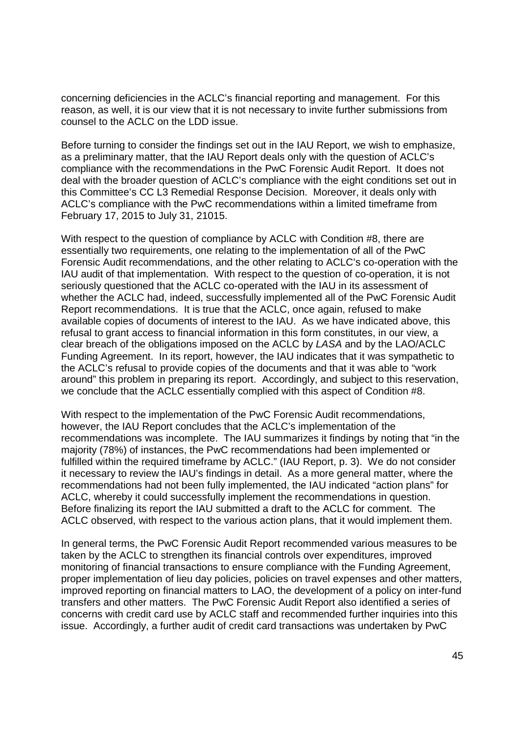concerning deficiencies in the ACLC's financial reporting and management. For this concerning deficiencies in the ACLC's financial reporting and management. For this reason, as well, it is our view that it is not necessary to invite further submissions from reason, as well, it is our view that it is not necessary to invite further submissions from counsel to the ACLC on the LDD issue. counsel to the ACLC on the LDD issue.

Before turning to consider the findings set out in the IAU Report, we wish to emphasize, Before turning to consider the findings set out in the IAU Report, we wish to emphasize, as a preliminary matter, that the IAU Report deals only with the question of ACLC's as a preliminary matter, that the IAU Report deals only with the question of ACLC's compliance with the recommendations in the PwC Forensic Audit Report. It does not compliance with the recommendations in the PwC Forensic Audit Report. It does not deal with the broader question of ACLC's compliance with the eight conditions set out in deal with the broader question of ACLC's compliance with the eight conditions set out in this Committee's CC L3 Remedial Response Decision. Moreover, it deals only with this Committee's CC L3 Remedial Response Decision. Moreover, it deals only with ACLC's compliance with the PwC recommendations within a limited timeframe from ACLC's compliance with the PwC recommendations within a limited timeframe from February 17, 2015 to July 31, 21015. February 17, 2015 to July 31, 21015.

With respect to the question of compliance by ACLC with Condition #8, there are With respect to the question of compliance by ACLC with Condition #8, there are essentially two requirements, one relating to the implementation of all of the PwC essentially two requirements, one relating to the implementation of all of the PwC Forensic Audit recommendations, and the other relating to ACLC's co-operation with the Forensic Audit recommendations, and the other relating to ACLC's co—operation with the IAU audit of that implementation. With respect to the question of co-operation, it is not IAU audit of that implementation. With respect to the question of co—operation, it is not seriously questioned that the ACLC co-operated with the IAU in its assessment of whether the ACLC had, indeed, successfully implemented all of the PwC Forensic Audit whether the ACLC had, indeed, successfully implemented all of the PwC Forensic Audit Report recommendations. It is true that the ACLC, once again, refused to make Report recommendations. It is true that the ACLC, once again, refused to make available copies of documents of interest to the IAU. As we have indicated above, this available copies of documents of interest to the IAU. As we have indicated above, this refusal to grant access to financial information in this form constitutes, in our view, a refusal to grant access to financial information in this form constitutes, in our view, a clear breach of the obligations imposed on the ACLC by LASA and by the LAO/ACLC clear breach of the obligations imposed on the ACLC by LASA and by the LAO/ACLC Funding Agreement. In its report, however, the IAU indicates that it was sympathetic to Funding Agreement. In its report, however, the IAU indicates that it was sympathetic to the ACLC's refusal to provide copies of the documents and that it was able to "work the ACLC's refusal to provide copies of the documents and that it was able to "work around" this problem in preparing its report. Accordingly, and subject to this reservation, around" this problem in preparing its report. Accordingly, and subject to this reservation, we conclude that the ACLC essentially complied with this aspect of Condition #8. we conclude that the ACLC essentially complied with this aspect of Condition #8.

With respect to the implementation of the PwC Forensic Audit recommendations, With respect to the implementation of the PwC Forensic Audit recommendations, however, the IAU Report concludes that the ACLC's implementation of the however, the IAU Report concludes that the ACLC's implementation of the recommendations was incomplete. The IAU summarizes it findings by noting that "in the recommendations was incomplete. The IAU summarizes it findings by noting that "in the majority (78%) of instances, the PwC recommendations had been implemented or majority (78%) of instances, the PwC recommendations had been implemented or fulfilled within the required timeframe by ACLC." (IAU Report, p. 3). We do not consider fulfilled within the required timeframe by ACLC." (IAU Report, p. 3). We do not consider it necessary to review the IAU's findings in detail. As a more general matter, where the it necessary to review the |AU's findings in detail. As a more general matter, where the recommendations had not been fully implemented, the IAU indicated "action plans" for recommendations had not been fully implemented, the IAU indicated "action plans" for ACLC, whereby it could successfully implement the recommendations in question. ACLC, whereby it could successfully implement the recommendations in question. Before finalizing its report the IAU submitted a draft to the ACLC for comment. The Before finalizing its report the IAU submitted a draft to the ACLC for comment. The ACLC observed, with respect to the various action plans, that it would implement them. ACLC observed, with respect to the various action plans, that it would implement them.

In general terms, the PwC Forensic Audit Report recommended various measures to be In general terms, the PwC Forensic Audit Report recommended various measures to be taken by the ACLC to strengthen its financial controls over expenditures, improved taken by the ACLC to strengthen its financial controls over expenditures, improved monitoring of financial transactions to ensure compliance with the Funding Agreement, monitoring of financial transactions to ensure compliance with the Funding Agreement, proper implementation of lieu day policies, policies on travel expenses and other matters, proper implementation of lieu day policies, policies on travel expenses and other matters, improved reporting on financial matters to LAO, the development of a policy on inter-fund transfers and other matters. The PwC Forensic Audit Report also identified a series of transfers and other matters. The PwC Forensic Audit Report also identified a series of concerns with credit card use by ACLC staff and recommended further inquiries into this concerns with credit card use by ACLC staff and recommended further inquiries into this issue. Accordingly, a further audit of credit card transactions was undertaken by PwC issue. Accordingly, a further audit of credit card transactions was undertaken by PwC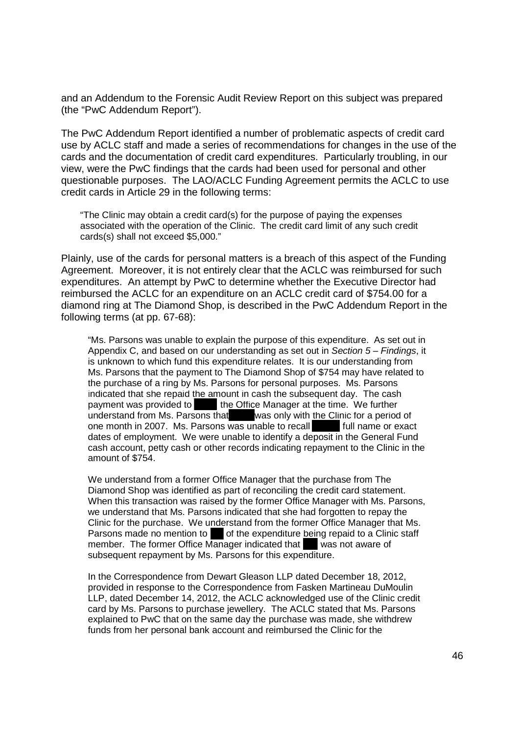and an Addendum to the Forensic Audit Review Report on this subject was prepared and an Addendum to the Forensic Audit Review Report on this subject was prepared (the "PwC Addendum Report"). (the "PwC Addendum Report").

The PwC Addendum Report identified a number of problematic aspects of credit card The PwC Addendum Report identified a number of problematic aspects of credit card use by ACLC staff and made a series of recommendations for changes in the use of the use by ACLC staff and made a series of recommendations for changes in the use of the cards and the documentation of credit card expenditures. Particularly troubling, in our cards and the documentation of credit card expenditures. Particularly troubling, in our view, were the PwC findings that the cards had been used for personal and other view, were the PwC findings that the cards had been used for personal and other questionable purposes. The LAO/ACLC Funding Agreement permits the ACLC to use questionable purposes. The LAO/ACLC Funding Agreement permits the ACLC to use credit cards in Article 29 in the following terms: credit cards in Article 29 in the following terms:

"The Clinic may obtain a credit card(s) for the purpose of paying the expenses "The Clinic may obtain a credit card(s) for the purpose of paying the expenses associated with the operation of the Clinic. The credit card limit of any such credit associated with the operation of the Clinic. The credit card limit of any such credit cards(s) shall not exceed \$5,000." cards(s) shall not exceed \$5,000."

Plainly, use of the cards for personal matters is a breach of this aspect of the Funding Plainly, use of the cards for personal matters is a breach of this aspect of the Funding Agreement. Moreover, it is not entirely clear that the ACLC was reimbursed for such Agreement. Moreover, it is not entirely clear that the ACLC was reimbursed for such expenditures. An attempt by PwC to determine whether the Executive Director had expenditures. An attempt by PwC to determine whether the Executive Director had reimbursed the ACLC for an expenditure on an ACLC credit card of \$754.00 for a reimbursed the ACLC for an expenditure on an ACLC credit card of \$754.00 for a diamond ring at The Diamond Shop, is described in the PwC Addendum Report in the diamond ring at The Diamond Shop, is described in the PwC Addendum Report in the following terms (at pp. 67-68): following terms (at pp. 67-68):

"Ms. Parsons was unable to explain the purpose of this expenditure. As set out in "Ms. Parsons was unable to explain the purpose of this expenditure. As set out in Appendix C, and based on our understanding as set out in Section 5 - Findings, it is unknown to which fund this expenditure relates. It is our understanding from is unknown to which fund this expenditure relates. It is our understanding from Ms. Parsons that the payment to The Diamond Shop of \$754 may have related to Ms. Parsons that the payment to The Diamond Shop of \$754 may have related to the purchase of a ring by Ms. Parsons for personal purposes. Ms. Parsons the purchase of a ring by Ms. Parsons for personal purposes. Ms. Parsons indicated that she repaid the amount in cash the subsequent day. The cash indicated that she repaid the amount in cash the subsequent day. The cash payment was provided to the Office Manager at the time. We further understand from Ms. Parsons that was only with the Clinic for a period of one month in 2007. Ms. Parsons was unable to recall full name or exact dates of employment. We were unable to identify a deposit in the General Fund dates of employment. We were unable to identify a deposit in the General Fund cash account, petty cash or other records indicating repayment to the Clinic in the cash account, petty cash or other records indicating repayment to the Clinic in the amount of \$754. amount of \$754.

We understand from a former Office Manager that the purchase from The We understand from a former Office Manager that the purchase from The Diamond Shop was identified as part of reconciling the credit card statement. Diamond Shop was identified as part of reconciling the credit card statement. When this transaction was raised by the former Office Manager with Ms. Parsons, When this transaction was raised by the former Office Manager with Ms. Parsons, we understand that Ms. Parsons indicated that she had forgotten to repay the we understand that Ms. Parsons indicated that she had forgotten to repay the Clinic for the purchase. We understand from the former Office Manager that Ms. Clinic for the purchase. We understand from the former Office Manager that Ms. Parsons made no mention to of the expenditure being repaid to a Clinic staff member. The former Office Manager indicated that was not aware of subsequent repayment by Ms. Parsons for this expenditure. subsequent repayment by Ms. Parsons for this expenditure.

In the Correspondence from Dewart Gleason LLP dated December 18, 2012, In the Correspondence from Dewart Gleason LLP dated December 18, 2012, provided in response to the Correspondence from Fasken Martineau DuMoulin provided in response to the Correspondence from Fasken Martineau DuMoulin LLP, dated December 14, 2012, the ACLC acknowledged use of the Clinic credit LLP, dated December 14, 2012, the ACLC acknowledged use of the Clinic credit card by Ms. Parsons to purchase jewellery. The ACLC stated that Ms. Parsons card by Ms. Parsons to purchase jewellery. The ACLC stated that Ms. Parsons explained to PwC that on the same day the purchase was made, she withdrew explained to PwC that on the same day the purchase was made, she withdrew funds from her personal bank account and reimbursed the Clinic for the funds from her personal bank account and reimbursed the Clinic for the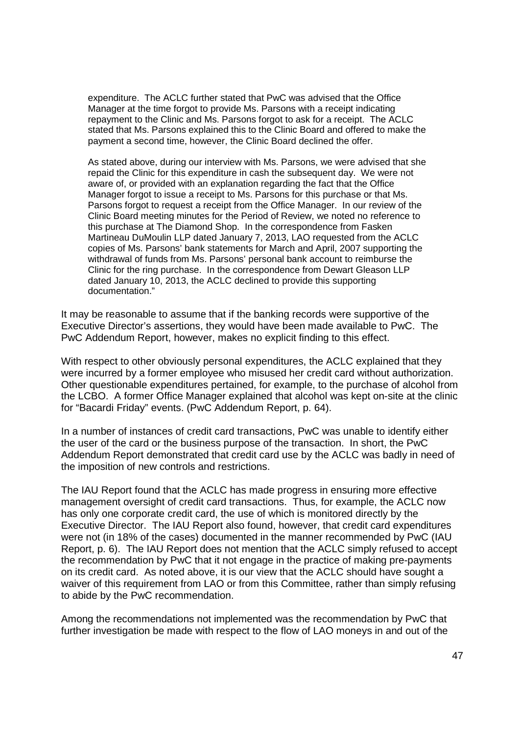expenditure. The ACLC further stated that PwC was advised that the Office expenditure. The ACLC further stated that PwC was advised that the Office Manager at the time forgot to provide Ms. Parsons with a receipt indicating Manager at the time forgot to provide Ms. Parsons with a receipt indicating repayment to the Clinic and Ms. Parsons forgot to ask for a receipt. The ACLC stated that Ms. Parsons explained this to the Clinic Board and offered to make the stated that Ms. Parsons explained this to the Clinic Board and offered to make the payment a second time, however, the Clinic Board declined the offer. payment a second time, however, the Clinic Board declined the offer.

As stated above, during our interview with Ms. Parsons, we were advised that she As stated above, during our interview with Ms. Parsons, we were advised that she repaid the Clinic for this expenditure in cash the subsequent day. We were not repaid the Clinic for this expenditure in cash the subsequent day. We were not aware of, or provided with an explanation regarding the fact that the Office aware of, or provided with an explanation regarding the fact that the Office Manager forgot to issue a receipt to Ms. Parsons for this purchase or that Ms. Manager forgot to issue a receipt to Ms. Parsons for this purchase or that Ms. Parsons forgot to request a receipt from the Office Manager. In our review of the Parsons forgot to request a receipt from the Office Manager. In our review of the Clinic Board meeting minutes for the Period of Review, we noted no reference to Clinic Board meeting minutes for the Period of Review, we noted no reference to this purchase at The Diamond Shop. In the correspondence from Fasken this purchase at The Diamond Shop. In the correspondence from Fasken Martineau DuMoulin LLP dated January 7, 2013, LAO requested from the ACLC copies of Ms. Parsons' bank statements for March and April, 2007 supporting the copies of Ms. Parsons' bank statements for March and April, 2007 supporting the withdrawal of funds from Ms. Parsons' personal bank account to reimburse the withdrawal of funds from Ms. Parsons' personal bank account to reimburse the Clinic for the ring purchase. In the correspondence from Dewart Gleason LLP Clinic for the ring purchase. In the correspondence from Dewart Gleason LLP dated January 10, 2013, the ACLC declined to provide this supporting dated January 10, 2013, the ACLC declined to provide this supporting documentation." documentation."

It may be reasonable to assume that if the banking records were supportive of the It may be reasonable to assume that if the banking records were supportive of the Executive Director's assertions, they would have been made available to PwC. The Executive Director's assertions, they would have been made available to PwC. The PwC Addendum Report, however, makes no explicit finding to this effect. PwC Addendum Report, however, makes no explicit finding to this effect.

With respect to other obviously personal expenditures, the ACLC explained that they With respect to other obviously personal expenditures, the ACLC explained that they were incurred by a former employee who misused her credit card without authorization. were incurred by a former employee who misused her credit card without authorization. Other questionable expenditures pertained, for example, to the purchase of alcohol from Other questionable expenditures pertained, for example, to the purchase of alcohol from the LCBO. A former Office Manager explained that alcohol was kept on-site at the clinic the LCBO. A former Office Manager explained that alcohol was kept on—site at the clinic for "Bacardi Friday" events. (PwC Addendum Report, p. 64). for "Bacardi Friday" events. (PwC Addendum Report, p. 64).

In a number of instances of credit card transactions, PwC was unable to identify either In a number of instances of credit card transactions, PwC was unable to identify either the user of the card or the business purpose of the transaction. In short, the PwC the user of the card or the business purpose of the transaction. In short, the PwC Addendum Report demonstrated that credit card use by the ACLC was badly in need of Addendum Report demonstrated that credit card use by the ACLC was badly in need of the imposition of new controls and restrictions. the imposition of new controls and restrictions.

The IAU Report found that the ACLC has made progress in ensuring more effective The IAU Report found that the ACLC has made progress in ensuring more effective management oversight of credit card transactions. Thus, for example, the ACLC now management oversight of credit card transactions. Thus, for example, the ACLC now has only one corporate credit card, the use of which is monitored directly by the has only one corporate credit card, the use of which is monitored directly by the Executive Director. The IAU Report also found, however, that credit card expenditures Executive Director. The IAU Report also found, however, that credit card expenditures were not (in 18% of the cases) documented in the manner recommended by PwC (IAU were not (in 18% of the cases) documented in the manner recommended by PwC (IAU Report, p. 6). The IAU Report does not mention that the ACLC simply refused to accept Report, p. 6). The IAU Report does not mention that the ACLC simply refused to accept the recommendation by PwC that it not engage in the practice of making pre-payments the recommendation by PwC that it not engage in the practice of making pre—payments on its credit card. As noted above, it is our view that the ACLC should have sought a waiver of this requirement from LAO or from this Committee, rather than simply refusing waiver of this requirement from LAO or from this Committee, rather than simply refusing to abide by the PwC recommendation. to abide by the PwC recommendation.

Among the recommendations not implemented was the recommendation by PwC that Among the recommendations not implemented was the recommendation by PwC that further investigation be made with respect to the flow of LAO moneys in and out of the further investigation be made with respect to the flow of LAO moneys in and out of the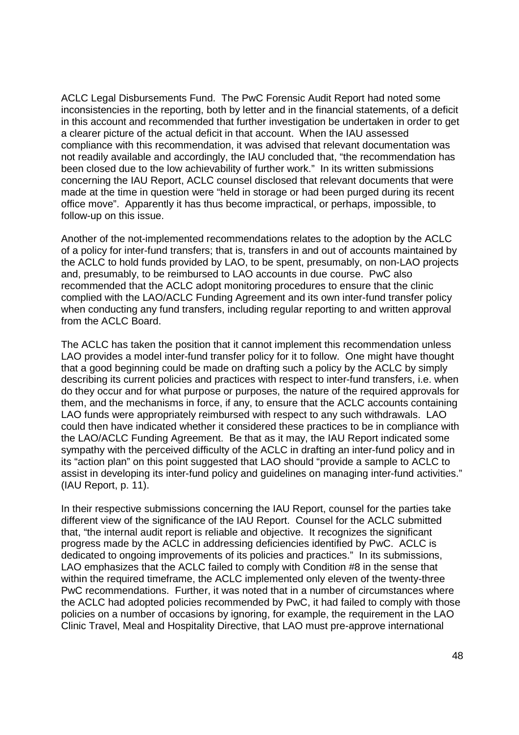ACLC Legal Disbursements Fund. The PwC Forensic Audit Report had noted some ACLC Legal Disbursements Fund. The PwC Forensic Audit Report had noted some inconsistencies in the reporting, both by letter and in the financial statements, of a deficit inconsistencies in the reporting, both by letter and in the financial statements, of a deficit in this account and recommended that further investigation be undertaken in order to get in this account and recommended that further investigation be undertaken in order to get a clearer picture of the actual deficit in that account. When the IAU assessed a clearer picture of the actual deficit in that account. When the IAU assessed compliance with this recommendation, it was advised that relevant documentation was compliance with this recommendation, it was advised that relevant documentation was not readily available and accordingly, the IAU concluded that, "the recommendation has not readily available and accordingly, the IAU concluded that, "the recommendation has been closed due to the low achievability of further work." In its written submissions been closed due to the low achievability of further work." In its written submissions concerning the IAU Report, ACLC counsel disclosed that relevant documents that were concerning the IAU Report, ACLC counsel disclosed that relevant documents that were made at the time in question were "held in storage or had been purged during its recent made at the time in question were "held in storage or had been purged during its recent office move". Apparently it has thus become impractical, or perhaps, impossible, to follow-up on this issue.

Another of the not-implemented recommendations relates to the adoption by the ACLC of a policy for inter-fund transfers; that is, transfers in and out of accounts maintained by the ACLC to hold funds provided by LAO, to be spent, presumably, on non-LAO projects and, presumably, to be reimbursed to LAO accounts in due course. PwC also and, presumably, to be reimbursed to LAO accounts in due course. PwC also recommended that the ACLC adopt monitoring procedures to ensure that the clinic recommended that the ACLC adopt monitoring procedures to ensure that the clinic complied with the LAO/ACLC Funding Agreement and its own inter-fund transfer policy complied with the LAO/ACLC Funding Agreement and its own inter—fund transfer policy when conducting any fund transfers, including regular reporting to and written approval when conducting any fund transfers, including regular reporting to and written approval from the ACLC Board. from the ACLC Board.

The ACLC has taken the position that it cannot implement this recommendation unless The ACLC has taken the position that it cannot implement this recommendation unless LAO provides a model inter-fund transfer policy for it to follow. One might have thought that a good beginning could be made on drafting such a policy by the ACLC by simply that a good beginning could be made on drafting such a policy by the ACLC by simply describing its current policies and practices with respect to inter-fund transfers, i.e. when describing its current policies and practices with respect to inter—fund transfers, i.e. when do they occur and for what purpose or purposes, the nature of the required approvals for do they occur and for what purpose or purposes, the nature of the required approvals for them, and the mechanisms in force, if any, to ensure that the ACLC accounts containing them, and the mechanisms in force, if any, to ensure that the ACLC accounts containing LAO funds were appropriately reimbursed with respect to any such withdrawals. LAO LAO funds were appropriately reimbursed with respect to any such withdrawals. LAO could then have indicated whether it considered these practices to be in compliance with could then have indicated whether it considered these practices to be in compliance with the LAO/ACLC Funding Agreement. Be that as it may, the IAU Report indicated some the LAO/ACLC Funding Agreement. Be that as it may, the IAU Report indicated some sympathy with the perceived difficulty of the ACLC in drafting an inter-fund policy and in its "action plan" on this point suggested that LAO should "provide a sample to ACLC to assist in developing its inter-fund policy and guidelines on managing inter-fund activities." (IAU Report, p. 11). (IAU Report, p. 11).

In their respective submissions concerning the IAU Report, counsel for the parties take In their respective submissions concerning the IAU Report, counsel for the parties take different view of the significance of the IAU Report. Counsel for the ACLC submitted different view of the significance of the IAU Report. Counsel for the ACLC submitted that, "the internal audit report is reliable and objective. It recognizes the significant that, "the internal audit report is reliable and objective. It recognizes the significant progress made by the ACLC in addressing deficiencies identified by PwC. ACLC is progress made by the ACLC in addressing deficiencies identified by PwC. ACLC is dedicated to ongoing improvements of its policies and practices." In its submissions, dedicated to ongoing improvements of its policies and practices." In its submissions, LAO emphasizes that the ACLC failed to comply with Condition #8 in the sense that LAO emphasizes that the ACLC failed to comply with Condition #8 in the sense that within the required timeframe, the ACLC implemented only eleven of the twenty-three PwC recommendations. Further, it was noted that in a number of circumstances where PwC recommendations. Further, it was noted that in a number of circumstances where the ACLC had adopted policies recommended by PwC, it had failed to comply with those the ACLC had adopted policies recommended by PwC, it had failed to comply with those policies on a number of occasions by ignoring, for example, the requirement in the LAO policies on a number of occasions by ignoring, for example, the requirement in the LAO Clinic Travel, Meal and Hospitality Directive, that LAO must pre-approve international Clinic Travel, Meal and Hospitality Directive, that LAO must pre—approve international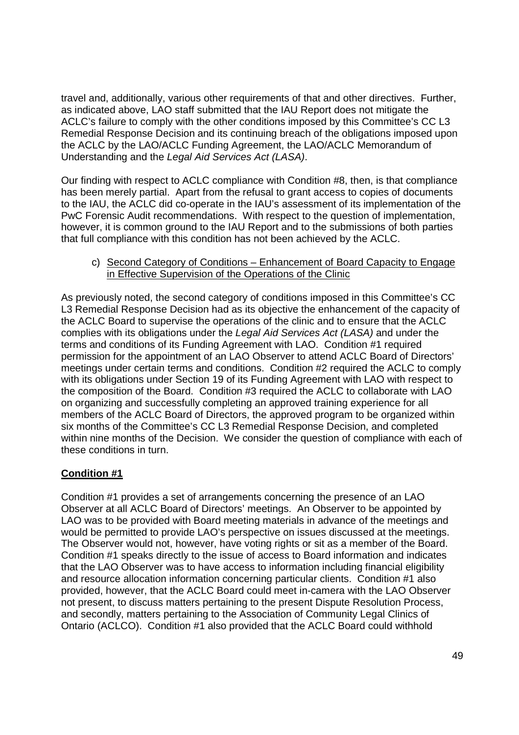travel and, additionally, various other requirements of that and other directives. Further, travel and, additionally, various other requirements of that and other directives. Further, as indicated above, LAO staff submitted that the IAU Report does not mitigate the as indicated above, LAO staff submitted that the IAU Report does not mitigate the ACLC's failure to comply with the other conditions imposed by this Committee's CC L3 ACLC's failure to comply with the other conditions imposed by this Committee's CC L3 Remedial Response Decision and its continuing breach of the obligations imposed upon Remedial Response Decision and its continuing breach of the obligations imposed upon the ACLC by the LAO/ACLC Funding Agreement, the LAO/ACLC Memorandum of the ACLC by the LAO/ACLC Funding Agreement, the LAO/ACLC Memorandum of Understanding and the Legal Aid Services Act (LASA). Understanding and the Legal Aid Services Act (LASA).

Our finding with respect to ACLC compliance with Condition #8, then, is that compliance Our finding with respect to ACLC compliance with Condition #8, then, is that compliance has been merely partial. Apart from the refusal to grant access to copies of documents has been merely partial. Apart from the refusal to grant access to copies of documents to the IAU, the ACLC did co-operate in the IAU's assessment of its implementation of the PwC Forensic Audit recommendations. With respect to the question of implementation, PwC Forensic Audit recommendations. With respect to the question of implementation, however, it is common ground to the IAU Report and to the submissions of both parties however, it is common ground to the IAU Report and to the submissions of both parties that full compliance with this condition has not been achieved by the ACLC. that full compliance with this condition has not been achieved by the ACLC.

### c) Second Category of Conditions – Enhancement of Board Capacity to Engage in Effective Supervision of the Operations of the Clinic in Effective Supervision of the Operations of the Clinic

As previously noted, the second category of conditions imposed in this Committee's CC As previously noted, the second category of conditions imposed in this Committee's CC L3 Remedial Response Decision had as its objective the enhancement of the capacity of L3 Remedial Response Decision had as its objective the enhancement of the capacity of the ACLC Board to supervise the operations of the clinic and to ensure that the ACLC the ACLC Board to supervise the operations of the clinic and to ensure that the ACLC complies with its obligations under the Legal Aid Services Act (LASA) and under the terms and conditions of its Funding Agreement with LAO. Condition #1 required terms and conditions of its Funding Agreement with LAO. Condition #1 required permission for the appointment of an LAO Observer to attend ACLC Board of Directors' permission for the appointment of an LAO Observer to attend ACLC Board of Directors' meetings under certain terms and conditions. Condition #2 required the ACLC to comply meetings under certain terms and conditions. Condition #2 required the ACLC to comply with its obligations under Section 19 of its Funding Agreement with LAO with respect to with its obligations under Section 19 of its Funding Agreement with LAO with respect to the composition of the Board. Condition #3 required the ACLC to collaborate with LAO the composition of the Board. Condition #3 required the ACLC to collaborate with LAO on organizing and successfully completing an approved training experience for all on organizing and successfully completing an approved training experience for all members of the ACLC Board of Directors, the approved program to be organized within members of the ACLC Board of Directors, the approved program to be organized within six months of the Committee's CC L3 Remedial Response Decision, and completed six months of the Committee's CC L3 Remedial Response Decision, and completed within nine months of the Decision. We consider the question of compliance with each of within nine months of the Decision. We consider the question of compliance with each of these conditions in turn. these conditions in turn.

# **Condition #1**  Condition #1

Condition #1 provides a set of arrangements concerning the presence of an LAO Condition #1 provides a set of arrangements concerning the presence of an LAO Observer at all ACLC Board of Directors' meetings. An Observer to be appointed by Observer at all ACLC Board of Directors' meetings. An Observer to be appointed by LAO was to be provided with Board meeting materials in advance of the meetings and LAO was to be provided with Board meeting materials in advance of the meetings and would be permitted to provide LAO's perspective on issues discussed at the meetings. would be permitted to provide LAO's perspective on issues discussed at the meetings. The Observer would not, however, have voting rights or sit as a member of the Board. The Observer would not, however, have voting rights or sit as a member of the Board. Condition #1 speaks directly to the issue of access to Board information and indicates Condition #1 speaks directly to the issue of access to Board information and indicates that the LAO Observer was to have access to information including financial eligibility that the LAO Observer was to have access to information including financial eligibility and resource allocation information concerning particular clients. Condition #1 also and resource allocation information concerning particular clients. Condition #1 also provided, however, that the ACLC Board could meet in-camera with the LAO Observer provided, however, that the ACLC Board could meet in—camera with the LAO Observer not present, to discuss matters pertaining to the present Dispute Resolution Process, not present, to discuss matters pertaining to the present Dispute Resolution Process, and secondly, matters pertaining to the Association of Community Legal Clinics of and secondly, matters pertaining to the Association of Community Legal Clinics of Ontario (ACLCO). Condition #1 also provided that the ACLC Board could withhold Ontario (ACLCO). Condition #1 also provided that the ACLC Board could withhold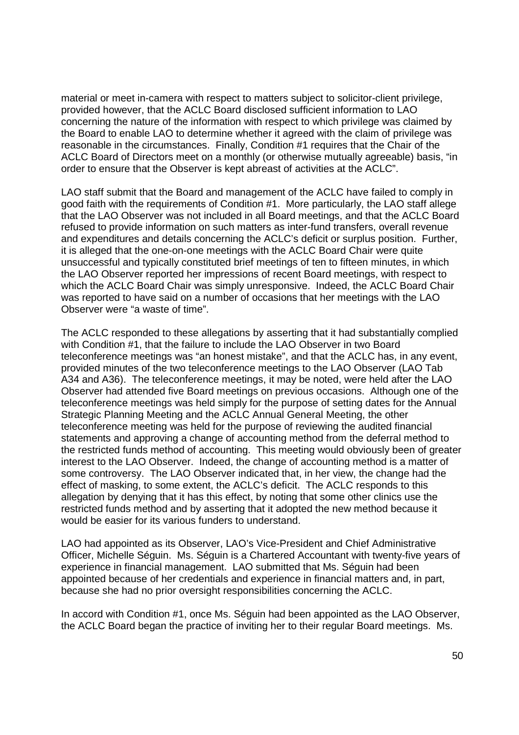material or meet in-camera with respect to matters subject to solicitor-client privilege, provided however, that the ACLC Board disclosed sufficient information to LAO provided however, that the ACLC Board disclosed sufficient information to LAO concerning the nature of the information with respect to which privilege was claimed by concerning the nature of the information with respect to which privilege was claimed by the Board to enable LAO to determine whether it agreed with the claim of privilege was the Board to enable LAO to determine whether it agreed with the claim of privilege was reasonable in the circumstances. Finally, Condition #1 requires that the Chair of the reasonable in the circumstances. Finally, Condition #1 requires that the Chair of the ACLC Board of Directors meet on a monthly (or otherwise mutually agreeable) basis, "in ACLC Board of Directors meet on a monthly (or othen/vise mutually agreeable) basis, "in order to ensure that the Observer is kept abreast of activities at the ACLC".

LAO staff submit that the Board and management of the ACLC have failed to comply in LAO staff submit that the Board and management of the ACLC have failed to comply in good faith with the requirements of Condition #1. More particularly, the LAO staff allege good faith with the requirements of Condition #1. More particularly, the LAO staff allege that the LAO Observer was not included in all Board meetings, and that the ACLC Board that the LAO Observer was not included in all Board meetings, and that the ACLC Board refused to provide information on such matters as inter-fund transfers, overall revenue and expenditures and details concerning the ACLC's deficit or surplus position. Further, and expenditures and details concerning the ACLC's deficit or surplus position. Further, it is alleged that the one-on-one meetings with the ACLC Board Chair were quite unsuccessful and typically constituted brief meetings of ten to fifteen minutes, in which unsuccessful and typically constituted brief meetings of ten to fifteen minutes, in which the LAO Observer reported her impressions of recent Board meetings, with respect to which the ACLC Board Chair was simply unresponsive. Indeed, the ACLC Board Chair which the ACLC Board Chair was simply unresponsive. Indeed, the ACLC Board Chair was reported to have said on a number of occasions that her meetings with the LAO was reported to have said on a number of occasions that her meetings with the LAO Observer were "a waste of time". Observer were "a waste of time".

The ACLC responded to these allegations by asserting that it had substantially complied The ACLC responded to these allegations by asserting that it had substantially complied with Condition #1, that the failure to include the LAO Observer in two Board with Condition #1, that the failure to include the LAO Observer in two Board teleconference meetings was "an honest mistake", and that the ACLC has, in any event, teleconference meetings was "an honest mistake", and that the ACLC has, in any event, provided minutes of the two teleconference meetings to the LAO Observer (LAO Tab provided minutes of the two teleconference meetings to the LAO Observer (LAO Tab A34 and A36). The teleconference meetings, it may be noted, were held after the LAO A34 and A36). The teleconference meetings, it may be noted, were held after the LAO Observer had attended five Board meetings on previous occasions. Although one of the Observer had attended five Board meetings on previous occasions. Although one of the teleconference meetings was held simply for the purpose of setting dates for the Annual teleconference meetings was held simply for the purpose of setting dates for the Annual Strategic Planning Meeting and the ACLC Annual General Meeting, the other Strategic Planning Meeting and the ACLC Annual General Meeting, the other teleconference meeting was held for the purpose of reviewing the audited financial teleconference meeting was held for the purpose of reviewing the audited financial statements and approving a change of accounting method from the deferral method to the restricted funds method of accounting. This meeting would obviously been of greater the restricted funds method of accounting. This meeting would obviously been of greater interest to the LAO Observer. Indeed, the change of accounting method is a matter of interest to the LAO Observer. Indeed, the change of accounting method is a matter of some controversy. The LAO Observer indicated that, in her view, the change had the some controversy. The LAO Observer indicated that, in her view, the change had the effect of masking, to some extent, the ACLC's deficit. The ACLC responds to this effect of masking, to some extent, the ACLC's deficit. The ACLC responds to this allegation by denying that it has this effect, by noting that some other clinics use the allegation by denying that it has this effect, by noting that some other clinics use the restricted funds method and by asserting that it adopted the new method because it restricted funds method and by asserting that it adopted the new method because it would be easier for its various funders to understand. would be easier for its various funders to understand.

LAO had appointed as its Observer, LAO's Vice-President and Chief Administrative LAO had appointed as its Observer, LAO's Vice—President and Chief Administrative Officer, Michelle Séguin. Ms. Séguin is a Chartered Accountant with twenty-five years of Officer, Michelle Séguin. Ms. Séguin is a Chartered Accountant with twenty—five years of experience in financial management. LAO submitted that Ms. Séguin had been experience in financial management. LAO submitted that Ms. Séguin had been appointed because of her credentials and experience in financial matters and, in part, appointed because of her credentials and experience in financial matters and, in part, because she had no prior oversight responsibilities concerning the ACLC. because she had no prior oversight responsibilities concerning the ACLC.

In accord with Condition #1, once Ms. Séguin had been appointed as the LAO Observer, In accord with Condition #1, once Ms. Séguin had been appointed as the LAO Observer, the ACLC Board began the practice of inviting her to their regular Board meetings. Ms. the ACLC Board began the practice of inviting her to their regular Board meetings. Ms.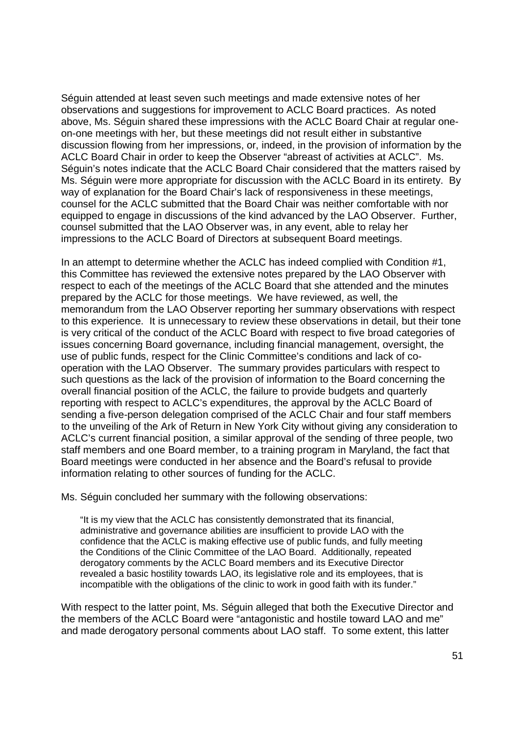Séguin attended at least seven such meetings and made extensive notes of her Séguin attended at least seven such meetings and made extensive notes of her observations and suggestions for improvement to ACLC Board practices. As noted observations and suggestions for improvement to ACLC Board practices. As noted above, Ms. Séguin shared these impressions with the ACLC Board Chair at regular one-above, Ms. Séguin shared these impressions with the ACLC Board Chair at regular oneon-one meetings with her, but these meetings did not result either in substantive on—one meetings with her, but these meetings did not result either in substantive discussion flowing from her impressions, or, indeed, in the provision of information by the discussion flowing from her impressions, or, indeed, in the provision of information by the ACLC Board Chair in order to keep the Observer "abreast of activities at ACLC". Ms. ACLC Board Chair in order to keep the Observer "abreast of activities at ACLC". Ms. Séguin's notes indicate that the ACLC Board Chair considered that the matters raised by Séguin's notes indicate that the ACLC Board Chair considered that the matters raised by Ms. Séguin were more appropriate for discussion with the ACLC Board in its entirety. By Ms. Séguin were more appropriate for discussion with the ACLC Board in its entirety. By way of explanation for the Board Chair's lack of responsiveness in these meetings, way of explanation for the Board Chair's lack of responsiveness in these meetings, counsel for the ACLC submitted that the Board Chair was neither comfortable with nor counsel for the ACLC submitted that the Board Chair was neither comfortable with nor equipped to engage in discussions of the kind advanced by the LAO Observer. Further, equipped to engage in discussions of the kind advanced by the LAO Observer. Further, counsel submitted that the LAO Observer was, in any event, able to relay her counsel submitted that the LAO Observer was, in any event, able to relay her impressions to the ACLC Board of Directors at subsequent Board meetings. impressions to the ACLC Board of Directors at subsequent Board meetings.

In an attempt to determine whether the ACLC has indeed complied with Condition #1, In an attempt to determine whether the ACLC has indeed complied with Condition #1, this Committee has reviewed the extensive notes prepared by the LAO Observer with respect to each of the meetings of the ACLC Board that she attended and the minutes respect to each of the meetings of the ACLC Board that she attended and the minutes prepared by the ACLC for those meetings. We have reviewed, as well, the prepared by the ACLC for those meetings. We have reviewed, as well, the memorandum from the LAO Observer reporting her summary observations with respect memorandum from the LAO Observer reporting her summary observations with respect to this experience. It is unnecessary to review these observations in detail, but their tone to this experience. It is unnecessary to review these observations in detail, but their tone is very critical of the conduct of the ACLC Board with respect to five broad categories of is very critical of the conduct of the ACLC Board with respect to five broad categories of issues concerning Board governance, including financial management, oversight, the issues concerning Board governance, including financial management, oversight, the use of public funds, respect for the Clinic Committee's conditions and lack of co-use of public funds, respect for the Clinic Committee's conditions and lack of cooperation with the LAO Observer. The summary provides particulars with respect to operation with the LAO Observer. The summary provides particulars with respect to such questions as the lack of the provision of information to the Board concerning the such questions as the lack of the provision of information to the Board concerning the overall financial position of the ACLC, the failure to provide budgets and quarterly overall financial position of the ACLC, the failure to provide budgets and quarterly reporting with respect to ACLC's expenditures, the approval by the ACLC Board of sending a five-person delegation comprised of the ACLC Chair and four staff members to the unveiling of the Ark of Return in New York City without giving any consideration to to the unveiling of the Ark of Return in New York City without giving any consideration to ACLC's current financial position, a similar approval of the sending of three people, two ACLC's current financial position, a similar approval of the sending of three people, two staff members and one Board member, to a training program in Maryland, the fact that staff members and one Board member, to a training program in Maryland, the fact that Board meetings were conducted in her absence and the Board's refusal to provide Board meetings were conducted in her absence and the Board's refusal to provide information relating to other sources of funding for the ACLC. information relating to other sources of funding for the ACLC.

Ms. Séguin concluded her summary with the following observations: Ms. Séguin concluded her summary with the following observations:

"It is my view that the ACLC has consistently demonstrated that its financial, ''It is my view that the ACLC has consistently demonstrated that its financial, administrative and governance abilities are insufficient to provide LAO with the administrative and governance abilities are insufficient to provide LAO with the confidence that the ACLC is making effective use of public funds, and fully meeting confidence that the ACLC is making effective use of public funds, and fully meeting the Conditions of the Clinic Committee of the LAO Board. Additionally, repeated the Conditions of the Clinic Committee of the LAO Board. Additionally, repeated derogatory comments by the ACLC Board members and its Executive Director derogatory comments by the ACLC Board members and its Executive Director revealed a basic hostility towards LAO, its legislative role and its employees, that is revealed a basic hostility towards LAO, its legislative role and its employees, that is incompatible with the obligations of the clinic to work in good faith with its funder." incompatible with the obligations of the clinic to work in good faith with its funder."

With respect to the latter point, Ms. Séguin alleged that both the Executive Director and With respect to the latter point, Ms. Séguin alleged that both the Executive Director and the members of the ACLC Board were "antagonistic and hostile toward LAO and me" the members of the ACLC Board were "antagonistic and hostile toward LAO and me" and made derogatory personal comments about LAO staff. To some extent, this latter and made derogatory personal comments about LAO staff. To some extent, this latter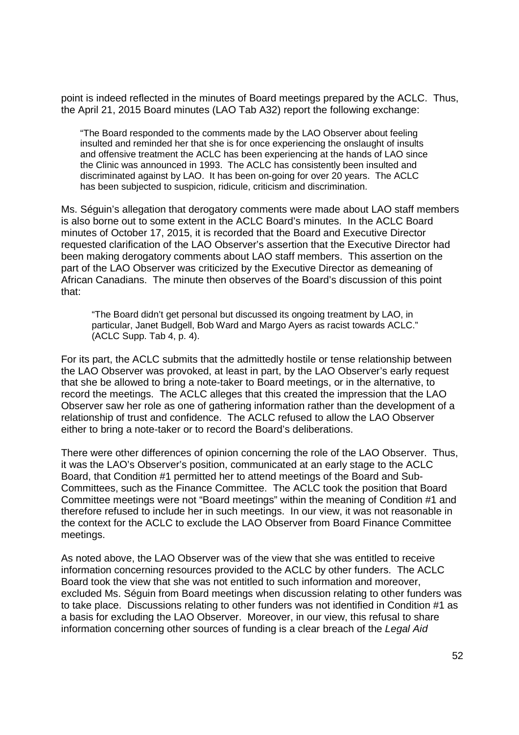point is indeed reflected in the minutes of Board meetings prepared by the ACLC. Thus, point is indeed reflected in the minutes of Board meetings prepared by the ACLC. Thus, the April 21, 2015 Board minutes (LAO Tab A32) report the following exchange: the April 21, 2015 Board minutes (LAO Tab A32) report the following exchange:

"The Board responded to the comments made by the LAO Observer about feeling "The Board responded to the comments made by the LAO Observer about feeling insulted and reminded her that she is for once experiencing the onslaught of insults insulted and reminded her that she is for once experiencing the onslaught of insults and offensive treatment the ACLC has been experiencing at the hands of LAO since and offensive treatment the ACLC has been experiencing at the hands of LAO since the Clinic was announced in 1993. The ACLC has consistently been insulted and the Clinic was announced in 1993. The ACLC has consistently been insulted and discriminated against by LAO. It has been on-going for over 20 years. The ACLC discriminated against by LAO. It has been on-going for over 20 years. The ACLC has been subjected to suspicion, ridicule, criticism and discrimination. has been subjected to suspicion, ridicule, criticism and discrimination.

Ms. Séguin's allegation that derogatory comments were made about LAO staff members Ms. Séguin's allegation that derogatory comments were made about LAO staff members is also borne out to some extent in the ACLC Board's minutes. In the ACLC Board is also borne out to some extent in the ACLC Board's minutes. In the ACLC Board minutes of October 17, 2015, it is recorded that the Board and Executive Director minutes of October 17, 2015, it is recorded that the Board and Executive Director requested clarification of the LAO Observer's assertion that the Executive Director had requested clarification of the LAO Observer's assertion that the Executive Director had been making derogatory comments about LAO staff members. This assertion on the been making derogatory comments about LAO staff members. This assertion on the part of the LAO Observer was criticized by the Executive Director as demeaning of part of the LAO Observer was criticized by the Executive Director as demeaning of African Canadians. The minute then observes of the Board's discussion of this point African Canadians. The minute then observes of the Board's discussion of this point that: that:

"The Board didn't get personal but discussed its ongoing treatment by LAO, in "The Board didn't get personal but discussed its ongoing treatment by LAO, in particular, Janet Budgell, Bob Ward and Margo Ayers as racist towards ACLC." particular, Janet Budgell, Bob Ward and Margo Ayers as racist towards ACLC." (ACLC Supp. Tab 4, p. 4). (ACLC Supp. Tab 4, p. 4).

For its part, the ACLC submits that the admittedly hostile or tense relationship between For its part, the ACLC submits that the admittedly hostile or tense relationship between the LAO Observer was provoked, at least in part, by the LAO Observer's early request the LAO Observer was provoked, at least in part, by the LAO Observer's early request that she be allowed to bring a note-taker to Board meetings, or in the alternative, to record the meetings. The ACLC alleges that this created the impression that the LAO record the meetings. The ACLC alleges that this created the impression that the LAO Observer saw her role as one of gathering information rather than the development of a Observer saw her role as one of gathering information rather than the development of a relationship of trust and confidence. The ACLC refused to allow the LAO Observer relationship of trust and confidence. The ACLC refused to allow the LAO Observer either to bring a note-taker or to record the Board's deliberations. either to bring a note—taker or to record the Board's deliberations.

There were other differences of opinion concerning the role of the LAO Observer. Thus, There were other differences of opinion concerning the role of the LAO Observer. Thus, it was the LAO's Observer's position, communicated at an early stage to the ACLC it was the LAO's Observer's position, communicated at an early stage to the ACLC Board, that Condition #1 permitted her to attend meetings of the Board and Sub-Board, that Condition #1 permitted her to attend meetings of the Board and Sub-Committees, such as the Finance Committee. The ACLC took the position that Board Committees, such as the Finance Committee. The ACLC took the position that Board Committee meetings were not "Board meetings" within the meaning of Condition #1 and Committee meetings were not "Board meetings" within the meaning of Condition #1 and therefore refused to include her in such meetings. In our view, it was not reasonable in therefore refused to include her in such meetings. In our view, it was not reasonable in the context for the ACLC to exclude the LAO Observer from Board Finance Committee the context for the ACLC to exclude the LAO Observer from Board Finance Committee meetings. meetings.

As noted above, the LAO Observer was of the view that she was entitled to receive As noted above, the LAO Observer was of the view that she was entitled to receive information concerning resources provided to the ACLC by other funders. The ACLC information concerning resources provided to the ACLC by other funders. The ACLC Board took the view that she was not entitled to such information and moreover, Board took the view that she was not entitled to such information and moreover, excluded Ms. Séguin from Board meetings when discussion relating to other funders was excluded Ms. Séguin from Board meetings when discussion relating to other funders was to take place. Discussions relating to other funders was not identified in Condition #1 as to take place. Discussions relating to other funders was not identified in Condition #1 as a basis for excluding the LAO Observer. Moreover, in our view, this refusal to share a basis for excluding the LAO Observer. Moreover, in our view, this refusal to share information concerning other sources of funding is a clear breach of the Legal Aid information concerning other sources of funding is a clear breach of the Legal Aid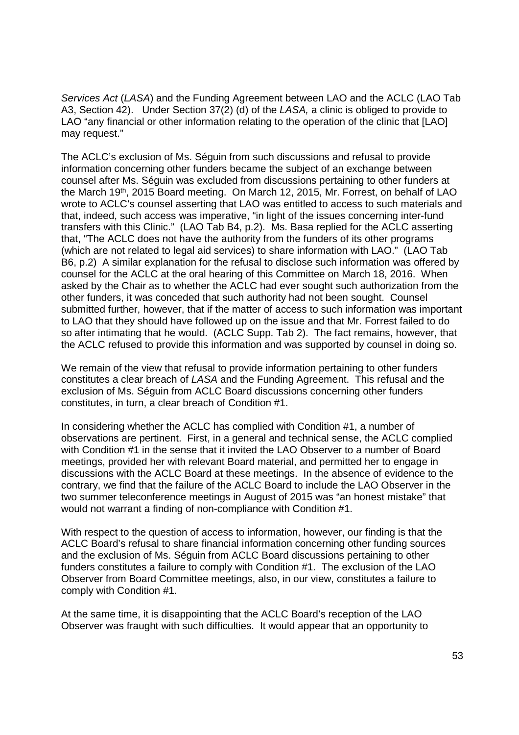Services Act (LASA) and the Funding Agreement between LAO and the ACLC (LAO Tab Services Act (LASA) and the Funding Agreement between LAO and the ACLC (LAO Tab A3, Section 42). Under Section 37(2) (d) of the LASA, a clinic is obliged to provide to A3, Section 42). Under Section 37(2) (d) of the LASA, a clinic is obliged to provide to LAO "any financial or other information relating to the operation of the clinic that [LAO] LAO "any financial or other information relating to the operation of the clinic that [LAO] may request." may request."

The ACLC's exclusion of Ms. Séguin from such discussions and refusal to provide The ACLC's exclusion of Ms. Séguin from such discussions and refusal to provide information concerning other funders became the subject of an exchange between information concerning other funders became the subject of an exchange between counsel after Ms. Séguin was excluded from discussions pertaining to other funders at counsel after Ms. Séguin was excluded from discussions pertaining to other funders at the March 19<sup>th</sup>, 2015 Board meeting. On March 12, 2015, Mr. Forrest, on behalf of LAO wrote to ACLC's counsel asserting that LAO was entitled to access to such materials and wrote to ACLC's counsel asserting that LAO was entitled to access to such materials and that, indeed, such access was imperative, "in light of the issues concerning inter-fund transfers with this Clinic." (LAO Tab B4, p.2). Ms. Basa replied for the ACLC asserting transfers with this Clinic." (LAO Tab B4, p.2). Ms. Basa replied for the ACLC asserting that, "The ACLC does not have the authority from the funders of its other programs that, "The ACLC does not have the authority from the funders of its other programs (which are not related to legal aid services) to share information with LAO." (LAO Tab (which are not related to legal aid services) to share information with LAO." (LAO Tab B6, p.2) A similar explanation for the refusal to disclose such information was offered by B6, p.2) A similar explanation for the refusal to disclose such information was offered by counsel for the ACLC at the oral hearing of this Committee on March 18, 2016. When counsel for the ACLC at the oral hearing of this Committee on March 18, 2016. When asked by the Chair as to whether the ACLC had ever sought such authorization from the asked by the Chair as to whether the ACLC had ever sought such authorization from the other funders, it was conceded that such authority had not been sought. Counsel other funders, it was conceded that such authority had not been sought. Counsel submitted further, however, that if the matter of access to such information was important submitted further, however, that if the matter of access to such information was important to LAO that they should have followed up on the issue and that Mr. Forrest failed to do so after intimating that he would. (ACLC Supp. Tab 2). The fact remains, however, that the ACLC refused to provide this information and was supported by counsel in doing so. the ACLC refused to provide this information and was supported by counsel in doing so.

We remain of the view that refusal to provide information pertaining to other funders We remain of the view that refusal to provide information pertaining to other funders constitutes a clear breach of LASA and the Funding Agreement. This refusal and the constitutes a clear breach of LASA and the Funding Agreement. This refusal and the exclusion of Ms. Séguin from ACLC Board discussions concerning other funders exclusion of Ms. Séguin from ACLC Board discussions concerning other funders constitutes, in turn, a clear breach of Condition #1. constitutes, in turn, a clear breach of Condition #1.

In considering whether the ACLC has complied with Condition #1, a number of In considering whether the ACLC has complied with Condition #1, a number of observations are pertinent. First, in a general and technical sense, the ACLC complied observations are pertinent. First, in a general and technical sense, the ACLC complied with Condition #1 in the sense that it invited the LAO Observer to a number of Board with Condition #1 in the sense that it invited the LAO Observer to a number of Board meetings, provided her with relevant Board material, and permitted her to engage in meetings, provided her with relevant Board material, and permitted her to engage in discussions with the ACLC Board at these meetings. In the absence of evidence to the discussions with the ACLC Board at these meetings. In the absence of evidence to the contrary, we find that the failure of the ACLC Board to include the LAO Observer in the contrary, we find that the failure of the ACLC Board to include the LAO Observer in the two summer teleconference meetings in August of 2015 was "an honest mistake" that two summer teleconference meetings in August of 2015 was "an honest mistake" that would not warrant a finding of non-compliance with Condition #1. would not warrant a finding of non-compliance with Condition #1.

With respect to the question of access to information, however, our finding is that the With respect to the question of access to information, however, our finding is that the ACLC Board's refusal to share financial information concerning other funding sources ACLC Board's refusal to share financial information concerning other funding sources and the exclusion of Ms. Séguin from ACLC Board discussions pertaining to other and the exclusion of Ms. Séguin from ACLC Board discussions pertaining to other funders constitutes a failure to comply with Condition #1. The exclusion of the LAO funders constitutes a failure to comply with Condition #1. The exclusion of the LAO Observer from Board Committee meetings, also, in our view, constitutes a failure to Observer from Board Committee meetings, also, in our view, constitutes a failure to comply with Condition #1. comply with Condition #1.

At the same time, it is disappointing that the ACLC Board's reception of the LAO At the same time, it is disappointing that the ACLC Board's reception of the LAO Observer was fraught with such difficulties. It would appear that an opportunity to Observer was fraught with such difficulties. It would appear that an opportunity to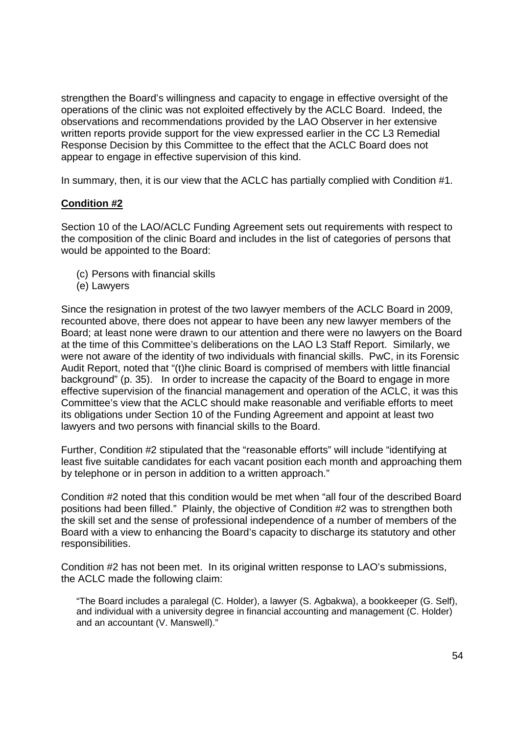strengthen the Board's willingness and capacity to engage in effective oversight of the strengthen the Board's willingness and capacity to engage in effective oversight of the operations of the clinic was not exploited effectively by the ACLC Board. Indeed, the operations of the clinic was not exploited effectively by the ACLC Board. Indeed, the observations and recommendations provided by the LAO Observer in her extensive observations and recommendations provided by the LAO Observer in her extensive written reports provide support for the view expressed earlier in the CC L3 Remedial written reports provide support for the view expressed earlier in the CC L3 Remedial Response Decision by this Committee to the effect that the ACLC Board does not Response Decision by this Committee to the effect that the ACLC Board does not appear to engage in effective supervision of this kind. appear to engage in effective supervision of this kind.

In summary, then, it is our view that the ACLC has partially complied with Condition #1. In summary, then, it is our view that the ACLC has partially complied with Condition #1.

## **Condition #2**  Condition #2

Section 10 of the LAO/ACLC Funding Agreement sets out requirements with respect to Section 10 of the LAO/ACLC Funding Agreement sets out requirements with respect to the composition of the clinic Board and includes in the list of categories of persons that the composition of the clinic Board and includes in the list of categories of persons that would be appointed to the Board: would be appointed to the Board:

- (c) Persons with financial skills (c) Persons with financial skills
- (e) Lawyers (e) Lawyers

Since the resignation in protest of the two lawyer members of the ACLC Board in 2009, Since the resignation in protest of the two lawyer members of the ACLC Board in 2009, recounted above, there does not appear to have been any new lawyer members of the recounted above, there does not appear to have been any new lawyer members of the Board; at least none were drawn to our attention and there were no lawyers on the Board Board; at least none were drawn to our attention and there were no lawyers on the Board at the time of this Committee's deliberations on the LAO L3 Staff Report. Similarly, we at the time of this Committee's deliberations on the LAO L3 Staff Report. Similarly, we were not aware of the identity of two individuals with financial skills. PwC, in its Forensic were not aware of the identity of two individuals with financial skills. PwC, in its Forensic Audit Report, noted that "(t)he clinic Board is comprised of members with little financial Audit Report, noted that "(t)he clinic Board is comprised of members with little financial background" (p. 35). In order to increase the capacity of the Board to engage in more background" (p. 35). In order to increase the capacity of the Board to engage in more effective supervision of the financial management and operation of the ACLC, it was this effective supervision of the financial management and operation of the ACLC, it was this Committee's view that the ACLC should make reasonable and verifiable efforts to meet Committee's view that the ACLC should make reasonable and verifiable efforts to meet its obligations under Section 10 of the Funding Agreement and appoint at least two its obligations under Section 10 of the Funding Agreement and appoint at least two lawyers and two persons with financial skills to the Board. lawyers and two persons with financial skills to the Board.

Further, Condition #2 stipulated that the "reasonable efforts" will include "identifying at Further, Condition #2 stipulated that the "reasonable efforts" will include "identifying at least five suitable candidates for each vacant position each month and approaching them least five suitable candidates for each vacant position each month and approaching them by telephone or in person in addition to a written approach." by telephone or in person in addition to a written approach."

Condition #2 noted that this condition would be met when "all four of the described Board Condition #2 noted that this condition would be met when ''all four of the described Board positions had been filled." Plainly, the objective of Condition #2 was to strengthen both positions had been filled.'' Plainly, the objective of Condition #2 was to strengthen both the skill set and the sense of professional independence of a number of members of the the skill set and the sense of professional independence of a number of members of the Board with a view to enhancing the Board's capacity to discharge its statutory and other Board with a view to enhancing the Board's capacity to discharge its statutory and other responsibilities. responsibilities.

Condition #2 has not been met. In its original written response to LAO's submissions, Condition #2 has not been met. In its original written response to LAO's submissions, the ACLC made the following claim: the ACLC made the following claim:

"The Board includes a paralegal (C. Holder), a lawyer (S. Agbakwa), a bookkeeper (G. Self), "The Board includes a paralegal (C. Holder), a lawyer (S. Agbakwa), a bookkeeper (G. Self), and individual with a university degree in financial accounting and management (C. Holder) and individual with a university degree in financial accounting and management (C. Holder) and an accountant (V. Manswell)." and an accountant (V. Manswell)."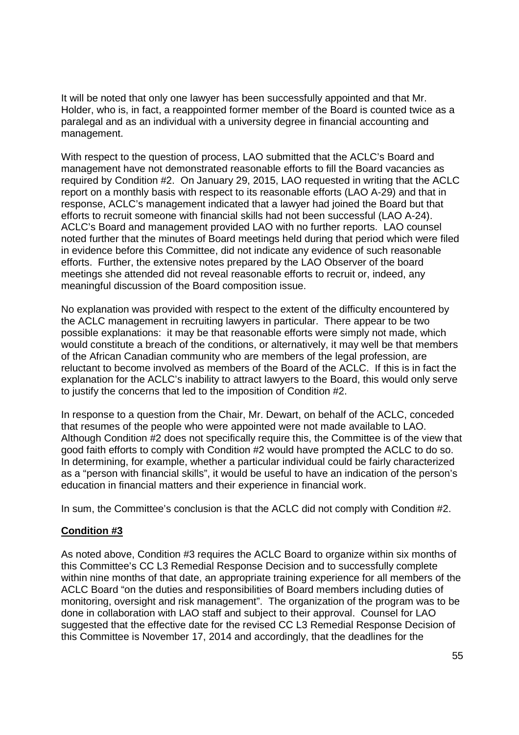It will be noted that only one lawyer has been successfully appointed and that Mr. It will be noted that only one lawyer has been successfully appointed and that Mr. Holder, who is, in fact, a reappointed former member of the Board is counted twice as a Holder, who is, in fact, a reappointed former member of the Board is counted twice as a paralegal and as an individual with a university degree in financial accounting and paralegal and as an individual with a university degree in financial accounting and management. management.

With respect to the question of process, LAO submitted that the ACLC's Board and With respect to the question of process, LAO submitted that the ACLC's Board and management have not demonstrated reasonable efforts to fill the Board vacancies as management have not demonstrated reasonable efforts to fill the Board vacancies as required by Condition #2. On January 29, 2015, LAO requested in writing that the ACLC required by Condition #2. On January 29, 2015, LAO requested in writing that the ACLC report on a monthly basis with respect to its reasonable efforts (LAO A-29) and that in response, ACLC's management indicated that a lawyer had joined the Board but that response, ACLC's management indicated that a lawyer had joined the Board but that efforts to recruit someone with financial skills had not been successful (LAO A-24). efforts to recruit someone with financial skills had not been successful (LAO A—24). ACLC's Board and management provided LAO with no further reports. LAO counsel ACLC's Board and management provided LAO with no further reports. LAO counsel noted further that the minutes of Board meetings held during that period which were filed noted further that the minutes of Board meetings held during that period which were filed in evidence before this Committee, did not indicate any evidence of such reasonable in evidence before this Committee, did not indicate any evidence of such reasonable efforts. Further, the extensive notes prepared by the LAO Observer of the board efforts. Further, the extensive notes prepared by the LAO Observer of the board meetings she attended did not reveal reasonable efforts to recruit or, indeed, any meetings she attended did not reveal reasonable efforts to recruit or, indeed, any meaningful discussion of the Board composition issue. meaningful discussion of the Board composition issue.

No explanation was provided with respect to the extent of the difficulty encountered by No explanation was provided with respect to the extent of the difficulty encountered by the ACLC management in recruiting lawyers in particular. There appear to be two possible explanations: it may be that reasonable efforts were simply not made, which possible explanations: it may be that reasonable efforts were simply not made, which would constitute a breach of the conditions, or alternatively, it may well be that members would constitute a breach of the conditions, or alternatively, it may well be that members of the African Canadian community who are members of the legal profession, are of the African Canadian community who are members of the legal profession, are reluctant to become involved as members of the Board of the ACLC. If this is in fact the reluctant to become involved as members of the Board of the ACLC. If this is in fact the explanation for the ACLC's inability to attract lawyers to the Board, this would only serve explanation for the ACLC's inability to attract lawyers to the Board, this would only serve to justify the concerns that led to the imposition of Condition #2. to justify the concerns that led to the imposition of Condition #2.

In response to a question from the Chair, Mr. Dewart, on behalf of the ACLC, conceded In response to a question from the Chair, Mr. Dewart, on behalf of the ACLC, conceded that resumes of the people who were appointed were not made available to LAO. that resumes of the people who were appointed were not made available to LAO. Although Condition #2 does not specifically require this, the Committee is of the view that Although Condition #2 does not specifically require this, the Committee is of the view that good faith efforts to comply with Condition #2 would have prompted the ACLC to do so. good faith efforts to comply with Condition #2 would have prompted the ACLC to do so. In determining, for example, whether a particular individual could be fairly characterized In determining, for example, whether a particular individual could be fairly characterized as a "person with financial skills", it would be useful to have an indication of the person's as a "person with financial skills", it would be useful to have an indication of the person's education in financial matters and their experience in financial work. education in financial matters and their experience in financial work.

In sum, the Committee's conclusion is that the ACLC did not comply with Condition #2. In sum, the Committee's conclusion is that the ACLC did not comply with Condition #2.

### **Condition #3**  Condition #3

As noted above, Condition #3 requires the ACLC Board to organize within six months of As noted above, Condition #3 requires the ACLC Board to organize within six months of this Committee's CC L3 Remedial Response Decision and to successfully complete this Committee's CC L3 Remedial Response Decision and to successfully complete within nine months of that date, an appropriate training experience for all members of the within nine months of that date, an appropriate training experience for all members of the ACLC Board "on the duties and responsibilities of Board members including duties of ACLC Board "on the duties and responsibilities of Board members including duties of monitoring, oversight and risk management". The organization of the program was to be monitoring, oversight and risk management". The organization of the program was to be done in collaboration with LAO staff and subject to their approval. Counsel for LAO done in collaboration with LAO staff and subject to their approval. Counsel for LAO suggested that the effective date for the revised CC L3 Remedial Response Decision of suggested that the effective date for the revised CC L3 Remedial Response Decision of this Committee is November 17, 2014 and accordingly, that the deadlines for the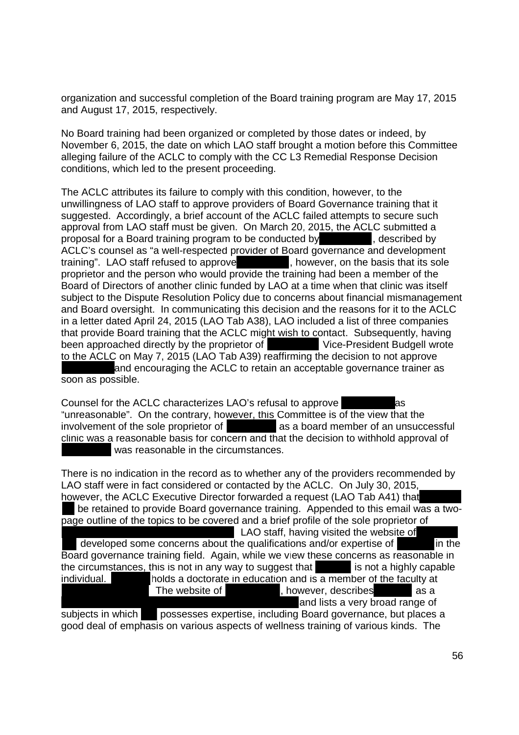organization and successful completion of the Board training program are May 17, 2015 organization and successful completion of the Board training program are May 17, 2015 and August 17, 2015, respectively. and August 17, 2015, respectively.

No Board training had been organized or completed by those dates or indeed, by No Board training had been organized or completed by those dates or indeed, by November 6, 2015, the date on which LAO staff brought a motion before this Committee November 6, 2015, the date on which LAO staff brought a motion before this Committee alleging failure of the ACLC to comply with the CC L3 Remedial Response Decision alleging failure of the ACLC to comply with the CC L3 Remedial Response Decision conditions, which led to the present proceeding. conditions, which led to the present proceeding.

The ACLC attributes its failure to comply with this condition, however, to the The ACLC attributes its failure to comply with this condition, however, to the unwillingness of LAO staff to approve providers of Board Governance training that it unwillingness of LAO staff to approve providers of Board Governance training that it suggested. Accordingly, a brief account of the ACLC failed attempts to secure such suggested. Accordingly, a brief account of the ACLC failed attempts to secure such approval from LAO staff must be given. On March 20, 2015, the ACLC submitted a approval from LAO staff must be given. On March 20, 2015, the ACLC submitted a proposal for a Board training program to be conducted by , described by proposal for a Board training program to be conducted by, described by ACLC's counsel as "a well-respected provider of Board governance and development training". LAO staff refused to approve **that its in the sole**, however, on the basis that its sole proprietor and the person who would provide the training had been a member of the proprietor and the person who would provide the training had been a member of the Board of Directors of another clinic funded by LAO at a time when that clinic was itself Board of Directors of another clinic funded by LAO at a time when that clinic was itself subject to the Dispute Resolution Policy due to concerns about financial mismanagement and Board oversight. In communicating this decision and the reasons for it to the ACLC and Board oversight. In communicating this decision and the reasons for it to the ACLC in a letter dated April 24, 2015 (LAO Tab A38), LAO included a list of three companies in a letter dated April 24, 2015 (LAO Tab A38), LAO included a list of three companies that provide Board training that the ACLC might wish to contact. Subsequently, having been approached directly by the proprietor of **Vice-President Budgell wrote** to the ACLC on May 7, 2015 (LAO Tab A39) reaffirming the decision to not approve and encouraging the ACLC to retain an acceptable governance trainer as and encouraging the ACLC to retain an acceptable governance trainer as soon as possible. soon as possible.

Counsel for the ACLC characterizes LAO's refusal to approve as "unreasonable". On the contrary, however, this Committee is of the view that the "unreasonable". On the contrary, however, this Committee is of the view that the involvement of the sole proprietor of **and as a board member of an unsuccessful** clinic was a reasonable basis for concern and that the decision to withhold approval of was reasonable in the circumstances. was reasonable in the circumstances.

There is no indication in the record as to whether any of the providers recommended by There is no indication in the record as to whether any of the providers recommended by LAO staff were in fact considered or contacted by the ACLC. On July 30, 2015, however, the ACLC Executive Director forwarded a request (LAO Tab A41) that however, the ACLC Executive Director forwarded a request (LAO Tab A41) that<br>██ be retained to provide Board governance training. Appended to this email was a twopage outline of the topics to be covered and a brief profile of the sole proprietor of page outline of the topics to be covered and a brief profile of the sole proprietor of LAO staff, having visited the website of developed some concerns about the qualifications and/or expertise of in the Board governance training field. Again, while we view these concerns as reasonable in the circumstances, this is not in any way to suggest that is not a highly capable individual. holds a doctorate in education and is a member of the faculty at The website of **Fig. 1.1.** The website of  $\blacksquare$ , however, describes as a and lists a very broad range of and lists a very broad range of subjects in which possesses expertise, including Board governance, but places a good deal of emphasis on various aspects of wellness training of various kinds. The good deal of emphasis on various aspects of wellness training of various kinds. The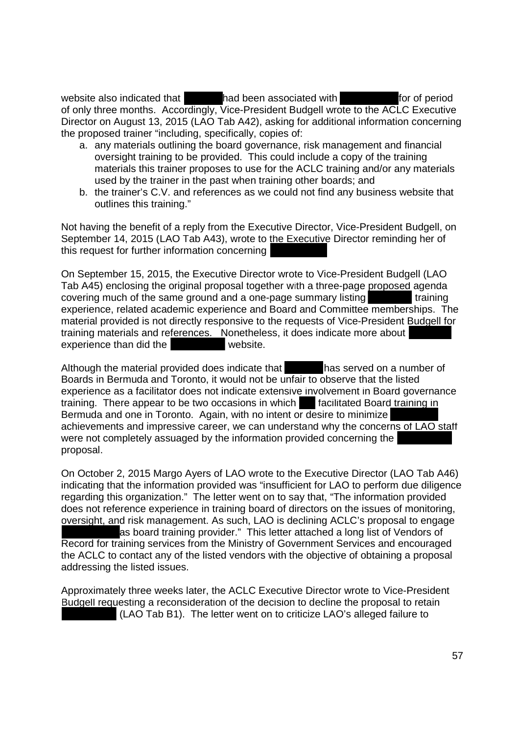website also indicated that **had been associated with** for of period of only three months. Accordingly, Vice-President Budgell wrote to the ACLC Executive of only three months. Accordingly, Vice—President Budgell wrote to the ACLC Executive Director on August 13, 2015 (LAO Tab A42), asking for additional information concerning Director on August 13, 2015 (LAO Tab A42), asking for additional information concerning the proposed trainer "including, specifically, copies of: the proposed trainer "including, specifically, copies of:

- a. any materials outlining the board governance, risk management and financial a. any materials outlining the board governance, risk management and financial oversight training to be provided. This could include a copy of the training oversight training to be provided. This could include a copy of the training materials this trainer proposes to use for the ACLC training and/or any materials materials this trainer proposes to use for the ACLC training and/or any materials used by the trainer in the past when training other boards; and used by the trainer in the past when training other boards; and
- b. the trainer's C.V. and references as we could not find any business website that b. the trainer's C.V. and references as we could not find any business website that outlines this training." outlines this training."

Not having the benefit of a reply from the Executive Director, Vice-President Budgell, on Not having the benefit of a reply from the Executive Director, Vice—President Budgell, on September 14, 2015 (LAO Tab A43), wrote to the Executive Director reminding her of this request for further information concerning this request for further information concerning

On September 15, 2015, the Executive Director wrote to Vice-President Budgell (LAO On September 15, 2015, the Executive Director wrote to Vice—President Budgell (LAO Tab A45) enclosing the original proposal together with a three-page proposed agenda covering much of the same ground and a one-page summary listing **training** training experience, related academic experience and Board and Committee memberships. The experience, related academic experience and Board and Committee memberships. The material provided is not directly responsive to the requests of Vice-President Budgell for training materials and references. Nonetheless, it does indicate more about experience than did the website. experience than did the website.

Although the material provided does indicate that has served on a number of Boards in Bermuda and Toronto, it would not be unfair to observe that the listed Boards in Bermuda and Toronto, it would not be unfair to observe that the listed experience as a facilitator does not indicate extensive involvement in Board governance training. There appear to be two occasions in which facilitated Board training in Bermuda and one in Toronto. Again, with no intent or desire to minimize Bermuda and one in Toronto. Again, with no intent or desire to minimize achievements and impressive career, we can understand why the concerns of LAO staff were not completely assuaged by the information provided concerning the were not completely assuaged by the information provided concerning the proposal. proposal.

On October 2, 2015 Margo Ayers of LAO wrote to the Executive Director (LAO Tab A46) On October 2, 2015 Margo Ayers of LAO wrote to the Executive Director (LAO Tab A46) indicating that the information provided was "insufficient for LAO to perform due diligence indicating that the information provided was "insufficient for LAO to perform due diligence regarding this organization." The letter went on to say that, "The information provided regarding this organization." The letter went on to say that, "The information provided does not reference experience in training board of directors on the issues of monitoring, does not reference experience in training board of directors on the issues of monitoring, oversight, and risk management. As such, LAO is declining ACLC's proposal to engage as board training provider." This letter attached a long list of Vendors of as board training provider." This letter attached a long list of Vendors of Record for training services from the Ministry of Government Services and encouraged Record for training services from the Ministry of Government Services and encouraged the ACLC to contact any of the listed vendors with the objective of obtaining a proposal the ACLC to contact any of the listed vendors with the objective of obtaining a proposal addressing the listed issues. addressing the listed issues.

Approximately three weeks later, the ACLC Executive Director wrote to Vice-President Approximately three weeks later, the ACLC Executive Director wrote to Vice—President Budgell requesting a reconsideration of the decision to decline the proposal to retain Budgell requesting a reconsideration of the decision to decline the proposal to retain (LAO Tab B1). The letter went on to criticize LAO's alleged failure to (LAO Tab B1). The letter went on to criticize LAO's alleged failure to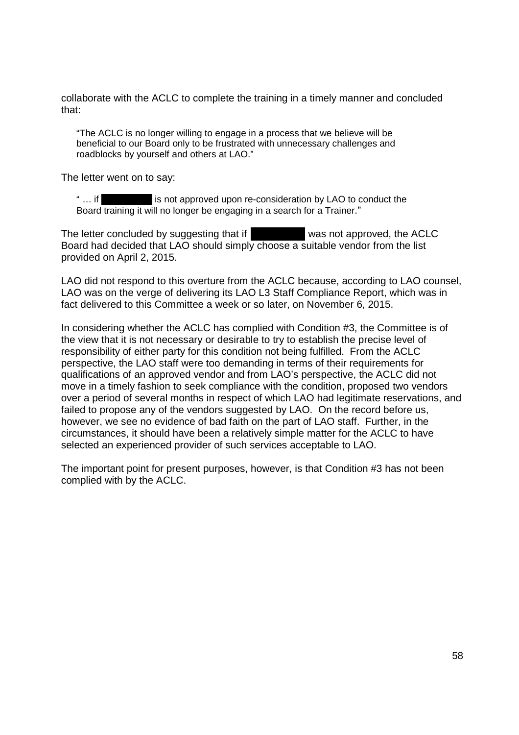collaborate with the ACLC to complete the training in a timely manner and concluded collaborate with the ACLC to complete the training in a timely manner and concluded that: that:

"The ACLC is no longer willing to engage in a process that we believe will be "The ACLC is no longer willing to engage in a process that we believe will be beneficial to our Board only to be frustrated with unnecessary challenges and beneficial to our Board only to be frustrated with unnecessary challenges and roadblocks by yourself and others at LAO." roadblocks by yourself and others at LAO."

The letter went on to say: The letter went on to say:

is not approved upon re-consideration by LAO to conduct the Board training it will no longer be engaging in a search for a Trainer." Board training it will no longer be engaging in a search for a Trainer."  $" \ldots$  if  $\blacksquare$ 

The letter concluded by suggesting that if was not approved, the ACLC Board had decided that LAO should simply choose a suitable vendor from the list Board had decided that LAO should simply choose a suitable vendor from the list provided on April 2, 2015. provided on April 2, 2015.

LAO did not respond to this overture from the ACLC because, according to LAO counsel, LAO did not respond to this overture from the ACLC because, according to LAO counsel, LAO was on the verge of delivering its LAO L3 Staff Compliance Report, which was in LAO was on the verge of delivering its LAO L3 Staff Compliance Report, which was in fact delivered to this Committee a week or so later, on November 6, 2015. fact delivered to this Committee a week or so later, on November 6, 2015.

In considering whether the ACLC has complied with Condition #3, the Committee is of In considering whether the ACLC has complied with Condition #3, the Committee is of the view that it is not necessary or desirable to try to establish the precise level of the view that it is not necessary or desirable to try to establish the precise level of responsibility of either party for this condition not being fulfilled. From the ACLC responsibility of either party for this condition not being fulfilled. From the ACLC perspective, the LAO staff were too demanding in terms of their requirements for perspective, the LAO staff were too demanding in terms of their requirements for qualifications of an approved vendor and from LAO's perspective, the ACLC did not qualifications of an approved vendor and from LAO's perspective, the ACLC did not move in a timely fashion to seek compliance with the condition, proposed two vendors move in a timely fashion to seek compliance with the condition, proposed two vendors over a period of several months in respect of which LAO had legitimate reservations, and failed to propose any of the vendors suggested by LAO. On the record before us, failed to propose any of the vendors suggested by LAO. On the record before us, however, we see no evidence of bad faith on the part of LAO staff. Further, in the however, we see no evidence of bad faith on the part of LAO staff. Further, in the circumstances, it should have been a relatively simple matter for the ACLC to have circumstances, it should have been a relatively simple matter for the ACLC to have selected an experienced provider of such services acceptable to LAO. selected an experienced provider of such services acceptable to LAO.

The important point for present purposes, however, is that Condition #3 has not been The important point for present purposes, however, is that Condition #3 has not been complied with by the ACLC. complied with by the ACLC.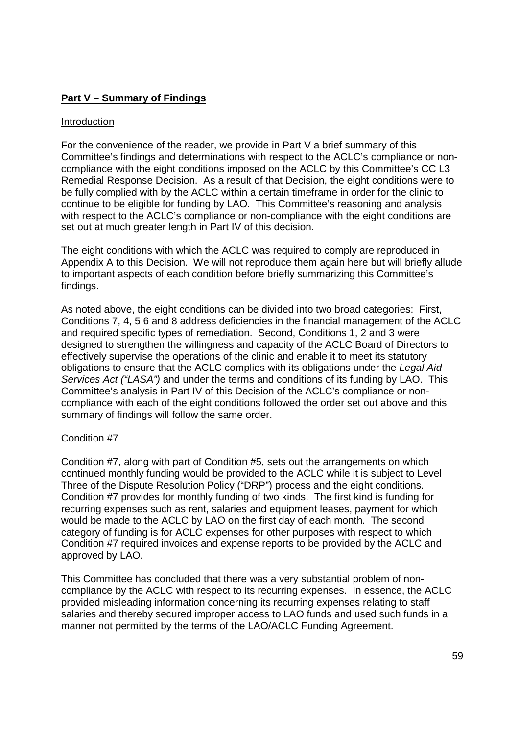# **Part V – Summary of Findings**  Part V — Summary of Findinqs

#### **Introduction**

For the convenience of the reader, we provide in Part V a brief summary of this For the convenience of the reader, we provide in Part V a brief summary of this Committee's findings and determinations with respect to the ACLC's compliance or non-Committee's findings and determinations with respect to the ACLC's compliance or noncompliance with the eight conditions imposed on the ACLC by this Committee's CC L3 compliance with the eight conditions imposed on the ACLC by this Committee's CC L3 Remedial Response Decision. As a result of that Decision, the eight conditions were to Remedial Response Decision. As a result of that Decision, the eight conditions were to be fully complied with by the ACLC within a certain timeframe in order for the clinic to be fully complied with by the ACLC within a certain timeframe in order for the clinic to continue to be eligible for funding by LAO. This Committee's reasoning and analysis continue to be eligible for funding by LAO. This Committee's reasoning and analysis with respect to the ACLC's compliance or non-compliance with the eight conditions are set out at much greater length in Part IV of this decision. set out at much greater length in Part IV of this decision.

The eight conditions with which the ACLC was required to comply are reproduced in The eight conditions with which the ACLC was required to comply are reproduced in Appendix A to this Decision. We will not reproduce them again here but will briefly allude Appendix A to this Decision. We will not reproduce them again here but will briefly allude to important aspects of each condition before briefly summarizing this Committee's to important aspects of each condition before briefly summarizing this Committee's findings. findings.

As noted above, the eight conditions can be divided into two broad categories: First, As noted above, the eight conditions can be divided into two broad categories: First, Conditions 7, 4, 5 6 and 8 address deficiencies in the financial management of the ACLC Conditions 7, 4, 5 6 and 8 address deficiencies in the financial management of the ACLC and required specific types of remediation. Second, Conditions 1, 2 and 3 were and required specific types of remediation. Second, Conditions 1, 2 and 3 were designed to strengthen the willingness and capacity of the ACLC Board of Directors to designed to strengthen the willingness and capacity of the ACLC Board of Directors to effectively supervise the operations of the clinic and enable it to meet its statutory effectively supervise the operations of the clinic and enable it to meet its statutory obligations to ensure that the ACLC complies with its obligations under the Legal Aid Services Act ("LASA") and under the terms and conditions of its funding by LAO. This Committee's analysis in Part IV of this Decision of the ACLC's compliance or non-Committee's analysis in Part IV of this Decision of the ACLC's compliance or noncompliance with each of the eight conditions followed the order set out above and this compliance with each of the eight conditions followed the order set out above and this summary of findings will follow the same order. summary of findings will follow the same order.

### Condition #7 Condition #7

Condition #7, along with part of Condition #5, sets out the arrangements on which Condition #7, along with part of Condition #5, sets out the arrangements on which continued monthly funding would be provided to the ACLC while it is subject to Level continued monthly funding would be provided to the ACLC while it is subject to Level Three of the Dispute Resolution Policy ("DRP") process and the eight conditions. Three of the Dispute Resolution Policy ("DRP") process and the eight conditions. Condition #7 provides for monthly funding of two kinds. The first kind is funding for Condition #7 provides for monthly funding of two kinds. The first kind is funding for recurring expenses such as rent, salaries and equipment leases, payment for which would be made to the ACLC by LAO on the first day of each month. The second would be made to the ACLC by LAO on the first day of each month. The second category of funding is for ACLC expenses for other purposes with respect to which category of funding is for ACLC expenses for other purposes with respect to which Condition #7 required invoices and expense reports to be provided by the ACLC and Condition #7 required invoices and expense reports to be provided by the ACLC and approved by LAO. approved by LAO.

This Committee has concluded that there was a very substantial problem of non-This Committee has concluded that there was a very substantial problem of noncompliance by the ACLC with respect to its recurring expenses. In essence, the ACLC compliance by the ACLC with respect to its recurring expenses. In essence, the ACLC provided misleading information concerning its recurring expenses relating to staff provided misleading information concerning its recurring expenses relating to staff salaries and thereby secured improper access to LAO funds and used such funds in a manner not permitted by the terms of the LAO/ACLC Funding Agreement. manner not permitted by the terms of the LAO/ACLC Funding Agreement.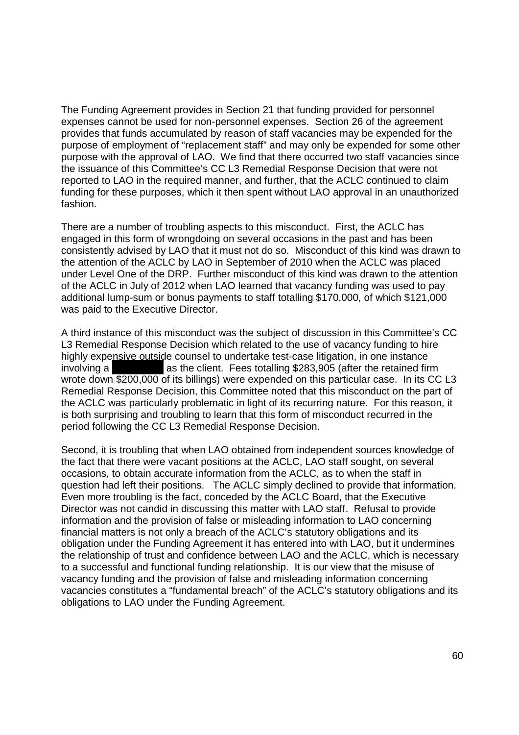The Funding Agreement provides in Section 21 that funding provided for personnel The Funding Agreement provides in Section 21 that funding provided for personnel expenses cannot be used for non-personnel expenses. Section 26 of the agreement provides that funds accumulated by reason of staff vacancies may be expended for the provides that funds accumulated by reason of staff vacancies may be expended for the purpose of employment of "replacement staff" and may only be expended for some other purpose of employment of "replacement staff' and may only be expended for some other purpose with the approval of LAO. We find that there occurred two staff vacancies since purpose with the approval of LAO. We find that there occurred two staff vacancies since the issuance of this Committee's CC L3 Remedial Response Decision that were not the issuance of this Committee's CC L3 Remedial Response Decision that were not reported to LAO in the required manner, and further, that the ACLC continued to claim reported to LAO in the required manner, and further, that the ACLC continued to claim funding for these purposes, which it then spent without LAO approval in an unauthorized funding for these purposes, which it then spent without LAO approval in an unauthorized fashion. fashion.

There are a number of troubling aspects to this misconduct. First, the ACLC has There are a number of troubling aspects to this misconduct. First, the ACLC has engaged in this form of wrongdoing on several occasions in the past and has been engaged in this form of wrongdoing on several occasions in the past and has been consistently advised by LAO that it must not do so. Misconduct of this kind was drawn to consistently advised by LAO that it must not do so. Misconduct of this kind was drawn to the attention of the ACLC by LAO in September of 2010 when the ACLC was placed the attention of the ACLC by LAO in September of 2010 when the ACLC was placed under Level One of the DRP. Further misconduct of this kind was drawn to the attention under Level One of the DRP. Further misconduct of this kind was drawn to the attention of the ACLC in July of 2012 when LAO learned that vacancy funding was used to pay of the ACLC in July of 2012 when LAO learned that vacancy funding was used to pay additional lump-sum or bonus payments to staff totalling \$170,000, of which \$121,000 was paid to the Executive Director. was paid to the Executive Director.

A third instance of this misconduct was the subject of discussion in this Committee's CC A third instance of this misconduct was the subject of discussion in this Committee's CC L3 Remedial Response Decision which related to the use of vacancy funding to hire L3 Remedial Response Decision which related to the use of vacancy funding to hire highly expensive outside counsel to undertake test-case litigation, in one instance involving a **and as the client.** Fees totalling \$283,905 (after the retained firm wrote down \$200,000 of its billings) were expended on this particular case. In its CC L3 wrote down \$200,000 of its billings) were expended on this particular case. In its CC L3 Remedial Response Decision, this Committee noted that this misconduct on the part of Remedial Response Decision, this Committee noted that this misconduct on the part of the ACLC was particularly problematic in light of its recurring nature. For this reason, it the ACLC was particularly problematic in light of its recurring nature. For this reason, it is both surprising and troubling to learn that this form of misconduct recurred in the is both surprising and troubling to learn that this form of misconduct recurred in the period following the CC L3 Remedial Response Decision. period following the CC L3 Remedial Response Decision.

Second, it is troubling that when LAO obtained from independent sources knowledge of Second, it is troubling that when LAO obtained from independent sources knowledge of the fact that there were vacant positions at the ACLC, LAO staff sought, on several the fact that there were vacant positions at the ACLC, LAO staff sought, on several occasions, to obtain accurate information from the ACLC, as to when the staff in occasions, to obtain accurate information from the ACLC, as to when the staff in question had left their positions. The ACLC simply declined to provide that information. question had left their positions. The ACLC simply declined to provide that information. Even more troubling is the fact, conceded by the ACLC Board, that the Executive Even more troubling is the fact, conceded by the ACLC Board, that the Executive Director was not candid in discussing this matter with LAO staff. Refusal to provide Director was not candid in discussing this matter with LAO staff. Refusal to provide information and the provision of false or misleading information to LAO concerning information and the provision of false or misleading information to LAO concerning financial matters is not only a breach of the ACLC's statutory obligations and its financial matters is not only a breach of the ACLC's statutory obligations and its obligation under the Funding Agreement it has entered into with LAO, but it undermines obligation under the Funding Agreement it has entered into with LAO, but it undermines the relationship of trust and confidence between LAO and the ACLC, which is necessary the relationship of trust and confidence between LAO and the ACLC, which is necessary to a successful and functional funding relationship. It is our view that the misuse of to a successful and functional funding relationship. It is our view that the misuse of vacancy funding and the provision of false and misleading information concerning vacancy funding and the provision of false and misleading information concerning vacancies constitutes a "fundamental breach" of the ACLC's statutory obligations and its vacancies constitutes a "fundamental breach" of the ACLC's statutory obligations and its obligations to LAO under the Funding Agreement. obligations to LAO under the Funding Agreement.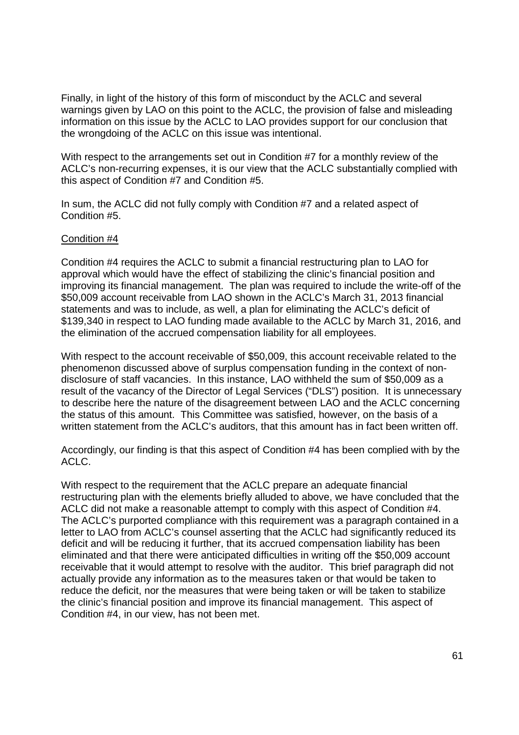Finally, in light of the history of this form of misconduct by the ACLC and several Finally, in light of the history of this form of misconduct by the ACLC and several warnings given by LAO on this point to the ACLC, the provision of false and misleading warnings given by LAO on this point to the ACLC, the provision of false and misleading information on this issue by the ACLC to LAO provides support for our conclusion that information on this issue by the ACLC to LAO provides support for our conclusion that the wrongdoing of the ACLC on this issue was intentional. the wrongdoing of the ACLC on this issue was intentional.

With respect to the arrangements set out in Condition #7 for a monthly review of the With respect to the arrangements set out in Condition #7 for a monthly review of the ACLC's non-recurring expenses, it is our view that the ACLC substantially complied with ACLC's non—recurring expenses, it is our view that the ACLC substantially complied with this aspect of Condition #7 and Condition #5. this aspect of Condition #7 and Condition #5.

In sum, the ACLC did not fully comply with Condition #7 and a related aspect of In sum, the ACLC did not fully comply with Condition #7 and a related aspect of Condition #5. Condition #5.

#### Condition #4

Condition #4 requires the ACLC to submit a financial restructuring plan to LAO for Condition #4 requires the ACLC to submit a financial restructuring plan to LAO for approval which would have the effect of stabilizing the clinic's financial position and improving its financial management. The plan was required to include the write-off of the \$50,009 account receivable from LAO shown in the ACLC's March 31, 2013 financial \$50,009 account receivable from LAO shown in the ACLC's March 31, 2013 financial statements and was to include, as well, a plan for eliminating the ACLC's deficit of statements and was to include, as well, a plan for eliminating the ACLC's deficit of \$139,340 in respect to LAO funding made available to the ACLC by March 31, 2016, and \$139,340 in respect to LAO funding made available to the ACLC by March 31, 2016, and the elimination of the accrued compensation liability for all employees. the elimination of the accrued compensation liability for all employees.

With respect to the account receivable of \$50,009, this account receivable related to the With respect to the account receivable of \$50,009, this account receivable related to the phenomenon discussed above of surplus compensation funding in the context of non-phenomenon discussed above of surplus compensation funding in the context of nondisclosure of staff vacancies. In this instance, LAO withheld the sum of \$50,009 as a disclosure of staff vacancies. In this instance, LAO withheld the sum of \$50,009 as a result of the vacancy of the Director of Legal Services ("DLS") position. It is unnecessary result of the vacancy of the Director of Legal Services ("DLS") position. It is unnecessary to describe here the nature of the disagreement between LAO and the ACLC concerning to describe here the nature of the disagreement between LAO and the ACLC concerning the status of this amount. This Committee was satisfied, however, on the basis of a the status of this amount. This Committee was satisfied, however, on the basis of a written statement from the ACLC's auditors, that this amount has in fact been written off. written statement from the ACLC's auditors, that this amount has in fact been written off.

Accordingly, our finding is that this aspect of Condition #4 has been complied with by the Accordingly, our finding is that this aspect of Condition #4 has been complied with by the ACLC. ACLC.

With respect to the requirement that the ACLC prepare an adequate financial With respect to the requirement that the ACLC prepare an adequate financial restructuring plan with the elements briefly alluded to above, we have concluded that the restructuring plan with the elements briefly alluded to above, we have concluded that the ACLC did not make a reasonable attempt to comply with this aspect of Condition #4. ACLC did not make a reasonable attempt to comply with this aspect of Condition #4. The ACLC's purported compliance with this requirement was a paragraph contained in a The ACLC's purported compliance with this requirement was a paragraph contained in a letter to LAO from ACLC's counsel asserting that the ACLC had significantly reduced its letter to LAO from ACLC's counsel asserting that the ACLC had significantly reduced its deficit and will be reducing it further, that its accrued compensation liability has been deficit and will be reducing it further, that its accrued compensation liability has been eliminated and that there were anticipated difficulties in writing off the \$50,009 account eliminated and that there were anticipated difficulties in writing off the \$50,009 account receivable that it would attempt to resolve with the auditor. This brief paragraph did not receivable that it would attempt to resolve with the auditor. This brief paragraph did not actually provide any information as to the measures taken or that would be taken to actually provide any information as to the measures taken or that would be taken to reduce the deficit, nor the measures that were being taken or will be taken to stabilize reduce the deficit, nor the measures that were being taken or will be taken to stabilize the clinic's financial position and improve its financial management. This aspect of Condition #4, in our view, has not been met. Condition #4, in our view, has not been met.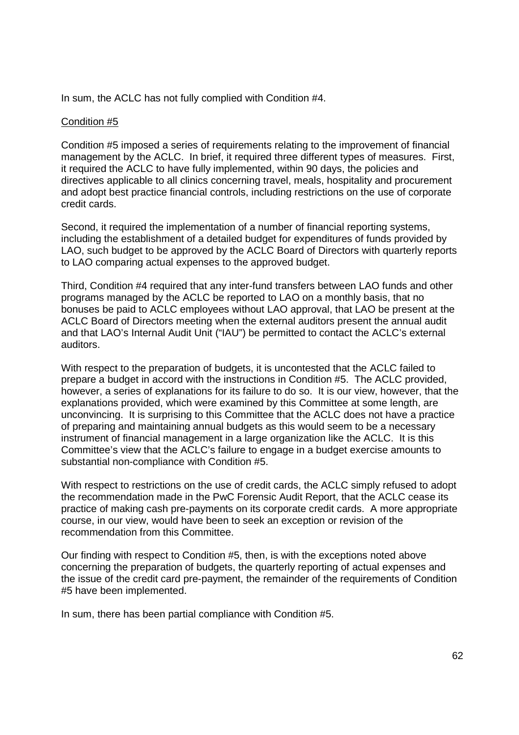In sum, the ACLC has not fully complied with Condition #4. In sum, the ACLC has not fully complied with Condition #4.

### Condition #5

Condition #5 imposed a series of requirements relating to the improvement of financial Condition #5 imposed a series of requirements relating to the improvement of financial management by the ACLC. In brief, it required three different types of measures. First, management by the ACLC. In brief, it required three different types of measures. First, it required the ACLC to have fully implemented, within 90 days, the policies and it required the ACLC to have fully implemented, within 90 days, the policies and directives applicable to all clinics concerning travel, meals, hospitality and procurement directives applicable to all clinics concerning travel, meals, hospitality and procurement and adopt best practice financial controls, including restrictions on the use of corporate and adopt best practice financial controls, including restrictions on the use of corporate credit cards. credit cards.

Second, it required the implementation of a number of financial reporting systems, Second, it required the implementation of a number of financial reporting systems, including the establishment of a detailed budget for expenditures of funds provided by including the establishment of a detailed budget for expenditures of funds provided by LAO, such budget to be approved by the ACLC Board of Directors with quarterly reports LAO, such budget to be approved by the ACLC Board of Directors with quarterly reports to LAO comparing actual expenses to the approved budget. to LAO comparing actual expenses to the approved budget.

Third, Condition #4 required that any inter-fund transfers between LAO funds and other Third, Condition #4 required that any inter—fund transfers between LAO funds and other programs managed by the ACLC be reported to LAO on a monthly basis, that no programs managed by the ACLC be reported to LAO on a monthly basis, that no bonuses be paid to ACLC employees without LAO approval, that LAO be present at the bonuses be paid to ACLC employees without LAO approval, that LAO be present at the ACLC Board of Directors meeting when the external auditors present the annual audit and that LAO's Internal Audit Unit ("IAU") be permitted to contact the ACLC's external and that LAO's Internal Audit Unit ("|AU") be permitted to contact the ACLC's external auditors. auditors.

With respect to the preparation of budgets, it is uncontested that the ACLC failed to With respect to the preparation of budgets, it is uncontested that the ACLC failed to prepare a budget in accord with the instructions in Condition #5. The ACLC provided, prepare a budget in accord with the instructions in Condition #5. The ACLC provided, however, a series of explanations for its failure to do so. It is our view, however, that the however, a series of explanations for its failure to do so. It is our view, however, that the explanations provided, which were examined by this Committee at some length, are unconvincing. It is surprising to this Committee that the ACLC does not have a practice unconvincing. It is surprising to this Committee that the ACLC does not have a practice of preparing and maintaining annual budgets as this would seem to be a necessary of preparing and maintaining annual budgets as this would seem to be a necessary instrument of financial management in a large organization like the ACLC. It is this instrument of financial management in a large organization like the ACLC. It is this Committee's view that the ACLC's failure to engage in a budget exercise amounts to Committee's view that the ACLC's failure to engage in a budget exercise amounts to substantial non-compliance with Condition #5.

With respect to restrictions on the use of credit cards, the ACLC simply refused to adopt With respect to restrictions on the use of credit cards, the ACLC simply refused to adopt the recommendation made in the PwC Forensic Audit Report, that the ACLC cease its the recommendation made in the PwC Forensic Audit Report, that the ACLC cease its practice of making cash pre-payments on its corporate credit cards. A more appropriate practice of making cash pre—payments on its corporate credit cards. A more appropriate course, in our view, would have been to seek an exception or revision of the course, in our view, would have been to seek an exception or revision of the recommendation from this Committee. recommendation from this Committee.

Our finding with respect to Condition #5, then, is with the exceptions noted above Our finding with respect to Condition #5, then, is with the exceptions noted above concerning the preparation of budgets, the quarterly reporting of actual expenses and concerning the preparation of budgets, the quarterly reporting of actual expenses and the issue of the credit card pre-payment, the remainder of the requirements of Condition #5 have been implemented. #5 have been implemented.

In sum, there has been partial compliance with Condition #5. In sum, there has been partial compliance with Condition #5.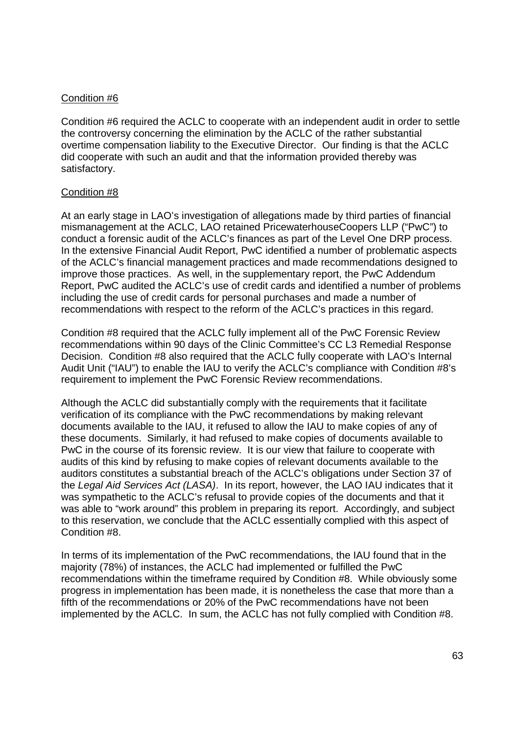#### Condition #6

Condition #6 required the ACLC to cooperate with an independent audit in order to settle Condition #6 required the ACLC to cooperate with an independent audit in order to settle the controversy concerning the elimination by the ACLC of the rather substantial the controversy concerning the elimination by the ACLC of the rather substantial overtime compensation liability to the Executive Director. Our finding is that the ACLC did cooperate with such an audit and that the information provided thereby was did cooperate with such an audit and that the information provided thereby was satisfactory. satisfactory.

#### Condition #8

At an early stage in LAO's investigation of allegations made by third parties of financial At an early stage in LAO's investigation of allegations made by third parties of financial mismanagement at the ACLC, LAO retained PricewaterhouseCoopers LLP ("PwC") to mismanagement at the ACLC, LAO retained PricewaterhouseCoopers LLP ("PwC") to conduct a forensic audit of the ACLC's finances as part of the Level One DRP process. conduct a forensic audit of the ACLC's finances as part of the Level One DRP process. In the extensive Financial Audit Report, PwC identified a number of problematic aspects In the extensive Financial Audit Report, PwC identified a number of problematic aspects of the ACLC's financial management practices and made recommendations designed to improve those practices. As well, in the supplementary report, the PwC Addendum improve those practices. As well, in the supplementary report, the PwC Addendum Report, PwC audited the ACLC's use of credit cards and identified a number of problems Report, PwC audited the ACLC's use of credit cards and identified a number of problems including the use of credit cards for personal purchases and made a number of including the use of credit cards for personal purchases and made a number of recommendations with respect to the reform of the ACLC's practices in this regard. recommendations with respect to the reform of the ACLC's practices in this regard.

Condition #8 required that the ACLC fully implement all of the PwC Forensic Review Condition #8 required that the ACLC fully implement all of the PwC Forensic Review recommendations within 90 days of the Clinic Committee's CC L3 Remedial Response recommendations within 90 days of the Clinic Committee's CC L3 Remedial Response Decision. Condition #8 also required that the ACLC fully cooperate with LAO's Internal Decision. Condition #8 also required that the ACLC fully cooperate with LAO's Internal Audit Unit ("IAU") to enable the IAU to verify the ACLC's compliance with Condition #8's Audit Unit ("|AU") to enable the IAU to verify the ACLC's compliance with Condition #8's requirement to implement the PwC Forensic Review recommendations. requirement to implement the PwC Forensic Review recommendations.

Although the ACLC did substantially comply with the requirements that it facilitate Although the ACLC did substantially comply with the requirements that it facilitate verification of its compliance with the PwC recommendations by making relevant verification of its compliance with the PwC recommendations by making relevant documents available to the IAU, it refused to allow the IAU to make copies of any of documents available to the IAU, it refused to allow the IAU to make copies of any of these documents. Similarly, it had refused to make copies of documents available to these documents. Similarly, it had refused to make copies of documents available to PwC in the course of its forensic review. It is our view that failure to cooperate with PwC in the course of its forensic review. It is our view that failure to cooperate with audits of this kind by refusing to make copies of relevant documents available to the audits of this kind by refusing to make copies of relevant documents available to the auditors constitutes a substantial breach of the ACLC's obligations under Section 37 of auditors constitutes a substantial breach of the ACLC's obligations under Section 37 of the Legal Aid Services Act (LASA). In its report, however, the LAO IAU indicates that it was sympathetic to the ACLC's refusal to provide copies of the documents and that it was sympathetic to the ACLC's refusal to provide copies of the documents and that it was able to "work around" this problem in preparing its report. Accordingly, and subject was able to "work around" this problem in preparing its report. Accordingly, and subject to this reservation, we conclude that the ACLC essentially complied with this aspect of Condition #8. Condition #8.

In terms of its implementation of the PwC recommendations, the IAU found that in the In terms of its implementation of the PwC recommendations, the IAU found that in the majority (78%) of instances, the ACLC had implemented or fulfilled the PwC majority (78%) of instances, the ACLC had implemented or fulfilled the PwC recommendations within the timeframe required by Condition #8. While obviously some recommendations within the timeframe required by Condition #8. While obviously some progress in implementation has been made, it is nonetheless the case that more than a progress in implementation has been made, it is nonetheless the case that more than a fifth of the recommendations or 20% of the PwC recommendations have not been fifth of the recommendations or 20% of the PwC recommendations have not been implemented by the ACLC. In sum, the ACLC has not fully complied with Condition #8. implemented by the ACLC. In sum, the ACLC has not fully complied with Condition #8.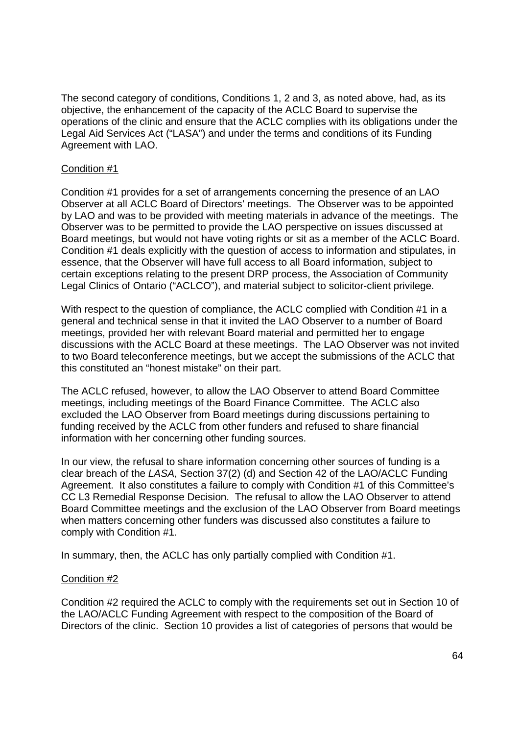The second category of conditions, Conditions 1, 2 and 3, as noted above, had, as its The second category of conditions, Conditions 1, 2 and 3, as noted above, had, as its objective, the enhancement of the capacity of the ACLC Board to supervise the objective, the enhancement of the capacity of the ACLC Board to supervise the operations of the clinic and ensure that the ACLC complies with its obligations under the operations of the clinic and ensure that the ACLC complies with its obligations under the Legal Aid Services Act ("LASA") and under the terms and conditions of its Funding Legal Aid Services Act ("LASA") and under the terms and conditions of its Funding Agreement with LAO. Agreement with LAO.

### Condition #1

Condition #1 provides for a set of arrangements concerning the presence of an LAO Condition #1 provides for a set of arrangements concerning the presence of an LAO Observer at all ACLC Board of Directors' meetings. The Observer was to be appointed Observer at all ACLC Board of Directors' meetings. The Observer was to be appointed by LAO and was to be provided with meeting materials in advance of the meetings. The by LAO and was to be provided with meeting materials in advance of the meetings. The Observer was to be permitted to provide the LAO perspective on issues discussed at Observer was to be permitted to provide the LAO perspective on issues discussed at Board meetings, but would not have voting rights or sit as a member of the ACLC Board. Board meetings, but would not have voting rights or sit as a member of the ACLC Board. Condition #1 deals explicitly with the question of access to information and stipulates, in Condition #1 deals explicitly with the question of access to information and stipulates, in essence, that the Observer will have full access to all Board information, subject to essence, that the Observer will have full access to all Board information, subject to certain exceptions relating to the present DRP process, the Association of Community certain exceptions relating to the present DRP process, the Association of Community Legal Clinics of Ontario ("ACLCO"), and material subject to solicitor-client privilege.

With respect to the question of compliance, the ACLC complied with Condition #1 in a With respect to the question of compliance, the ACLC complied with Condition #1 in a general and technical sense in that it invited the LAO Observer to a number of Board general and technical sense in that it invited the LAO Observer to a number of Board meetings, provided her with relevant Board material and permitted her to engage meetings, provided her with relevant Board material and permitted her to engage discussions with the ACLC Board at these meetings. The LAO Observer was not invited discussions with the ACLC Board at these meetings. The LAO Observer was not invited to two Board teleconference meetings, but we accept the submissions of the ACLC that to two Board teleconference meetings, but we accept the submissions of the ACLC that this constituted an "honest mistake" on their part. this constituted an "honest mistake" on their part.

The ACLC refused, however, to allow the LAO Observer to attend Board Committee The ACLC refused, however, to allow the LAO Observer to attend Board Committee meetings, including meetings of the Board Finance Committee. The ACLC also meetings, including meetings of the Board Finance Committee. The ACLC also excluded the LAO Observer from Board meetings during discussions pertaining to excluded the LAO Observer from Board meetings during discussions pertaining to funding received by the ACLC from other funders and refused to share financial funding received by the ACLC from other funders and refused to share financial information with her concerning other funding sources. information with her concerning other funding sources.

In our view, the refusal to share information concerning other sources of funding is a In our view, the refusal to share information concerning other sources of funding is a clear breach of the LASA, Section 37(2) (d) and Section 42 of the LAO/ACLC Funding clear breach of the LASA, Section 37(2) (d) and Section 42 of the LAO/ACLC Funding Agreement. It also constitutes a failure to comply with Condition #1 of this Committee's Agreement. It also constitutes a failure to comply with Condition #1 of this Committee's CC L3 Remedial Response Decision. The refusal to allow the LAO Observer to attend CC L3 Remedial Response Decision. The refusal to allow the LAO Observer to attend Board Committee meetings and the exclusion of the LAO Observer from Board meetings Board Committee meetings and the exclusion of the LAO Observer from Board meetings when matters concerning other funders was discussed also constitutes a failure to when matters concerning other funders was discussed also constitutes a failure to comply with Condition #1. comply with Condition #1.

In summary, then, the ACLC has only partially complied with Condition #1. In summary, then, the ACLC has only partially complied with Condition #1.

# Condition #2

Condition #2 required the ACLC to comply with the requirements set out in Section 10 of Condition #2 required the ACLC to comply with the requirements set out in Section 10 of the LAO/ACLC Funding Agreement with respect to the composition of the Board of the LAO/ACLC Funding Agreement with respect to the composition of the Board of Directors of the clinic. Section 10 provides a list of categories of persons that would be Directors of the clinic. Section 10 provides a list of categories of persons that would be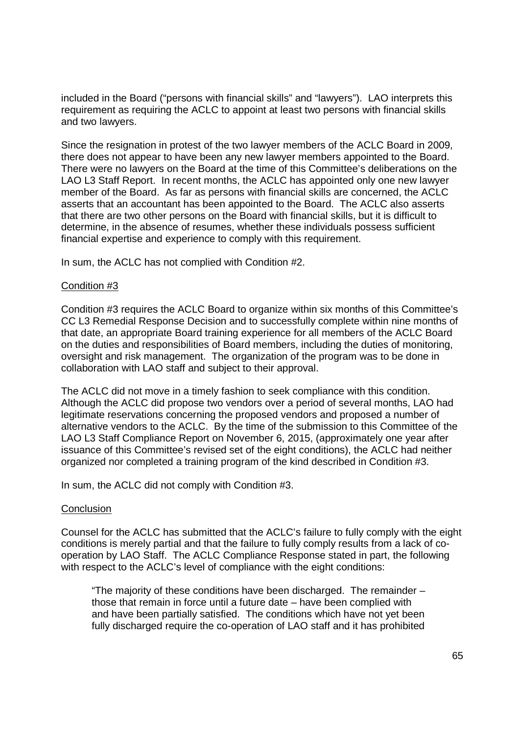included in the Board ("persons with financial skills" and "lawyers"). LAO interprets this included in the Board ("persons with financial skills" and ''lawyers''). LAO interprets this requirement as requiring the ACLC to appoint at least two persons with financial skills requirement as requiring the ACLC to appoint at least two persons with financial skills and two lawyers. and two lawyers.

Since the resignation in protest of the two lawyer members of the ACLC Board in 2009, Since the resignation in protest of the two lawyer members of the ACLC Board in 2009, there does not appear to have been any new lawyer members appointed to the Board. there does not appear to have been any new lawyer members appointed to the Board. There were no lawyers on the Board at the time of this Committee's deliberations on the There were no lawyers on the Board at the time of this Committee's deliberations on the LAO L3 Staff Report. In recent months, the ACLC has appointed only one new lawyer LAO L3 Staff Report. In recent months, the ACLC has appointed only one new lawyer member of the Board. As far as persons with financial skills are concerned, the ACLC member of the Board. As far as persons with financial skills are concerned, the ACLC asserts that an accountant has been appointed to the Board. The ACLC also asserts asserts that an accountant has been appointed to the Board. The ACLC also asserts that there are two other persons on the Board with financial skills, but it is difficult to that there are two other persons on the Board with financial skills, but it is difficult to determine, in the absence of resumes, whether these individuals possess sufficient determine, in the absence of resumes, whether these individuals possess sufficient financial expertise and experience to comply with this requirement. financial expertise and experience to comply with this requirement.

In sum, the ACLC has not complied with Condition #2. In sum, the ACLC has not complied with Condition #2.

#### Condition #3 Condition #3

Condition #3 requires the ACLC Board to organize within six months of this Committee's Condition #3 requires the ACLC Board to organize within six months of this Committee's CC L3 Remedial Response Decision and to successfully complete within nine months of CC L3 Remedial Response Decision and to successfully complete within nine months of that date, an appropriate Board training experience for all members of the ACLC Board that date, an appropriate Board training experience for all members of the ACLC Board on the duties and responsibilities of Board members, including the duties of monitoring, on the duties and responsibilities of Board members, including the duties of monitoring, oversight and risk management. The organization of the program was to be done in collaboration with LAO staff and subject to their approval. collaboration with LAO staff and subject to their approval.

The ACLC did not move in a timely fashion to seek compliance with this condition. The ACLC did not move in a timely fashion to seek compliance with this condition. Although the ACLC did propose two vendors over a period of several months, LAO had Although the ACLC did propose two vendors over a period of several months, LAO had legitimate reservations concerning the proposed vendors and proposed a number of legitimate reservations concerning the proposed vendors and proposed a number of alternative vendors to the ACLC. By the time of the submission to this Committee of the alternative vendors to the ACLC. By the time of the submission to this Committee of the LAO L3 Staff Compliance Report on November 6, 2015, (approximately one year after LAO L3 Staff Compliance Report on November 6, 2015, (approximately one year after issuance of this Committee's revised set of the eight conditions), the ACLC had neither issuance of this Committee's revised set of the eight conditions), the ACLC had neither organized nor completed a training program of the kind described in Condition #3. organized nor completed a training program of the kind described in Condition #3.

In sum, the ACLC did not comply with Condition #3. In sum, the ACLC did not comply with Condition #3.

#### Conclusion Conclusion

Counsel for the ACLC has submitted that the ACLC's failure to fully comply with the eight Counsel for the ACLC has submitted that the ACLC's failure to fully comply with the eight conditions is merely partial and that the failure to fully comply results from a lack of co-conditions is merely partial and that the failure to fully comply results from a lack of cooperation by LAO Staff. The ACLC Compliance Response stated in part, the following operation by LAO Staff. The ACLC Compliance Response stated in part, the following with respect to the ACLC's level of compliance with the eight conditions: with respect to the ACLC's level of compliance with the eight conditions:

"The majority of these conditions have been discharged. The remainder – "The majority of these conditions have been discharged. The remainder those that remain in force until a future date – have been complied with those that remain in force until a future date — have been complied with and have been partially satisfied. The conditions which have not yet been and have been partially satisfied. The conditions which have not yet been fully discharged require the co-operation of LAO staff and it has prohibited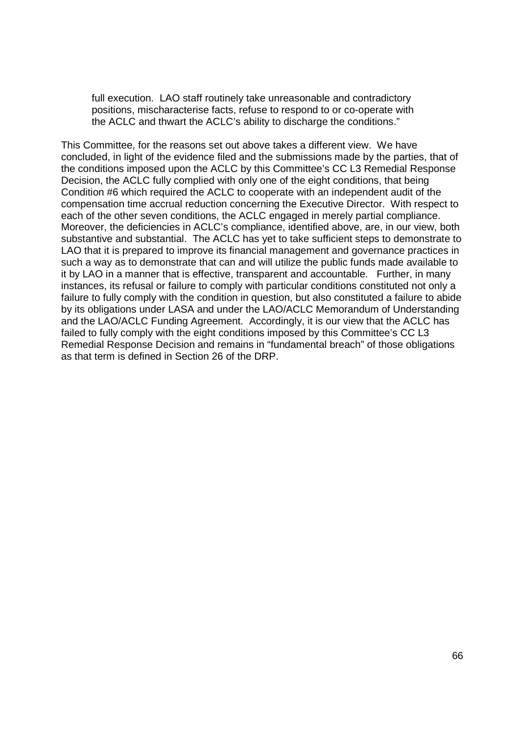full execution. LAO staff routinely take unreasonable and contradictory full execution. LAO staff routinely take unreasonable and contradictory positions, mischaracterise facts, refuse to respond to or co-operate with positions, mischaracterise facts, refuse to respond to or co—operate with the ACLC and thwart the ACLC's ability to discharge the conditions." the ACLC and thwart the ACLC's ability to discharge the conditions."

This Committee, for the reasons set out above takes a different view. We have This Committee, for the reasons set out above takes a different view. We have concluded, in light of the evidence filed and the submissions made by the parties, that of concluded, in light of the evidence filed and the submissions made by the parties, that of the conditions imposed upon the ACLC by this Committee's CC L3 Remedial Response the conditions imposed upon the ACLC by this Committee's CC L3 Remedial Response Decision, the ACLC fully complied with only one of the eight conditions, that being Decision, the ACLC fully complied with only one of the eight conditions, that being Condition #6 which required the ACLC to cooperate with an independent audit of the Condition #6 which required the ACLC to cooperate with an independent audit of the compensation time accrual reduction concerning the Executive Director. With respect to compensation time accrual reduction concerning the Executive Director. With respect to each of the other seven conditions, the ACLC engaged in merely partial compliance. each of the other seven conditions, the ACLC engaged in merely partial compliance. Moreover, the deficiencies in ACLC's compliance, identified above, are, in our view, both Moreover, the deficiencies in ACLC's compliance, identified above, are, in our view, both substantive and substantial. The ACLC has yet to take sufficient steps to demonstrate to substantive and substantial. The ACLC has yet to take sufficient steps to demonstrate to LAO that it is prepared to improve its financial management and governance practices in LAO that it is prepared to improve its financial management and governance practices in such a way as to demonstrate that can and will utilize the public funds made available to such a way as to demonstrate that can and will utilize the public funds made available to it by LAO in a manner that is effective, transparent and accountable. Further, in many it by LAO in a manner that is effective, transparent and accountable. Further, in many instances, its refusal or failure to comply with particular conditions constituted not only a instances, its refusal or failure to comply with particular conditions constituted not only a failure to fully comply with the condition in question, but also constituted a failure to abide failure to fully comply with the condition in question, but also constituted a failure to abide by its obligations under LASA and under the LAO/ACLC Memorandum of Understanding by its obligations under LASA and under the LAO/ACLC Memorandum of Understanding and the LAO/ACLC Funding Agreement. Accordingly, it is our view that the ACLC has and the LAO/ACLC Funding Agreement. Accordingly, it is our view that the ACLC has failed to fully comply with the eight conditions imposed by this Committee's CC L3 failed to fully comply with the eight conditions imposed by this Committee's CC L3 Remedial Response Decision and remains in "fundamental breach" of those obligations Remedial Response Decision and remains in "fundamental breach" of those obligations as that term is defined in Section 26 of the DRP. as that term is defined in Section 26 of the DRP.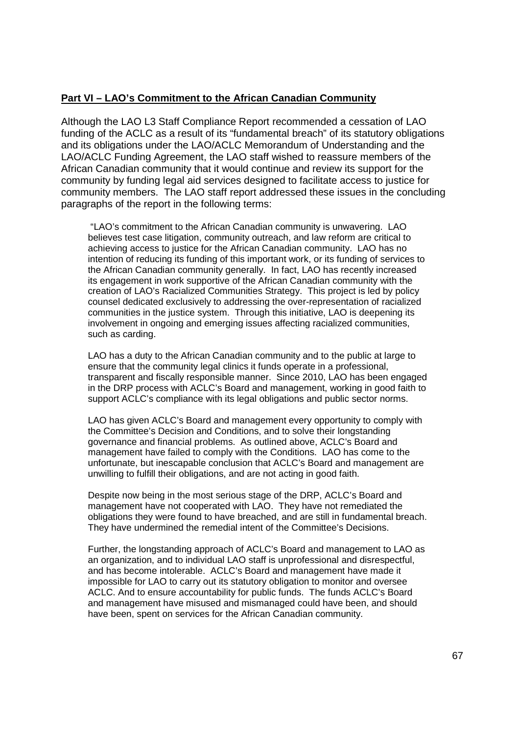## **Part VI – LAO's Commitment to the African Canadian Community**  Part VI — LAO's Commitment to the African Canadian Community

Although the LAO L3 Staff Compliance Report recommended a cessation of LAO Although the LAO L3 Staff Compliance Report recommended a cessation of LAO funding of the ACLC as a result of its "fundamental breach" of its statutory obligations funding of the ACLC as a result of its "fundamental breach" of its statutory obligations and its obligations under the LAO/ACLC Memorandum of Understanding and the and its obligations under the LAO/ACLC Memorandum of Understanding and the LAO/ACLC Funding Agreement, the LAO staff wished to reassure members of the LAO/ACLC Funding Agreement, the LAO staff wished to reassure members of the African Canadian community that it would continue and review its support for the African Canadian community that it would continue and review its support for the community by funding legal aid services designed to facilitate access to justice for community by funding legal aid services designed to facilitate access to justice for community members. The LAO staff report addressed these issues in the concluding community members. The LAO staff report addressed these issues in the concluding paragraphs of the report in the following terms: paragraphs of the report in the following terms:

 "LAO's commitment to the African Canadian community is unwavering. LAO "LAO's commitment to the African Canadian community is unwavering. LAO believes test case litigation, community outreach, and law reform are critical to believes test case litigation, community outreach, and law reform are critical to achieving access to justice for the African Canadian community. LAO has no achieving access to justice for the African Canadian community. LAO has no intention of reducing its funding of this important work, or its funding of services to intention of reducing its funding of this important work, or its funding of services to the African Canadian community generally. In fact, LAO has recently increased the African Canadian community generally. In fact, LAO has recently increased its engagement in work supportive of the African Canadian community with the its engagement in work supportive of the African Canadian community with the creation of LAO's Racialized Communities Strategy. This project is led by policy creation of LAO's Racialized Communities Strategy. This project is led by policy counsel dedicated exclusively to addressing the over-representation of racialized counsel dedicated exclusively to addressing the over-representation of racialized communities in the justice system. Through this initiative, LAO is deepening its communities in the justice system. Through this initiative, LAO is deepening its involvement in ongoing and emerging issues affecting racialized communities, involvement in ongoing and emerging issues affecting racialized communities, such as carding. such as carding.

LAO has a duty to the African Canadian community and to the public at large to LAO has a duty to the African Canadian community and to the public at large to ensure that the community legal clinics it funds operate in a professional, ensure that the community legal clinics it funds operate in a professional, transparent and fiscally responsible manner. Since 2010, LAO has been engaged transparent and fiscally responsible manner. Since 2010, LAO has been engaged in the DRP process with ACLC's Board and management, working in good faith to in the DRP process with ACLC's Board and management, working in good faith to support ACLC's compliance with its legal obligations and public sector norms. support ACLC's compliance with its legal obligations and public sector norms.

LAO has given ACLC's Board and management every opportunity to comply with LAO has given ACLC's Board and management every opportunity to comply with the Committee's Decision and Conditions, and to solve their longstanding the Committee's Decision and Conditions, and to solve their longstanding governance and financial problems. As outlined above, ACLC's Board and governance and financial problems. As outlined above, ACLC's Board and management have failed to comply with the Conditions. LAO has come to the management have failed to comply with the Conditions. LAO has come to the unfortunate, but inescapable conclusion that ACLC's Board and management are unfortunate, but inescapable conclusion that ACLC's Board and management are unwilling to fulfill their obligations, and are not acting in good faith. unwilling to fulfill their obligations, and are not acting in good faith.

Despite now being in the most serious stage of the DRP, ACLC's Board and Despite now being in the most serious stage of the DRP, ACLC's Board and management have not cooperated with LAO. They have not remediated the management have not cooperated with LAO. They have not remediated the obligations they were found to have breached, and are still in fundamental breach. obligations they were found to have breached, and are still in fundamental breach. They have undermined the remedial intent of the Committee's Decisions. They have undermined the remedial intent of the Committee's Decisions.

Further, the longstanding approach of ACLC's Board and management to LAO as Further, the longstanding approach of ACLC's Board and management to LAO as an organization, and to individual LAO staff is unprofessional and disrespectful, an organization, and to individual LAO staff is unprofessional and disrespectful, and has become intolerable. ACLC's Board and management have made it and has become intolerable. ACLC's Board and management have made it impossible for LAO to carry out its statutory obligation to monitor and oversee impossible for LAO to carry out its statutory obligation to monitor and oversee ACLC. And to ensure accountability for public funds. The funds ACLC's Board ACLC. And to ensure accountability for public funds. The funds ACLC's Board and management have misused and mismanaged could have been, and should and management have misused and mismanaged could have been, and should have been, spent on services for the African Canadian community. have been, spent on services for the African Canadian community.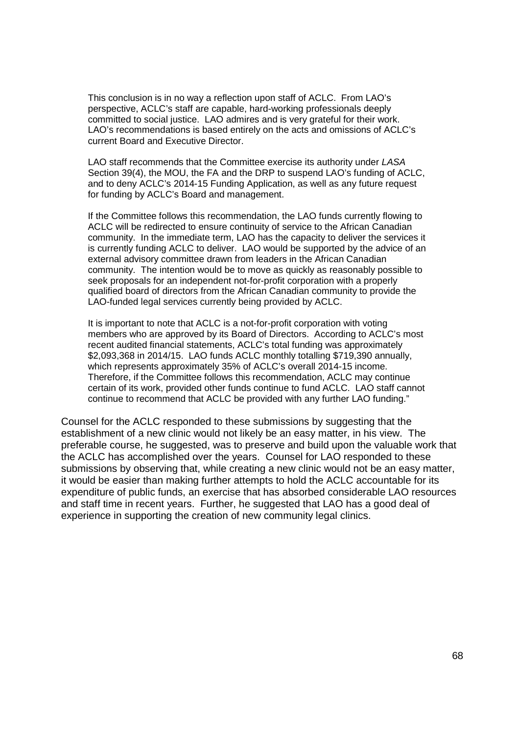This conclusion is in no way a reflection upon staff of ACLC. From LAO's This conclusion is in no way a reflection upon staff of ACLC. From LAO's perspective, ACLC's staff are capable, hard-working professionals deeply perspective, ACLC's staff are capable, hard-working professionals deeply committed to social justice. LAO admires and is very grateful for their work. committed to social justice. LAO admires and is very grateful for their work. LAO's recommendations is based entirely on the acts and omissions of ACLC's LAO's recommendations is based entirely on the acts and omissions of ACLC's current Board and Executive Director. current Board and Executive Director.

LAO staff recommends that the Committee exercise its authority under LASA LAO staff recommends that the Committee exercise its authority under LASA Section 39(4), the MOU, the FA and the DRP to suspend LAO's funding of ACLC, Section 39(4), the MOU, the FA and the DRP to suspend LAO's funding of ACLC, and to deny ACLC's 2014-15 Funding Application, as well as any future request and to deny ACLC's 2014-15 Funding Application, as well as any future request for funding by ACLC's Board and management. for funding by ACLC's Board and management.

If the Committee follows this recommendation, the LAO funds currently flowing to If the Committee follows this recommendation, the LAO funds currently flowing to ACLC will be redirected to ensure continuity of service to the African Canadian ACLC will be redirected to ensure continuity of service to the African Canadian community. In the immediate term, LAO has the capacity to deliver the services it community. In the immediate term, LAO has the capacity to deliver the services it is currently funding ACLC to deliver. LAO would be supported by the advice of an is currently funding ACLC to deliver. LAO would be supported by the advice of an external advisory committee drawn from leaders in the African Canadian external advisory committee drawn from leaders in the African Canadian community. The intention would be to move as quickly as reasonably possible to community. The intention would be to move as quickly as reasonably possible to seek proposals for an independent not-for-profit corporation with a properly seek proposals for an independent not-for-profit corporation with a properly qualified board of directors from the African Canadian community to provide the qualified board of directors from the African Canadian community to provide the LAO-funded legal services currently being provided by ACLC. LAO-funded legal services currently being provided by ACLC.

It is important to note that ACLC is a not-for-profit corporation with voting It is important to note that ACLC is a not-for-profit corporation with voting members who are approved by its Board of Directors. According to ACLC's most members who are approved by its Board of Directors. According to ACLC's most recent audited financial statements, ACLC's total funding was approximately recent audited financial statements, ACLC's total funding was approximately \$2,093,368 in 2014/15. LAO funds ACLC monthly totalling \$719,390 annually, \$2,093,368 in 2014/15. LAO funds ACLC monthly totalling \$719,390 annually, which represents approximately 35% of ACLC's overall 2014-15 income. which represents approximately 35% of ACLC's overall 2014-15 income. Therefore, if the Committee follows this recommendation, ACLC may continue Therefore, if the Committee follows this recommendation, ACLC may continue certain of its work, provided other funds continue to fund ACLC. LAO staff cannot certain of its work, provided other funds continue to fund ACLC. LAO staff cannot continue to recommend that ACLC be provided with any further LAO funding." continue to recommend that ACLC be provided with any further LAO funding."

Counsel for the ACLC responded to these submissions by suggesting that the Counsel for the ACLC responded to these submissions by suggesting that the establishment of a new clinic would not likely be an easy matter, in his view. The establishment of a new clinic would not likely be an easy matter, in his view. The preferable course, he suggested, was to preserve and build upon the valuable work that preferable course, he suggested, was to preserve and build upon the valuable work that the ACLC has accomplished over the years. Counsel for LAO responded to these the ACLC has accomplished over the years. Counsel for LAO responded to these submissions by observing that, while creating a new clinic would not be an easy matter, submissions by observing that, while creating a new clinic would not be an easy matter, it would be easier than making further attempts to hold the ACLC accountable for its it would be easier than making further attempts to hold the ACLC accountable for its expenditure of public funds, an exercise that has absorbed considerable LAO resources expenditure of public funds, an exercise that has absorbed considerable LAO resources and staff time in recent years. Further, he suggested that LAO has a good deal of and staff time in recent years. Further, he suggested that LAO has a good deal of experience in supporting the creation of new community legal clinics. experience in supporting the creation of new community legal clinics.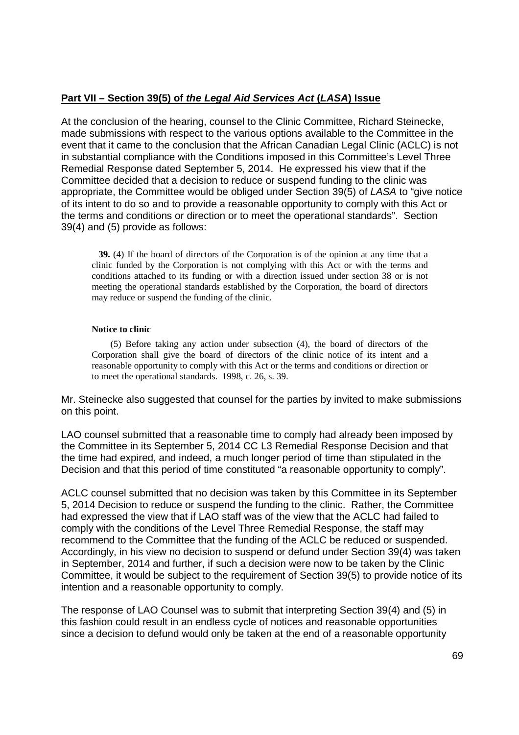# **Part VII – Section 39(5) of the Legal Aid Services Act (LASA) Issue**  Part VII — Section 39(5) of the Leqal Aid Services Act (LASA) Issue

At the conclusion of the hearing, counsel to the Clinic Committee, Richard Steinecke, At the conclusion of the hearing, counsel to the Clinic Committee, Richard Steinecke, made submissions with respect to the various options available to the Committee in the made submissions with respect to the various options available to the Committee in the event that it came to the conclusion that the African Canadian Legal Clinic (ACLC) is not event that it came to the conclusion that the African Canadian Legal Clinic (ACLC) is not in substantial compliance with the Conditions imposed in this Committee's Level Three in substantial compliance with the Conditions imposed in this Committee's Level Three Remedial Response dated September 5, 2014. He expressed his view that if the Remedial Response dated September 5, 2014. He expressed his view that if the Committee decided that a decision to reduce or suspend funding to the clinic was Committee decided that a decision to reduce or suspend funding to the clinic was appropriate, the Committee would be obliged under Section 39(5) of LASA to "give notice appropriate, the Committee would be obliged under Section 39(5) of LASA to "give notice of its intent to do so and to provide a reasonable opportunity to comply with this Act or the terms and conditions or direction or to meet the operational standards". Section the terms and conditions or direction or to meet the operational standards". Section 39(4) and (5) provide as follows: 39(4) and (5) provide as follows:

**39.** (4) If the board of directors of the Corporation is of the opinion at any time that a clinic funded by the Corporation is not complying with this Act or with the terms and clinic funded by the Corporation is not complying with this Act or with the terms and conditions attached to its funding or with a direction issued under section 38 or is not conditions attached to its funding or with a direction issued under section 38 or is not meeting the operational standards established by the Corporation, the board of directors meeting the operational standards established by the Corporation, the board of directors may reduce or suspend the funding of the clinic.

#### **Notice to clinic**  Notice to clinic

 (5) Before taking any action under subsection (4), the board of directors of the (5) Before taking any action under subsection (4), the board of directors of the Corporation shall give the board of directors of the clinic notice of its intent and a Corporation shall give the board of directors of the clinic notice of its intent and <sup>a</sup> reasonable opportunity to comply with this Act or the terms and conditions or direction or to meet the operational standards. 1998, c. 26, s. 39. to meet the operational standards. 1998, c. 26, s. 39.

Mr. Steinecke also suggested that counsel for the parties by invited to make submissions Mr. Steinecke also suggested that counsel for the parties by invited to make submissions on this point. on this point.

LAO counsel submitted that a reasonable time to comply had already been imposed by LAO counsel submitted that a reasonable time to comply had already been imposed by the Committee in its September 5, 2014 CC L3 Remedial Response Decision and that the Committee in its September 5, 2014 CC L3 Remedial Response Decision and that the time had expired, and indeed, a much longer period of time than stipulated in the the time had expired, and indeed, a much longer period of time than stipulated in the Decision and that this period of time constituted "a reasonable opportunity to comply". Decision and that this period of time constituted "a reasonable opportunity to comply".

ACLC counsel submitted that no decision was taken by this Committee in its September ACLC counsel submitted that no decision was taken by this Committee in its September 5, 2014 Decision to reduce or suspend the funding to the clinic. Rather, the Committee 5, 2014 Decision to reduce or suspend the funding to the clinic. Rather, the Committee had expressed the view that if LAO staff was of the view that the ACLC had failed to had expressed the view that if LAO staff was of the view that the ACLC had failed to comply with the conditions of the Level Three Remedial Response, the staff may comply with the conditions of the Level Three Remedial Response, the staff may recommend to the Committee that the funding of the ACLC be reduced or suspended. recommend to the Committee that the funding of the ACLC be reduced or suspended. Accordingly, in his view no decision to suspend or defund under Section 39(4) was taken Accordingly, in his view no decision to suspend or defund under Section 39(4) was taken in September, 2014 and further, if such a decision were now to be taken by the Clinic in September, 2014 and further, if such a decision were now to be taken by the Clinic Committee, it would be subject to the requirement of Section 39(5) to provide notice of its Committee, it would be subject to the requirement of Section 39(5) to provide notice of its intention and a reasonable opportunity to comply. intention and a reasonable opportunity to comply.

The response of LAO Counsel was to submit that interpreting Section 39(4) and (5) in The response of LAO Counsel was to submit that interpreting Section 39(4) and (5) in this fashion could result in an endless cycle of notices and reasonable opportunities this fashion could result in an endless cycle of notices and reasonable opportunities since a decision to defund would only be taken at the end of a reasonable opportunity since a decision to defund would only be taken at the end of a reasonable opportunity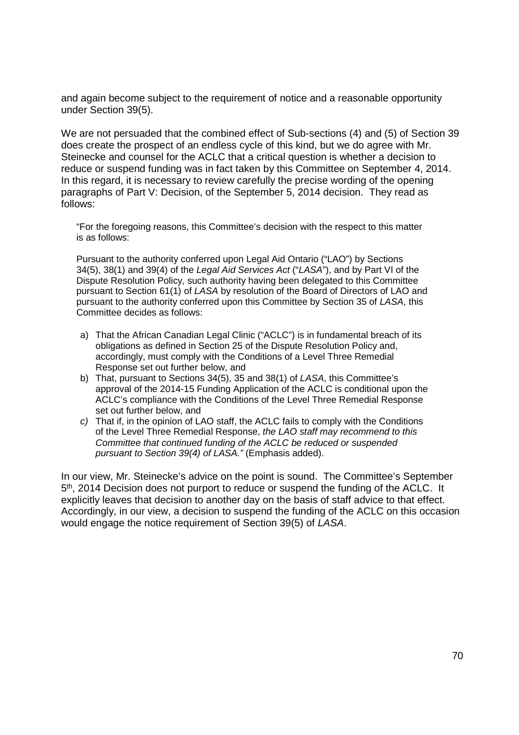and again become subject to the requirement of notice and a reasonable opportunity and again become subject to the requirement of notice and a reasonable opportunity under Section 39(5). under Section 39(5).

We are not persuaded that the combined effect of Sub-sections (4) and (5) of Section 39 We are not persuaded that the combined effect of Sub—sections (4) and (5) of Section 39 does create the prospect of an endless cycle of this kind, but we do agree with Mr. does create the prospect of an endless cycle of this kind, but we do agree with Mr. Steinecke and counsel for the ACLC that a critical question is whether a decision to Steinecke and counsel for the ACLC that a critical question is whether a decision to reduce or suspend funding was in fact taken by this Committee on September 4, 2014. reduce or suspend funding was in fact taken by this Committee on September 4, 2014. In this regard, it is necessary to review carefully the precise wording of the opening In this regard, it is necessary to review carefully the precise wording of the opening paragraphs of Part V: Decision, of the September 5, 2014 decision. They read as paragraphs of Part V: Decision, of the September 5, 2014 decision. They read as follows: follows:

"For the foregoing reasons, this Committee's decision with the respect to this matter "For the foregoing reasons, this Committee's decision with the respect to this matter is as follows: is as follows:

Pursuant to the authority conferred upon Legal Aid Ontario ("LAO") by Sections Pursuant to the authority conferred upon Legal Aid Ontario ("LAO") by Sections 34(5), 38(1) and 39(4) of the Legal Aid Services Act ("LASA"), and by Part VI of the Dispute Resolution Policy, such authority having been delegated to this Committee Dispute Resolution Policy, such authority having been delegated to this Committee pursuant to Section 61(1) of LASA by resolution of the Board of Directors of LAO and pursuant to Section 61(1) of LASA by resolution of the Board of Directors of LAO andpursuant to the authority conferred upon this Committee by Section 35 of LASA, this pursuant to the authority conferred upon this Committee by Section 35 of LASA, this Committee decides as follows: Committee decides as follows:

- a) That the African Canadian Legal Clinic ("ACLC") is in fundamental breach of its a) That the African Canadian Legal Clinic ("ACLC") is in fundamental breach of its obligations as defined in Section 25 of the Dispute Resolution Policy and, obligations as defined in Section 25 of the Dispute Resolution Policy and, accordingly, must comply with the Conditions of a Level Three Remedial accordingly, must comply with the Conditions of a Level Three Remedial Response set out further below, and Response set out further below, and
- b) That, pursuant to Sections 34(5), 35 and 38(1) of LASA, this Committee's b) That, pursuant to Sections 34(5), 35 and 38(1) of LASA, this Committee's approval of the 2014-15 Funding Application of the ACLC is conditional upon the approval of the 2014-15 Funding Application of the ACLC is conditional upon the ACLC's compliance with the Conditions of the Level Three Remedial Response ACLC's compliance with the Conditions of the Level Three Remedial Response set out further below, and set out further below, and
- $c)$  That if, in the opinion of LAO staff, the ACLC fails to comply with the Conditions of the Level Three Remedial Response, the LAO staff may recommend to this Committee that continued funding of the ACLC be reduced or suspended Committee that continued funding ofthe ACLC be reduced or suspended pursuant to Section 39(4) of LASA." (Emphasis added). pursuant to Section 39(4) of LASA." (Emphasis added).

In our view, Mr. Steinecke's advice on the point is sound. The Committee's September In our view, Mr. Steinecke's advice on the point is sound. The Committee's September 5<sup>th</sup>, 2014 Decision does not purport to reduce or suspend the funding of the ACLC. It explicitly leaves that decision to another day on the basis of staff advice to that effect. explicitly leaves that decision to another day on the basis of staff advice to that effect. Accordingly, in our view, a decision to suspend the funding of the ACLC on this occasion Accordingly, in our view, a decision to suspend the funding of the ACLC on this occasion would engage the notice requirement of Section 39(5) of LASA. would engage the notice requirement of Section 39(5) of LASA.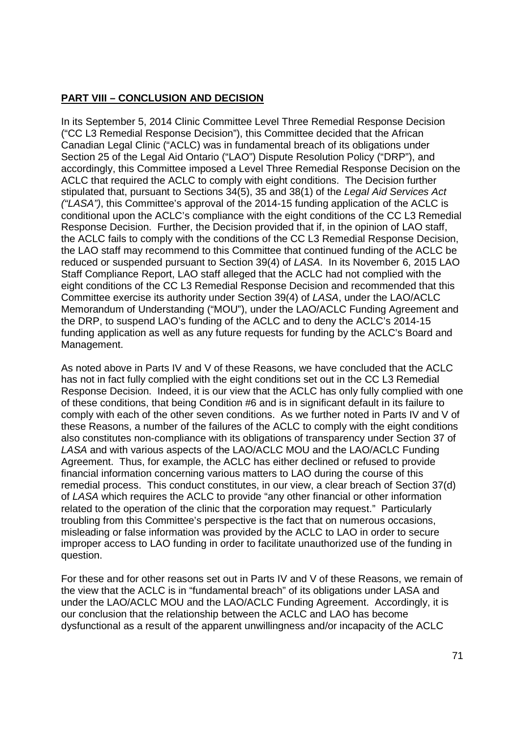# **PART VIII – CONCLUSION AND DECISION**  PART VIII — CONCLUSION AND DECISION

In its September 5, 2014 Clinic Committee Level Three Remedial Response Decision In its September 5, 2014 Clinic Committee Level Three Remedial Response Decision ("CC L3 Remedial Response Decision"), this Committee decided that the African ("CC L3 Remedial Response Decision"), this Committee decided that the African Canadian Legal Clinic ("ACLC) was in fundamental breach of its obligations under Canadian Legal Clinic ("ACLC) was in fundamental breach of its obligations under Section 25 of the Legal Aid Ontario ("LAO") Dispute Resolution Policy ("DRP"), and Section 25 of the Legal Aid Ontario ("LAO") Dispute Resolution Policy ("DRP"), and accordingly, this Committee imposed a Level Three Remedial Response Decision on the accordingly, this Committee imposed a Level Three Remedial Response Decision on the ACLC that required the ACLC to comply with eight conditions. The Decision further ACLC that required the ACLC to comply with eight conditions. The Decision further stipulated that, pursuant to Sections 34(5), 35 and 38(1) of the Legal Aid Services Act ("LASA"), this Committee's approval of the 2014-15 funding application of the ACLC is ('LASA'), this Committee's approval of the 2014-15 funding application of the ACLC is conditional upon the ACLC's compliance with the eight conditions of the CC L3 Remedial conditional upon the ACLC's compliance with the eight conditions of the CC L3 Remedial Response Decision. Further, the Decision provided that if, in the opinion of LAO staff, Response Decision. Further, the Decision provided that if, in the opinion of LAO staff, the ACLC fails to comply with the conditions of the CC L3 Remedial Response Decision, the ACLC fails to comply with the conditions of the CC L3 Remedial Response Decision, the LAO staff may recommend to this Committee that continued funding of the ACLC be the LAO staff may recommend to this Committee that continued funding of the ACLC be reduced or suspended pursuant to Section 39(4) of LASA. In its November 6, 2015 LAO reduced or suspended pursuant to Section 39(4) of LASA. In its November 6, 2015 LAO Staff Compliance Report, LAO staff alleged that the ACLC had not complied with the Staff Compliance Report, LAO staff alleged that the ACLC had not complied with the eight conditions of the CC L3 Remedial Response Decision and recommended that this eight conditions of the CC L3 Remedial Response Decision and recommended that this Committee exercise its authority under Section 39(4) of LASA, under the LAO/ACLC Committee exercise its authority under Section 39(4) of LASA, under the LAO/ACLC Memorandum of Understanding ("MOU"), under the LAO/ACLC Funding Agreement and Memorandum of Understanding ("MOU"), under the LAO/ACLC Funding Agreement and the DRP, to suspend LAO's funding of the ACLC and to deny the ACLC's 2014-15 the DRP, to suspend LAO's funding of the ACLC and to deny the ACLC's 2014-15 funding application as well as any future requests for funding by the ACLC's Board and funding application as well as any future requests for funding by the ACLC's Board and Management. Management.

As noted above in Parts IV and V of these Reasons, we have concluded that the ACLC As noted above in Parts IV and V of these Reasons, we have concluded that the ACLC has not in fact fully complied with the eight conditions set out in the CC L3 Remedial has not in fact fully complied with the eight conditions set out in the CC L3 Remedial Response Decision. Indeed, it is our view that the ACLC has only fully complied with one Response Decision. Indeed, it is our view that the ACLC has only fully complied with one of these conditions, that being Condition #6 and is in significant default in its failure to of these conditions, that being Condition #6 and is in significant default in its failure to comply with each of the other seven conditions. As we further noted in Parts IV and V of comply with each of the other seven conditions. As we further noted in Parts IV and V of these Reasons, a number of the failures of the ACLC to comply with the eight conditions these Reasons, a number of the failures of the ACLC to comply with the eight conditions also constitutes non-compliance with its obligations of transparency under Section 37 of LASA and with various aspects of the LAO/ACLC MOU and the LAO/ACLC Funding LASA and with various aspects of the LAO/ACLC MOU and the LAO/ACLC Funding Agreement. Thus, for example, the ACLC has either declined or refused to provide Agreement. Thus, for example, the ACLC has either declined or refused to provide financial information concerning various matters to LAO during the course of this financial information concerning various matters to LAO during the course of this remedial process. This conduct constitutes, in our view, a clear breach of Section 37(d) remedial process. This conduct constitutes, in our view, a clear breach of Section 37(d) of LASA which requires the ACLC to provide "any other financial or other information of LASA which requires the ACLC to provide "any other financial or other information related to the operation of the clinic that the corporation may request." Particularly related to the operation of the clinic that the corporation may request." Particularly troubling from this Committee's perspective is the fact that on numerous occasions, troubling from this Committee's perspective is the fact that on numerous occasions, misleading or false information was provided by the ACLC to LAO in order to secure misleading or false information was provided by the ACLC to LAO in order to secure improper access to LAO funding in order to facilitate unauthorized use of the funding in improper access to LAO funding in order to facilitate unauthorized use of the funding in question. question.

For these and for other reasons set out in Parts IV and V of these Reasons, we remain of For these and for other reasons set out in Parts IV and V of these Reasons, we remain of the view that the ACLC is in "fundamental breach" of its obligations under LASA and the view that the ACLC is in "fundamental breach" of its obligations under LASA and under the LAO/ACLC MOU and the LAO/ACLC Funding Agreement. Accordingly, it is under the LAO/ACLC MOU and the LAO/ACLC Funding Agreement. Accordingly, it is our conclusion that the relationship between the ACLC and LAO has become dysfunctional as a result of the apparent unwillingness and/or incapacity of the ACLC dysfunctional as a result of the apparent unwillingness and/or incapacity of the ACLC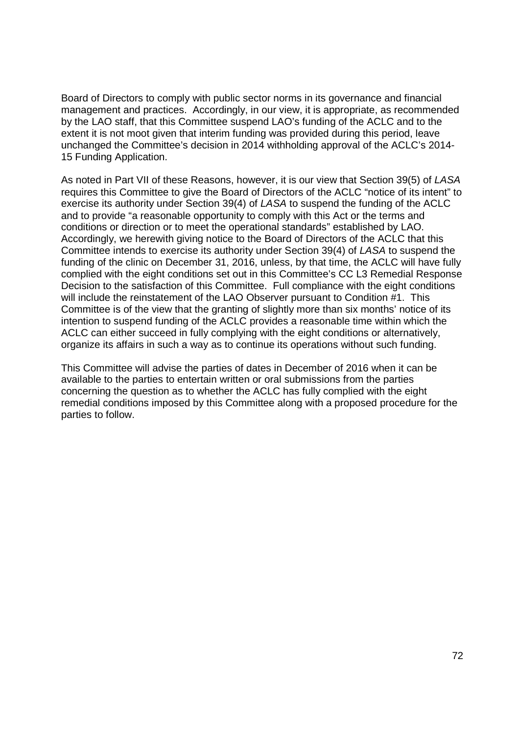Board of Directors to comply with public sector norms in its governance and financial Board of Directors to comply with public sector norms in its governance and financial management and practices. Accordingly, in our view, it is appropriate, as recommended management and practices. Accordingly, in our view, it is appropriate, as recommended by the LAO staff, that this Committee suspend LAO's funding of the ACLC and to the by the LAO staff, that this Committee suspend LAO's funding of the ACLC and to the extent it is not moot given that interim funding was provided during this period, leave extent it is not moot given that interim funding was provided during this period, leave unchanged the Committee's decision in 2014 withholding approval of the ACLC's 2014- unchanged the Committee's decision in <sup>2014</sup> withholding approval of the ACLC's 2014-15 Funding Application. 15 Funding Application.

As noted in Part VII of these Reasons, however, it is our view that Section 39(5) of LASA requires this Committee to give the Board of Directors of the ACLC "notice of its intent" to requires this Committee to give the Board of Directors of the ACLC "notice of its intent" to exercise its authority under Section 39(4) of LASA to suspend the funding of the ACLC and to provide "a reasonable opportunity to comply with this Act or the terms and and to provide "a reasonable opportunity to comply with this Act or the terms and conditions or direction or to meet the operational standards" established by LAO. conditions or direction or to meet the operational standards" established by LAO. Accordingly, we herewith giving notice to the Board of Directors of the ACLC that this Accordingly, we herewith giving notice to the Board of Directors of the ACLC that this Committee intends to exercise its authority under Section 39(4) of LASA to suspend the Committee intends to exercise its authority under Section 39(4) of LASA to suspend the funding of the clinic on December 31, 2016, unless, by that time, the ACLC will have fully funding of the clinic on December 31, 2016, unless, by that time, the ACLC will have fully complied with the eight conditions set out in this Committee's CC L3 Remedial Response complied with the eight conditions set out in this Committee's CC L3 Remedial Response Decision to the satisfaction of this Committee. Full compliance with the eight conditions Decision to the satisfaction of this Committee. Full compliance with the eight conditions will include the reinstatement of the LAO Observer pursuant to Condition #1. This will include the reinstatement of the LAO Observer pursuant to Condition #1. This Committee is of the view that the granting of slightly more than six months' notice of its Committee is of the view that the granting of slightly more than six months' notice of its intention to suspend funding of the ACLC provides a reasonable time within which the intention to suspend funding of the ACLC provides a reasonable time within which the ACLC can either succeed in fully complying with the eight conditions or alternatively, ACLC can either succeed in fully complying with the eight conditions or alternatively, organize its affairs in such a way as to continue its operations without such funding. organize its affairs in such a way as to continue its operations without such funding.

This Committee will advise the parties of dates in December of 2016 when it can be This Committee will advise the parties of dates in December of 2016 when it can be available to the parties to entertain written or oral submissions from the parties available to the parties to entertain written or oral submissions from the parties concerning the question as to whether the ACLC has fully complied with the eight concerning the question as to whether the ACLC has fully complied with the eight remedial conditions imposed by this Committee along with a proposed procedure for the remedial conditions imposed by this Committee along with a proposed procedure for the parties to follow. parties to follow.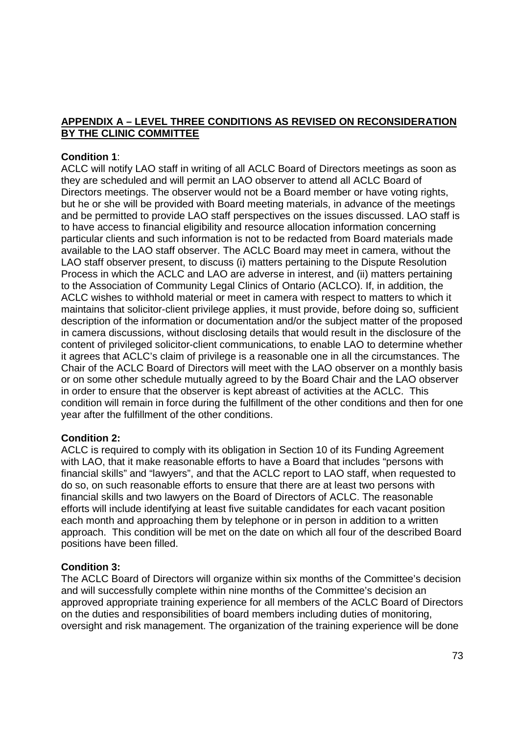# **APPENDIX A – LEVEL THREE CONDITIONS AS REVISED ON RECONSIDERATION**  APPENDIX A — LEVEL THREE CONDITIONS AS REVISED ON RECONSIDERATION **BY THE CLINIC COMMITTEE**  BY THE CLINIC COMMITTEE

# **Condition 1**: Condition 1:

ACLC will notify LAO staff in writing of all ACLC Board of Directors meetings as soon as ACLC will notify LAO staff in writing of all ACLC Board of Directors meetings as soon as they are scheduled and will permit an LAO observer to attend all ACLC Board of they are scheduled and will permit an LAO observer to attend all ACLC Board of Directors meetings. The observer would not be a Board member or have voting rights, Directors meetings. The observer would not be a Board member or have voting rights, but he or she will be provided with Board meeting materials, in advance of the meetings but he or she will be provided with Board meeting materials, in advance of the meetings and be permitted to provide LAO staff perspectives on the issues discussed. LAO staff is and be permitted to provide LAO staff perspectives on the issues discussed. LAO staff is to have access to financial eligibility and resource allocation information concerning to have access to financial eligibility and resource allocation information concerning particular clients and such information is not to be redacted from Board materials made particular clients and such information is not to be redacted from Board materials made available to the LAO staff observer. The ACLC Board may meet in camera, without the available to the LAO staff observer. The ACLC Board may meet in camera, without the LAO staff observer present, to discuss (i) matters pertaining to the Dispute Resolution LAO staff observer present, to discuss (i) matters pertaining to the Dispute Resolution Process in which the ACLC and LAO are adverse in interest, and (ii) matters pertaining Process in which the ACLC and LAO are adverse in interest, and (ii) matters pertaining to the Association of Community Legal Clinics of Ontario (ACLCO). If, in addition, the to the Association of Community Legal Clinics of Ontario (ACLCO). If, in addition, the ACLC wishes to withhold material or meet in camera with respect to matters to which it ACLC wishes to withhold material or meet in camera with respect to matters to which it maintains that solicitor-client privilege applies, it must provide, before doing so, sufficient description of the information or documentation and/or the subject matter of the proposed description of the information or documentation and/or the subject matter of the proposed in camera discussions, without disclosing details that would result in the disclosure of the in camera discussions, without disclosing details that would result in the disclosure of the content of privileged solicitor-client communications, to enable LAO to determine whether it agrees that ACLC's claim of privilege is a reasonable one in all the circumstances. The it agrees that ACLC's claim of privilege is a reasonable one in all the circumstances. The Chair of the ACLC Board of Directors will meet with the LAO observer on a monthly basis Chair of the ACLC Board of Directors will meet with the LAO observer on a monthly basis or on some other schedule mutually agreed to by the Board Chair and the LAO observer or on some other schedule mutually agreed to by the Board Chair and the LAO observer in order to ensure that the observer is kept abreast of activities at the ACLC. This in order to ensure that the observer is kept abreast of activities at the ACLC. This condition will remain in force during the fulfillment of the other conditions and then for one condition will remain in force during the fulfillment of the other conditions and then for one year after the fulfillment of the other conditions. year after the fulfillment of the other conditions.

# **Condition 2:**  Condition 2:

ACLC is required to comply with its obligation in Section 10 of its Funding Agreement ACLC is required to comply with its obligation in Section 10 of its Funding Agreement with LAO, that it make reasonable efforts to have a Board that includes "persons with with LAO, that it make reasonable efforts to have a Board that includes "persons with financial skills" and "lawyers", and that the ACLC report to LAO staff, when requested to financial skills" and "lawyers", and that the ACLC report to LAO staff, when requested to do so, on such reasonable efforts to ensure that there are at least two persons with do so, on such reasonable efforts to ensure that there are at least two persons with financial skills and two lawyers on the Board of Directors of ACLC. The reasonable financial skills and two lawyers on the Board of Directors of ACLC. The reasonable efforts will include identifying at least five suitable candidates for each vacant position efforts will include identifying at least five suitable candidates for each vacant position each month and approaching them by telephone or in person in addition to a written each month and approaching them by telephone or in person in addition to a written approach. This condition will be met on the date on which all four of the described Board approach. This condition will be met on the date on which all four of the described Board positions have been filled. positions have been filled.

# **Condition 3:**  Condition 3:

The ACLC Board of Directors will organize within six months of the Committee's decision The ACLC Board of Directors will organize within six months of the Committee's decision and will successfully complete within nine months of the Committee's decision an and will successfully complete within nine months of the Committee's decision an approved appropriate training experience for all members of the ACLC Board of Directors approved appropriate training experience for all members of the ACLC Board of Directors on the duties and responsibilities of board members including duties of monitoring, on the duties and responsibilities of board members including duties of monitoring, oversight and risk management. The organization of the training experience will be done oversight and risk management. The organization of the training experience will be done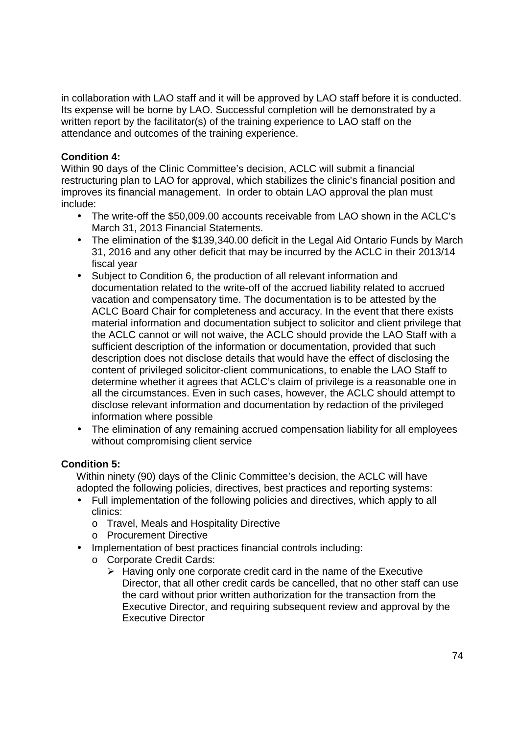in collaboration with LAO staff and it will be approved by LAO staff before it is conducted. in collaboration with LAO staff and it will be approved by LAO staff before it is conducted. Its expense will be borne by LAO. Successful completion will be demonstrated by a Its expense will be borne by LAO. Successful completion will be demonstrated by a written report by the facilitator(s) of the training experience to LAO staff on the attendance and outcomes of the training experience. attendance and outcomes of the training experience.

# **Condition 4:**  Condition 4:

Within 90 days of the Clinic Committee's decision, ACLC will submit a financial Within 90 days of the Clinic Committee's decision, ACLC will submit a financial restructuring plan to LAO for approval, which stabilizes the clinic's financial position and improves its financial management. In order to obtain LAO approval the plan must improves its financial management. In order to obtain LAO approval the plan must include: include:

- The write-off the \$50,009.00 accounts receivable from LAO shown in the ACLC's March 31, 2013 Financial Statements. March 31, 2013 Financial Statements.
- The elimination of the \$139,340.00 deficit in the Legal Aid Ontario Funds by March The elimination of the \$139,340.00 deficit in the Legal Aid Ontario Funds by March 31, 2016 and any other deficit that may be incurred by the ACLC in their 2013/14 31, 2016 and any other deficit that may be incurred by the ACLC in their 2013/14 fiscal year
- Subject to Condition 6, the production of all relevant information and Subject to Condition 6, the production of all relevant information and documentation related to the write-off of the accrued liability related to accrued documentation related to the write—off of the accrued liability related to accrued vacation and compensatory time. The documentation is to be attested by the vacation and compensatory time. The documentation is to be attested by the ACLC Board Chair for completeness and accuracy. In the event that there exists ACLC Board Chair for completeness and accuracy. In the event that there exists material information and documentation subject to solicitor and client privilege that material information and documentation subject to solicitor and client privilege that the ACLC cannot or will not waive, the ACLC should provide the LAO Staff with a the ACLC cannot or will not waive, the ACLC should provide the LAO Staff with a sufficient description of the information or documentation, provided that such description does not disclose details that would have the effect of disclosing the description does not disclose details that would have the effect of disclosing the content of privileged solicitor-client communications, to enable the LAO Staff to determine whether it agrees that ACLC's claim of privilege is a reasonable one in determine whether it agrees that ACLC's claim of privilege is a reasonable one in all the circumstances. Even in such cases, however, the ACLC should attempt to all the circumstances. Even in such cases, however, the ACLC should attempt to disclose relevant information and documentation by redaction of the privileged disclose relevant information and documentation by redaction of the privileged information where possible information where possible
- The elimination of any remaining accrued compensation liability for all employees The elimination of any remaining accrued compensation liability for all employees without compromising client service without compromising client service

# **Condition 5:**  Condition 5:

Within ninety (90) days of the Clinic Committee's decision, the ACLC will have Within ninety (90) days of the Clinic Committee's decision, the ACLC will have adopted the following policies, directives, best practices and reporting systems: adopted the following policies, directives, best practices and reporting systems:

- Full implementation of the following policies and directives, which apply to all Full implementation of the following policies and directives, which apply to all clinics: clinics:
	- o Travel, Meals and Hospitality Directive 0 Travel, Meals and Hospitality Directive
	- o Procurement Directive 0 Procurement Directive
- Implementation of best practices financial controls including: Implementation of best practices financial controls including:
	- o Corporate Credit Cards: 0 Corporate Credit Cards:
		- $\triangleright$  Having only one corporate credit card in the name of the Executive Director, that all other credit cards be cancelled, that no other staff can use Director, that all other credit cards be cancelled, that no other staff can use the card without prior written authorization for the transaction from the the card without prior written authorization for the transaction from the Executive Director, and requiring subsequent review and approval by the Executive Director, and requiring subsequent review and approval by the Executive Director Executive Director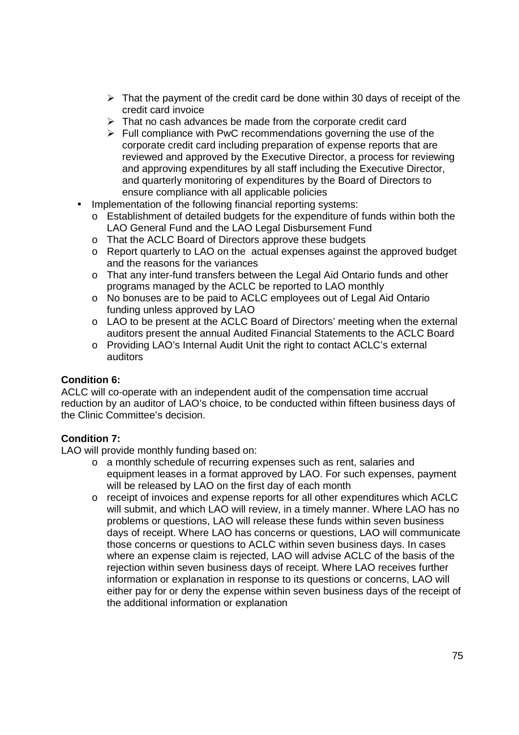- $\triangleright$  That the payment of the credit card be done within 30 days of receipt of the credit card invoice credit card invoice
- That no cash advances be made from the corporate credit card > That no cash advances be made from the corporate credit card
- Full compliance with PwC recommendations governing the use of the > Full compliance with PwC recommendations governing the use of the corporate credit card including preparation of expense reports that are corporate credit card including preparation of expense reports that are reviewed and approved by the Executive Director, a process for reviewing reviewed and approved by the Executive Director, a process for reviewing and approving expenditures by all staff including the Executive Director, and approving expenditures by all staff including the Executive Director, and quarterly monitoring of expenditures by the Board of Directors to and quarterly monitoring of expenditures by the Board of Directors to ensure compliance with all applicable policies ensure compliance with all applicable policies
- Implementation of the following financial reporting systems:
	- o Establishment of detailed budgets for the expenditure of funds within both the 0 Establishment of detailed budgets for the expenditure of funds within both the LAO General Fund and the LAO Legal Disbursement Fund LAO General Fund and the LAO Legal Disbursement Fund
	- o That the ACLC Board of Directors approve these budgets
	- o Report quarterly to LAO on the actual expenses against the approved budget 0 Report quarterly to LAO on the actual expenses against the approved budget and the reasons for the variances and the reasons for the variances
	- o That any inter-fund transfers between the Legal Aid Ontario funds and other programs managed by the ACLC be reported to LAO monthly programs managed by the ACLC be reported to LAO monthly
	- o No bonuses are to be paid to ACLC employees out of Legal Aid Ontario No bonuses are to be paid to ACLC employees out of Legal Aid Ontario funding unless approved by LAO funding unless approved by LAO
	- o LAO to be present at the ACLC Board of Directors' meeting when the external LAO to be present at the ACLC Board of Directors' meeting when the external auditors present the annual Audited Financial Statements to the ACLC Board auditors present the annual Audited Financial Statements to the ACLC Board
	- o Providing LAO's Internal Audit Unit the right to contact ACLC's external Providing LAO's Internal Audit Unit the right to contact ACLC's external auditors auditors

# **Condition 6:**  Condition 6:

ACLC will co-operate with an independent audit of the compensation time accrual reduction by an auditor of LAO's choice, to be conducted within fifteen business days of reduction by an auditor of LAO's choice, to be conducted within fifteen business days of the Clinic Committee's decision. the Clinic Committee's decision.

# **Condition 7:**  Condition 7:

LAO will provide monthly funding based on: LAO will provide monthly funding based on:

- o a monthly schedule of recurring expenses such as rent, salaries and <sup>O</sup> a monthly schedule of recurring expenses such as rent, salaries and equipment leases in a format approved by LAO. For such expenses, payment equipment leases in a format approved by LAO. For such expenses, payment will be released by LAO on the first day of each month will be released by LAO on the first day of each month
- $\circ$  receipt of invoices and expense reports for all other expenditures which ACLC will submit, and which LAO will review, in a timely manner. Where LAO has no will submit, and which LAO will review, in a timely manner. Where LAO has no problems or questions, LAO will release these funds within seven business problems or questions, LAO will release these funds within seven business days of receipt. Where LAO has concerns or questions, LAO will communicate days of receipt. Where LAO has concerns or questions, LAO will communicate those concerns or questions to ACLC within seven business days. In cases those concerns or questions to ACLC within seven business days. In cases where an expense claim is rejected, LAO will advise ACLC of the basis of the where an expense claim is rejected, LAO will advise ACLC of the basis of the rejection within seven business days of receipt. Where LAO receives further rejection within seven business days of receipt. Where LAO receives further information or explanation in response to its questions or concerns, LAO will information or explanation in response to its questions or concerns, LAO will either pay for or deny the expense within seven business days of the receipt of either pay for or deny the expense within seven business days of the receipt of the additional information or explanation the additional information or explanation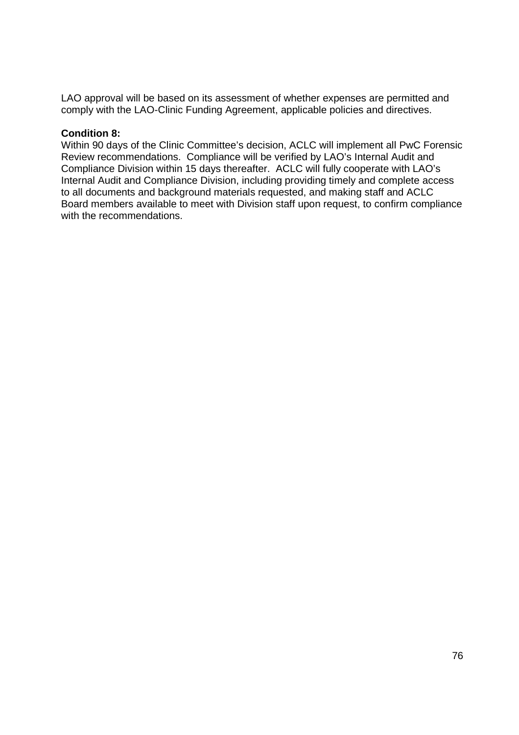LAO approval will be based on its assessment of whether expenses are permitted and LAO approval will be based on its assessment of whether expenses are permitted and comply with the LAO-Clinic Funding Agreement, applicable policies and directives.

# **Condition 8:**  Condition 8:

Within 90 days of the Clinic Committee's decision, ACLC will implement all PwC Forensic Within 90 days of the Clinic Committee's decision, ACLC will implement all PwC Forensic Review recommendations. Compliance will be verified by LAO's Internal Audit and Review recommendations. Compliance will be verified by LAO's Internal Audit and Compliance Division within 15 days thereafter. ACLC will fully cooperate with LAO's Compliance Division within 15 days thereafter. ACLC will fully cooperate with LAO's Internal Audit and Compliance Division, including providing timely and complete access Internal Audit and Compliance Division, including providing timely and complete access to all documents and background materials requested, and making staff and ACLC to all documents and background materials requested, and making staff and ACLC Board members available to meet with Division staff upon request, to confirm compliance Board members available to meet with Division staff upon request, to confirm compliance with the recommendations. with the recommendations.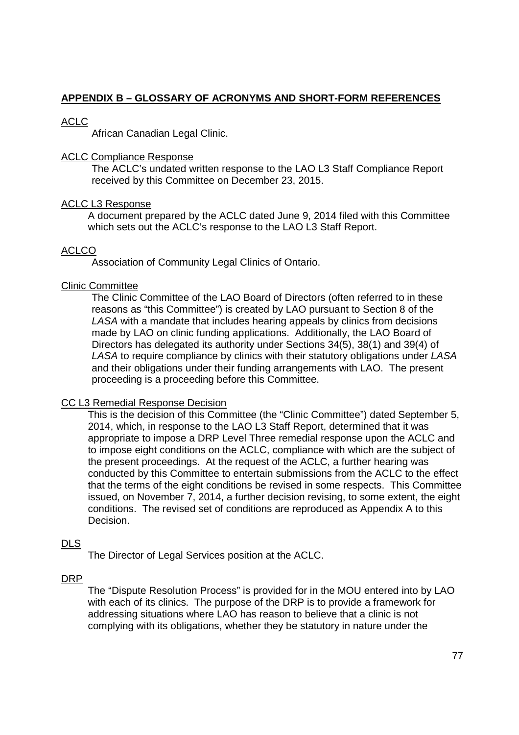# **APPENDIX B – GLOSSARY OF ACRONYMS AND SHORT-FORM REFERENCES**  APPENDIX B — GLOSSARY OF ACRONYMS AND SHORT-FORM REFERENCES

# ACLC ACLC

African Canadian Legal Clinic. African Canadian Legal Clinic.

## ACLC Compliance Response ACLC Compliance Response

The ACLC's undated written response to the LAO L3 Staff Compliance Report The ACLC's undated written response to the LAO L3 Staff Compliance Report received by this Committee on December 23, 2015. received by this Committee on December 23, 2015.

## ACLC L3 Response ACLC L3 Response

 A document prepared by the ACLC dated June 9, 2014 filed with this Committee A document prepared by the ACLC dated June 9, 2014 filed with this Committee which sets out the ACLC's response to the LAO L3 Staff Report. which sets out the ACLC's response to the LAO L3 Staff Report.

# ACLCO ACLCO

Association of Community Legal Clinics of Ontario. Association of Community Legal Clinics of Ontario.

## Clinic Committee Clinic Committee

The Clinic Committee of the LAO Board of Directors (often referred to in these The Clinic Committee of the LAO Board of Directors (often referred to in these reasons as "this Committee") is created by LAO pursuant to Section 8 of the reasons as "this Committee") is created by LAO pursuant to Section 8 of the LASA with a mandate that includes hearing appeals by clinics from decisions LASA with a mandate that includes hearing appeals by clinics from decisions made by LAO on clinic funding applications. Additionally, the LAO Board of made by LAO on clinic funding applications. Additionally, the LAO Board of Directors has delegated its authority under Sections 34(5), 38(1) and 39(4) of Directors has delegated its authority under Sections 34(5), 38(1) and 39(4) of LASA to require compliance by clinics with their statutory obligations under LASA LASA to require compliance by clinics with their statutory obligations under LASA and their obligations under their funding arrangements with LAO. The present and their obligations under their funding arrangements with LAO. The present proceeding is a proceeding before this Committee. proceeding is a proceeding before this Committee.

# CC L3 Remedial Response Decision CC L3 Remedial Response Decision

 This is the decision of this Committee (the "Clinic Committee") dated September 5, This is the decision of this Committee (the "Clinic Committee") dated September 5, 2014, which, in response to the LAO L3 Staff Report, determined that it was 2014, which, in response to the LAO L3 Staff Report, determined that it was appropriate to impose a DRP Level Three remedial response upon the ACLC and appropriate to impose a DRP Level Three remedial response upon the ACLC and to impose eight conditions on the ACLC, compliance with which are the subject of the present proceedings. At the request of the ACLC, a further hearing was the present proceedings. At the request of the ACLC, a further hearing was conducted by this Committee to entertain submissions from the ACLC to the effect conducted by this Committee to entertain submissions from the ACLC to the effect that the terms of the eight conditions be revised in some respects. This Committee that the terms of the eight conditions be revised in some respects. This Committee issued, on November 7, 2014, a further decision revising, to some extent, the eight issued, on November 7, 2014, a further decision revising, to some extent, the eight conditions. The revised set of conditions are reproduced as Appendix A to this conditions. The revised set of conditions are reproduced as Appendix A to this Decision. Decision.

# DLS

The Director of Legal Services position at the ACLC. The Director of Legal Services position at the ACLC.

# DRP DRP

The "Dispute Resolution Process" is provided for in the MOU entered into by LAO The "Dispute Resolution Process" is provided for in the MOU entered into by LAO with each of its clinics. The purpose of the DRP is to provide a framework for with each of its clinics. The purpose of the DRP is to provide a framework for addressing situations where LAO has reason to believe that a clinic is not addressing situations where LAO has reason to believe that a clinic is not complying with its obligations, whether they be statutory in nature under the complying with its obligations, whether they be statutory in nature under the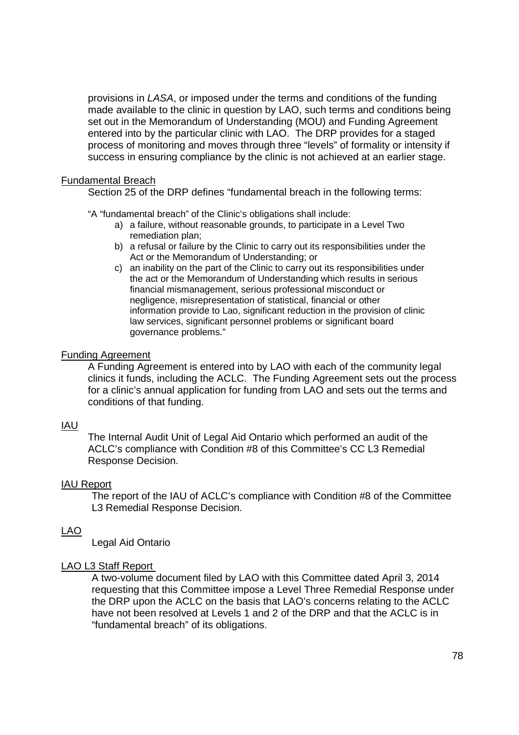provisions in LASA, or imposed under the terms and conditions of the funding provisions in LASA, or imposed under the terms and conditions of the funding made available to the clinic in question by LAO, such terms and conditions being made available to the clinic in question by LAO, such terms and conditions being set out in the Memorandum of Understanding (MOU) and Funding Agreement entered into by the particular clinic with LAO. The DRP provides for a staged entered into by the particular clinic with LAO. The DRP provides for a staged process of monitoring and moves through three "levels" of formality or intensity if process of monitoring and moves through three ''levels'' of formality or intensity if success in ensuring compliance by the clinic is not achieved at an earlier stage. success in ensuring compliance by the clinic is not achieved at an earlier stage.

## Fundamental Breach Fundamental Breach

Section 25 of the DRP defines "fundamental breach in the following terms: Section 25 of the DRP defines "fundamental breach in the following terms:

"A "fundamental breach" of the Clinic's obligations shall include: "A "fundamental breach" of the C|inic's obligations shall include:

- a) a failure, without reasonable grounds, to participate in a Level Two a) a failure, without reasonable grounds, to participate in a Level Two remediation plan; remediation plan;
- b) a refusal or failure by the Clinic to carry out its responsibilities under the b) a refusal or failure by the Clinic to carry out its responsibilities under the Act or the Memorandum of Understanding; or Act or the Memorandum of Understanding; or
- c) an inability on the part of the Clinic to carry out its responsibilities under c) an inability on the part of the Clinic to carry out its responsibilities under the act or the Memorandum of Understanding which results in serious the act or the Memorandum of Understanding which results in serious financial mismanagement, serious professional misconduct or financial mismanagement, serious professional misconduct or negligence, misrepresentation of statistical, financial or other negligence, misrepresentation of statistical, financial or other information provide to Lao, significant reduction in the provision of clinic information provide to Lao, significant reduction in the provision of clinic law services, significant personnel problems or significant board law services, significant personnel problems or significant board governance problems." governance problems."

## **Funding Agreement**

A Funding Agreement is entered into by LAO with each of the community legal A Funding Agreement is entered into by LAO with each of the community legal clinics it funds, including the ACLC. The Funding Agreement sets out the process for a clinic's annual application for funding from LAO and sets out the terms and conditions of that funding. conditions of that funding.

# <u>IAU</u>

 The Internal Audit Unit of Legal Aid Ontario which performed an audit of the The Internal Audit Unit of Legal Aid Ontario which performed an audit of the ACLC's compliance with Condition #8 of this Committee's CC L3 Remedial ACLC's compliance with Condition #8 of this Committee's CC L3 Remedial Response Decision. Response Decision.

## **IAU Report**

The report of the IAU of ACLC's compliance with Condition #8 of the Committee The report of the IAU of ACLC's compliance with Condition #8 of the Committee L3 Remedial Response Decision. L3 Remedial Response Decision.

## LAO LAO

Legal Aid Ontario Legal Aid Ontario

## LAO L3 Staff Report LAO L3 Staff Report

A two-volume document filed by LAO with this Committee dated April 3, 2014 requesting that this Committee impose a Level Three Remedial Response under requesting that this Committee impose a Level Three Remedial Response under the DRP upon the ACLC on the basis that LAO's concerns relating to the ACLC the DRP upon the ACLC on the basis that LAO's concerns relating to the ACLC have not been resolved at Levels 1 and 2 of the DRP and that the ACLC is in have not been resolved at Levels <sup>1</sup> and 2 of the DRP and that the ACLC is in "fundamental breach" of its obligations. "fundamental breach" of its obligations.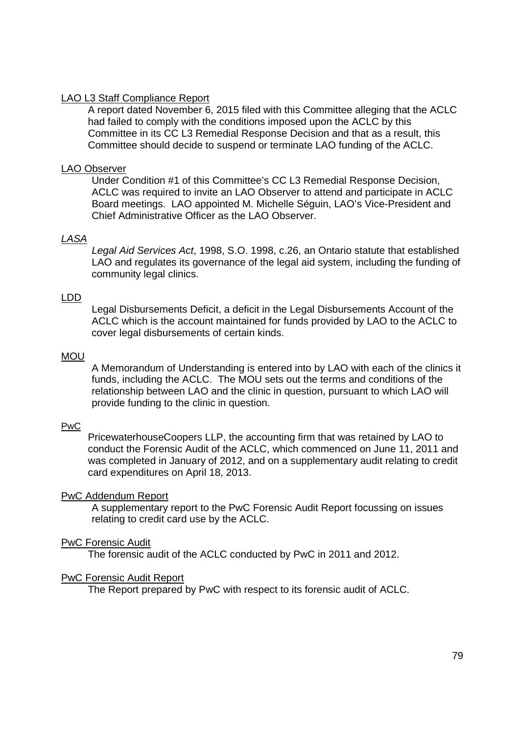## LAO L3 Staff Compliance Report

A report dated November 6, 2015 filed with this Committee alleging that the ACLC A report dated November 6, 2015 filed with this Committee alleging that the ACLC had failed to comply with the conditions imposed upon the ACLC by this had failed to comply with the conditions imposed upon the ACLC by this Committee in its CC L3 Remedial Response Decision and that as a result, this Committee in its CC L3 Remedial Response Decision and that as a result, this Committee should decide to suspend or terminate LAO funding of the ACLC. Committee should decide to suspend or terminate LAO funding of the ACLC.

#### LAO Observer

Under Condition #1 of this Committee's CC L3 Remedial Response Decision, Under Condition #1 of this Committee's CC L3 Remedial Response Decision, ACLC was required to invite an LAO Observer to attend and participate in ACLC ACLC was required to invite an LAO Observer to attend and participate in ACLC Board meetings. LAO appointed M. Michelle Séguin, LAO's Vice-President and Board meetings. LAO appointed M. Michelle Séguin, LAO's Vice—President and Chief Administrative Officer as the LAO Observer. Chief Administrative Officer as the LAO Observer.

## LASA

Legal Aid Services Act, 1998, S.O. 1998, c.26, an Ontario statute that established Legal Aid Services Act, 1998, S.O. 1998, c.26, an Ontario statute that established LAO and regulates its governance of the legal aid system, including the funding of LAO and regulates its governance of the legal aid system, including the funding of community legal clinics. community legal clinics.

#### LDD LDD

 Legal Disbursements Deficit, a deficit in the Legal Disbursements Account of the Legal Disbursements Deficit, a deficit in the Legal Disbursements Account of the ACLC which is the account maintained for funds provided by LAO to the ACLC to ACLC which is the account maintained for funds provided by LAO to the ACLC to cover legal disbursements of certain kinds. cover legal disbursements of certain kinds.

#### MOU

A Memorandum of Understanding is entered into by LAO with each of the clinics it A Memorandum of Understanding is entered into by LAO with each of the clinics it funds, including the ACLC. The MOU sets out the terms and conditions of the funds, including the ACLC. The MOU sets out the terms and conditions of the relationship between LAO and the clinic in question, pursuant to which LAO will relationship between LAO and the clinic in question, pursuant to which LAO will provide funding to the clinic in question. provide funding to the clinic in question.

#### PwC

PricewaterhouseCoopers LLP, the accounting firm that was retained by LAO to PricewaterhouseCoopers LLP, the accounting firm that was retained by LAO to conduct the Forensic Audit of the ACLC, which commenced on June 11, 2011 and conduct the Forensic Audit of the ACLC, which commenced on June 11, 2011 and was completed in January of 2012, and on a supplementary audit relating to credit was completed in January of 2012, and on a supplementary audit relating to credit card expenditures on April 18, 2013. card expenditures on April 18, 2013.

#### **PwC Addendum Report**

A supplementary report to the PwC Forensic Audit Report focussing on issues A supplementary report to the PwC Forensic Audit Report focussing on issues relating to credit card use by the ACLC. relating to credit card use by the ACLC.

#### **PwC Forensic Audit**

The forensic audit of the ACLC conducted by PwC in 2011 and 2012. The forensic audit of the ACLC conducted by PwC in 2011 and 2012.

#### PwC Forensic Audit Report PwC Forensic Audit Report

The Report prepared by PwC with respect to its forensic audit of ACLC. The Report prepared by PwC with respect to its forensic audit of ACLC.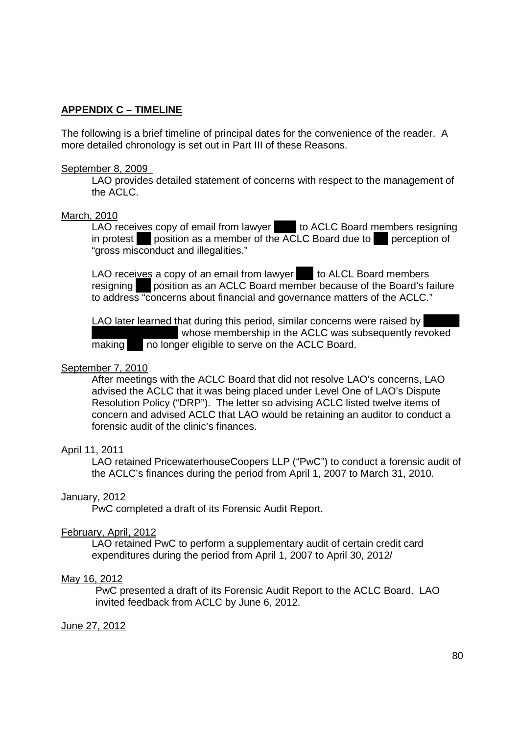# **APPENDIX C – TIMELINE**  APPENDIX C — TIMELINE

The following is a brief timeline of principal dates for the convenience of the reader. A The following is a brief timeline of principal dates for the convenience of the reader. A more detailed chronology is set out in Part III of these Reasons. more detailed chronology is set out in Part III of these Reasons.

## September 8, 2009 September 8, 2009

LAO provides detailed statement of concerns with respect to the management of LAO provides detailed statement of concerns with respect to the management of the ACLC. the ACLC.

#### March, 2010

LAO receives copy of email from lawyer to ACLC Board members resigning in protest position as a member of the ACLC Board due to perception of "gross misconduct and illegalities." "gross misconduct and i||ega|ities."

LAO receives a copy of an email from lawyer to ALCL Board members resigning position as an ACLC Board member because of the Board's failure to address "concerns about financial and governance matters of the ACLC." to address "concerns about financial and governance matters of the ACLC."

LAO later learned that during this period, similar concerns were raised by whose membership in the ACLC was subsequently revoked whose membership in the ACLC was subsequently revoked making no longer eligible to serve on the ACLC Board. making no longer eligible to serve on the ACLC Board.

## September 7, 2010

After meetings with the ACLC Board that did not resolve LAO's concerns, LAO After meetings with the ACLC Board that did not resolve LAO's concerns, LAO advised the ACLC that it was being placed under Level One of LAO's Dispute advised the ACLC that it was being placed under Level One of LAO's Dispute Resolution Policy ("DRP"). The letter so advising ACLC listed twelve items of Resolution Policy ("DRP"). The letter so advising ACLC listed twelve items of concern and advised ACLC that LAO would be retaining an auditor to conduct a concern and advised ACLC that LAO would be retaining an auditor to conduct a forensic audit of the clinic's finances.

## April 11, 2011 April 11, 2011

LAO retained PricewaterhouseCoopers LLP ("PwC") to conduct a forensic audit of LAO retained PricewaterhouseCoopers LLP ("PwC") to conduct a forensic audit of the ACLC's finances during the period from April 1, 2007 to March 31, 2010. the ACLC's finances during the period from April 1, 2007 to March 31, 2010.

## January, 2012

PwC completed a draft of its Forensic Audit Report. PwC completed a draft of its Forensic Audit Report.

#### February, April, 2012

LAO retained PwC to perform a supplementary audit of certain credit card LAO retained PwC to perform a supplementary audit of certain credit card expenditures during the period from April 1, 2007 to April 30, 2012/ expenditures during the period from April 1, 2007 to April 30, 2012/

#### May 16, 2012

PwC presented a draft of its Forensic Audit Report to the ACLC Board. LAO PwC presented a draft of its Forensic Audit Report to the ACLC Board. LAO invited feedback from ACLC by June 6, 2012. invited feedback from ACLC by June 6, 2012.

#### <u>June 27, 2012</u>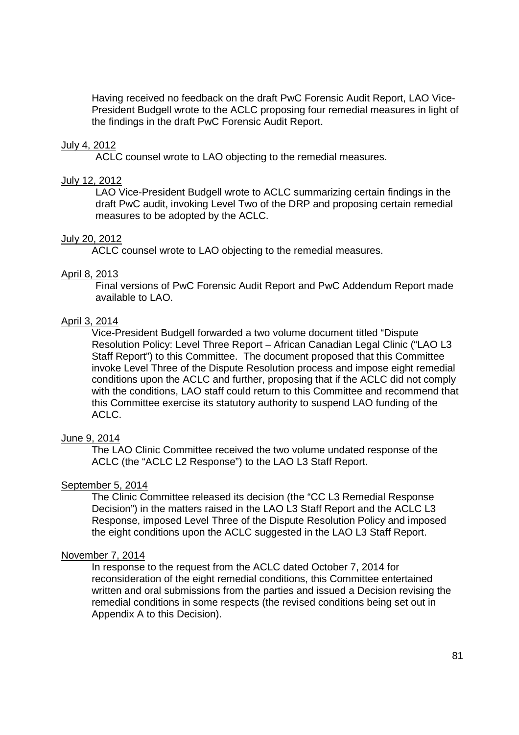Having received no feedback on the draft PwC Forensic Audit Report, LAO Vice-Having received no feedback on the draft PwC Forensic Audit Report, LAO Vice-President Budgell wrote to the ACLC proposing four remedial measures in light of President Budgell wrote to the ACLC proposing four remedial measures in light of the findings in the draft PwC Forensic Audit Report. the findings in the draft PwC Forensic Audit Report.

## July 4, 2012

ACLC counsel wrote to LAO objecting to the remedial measures. ACLC counsel wrote to LAO objecting to the remedial measures.

#### July 12, 2012

LAO Vice-President Budgell wrote to ACLC summarizing certain findings in the draft PwC audit, invoking Level Two of the DRP and proposing certain remedial draft PwC audit, invoking Level Two of the DRP and proposing certain remedial measures to be adopted by the ACLC. measures to be adopted by the ACLC.

#### July 20, 2012

ACLC counsel wrote to LAO objecting to the remedial measures. ACLC counsel wrote to LAO objecting to the remedial measures.

#### April 8, 2013 April 8, 2013

Final versions of PwC Forensic Audit Report and PwC Addendum Report made Final versions of PwC Forensic Audit Report and PwC Addendum Report made available to LAO. available to LAO.

#### April 3, 2014

Vice-President Budgell forwarded a two volume document titled "Dispute Vice—President Budgell fon/varded a two volume document titled "Dispute Resolution Policy: Level Three Report – African Canadian Legal Clinic ("LAO L3 Resolution Policy: Level Three Report — African Canadian Legal Clinic ("LAO L3 Staff Report") to this Committee. The document proposed that this Committee Staff Report") to this Committee. The document proposed that this Committee invoke Level Three of the Dispute Resolution process and impose eight remedial invoke Level Three of the Dispute Resolution process and impose eight remedial conditions upon the ACLC and further, proposing that if the ACLC did not comply conditions upon the ACLC and further, proposing that if the ACLC did not comply with the conditions, LAO staff could return to this Committee and recommend that with the conditions, LAO staff could return to this Committee and recommend that this Committee exercise its statutory authority to suspend LAO funding of the this Committee exercise its statutory authority to suspend LAO funding of the ACLC. ACLC.

#### June 9, 2014

The LAO Clinic Committee received the two volume undated response of the The LAO Clinic Committee received the two volume undated response of the ACLC (the "ACLC L2 Response") to the LAO L3 Staff Report. ACLC (the "ACLC L2 Response") to the LAO L3 Staff Report.

#### September 5, 2014 September 5, 2014

The Clinic Committee released its decision (the "CC L3 Remedial Response The Clinic Committee released its decision (the "CC L3 Remedial Response Decision") in the matters raised in the LAO L3 Staff Report and the ACLC L3 Decision") in the matters raised in the LAO L3 Staff Report and the ACLC L3 Response, imposed Level Three of the Dispute Resolution Policy and imposed Response, imposed Level Three of the Dispute Resolution Policy and imposed the eight conditions upon the ACLC suggested in the LAO L3 Staff Report. the eight conditions upon the ACLC suggested in the LAO L3 Staff Report.

#### November 7, 2014

In response to the request from the ACLC dated October 7, 2014 for In response to the request from the ACLC dated October 7, 2014 for reconsideration of the eight remedial conditions, this Committee entertained reconsideration of the eight remedial conditions, this Committee entertained written and oral submissions from the parties and issued a Decision revising the written and oral submissions from the parties and issued a Decision revising the remedial conditions in some respects (the revised conditions being set out in remedial conditions in some respects (the revised conditions being set out in Appendix A to this Decision). Appendix A to this Decision).